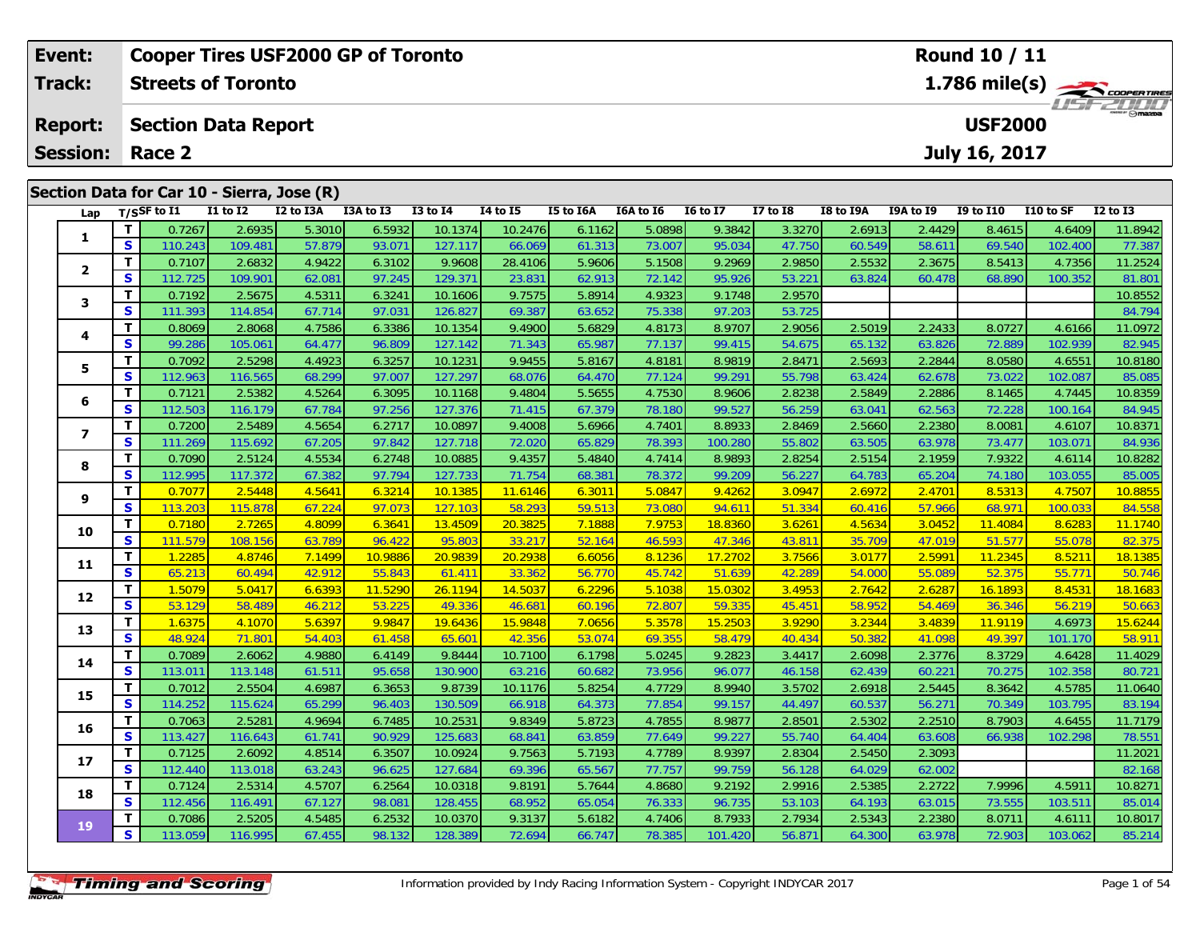| Event:          |          |                            |              | <b>Cooper Tires USF2000 GP of Toronto</b>  |           |              | Round 10 / 11 |           |           |                 |              |           |           |                  |           |              |
|-----------------|----------|----------------------------|--------------|--------------------------------------------|-----------|--------------|---------------|-----------|-----------|-----------------|--------------|-----------|-----------|------------------|-----------|--------------|
| Track:          |          | <b>Streets of Toronto</b>  |              |                                            |           |              | 1.786 mile(s) |           |           |                 |              |           |           |                  |           |              |
| <b>Report:</b>  |          | <b>Section Data Report</b> |              |                                            |           |              |               |           |           |                 |              |           |           | <b>USF2000</b>   |           | LISF 2000    |
| <b>Session:</b> |          | Race 2                     |              |                                            |           |              |               |           |           |                 |              |           |           | July 16, 2017    |           |              |
|                 |          |                            |              | Section Data for Car 10 - Sierra, Jose (R) |           |              |               |           |           |                 |              |           |           |                  |           |              |
| Lap             |          | T/SSF to I1                | $I1$ to $I2$ | I2 to I3A                                  | I3A to I3 | $I3$ to $I4$ | 14 to 15      | I5 to I6A | I6A to I6 | <b>16 to 17</b> | $I7$ to $I8$ | I8 to I9A | I9A to I9 | <b>I9 to I10</b> | I10 to SF | $I2$ to $I3$ |
|                 |          | 0.7267                     | 2.6935       | 5.3010                                     | 6.5932    | 10.1374      | 10.2476       | 6.1162    | 5.0898    | 9.3842          | 3.3270       | 2.6913    | 2.4429    | 8.4615           | 4.6409    | 11.8942      |
|                 | <b>S</b> | 110.243                    | 109.481      | 57.879                                     | 93.071    | 127.117      | 66.069        | 61.313    | 73.007    | 95.034          | 47.750       | 60.549    | 58.611    | 69.540           | 102.400   | 77.387       |
| $\overline{2}$  |          | 0.7107                     | 2.6832       | 4.9422                                     | 6.3102    | 9.9608       | 28.4106       | 5.9606    | 5.1508    | 9.2969          | 2.9850       | 2.5532    | 2.3675    | 8.5413           | 4.7356    | 11.2524      |
|                 | S        | 112.725                    | 109.901      | 62.081                                     | 97.245    | 129.371      | 23.831        | 62.913    | 72.142    | 95.926          | 53.221       | 63.824    | 60.478    | 68.890           | 100.352   | 81.801       |
| 3               |          | 0.7192                     | 2.5675       | 4.5311                                     | 6.3241    | 10.1606      | 9.7575        | 5.8914    | 4.9323    | 9.1748          | 2.9570       |           |           |                  |           | 10.8552      |
|                 | S.       | 111.393                    | 114.854      | 67.714                                     | 97.031    | 126.827      | 69.387        | 63.652    | 75.338    | 97.203          | 53.725       |           |           |                  |           | 84.794       |
| 4               |          | 0.8069                     | 2.8068       | 4.7586                                     | 6.3386    | 10.1354      | 9.4900        | 5.6829    | 4.8173    | 8.9707          | 2.9056       | 2.5019    | 2.2433    | 8.0727           | 4.6166    | 11.0972      |

|                | $\ddot{\phantom{0}}$ | TTU.Z43 | 109.481 | 57.879 | 93.UTT  | 127.TT/ | <b>00.009</b> | 01.313 | 73.UU7 | Y5.U34  | 47.750 | <b>00.949</b> | <b>38.011</b> | <b>09.940</b> | IUZ.400 | 11.381  |
|----------------|----------------------|---------|---------|--------|---------|---------|---------------|--------|--------|---------|--------|---------------|---------------|---------------|---------|---------|
|                | $\mathbf{T}$         | 0.7107  | 2.6832  | 4.9422 | 6.3102  | 9.9608  | 28.4106       | 5.9606 | 5.1508 | 9.2969  | 2.9850 | 2.5532        | 2.3675        | 8.5413        | 4.7356  | 11.2524 |
| $\mathbf{2}$   | S                    | 112.725 | 109.901 | 62.081 | 97.245  | 129.371 | 23.831        | 62.913 | 72.142 | 95.926  | 53.221 | 63.824        | 60.478        | 68.890        | 100.352 | 81.801  |
| 3              | Т                    | 0.7192  | 2.5675  | 4.5311 | 6.3241  | 10.1606 | 9.7575        | 5.8914 | 4.9323 | 9.1748  | 2.9570 |               |               |               |         | 10.8552 |
|                | S                    | 111.393 | 114.854 | 67.714 | 97.031  | 126.827 | 69.387        | 63.652 | 75.338 | 97.203  | 53.725 |               |               |               |         | 84.794  |
| 4              | Т                    | 0.8069  | 2.8068  | 4.7586 | 6.3386  | 10.1354 | 9.4900        | 5.6829 | 4.8173 | 8.9707  | 2.9056 | 2.5019        | 2.2433        | 8.0727        | 4.6166  | 11.0972 |
|                | S                    | 99.286  | 105.061 | 64.477 | 96.809  | 127.142 | 71.343        | 65.987 | 77.137 | 99.415  | 54.675 | 65.132        | 63.826        | 72.889        | 102.939 | 82.945  |
| 5              | T.                   | 0.7092  | 2.5298  | 4.4923 | 6.3257  | 10.1231 | 9.9455        | 5.8167 | 4.8181 | 8.9819  | 2.8471 | 2.5693        | 2.2844        | 8.0580        | 4.6551  | 10.8180 |
|                | $\mathbf{s}$         | 112.963 | 116.565 | 68.299 | 97.007  | 127.297 | 68.076        | 64.470 | 77.124 | 99.291  | 55.798 | 63.424        | 62.678        | 73.022        | 102.087 | 85.085  |
| 6              | T                    | 0.7121  | 2.5382  | 4.5264 | 6.3095  | 10.1168 | 9.4804        | 5.5655 | 4.7530 | 8.9606  | 2.8238 | 2.5849        | 2.2886        | 8.1465        | 4.7445  | 10.8359 |
|                | S                    | 112.503 | 116.179 | 67.784 | 97.256  | 127.376 | 71.415        | 67.379 | 78.180 | 99.527  | 56.259 | 63.041        | 62.563        | 72.228        | 100.164 | 84.945  |
| $\overline{ }$ | Т                    | 0.7200  | 2.5489  | 4.5654 | 6.2717  | 10.0897 | 9.4008        | 5.6966 | 4.7401 | 8.8933  | 2.8469 | 2.5660        | 2.2380        | 8.0081        | 4.6107  | 10.8371 |
|                | S                    | 111.269 | 115.692 | 67.205 | 97.842  | 127.718 | 72.020        | 65.829 | 78.393 | 100.280 | 55.802 | 63.505        | 63.978        | 73.477        | 103.071 | 84.936  |
| 8              | Т                    | 0.7090  | 2.5124  | 4.5534 | 6.2748  | 10.0885 | 9.4357        | 5.4840 | 4.7414 | 8.9893  | 2.8254 | 2.5154        | 2.1959        | 7.9322        | 4.6114  | 10.8282 |
|                | S                    | 112.995 | 117.372 | 67.382 | 97.794  | 127.733 | 71.754        | 68.381 | 78.372 | 99.209  | 56.227 | 64.783        | 65.204        | 74.180        | 103.055 | 85.005  |
| 9              | T.                   | 0.7077  | 2.5448  | 4.5641 | 6.3214  | 10.1385 | 11.6146       | 6.3011 | 5.0847 | 9.4262  | 3.0947 | 2.6972        | 2.4701        | 8.5313        | 4.7507  | 10.8855 |
|                | S                    | 113.203 | 115.878 | 67.224 | 97.073  | 127.103 | 58.293        | 59.513 | 73.080 | 94.611  | 51.334 | 60.416        | 57.966        | 68.971        | 100.033 | 84.558  |
| 10             | T.                   | 0.7180  | 2.7265  | 4.8099 | 6.3641  | 13.4509 | 20.3825       | 7.1888 | 7.9753 | 18.8360 | 3.6261 | 4.5634        | 3.0452        | 11.4084       | 8.6283  | 11.1740 |
|                | S                    | 111.579 | 108.156 | 63.789 | 96.422  | 95.803  | 33.217        | 52.164 | 46.593 | 47.346  | 43.811 | 35.709        | 47.019        | 51.577        | 55.078  | 82.375  |
| 11             | T.                   | 1.2285  | 4.8746  | 7.1499 | 10.9886 | 20.9839 | 20.2938       | 6.6056 | 8.1236 | 17.2702 | 3.7566 | 3.0177        | 2.5991        | 11.2345       | 8.5211  | 18.1385 |
|                | S                    | 65.213  | 60.494  | 42.912 | 55.843  | 61.411  | 33.362        | 56.770 | 45.742 | 51.639  | 42.289 | 54.000        | 55.089        | 52.375        | 55.771  | 50.746  |
| 12             | T                    | 1.5079  | 5.0417  | 6.6393 | 11.5290 | 26.1194 | 14.5037       | 6.2296 | 5.1038 | 15.0302 | 3.4953 | 2.7642        | 2.6287        | 16.1893       | 8.4531  | 18.1683 |
|                | S                    | 53.129  | 58.489  | 46.212 | 53.225  | 49.336  | 46.681        | 60.196 | 72.807 | 59.335  | 45.451 | 58.952        | 54.469        | 36.346        | 56.219  | 50.663  |
| 13             | T.                   | 1.6375  | 4.1070  | 5.6397 | 9.9847  | 19.6436 | 15.9848       | 7.0656 | 5.3578 | 15.2503 | 3.9290 | 3.2344        | 3.4839        | 11.9119       | 4.6973  | 15.6244 |
|                | S                    | 48.924  | 71.801  | 54.403 | 61.458  | 65.601  | 42.356        | 53.074 | 69.355 | 58.479  | 40.434 | 50.382        | 41.098        | 49.397        | 101.170 | 58.911  |
| 14             | T.                   | 0.7089  | 2.6062  | 4.9880 | 6.4149  | 9.8444  | 10.7100       | 6.1798 | 5.0245 | 9.2823  | 3.4417 | 2.6098        | 2.3776        | 8.3729        | 4.6428  | 11.4029 |
|                | $\mathbf{s}$         | 113.011 | 113.148 | 61.511 | 95.658  | 130.900 | 63.216        | 60.682 | 73.956 | 96.077  | 46.158 | 62.439        | 60.221        | 70.275        | 102.358 | 80.721  |
| 15             | T                    | 0.7012  | 2.5504  | 4.6987 | 6.3653  | 9.8739  | 10.1176       | 5.8254 | 4.7729 | 8.9940  | 3.5702 | 2.6918        | 2.5445        | 8.3642        | 4.5785  | 11.0640 |
|                | S                    | 114.252 | 115.624 | 65.299 | 96.403  | 130.509 | 66.918        | 64.373 | 77.854 | 99.157  | 44.497 | 60.537        | 56.271        | 70.349        | 103.795 | 83.194  |
| 16             | Т                    | 0.7063  | 2.5281  | 4.9694 | 6.7485  | 10.2531 | 9.8349        | 5.8723 | 4.7855 | 8.9877  | 2.8501 | 2.5302        | 2.2510        | 8.7903        | 4.6455  | 11.7179 |
|                | S                    | 113.427 | 116.643 | 61.741 | 90.929  | 125.683 | 68.841        | 63.859 | 77.649 | 99.227  | 55.740 | 64.404        | 63.608        | 66.938        | 102.298 | 78.551  |
| 17             | T.                   | 0.7125  | 2.6092  | 4.8514 | 6.3507  | 10.0924 | 9.7563        | 5.7193 | 4.7789 | 8.9397  | 2.8304 | 2.5450        | 2.3093        |               |         | 11.2021 |
|                | $\mathbf{s}$         | 112.440 | 113.018 | 63.243 | 96.625  | 127.684 | 69.396        | 65.567 | 77.757 | 99.759  | 56.128 | 64.029        | 62.002        |               |         | 82.168  |
| 18             | T.                   | 0.7124  | 2.5314  | 4.5707 | 6.2564  | 10.0318 | 9.8191        | 5.7644 | 4.8680 | 9.2192  | 2.9916 | 2.5385        | 2.2722        | 7.9996        | 4.5911  | 10.8271 |
|                | S                    | 112.456 | 116.491 | 67.127 | 98.081  | 128.455 | 68.952        | 65.054 | 76.333 | 96.735  | 53.103 | 64.193        | 63.015        | 73.555        | 103.511 | 85.014  |
| 19             | Т                    | 0.7086  | 2.5205  | 4.5485 | 6.2532  | 10.0370 | 9.3137        | 5.6182 | 4.7406 | 8.7933  | 2.7934 | 2.5343        | 2.2380        | 8.0711        | 4.6111  | 10.8017 |
|                | S                    | 113.059 | 116.995 | 67.455 | 98.132  | 128.389 | 72.694        | 66.747 | 78.385 | 101.420 | 56.871 | 64.300        | 63.978        | 72.903        | 103.062 | 85.214  |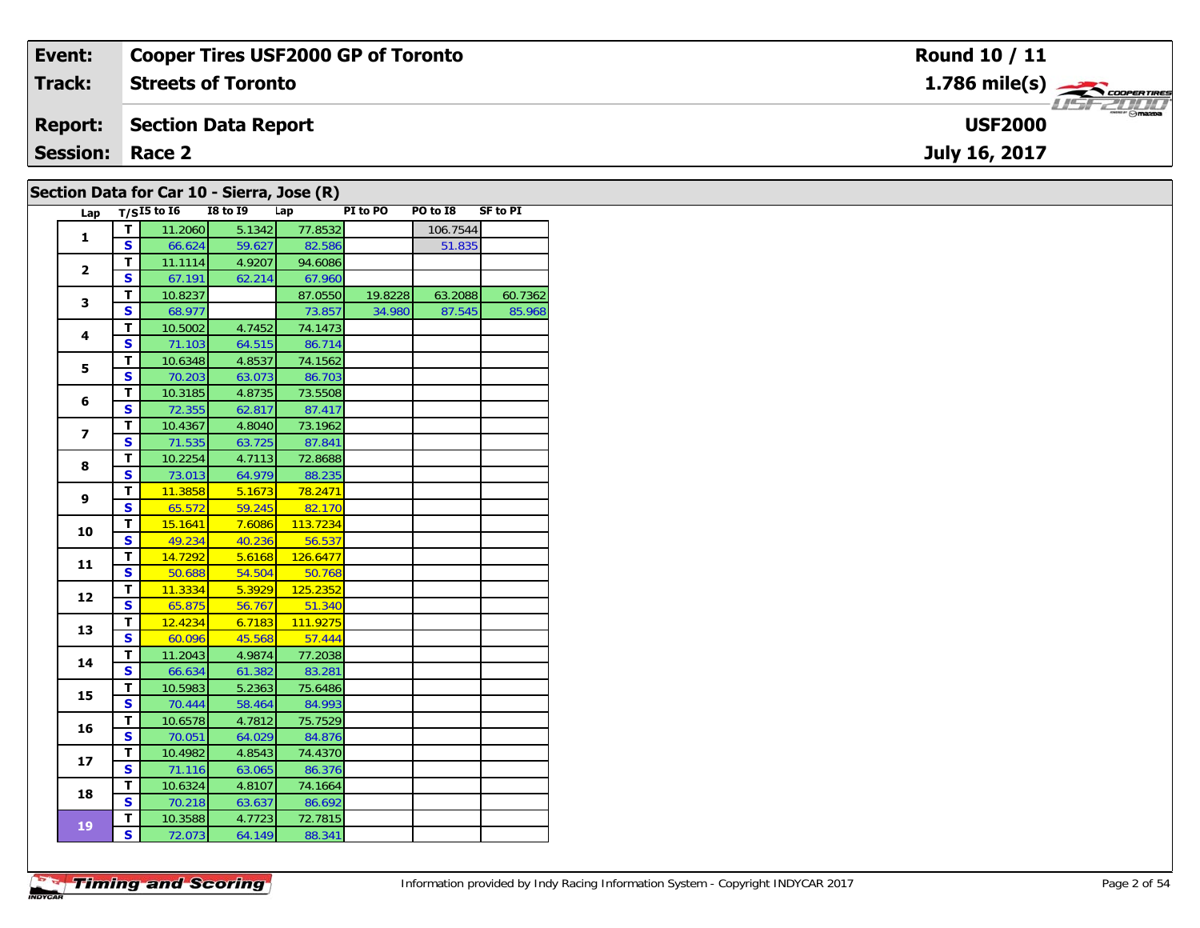| Event:                 | <b>Cooper Tires USF2000 GP of Toronto</b> | <b>Round 10 / 11</b>              |
|------------------------|-------------------------------------------|-----------------------------------|
| <b>Track:</b>          | <b>Streets of Toronto</b>                 | $1.786$ mile(s) $\leftarrow$      |
| <b>Report:</b>         | Section Data Report                       | <b>USF 2000</b><br><b>USF2000</b> |
| <b>Session: Race 2</b> |                                           | July 16, 2017                     |
|                        | Section Data for Car 10 - Sierra Jose (P) |                                   |

| Lap                      |                                        | $T/SI5$ to I6     | <b>I8 to 19</b>  | Lap               | PI to PO | PO to I8 | <b>SF to PI</b> |
|--------------------------|----------------------------------------|-------------------|------------------|-------------------|----------|----------|-----------------|
|                          | T.                                     | 11.2060           | 5.1342           | 77.8532           |          | 106.7544 |                 |
| $\mathbf 1$              | $\overline{\mathbf{s}}$                | 66.624            | 59.627           | 82.586            |          | 51.835   |                 |
| $\overline{2}$           | T                                      | 11.1114           | 4.9207           | 94.6086           |          |          |                 |
|                          | $\overline{\mathbf{s}}$                | 67.191            | 62.214           | 67.960            |          |          |                 |
| 3                        | T                                      | 10.8237           |                  | 87.0550           | 19.8228  | 63.2088  | 60.7362         |
|                          | $\overline{\mathbf{s}}$                | 68.977            |                  | 73.857            | 34.980   | 87.545   | 85.968          |
| 4                        | T                                      | 10.5002           | 4.7452           | 74.1473           |          |          |                 |
|                          | $\mathbf{s}$                           | 71.103            | 64.515           | 86.714            |          |          |                 |
| 5                        | T                                      | 10.6348           | 4.8537           | 74.1562           |          |          |                 |
|                          | $\overline{\mathbf{s}}$                | 70.203            | 63.073           | 86.703            |          |          |                 |
| 6                        | T                                      | 10.3185           | 4.8735           | 73.5508           |          |          |                 |
|                          | $\overline{\mathbf{s}}$                | 72.355            | 62.817           | 87.417            |          |          |                 |
| $\overline{\phantom{a}}$ | T.                                     | 10.4367           | 4.8040           | 73.1962           |          |          |                 |
|                          | $\overline{\mathbf{s}}$                | 71.535            | 63.725           | 87.841            |          |          |                 |
| 8                        | $\overline{\mathsf{r}}$                | 10.2254           | 4.7113           | 72.8688           |          |          |                 |
|                          | $\overline{\mathbf{s}}$                | 73.013            | 64.979           | 88.235            |          |          |                 |
| 9                        | T                                      | 11.3858           | 5.1673           | 78.2471           |          |          |                 |
|                          | $\mathbf{s}$                           | 65.572            | 59.245           | 82.170            |          |          |                 |
| 10                       | T                                      | 15.1641           | 7.6086           | 113.7234          |          |          |                 |
|                          | $\overline{\mathbf{s}}$                | 49.234            | 40.236           | 56.537            |          |          |                 |
| 11                       | T                                      | 14.7292           | 5.6168           | 126.6477          |          |          |                 |
|                          | $\overline{\mathbf{s}}$                | 50.688            | 54.504           | 50.768            |          |          |                 |
| 12                       | T                                      | 11.3334           | 5.3929           | 125.2352          |          |          |                 |
|                          | $\overline{\mathbf{s}}$                | 65.875            | 56.767           | 51.340            |          |          |                 |
| 13                       | T                                      | 12.4234           | 6.7183           | 111.9275          |          |          |                 |
|                          | $\mathbf{s}$                           | 60.096            | 45.568           | 57.444            |          |          |                 |
| 14                       | T                                      | 11.2043           | 4.9874           | 77.2038           |          |          |                 |
|                          | $\overline{\mathbf{s}}$                | 66.634            | 61.382           | 83.281            |          |          |                 |
| 15                       | T                                      | 10.5983           | 5.2363           | 75.6486           |          |          |                 |
|                          | $\mathbf{s}$                           | 70.444            | 58.464           | 84.993            |          |          |                 |
| 16                       | $\overline{\mathbf{T}}$                | 10.6578           | 4.7812           | 75.7529           |          |          |                 |
|                          | $\overline{\mathbf{s}}$                | 70.051            | 64.029           | 84.876            |          |          |                 |
| 17                       | $\mathbf T$<br>$\overline{\mathbf{s}}$ | 10.4982           | 4.8543           | 74.4370           |          |          |                 |
|                          |                                        | 71.116            | 63.065           | 86.376            |          |          |                 |
| 18                       | T.<br>$\overline{\mathbf{s}}$          | 10.6324           | 4.8107           | 74.1664           |          |          |                 |
|                          | т                                      | 70.218            | 63.637           | 86.692<br>72.7815 |          |          |                 |
| 19                       | S                                      | 10.3588<br>72.073 | 4.7723<br>64.149 | 88.341            |          |          |                 |
|                          |                                        |                   |                  |                   |          |          |                 |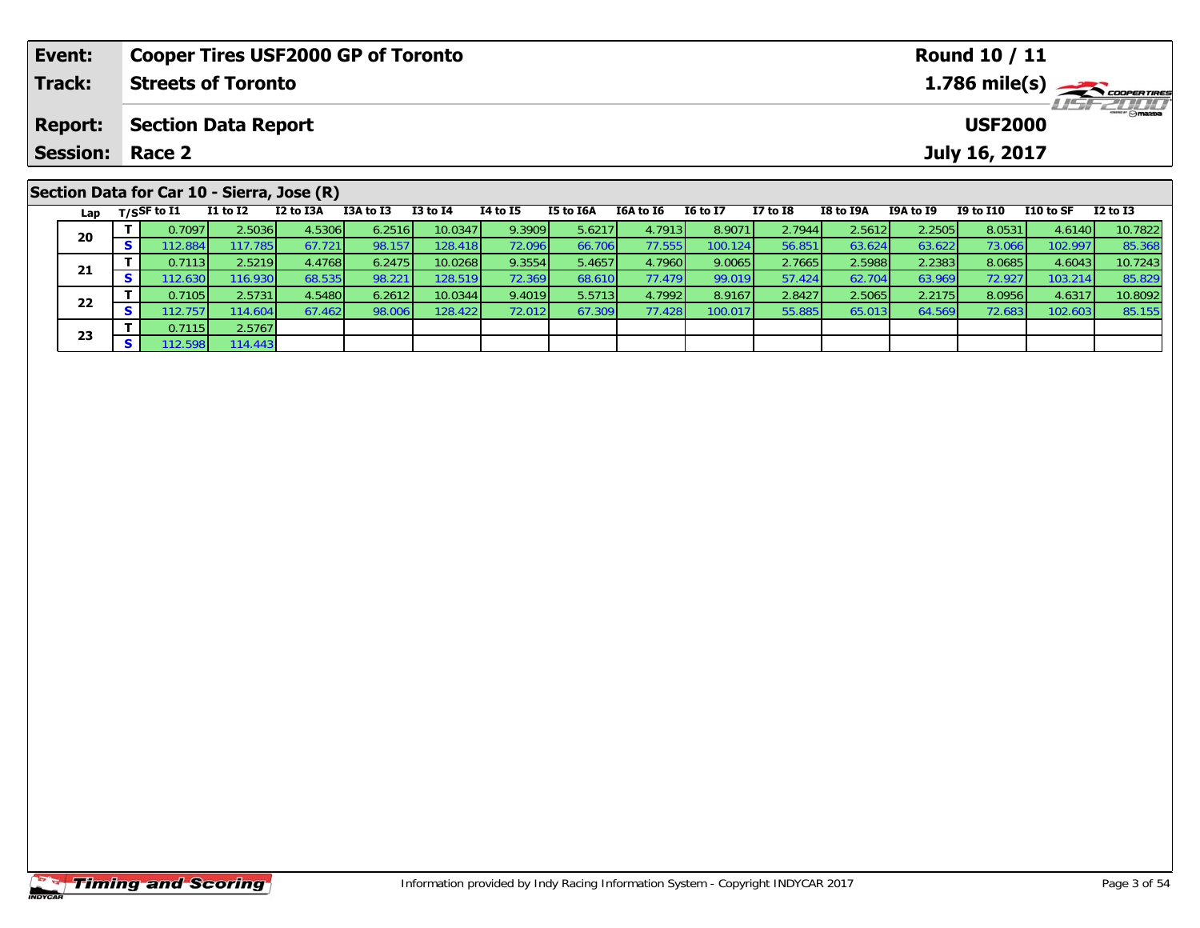| Event:          |    |                                | <b>Cooper Tires USF2000 GP of Toronto</b>  |           |           |              |                                                                      |                  |           |                 |              |                  |           | <b>Round 10 / 11</b> |           |              |
|-----------------|----|--------------------------------|--------------------------------------------|-----------|-----------|--------------|----------------------------------------------------------------------|------------------|-----------|-----------------|--------------|------------------|-----------|----------------------|-----------|--------------|
| Track:          |    |                                | <b>Streets of Toronto</b>                  |           |           |              | $1.786$ mile(s) $\rightarrow$ COOPERTIRES<br><i><b>LISF 2000</b></i> |                  |           |                 |              |                  |           |                      |           |              |
| <b>Report:</b>  |    |                                | <b>Section Data Report</b>                 |           |           |              |                                                                      |                  |           |                 |              |                  |           | <b>USF2000</b>       |           |              |
| <b>Session:</b> |    | Race 2                         |                                            |           |           |              |                                                                      |                  |           |                 |              |                  |           | July 16, 2017        |           |              |
|                 |    |                                | Section Data for Car 10 - Sierra, Jose (R) |           |           |              |                                                                      |                  |           |                 |              |                  |           |                      |           |              |
|                 |    | Lap $T/SSF$ to $\overline{11}$ | $I1$ to $I2$                               | I2 to I3A | I3A to I3 | $I3$ to $I4$ | 14 to 15                                                             | <b>I5 to I6A</b> | I6A to I6 | <b>16 to 17</b> | $I7$ to $I8$ | <b>I8 to I9A</b> | I9A to I9 | <b>I9 to I10</b>     | I10 to SF | $I2$ to $I3$ |
| 20              |    | 0.7097                         | 2.5036                                     | 4.5306    | 6.2516    | 10.0347      | 9.3909                                                               | 5.6217           | 4.7913    | 8.9071          | 2.7944       | 2.5612           | 2.2505    | 8.0531               | 4.6140    | 10.7822      |
|                 | S. | 112.884 <b>1</b>               | 117.785 <b>1</b>                           | 67.721    | 98.157    | 128.418      | 72.096                                                               | 66.706           | 77.5551   | 100.124         | 56.851       | 63.624           | 63.622    | 73.066               | 102.997   | 85.368       |

**<sup>T</sup>** 0.7113 2.5219 4.4768 6.2475 10.0268 9.3554 5.4657 4.7960 9.0065 2.7665 2.5988 2.2383 8.0685 4.6043 10.7243 **<sup>S</sup>** 112.630 116.930 68.535 98.221 128.519 72.369 68.610 77.479 99.019 57.424 62.704 63.969 72.927 103.214 85.829

2 T 0.7105 2.5731 4.5480 6.2612 10.0344 9.4019 5.5713 4.7992 8.9167 2.8427 2.5065 2.2175 8.0956 4.6317 10.8092<br>2 S 112.757 114.604 67.462 98.006 128.422 72.012 67.309 77.428 100.017 55.885 65.013 64.569 72.683 102.603 85.1

**21**

**22**

**23**

**<sup>T</sup>** 0.7115 2.5767 **<sup>S</sup>** 112.598 114.443

85.829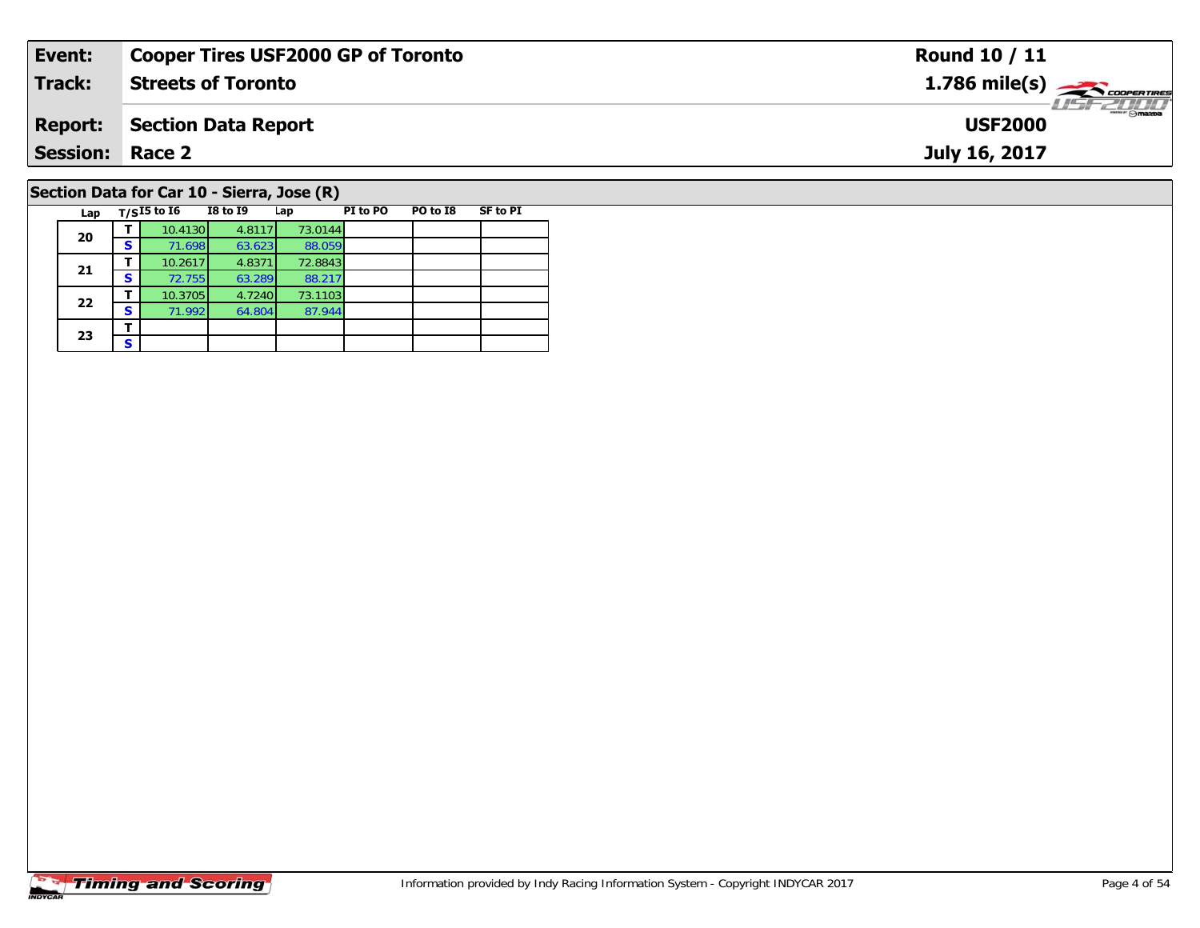| Event: |                |                                            | <b>Cooper Tires USF2000 GP of Toronto</b> |                   |          |          |                 | <b>Round 10 / 11</b>                                      |
|--------|----------------|--------------------------------------------|-------------------------------------------|-------------------|----------|----------|-----------------|-----------------------------------------------------------|
| Track: |                |                                            | <b>Streets of Toronto</b>                 |                   |          |          |                 | $1.786$ mile(s) $\overbrace{\hspace{2.5cm}}$ coorer TIRES |
|        | <b>Report:</b> |                                            | <b>Section Data Report</b>                |                   |          |          |                 | $m = r \odot$ mazpa<br><b>USF2000</b>                     |
|        |                | <b>Session: Race 2</b>                     |                                           |                   |          |          |                 | July 16, 2017                                             |
|        |                | Section Data for Car 10 - Sierra, Jose (R) |                                           |                   |          |          |                 |                                                           |
|        | Lap            | $T/SI5$ to $I6$                            | <b>I8 to I9</b>                           | Lap               | PI to PO | PO to I8 | <b>SF to PI</b> |                                                           |
|        | 20             | 10.4130<br>S I<br>71.698                   | 4.8117<br>63.623                          | 73.0144<br>88.059 |          |          |                 |                                                           |

**21**

**22**

**23**3 <u>F</u> 88.059<br>72.8843

88.217<br>73.1103

87.944

**<sup>T</sup>** 10.2617 4.8371 72.8843 **<sup>S</sup>** 72.755 63.289 88.217

**<sup>T</sup>** 10.3705 4.7240 73.1103 **<sup>S</sup>** 71.992 64.804 87.944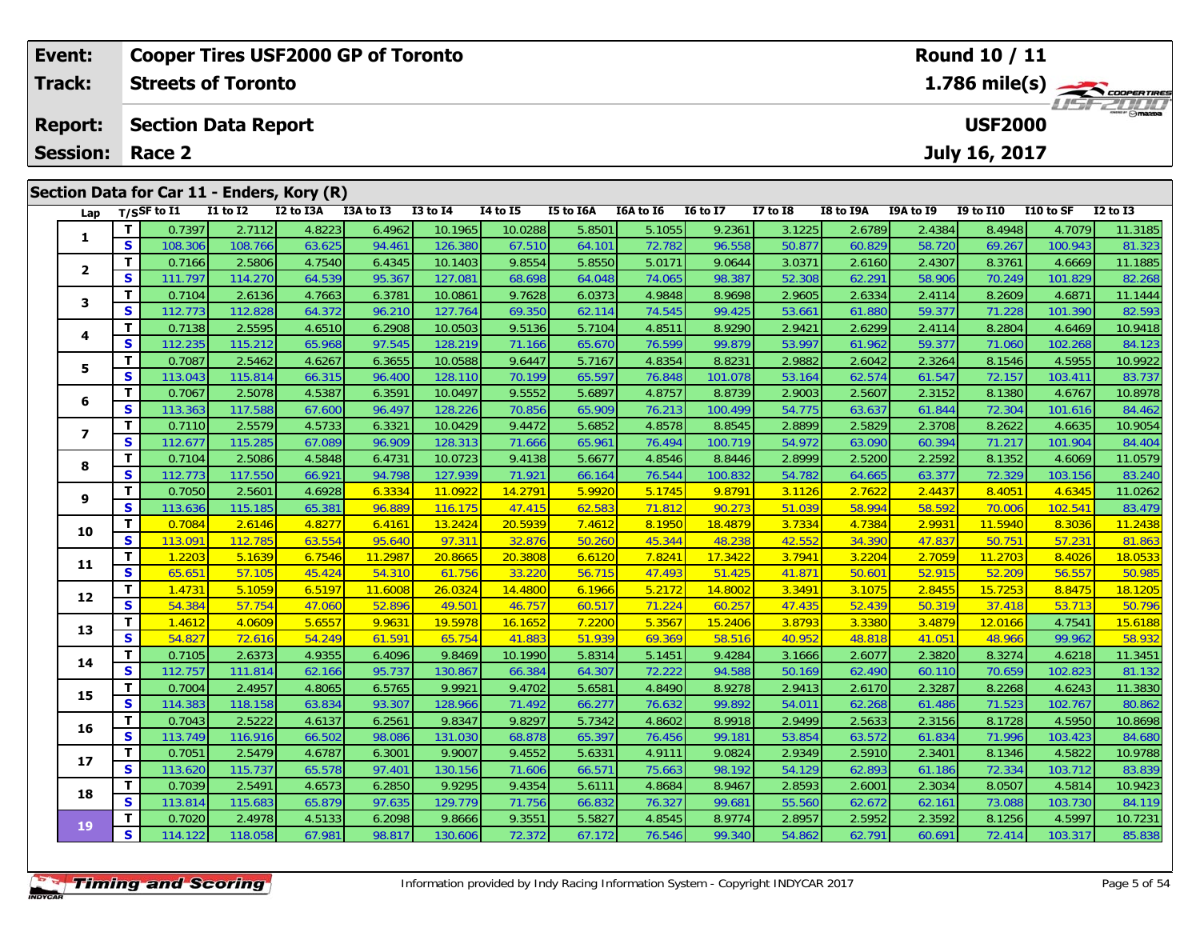| Event:<br>Track: |                         |                                              | <b>Cooper Tires USF2000 GP of Toronto</b><br><b>Round 10 / 11</b><br>1.786 mile(s)<br><b>Streets of Toronto</b> |          |                                            |           |                 |                 |           |           |                 |                 |           |           |                  |           |                 |
|------------------|-------------------------|----------------------------------------------|-----------------------------------------------------------------------------------------------------------------|----------|--------------------------------------------|-----------|-----------------|-----------------|-----------|-----------|-----------------|-----------------|-----------|-----------|------------------|-----------|-----------------|
|                  | <b>Report:</b>          | <b>Section Data Report</b><br><b>USF2000</b> |                                                                                                                 |          |                                            |           |                 |                 |           |           |                 |                 |           |           |                  |           | WSFZULL         |
|                  |                         | <b>Session: Race 2</b><br>July 16, 2017      |                                                                                                                 |          |                                            |           |                 |                 |           |           |                 |                 |           |           |                  |           |                 |
|                  |                         |                                              |                                                                                                                 |          | Section Data for Car 11 - Enders, Kory (R) |           |                 |                 |           |           |                 |                 |           |           |                  |           |                 |
|                  | Lap                     |                                              | $T/S$ SF to $I1$                                                                                                | I1 to I2 | I2 to I3A                                  | I3A to I3 | <b>I3 to I4</b> | <b>I4 to I5</b> | I5 to I6A | I6A to I6 | <b>16 to 17</b> | <b>I7 to I8</b> | I8 to I9A | I9A to I9 | <b>I9 to I10</b> | I10 to SF | <b>I2 to I3</b> |
|                  | 1                       |                                              | 0.7397                                                                                                          | 2.7112   | 4.8223                                     | 6.4962    | 10.1965         | 10.0288         | 5.8501    | 5.1055    | 9.2361          | 3.1225          | 2.6789    | 2.4384    | 8.4948           | 4.7079    | 11.3185         |
|                  |                         | S                                            | 108.306                                                                                                         | 108.766  | 63.625                                     | 94.461    | 126.380         | 67.510          | 64.101    | 72.782    | 96.558          | 50.877          | 60.829    | 58.720    | 69.267           | 100.943   | 81.323          |
|                  | $\overline{\mathbf{2}}$ | $\mathbf{T}$                                 | 0.7166                                                                                                          | 2.5806   | 4.7540                                     | 6.4345    | 10.1403         | 9.8554          | 5.8550    | 5.0171    | 9.0644          | 3.0371          | 2.6160    | 2.4307    | 8.3761           | 4.6669    | 11.1885         |
|                  |                         | <b>S</b>                                     | 111.797                                                                                                         | 114.270  | 64.539                                     | 95.367    | 127.081         | 68.698          | 64.048    | 74.065    | 98.387          | 52.308          | 62.291    | 58.906    | 70.249           | 101.829   | 82.268          |
|                  | 3                       | т                                            | 0.7104                                                                                                          | 2.6136   | 4.7663                                     | 6.3781    | 10.0861         | 9.7628          | 6.0373    | 4.9848    | 8.9698          | 2.9605          | 2.6334    | 2.4114    | 8.2609           | 4.6871    | 11.1444         |
|                  |                         | S                                            | 112.773                                                                                                         | 112.828  | 64.372                                     | 96.210    | 127.764         | 69.350          | 62.114    | 74.545    | 99.425          | 53.661          | 61.880    | 59.377    | 71.228           | 101.390   | 82.593          |
|                  | 4                       |                                              | 0.7138                                                                                                          | 2.5595   | 4.6510                                     | 6.2908    | 10.0503         | 9.5136          | 5.7104    | 4.8511    | 8.9290          | 2.9421          | 2.6299    | 2.4114    | 8.2804           | 4.6469    | 10.9418         |
|                  |                         | S                                            | 112.235                                                                                                         | 115.212  | 65.968                                     | 97.545    | 128.219         | 71.166          | 65.670    | 76.599    | 99.879          | 53.997          | 61.962    | 59.377    | 71.060           | 102.268   | 84.123          |
|                  | 5                       | $\mathbf T$                                  | 0.7087                                                                                                          | 2.5462   | 4.6267                                     | 6.3655    | 10.0588         | 9.6447          | 5.7167    | 4.8354    | 8.8231          | 2.9882          | 2.6042    | 2.3264    | 8.1546           | 4.5955    | 10.9922         |
|                  |                         | S                                            | 113.043                                                                                                         | 115.814  | 66.315                                     | 96.400    | 128.110         | 70.199          | 65.597    | 76.848    | 101.078         | 53.164          | 62.574    | 61.547    | 72.157           | 103.411   | 83.737          |
|                  | 6                       | $\mathbf{T}$                                 | 0.7067                                                                                                          | 2.5078   | 4.5387                                     | 6.3591    | 10.0497         | 9.5552          | 5.6897    | 4.8757    | 8.8739          | 2.9003          | 2.5607    | 2.3152    | 8.1380           | 4.6767    | 10.8978         |
|                  |                         | S                                            | 113.363                                                                                                         | 117.588  | 67.600                                     | 96.497    | 128.226         | 70.856          | 65.909    | 76.213    | 100.499         | 54.775          | 63.637    | 61.844    | 72.304           | 101.616   | 84.462          |

7 | T | 0.7110| 2.5579| 4.5733| 6.3321| 10.0429| 9.4472| 5.6852| 4.8578| 8.8545| 2.8899| 2.5829| 2.3708| 8.2622| 4.6635| 10.9054<br>7 | S | 112.677| 115.285| 67.089| 96.909| 128.313| 71.666| 65.961| 76.494| 100.719| 54.972| 6

8 T 0.7104 2.5086 4.5848 6.4731 10.0723 9.4138 5.6677 4.8546 8.8446 2.8999 2.5200 2.2592 8.1352 4.6069 11.0579<br>8 S 112.773 117.550 66.921 94.798 127.939 71.921 66.164 76.544 100.832 54.782 64.665 63.377 72.329 103.156 83.2

<mark>11</mark> 0.7050| 2.5601| 4.6928| 6.3334| 11.0922| 14.2791| 5.9920| 5.1745| 9.8791| 3.1126| 2.7622| 2.4437| 8.4051| 4.6345| 11.0262|<br>Siterational 115.185| 65.381| 96.889| 116.175| 47.415| 62.583| 71.812| 90.273| 51.039| 58.994

0 | **T** | 0.7084 | 2.6146 | 4.8277 | 6.4161 | 13.2424 | 20.5939 | 7.4612 | 8.1950 | 18.4879 | 3.7334 | 4.7384 | 2.9931 | 11.5940 | 8.3036 | 11.2438<br>| S | 113.091 | 112.785 | 63.554 | 95.640 | 97.311 | 32.876 | 50.260 | 45.

1 | T | 1.2203| 5.1639| 6.7546| 11.2987| 20.8665| 20.3808| 6.6120| 7.8241| 17.3422| 3.7941| 3.2204| 2.7059| 11.2703| 8.4026| 18.0533<br>1 | S | 65.651 | 57.105| 45.424 | 54.310| 61.756| 33.220| 56.715| 47.493| 51.425| 41.871|

2 T 1.4731 5.1059 6.5197 11.6008 26.0324 14.4800 6.1966 5.2172 14.8002 3.3491 3.1075 2.8455 15.7253 8.8475 18.1205<br>2 S 54.384 57.754 47.060 52.896 49.501 46.757 60.517 71.224 60.257 47.435 52.439 50.319 37.418 53.713 50.79

**<sup>T</sup>** 1.4612 4.0609 5.6557 9.9631 19.5978 16.1652 7.2200 5.3567 15.2406 3.8793 3.3380 3.4879 12.0166 4.7541 15.6188 **<sup>S</sup>** 54.827 72.616 54.249 61.591 65.754 41.883 51.939 69.369 58.516 40.952 48.818 41.051 48.966 99.962 58.932

4 T 0.7105 2.6373 4.9355 6.4096 9.8469 10.1990 5.8314 5.1451 9.4284 3.1666 2.6077 2.3820 8.3274 4.6218 11.3451<br>S 112.757 111.814 62.166 95.737 130.867 66.384 64.307 72.222 94.588 50.169 62.490 60.110 70.659 102.823 81.132

**<sup>T</sup>** 0.7004 2.4957 4.8065 6.5765 9.9921 9.4702 5.6581 4.8490 8.9278 2.9413 2.6170 2.3287 8.2268 4.6243 11.3830 **<sup>S</sup>** 114.383 118.158 63.834 93.307 128.966 71.492 66.277 76.632 99.892 54.011 62.268 61.486 71.523 102.767 80.862

6 T 0.7043 2.5222 4.6137 6.2561 9.8347 9.8297 5.7342 4.8602 8.9918 2.9499 2.5633 2.3156 8.1728 4.5950 10.8698<br>5 S 113.749 116.916 66.502 98.086 131.030 68.878 65.397 76.456 99.181 53.854 63.572 61.834 71.996 103.423 84.680

7 T 0.7051 2.5479 4.6787 6.3001 9.9007 9.4552 5.6331 4.9111 9.0824 2.9349 2.5910 2.3401 8.1346 4.5822 10.9788<br>7 S 113.620 115.737 65.578 97.401 130.156 71.606 66.571 75.663 98.192 54.129 62.893 61.186 72.334 103.712 83.839

8 T 0.7039 2.5491 4.6573 6.2850 9.9295 9.4354 5.6111 4.8684 8.9467 2.8593 2.6001 2.3034 8.0507 4.5814 10.9423<br>S 113.814 115.683 65.879 97.635 129.779 71.756 66.832 76.327 99.681 55.560 62.672 62.161 73.088 103.730 84.119

10.7231 10.7231 10.7231 10.7231 10.7231 10.866 10.8666 9.3551 5.5827 4.8545 8.9774 2.8957 2.5952 2.3592 8.1256<br>S 114.122 118.058 67.981 98.817 130.606 72.372 67.172 76.546 99.340 54.862 62.791 60.691 72.414 103.317 85.838

**7**

**8**

**9**

**10**

**11**

**12**

**13**

**14**

**15**

**16**

**17**

**18**

**19**

84.404

83.479

58.932

81.132

83.839

84.119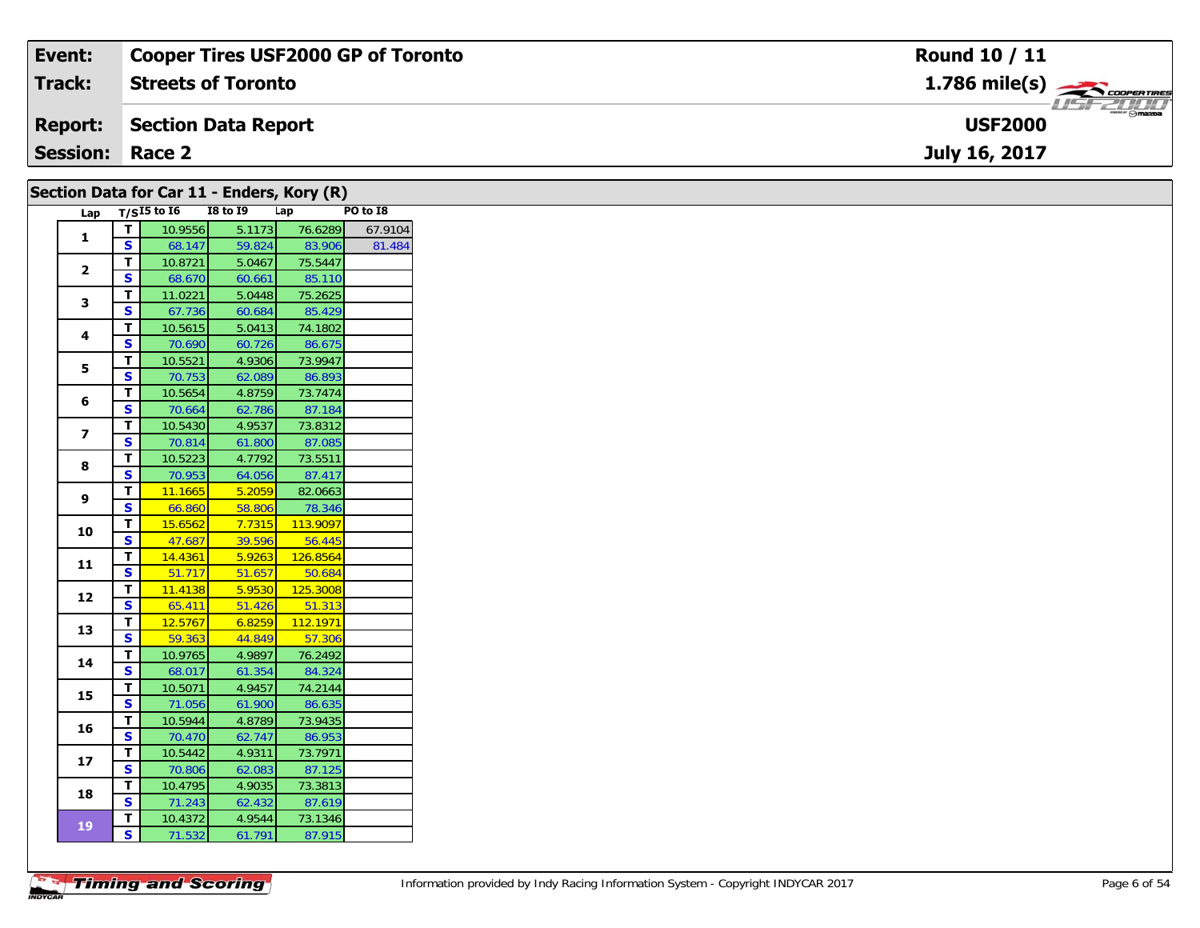| Event:                                       | <b>Cooper Tires USF2000 GP of Toronto</b> | Round 10 / 11                                             |  |  |  |  |  |  |  |  |
|----------------------------------------------|-------------------------------------------|-----------------------------------------------------------|--|--|--|--|--|--|--|--|
| <b>Track:</b>                                | <b>Streets of Toronto</b>                 | $1.786$ mile(s) $\overbrace{\hspace{2.5cm}}$ coorer TIRES |  |  |  |  |  |  |  |  |
| <b>Report:</b>                               | Section Data Report                       | $\overline{\phantom{a}}$ $\odot$ mazoa<br><b>USF2000</b>  |  |  |  |  |  |  |  |  |
| <b>Session: Race 2</b>                       |                                           | July 16, 2017                                             |  |  |  |  |  |  |  |  |
| Section Data for Car 11 - Enders, Kory $(R)$ |                                           |                                                           |  |  |  |  |  |  |  |  |

|                         |                           | $\frac{1}{2}$<br>T/SI5 to I6 | <b>I8 to I9</b> | Lap               | PO to I8 |
|-------------------------|---------------------------|------------------------------|-----------------|-------------------|----------|
| Lap                     |                           |                              |                 |                   |          |
| 1                       | T                         | 10.9556                      | 5.1173          | 76.6289           | 67.9104  |
|                         | S                         | 68.147                       | 59.824          | 83.906            | 81.484   |
| $\overline{2}$          | T                         | 10.8721                      | 5.0467          | 75.5447           |          |
|                         | S                         | 68.670                       | 60.661          | 85.110            |          |
| 3                       | T                         | 11.0221                      | 5.0448          | 75.2625           |          |
|                         | $\mathbf{s}$              | 67.736                       | 60.684          | 85.429            |          |
| 4                       | T                         | 10.5615                      | 5.0413          | 74.1802           |          |
|                         | S                         | 70.690                       | 60.726          | 86.675            |          |
| 5                       | T                         | 10.5521                      | 4.9306          | 73.9947           |          |
|                         | $\mathbf{s}$              | 70.753                       | 62.089          | 86.893            |          |
| 6                       | T                         | 10.5654                      | 4.8759          | 73.7474           |          |
|                         | $\mathbf{s}$              | 70.664                       | 62.786          | 87.184            |          |
| $\overline{\mathbf{z}}$ | T                         | 10.5430                      | 4.9537          | 73.8312           |          |
|                         | $\mathbf{s}$              | 70.814                       | 61.800          | 87.085            |          |
| 8                       | T                         | 10.5223                      | 4.7792          | 73.5511           |          |
|                         | $\mathbf{s}$              | 70.953                       | 64.056          | 87.417            |          |
| 9                       | T                         | 11.1665                      | 5.2059          | 82.0663           |          |
|                         | S                         | 66.860                       | 58.806          | 78.346            |          |
| 10                      | T                         | 15.6562                      | 7.7315          | 113.9097          |          |
|                         | $\mathbf{s}$              | 47.687                       | 39.596          | 56.445            |          |
| 11                      | T                         | 14.4361                      | 5.9263          | 126.8564          |          |
|                         | $\mathbf{s}$              | 51.717                       | 51.657          | 50.684            |          |
| 12                      | T                         | 11.4138                      | 5.9530          | 125.3008          |          |
|                         | $\mathbf{s}$              | 65.411                       | 51.426          | 51.313            |          |
| 13                      | T                         | 12.5767                      | 6.8259          | 112.1971          |          |
|                         | $\mathbf{s}$              | 59.363                       | 44.849          | 57.306            |          |
| 14                      | T                         | 10.9765                      | 4.9897          | 76.2492           |          |
|                         | S                         | 68.017                       | 61.354          | 84.324            |          |
| 15                      | T                         | 10.5071                      | 4.9457          | 74.2144           |          |
|                         | $\overline{\mathbf{s}}$   | 71.056                       | 61.900          | 86.635            |          |
| 16                      | T                         | 10.5944                      | 4.8789          | 73.9435           |          |
|                         | S                         | 70.470                       | 62.747          | 86.953            |          |
|                         | T                         | 10.5442                      | 4.9311          | 73.7971           |          |
|                         |                           | 70.806                       | 62.083          | 87.125            |          |
| 17                      | S                         |                              |                 |                   |          |
|                         | T                         | 10.4795                      | 4.9035          | 73.3813           |          |
| 18                      | S                         | 71.243                       | 62.432          | 87.619            |          |
| 19                      | $\mathbf{T}$<br>${\sf s}$ | 10.4372<br>71.532            | 4.9544          | 73.1346<br>87.915 |          |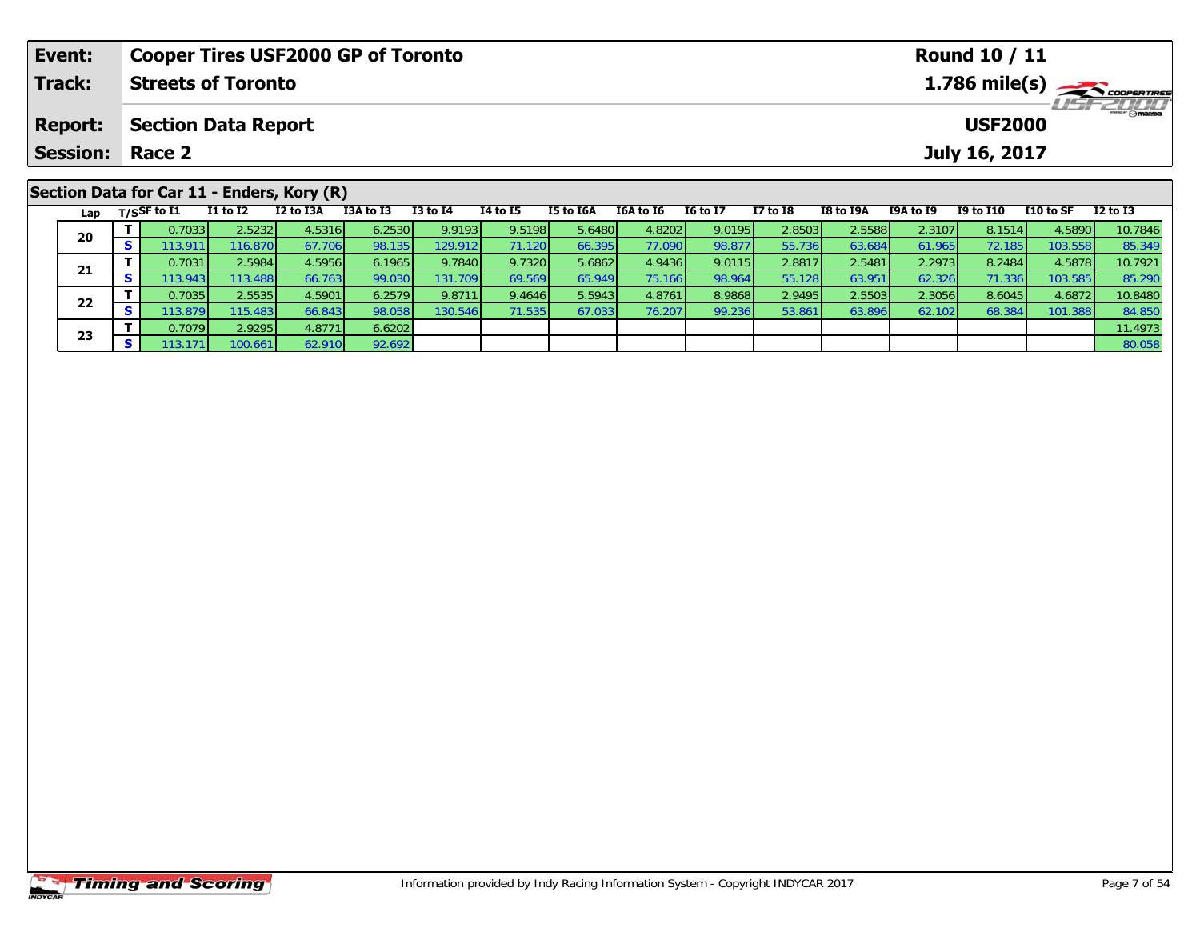| <b>Cooper Tires USF2000 GP of Toronto</b><br>Event: |                 |    |                                |                            |                                            |           |              |          |           |                  | <b>Round 10 / 11</b> |                                           |                  |           |                  |           |                         |  |
|-----------------------------------------------------|-----------------|----|--------------------------------|----------------------------|--------------------------------------------|-----------|--------------|----------|-----------|------------------|----------------------|-------------------------------------------|------------------|-----------|------------------|-----------|-------------------------|--|
|                                                     | Track:          |    |                                | <b>Streets of Toronto</b>  |                                            |           |              |          |           |                  |                      | $1.786$ mile(s) $\rightarrow$ COOPERTIRES |                  |           |                  |           |                         |  |
|                                                     | <b>Report:</b>  |    |                                | <b>Section Data Report</b> |                                            |           |              |          |           |                  |                      |                                           |                  |           | <b>USF2000</b>   |           | <i><b>LISF 2000</b></i> |  |
|                                                     | <b>Session:</b> |    | Race 2                         |                            |                                            |           |              |          |           |                  |                      |                                           |                  |           | July 16, 2017    |           |                         |  |
|                                                     |                 |    |                                |                            | Section Data for Car 11 - Enders, Kory (R) |           |              |          |           |                  |                      |                                           |                  |           |                  |           |                         |  |
|                                                     |                 |    | Lap $T/SSF$ to $\overline{11}$ | $I1$ to $I2$               | I2 to I3A                                  | I3A to I3 | $I3$ to $I4$ | 14 to 15 | I5 to I6A | <b>I6A to I6</b> | <b>16 to 17</b>      | $I7$ to $I8$                              | <b>I8 to I9A</b> | I9A to I9 | <b>I9 to I10</b> | I10 to SF | $I2$ to $I3$            |  |
|                                                     | 20              |    | 0.7033                         | 2.5232                     | 4.5316                                     | 6.2530    | 9.9193       | 9.5198   | 5.6480    | 4.8202           | 9.0195               | 2.8503                                    | 2.5588           | 2.3107    | 8.1514           | 4.5890    | 10.7846                 |  |
|                                                     |                 | S. | 113.9111                       | 116.870                    | 67.706                                     | 98.135    | 129.912      | 71.120   | 66.395    | 77.090           | 98.877               | 55.736                                    | 63.684           | 61.9651   | 72.185           | 103.558   | 85.349                  |  |

1 T 0.7031 2.5984 4.5956 6.1965 9.7840 9.7320 5.6862 4.9436 9.0115 2.8817 2.5481 2.2973 8.2484 4.5878 10.7921<br>S 113.943 113.488 66.763 99.030 131.709 69.569 65.949 75.166 98.964 55.128 63.951 62.326 71.336 103.585 85.290

2 T 0.7035 2.5535 4.5901 6.2579 9.8711 9.4646 5.5943 4.8761 8.9868 2.9495 2.5503 2.3056 8.6045 4.6872 10.8480<br>2 S 113.879 115.483 66.843 98.058 130.546 71.535 67.033 76.207 99.236 53.861 63.896 62.102 68.384 101.388 84.850

**T** 0.7079 2.9295 4.8771 6.6202 11.4973 **S** 113.171 100.661 62.910 92.692 80.058

|                       | <b>Timing and Scoring</b> |
|-----------------------|---------------------------|
| <i><b>INDYCAR</b></i> |                           |

**21**

**22**

**23**

85.290<br>10.8480

84.850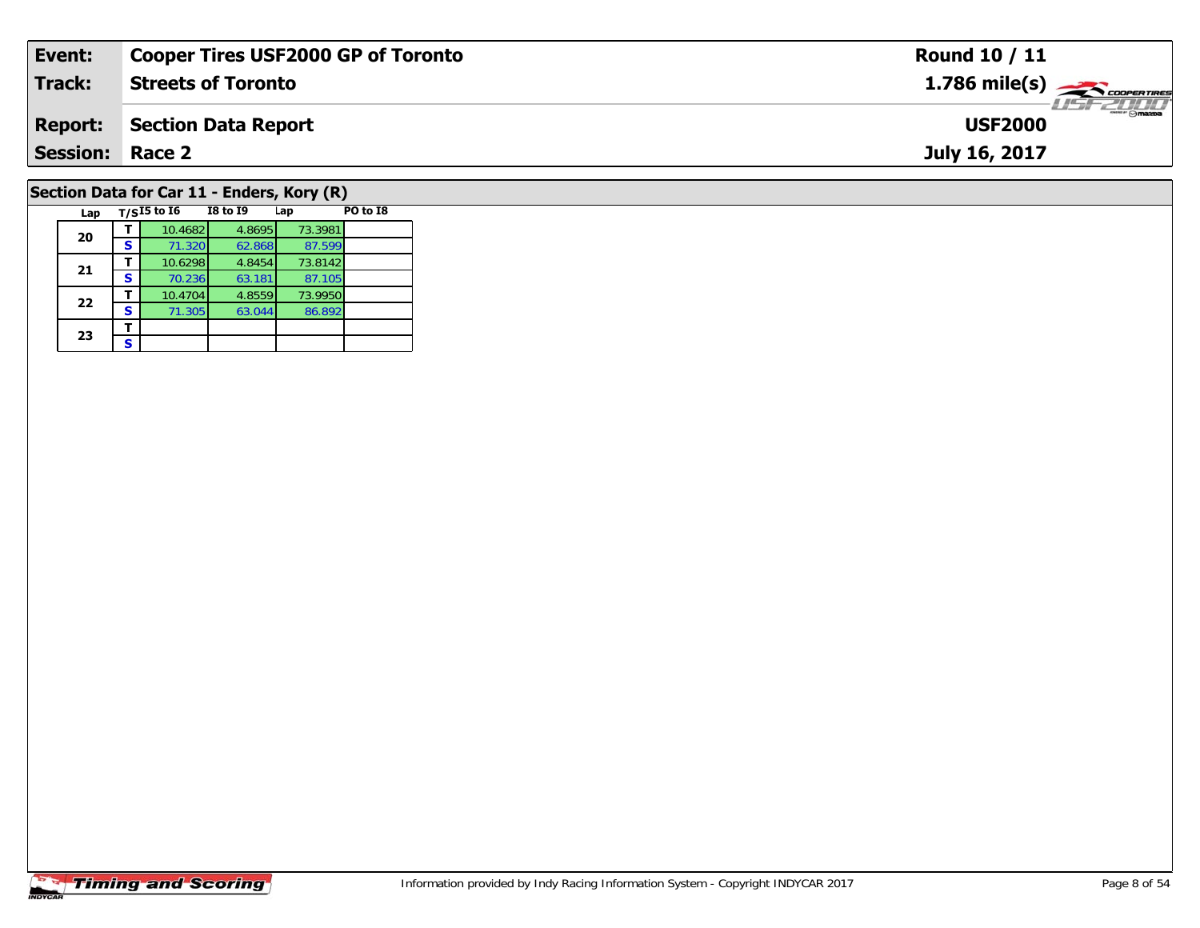| Event:                                     | <b>Cooper Tires USF2000 GP of Toronto</b> | <b>Round 10 / 11</b>                                     |  |  |  |  |  |  |  |  |
|--------------------------------------------|-------------------------------------------|----------------------------------------------------------|--|--|--|--|--|--|--|--|
| <b>Track:</b>                              | <b>Streets of Toronto</b>                 | $1.786$ mile(s) $\overbrace{\hspace{2.5cm}}$ coorenances |  |  |  |  |  |  |  |  |
| <b>Report:</b>                             | <b>Section Data Report</b>                | <b>LISF 2000</b><br><b>USF2000</b>                       |  |  |  |  |  |  |  |  |
| <b>Session: Race 2</b>                     |                                           | July 16, 2017                                            |  |  |  |  |  |  |  |  |
| Section Data for Car 11 - Enders, Kory (R) |                                           |                                                          |  |  |  |  |  |  |  |  |

| Lap |   | $T/SI5$ to $\overline{16}$ | <b>I8 to 19</b> | Lap     | PO to I8 |
|-----|---|----------------------------|-----------------|---------|----------|
| 20  |   | 10.4682                    | 4.8695          | 73.3981 |          |
|     | S | 71.320                     | 62.868          | 87.599  |          |
| 21  |   | 10.6298                    | 4.8454          | 73.8142 |          |
|     | s | 70.236                     | 63.181          | 87.105  |          |
| 22  |   | 10.4704                    | 4.8559          | 73.9950 |          |
|     | s | 71.305                     | 63.044          | 86.892  |          |
| 23  |   |                            |                 |         |          |
|     | S |                            |                 |         |          |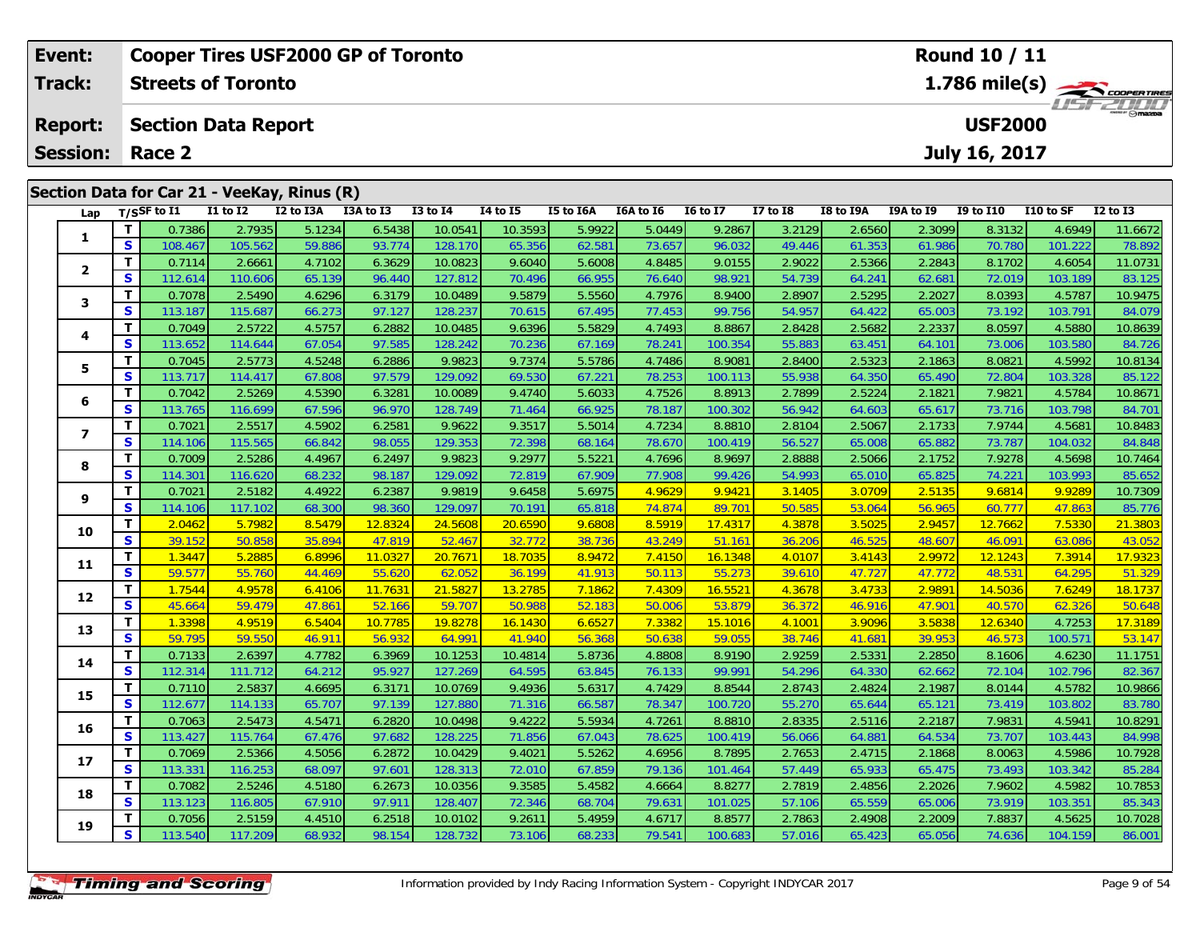| Event:                                      |    |                            |                 | <b>Cooper Tires USF2000 GP of Toronto</b> |           |              |                 |           |           | <b>Round 10 / 11</b>                                              |                 |           |                  |                  |           |              |  |
|---------------------------------------------|----|----------------------------|-----------------|-------------------------------------------|-----------|--------------|-----------------|-----------|-----------|-------------------------------------------------------------------|-----------------|-----------|------------------|------------------|-----------|--------------|--|
| Track:                                      |    | <b>Streets of Toronto</b>  |                 |                                           |           |              |                 |           |           | $1.786$ mile(s) $\overbrace{\hspace{2.5cm}}^{3.286}$ coorer Times |                 |           |                  |                  |           |              |  |
| <b>Report:</b>                              |    | <b>Section Data Report</b> |                 |                                           |           |              |                 |           |           |                                                                   | <b>USF2000</b>  |           | <b>LISF 2007</b> |                  |           |              |  |
| <b>Session:</b>                             |    | Race 2                     |                 |                                           |           |              |                 |           |           | July 16, 2017                                                     |                 |           |                  |                  |           |              |  |
| Section Data for Car 21 - VeeKay, Rinus (R) |    |                            |                 |                                           |           |              |                 |           |           |                                                                   |                 |           |                  |                  |           |              |  |
|                                             |    | Lap $T/S$ SF to I1         | <b>I1 to I2</b> | I2 to I3A                                 | I3A to I3 | $I3$ to $I4$ | <b>I4 to I5</b> | I5 to I6A | I6A to I6 | <b>16 to 17</b>                                                   | <b>I7 to I8</b> | I8 to I9A | I9A to I9        | <b>I9 to I10</b> | I10 to SF | $I2$ to $I3$ |  |
|                                             |    | 0.7386                     | 2.7935          | 5.1234                                    | 6.5438    | 10.0541      | 10.3593         | 5.9922    | 5.0449    | 9.2867                                                            | 3.2129          | 2.6560    | 2.3099           | 8.3132           | 4.6949    | 11.6672      |  |
|                                             | S. | 108.467                    | 105.562         | 59.886                                    | 93.774    | 128.170      | 65.356          | 62.581    | 73.657    | 96.032                                                            | 49.446          | 61.353    | 61.986           | 70.780           | 101.222   | 78.892       |  |
|                                             |    | 0.7114                     | 2.6661          | 4.7102                                    | 6.3629    | 10.0823      | 9.6040          | 5.6008    | 4.8485    | 9.0155                                                            | 2.9022          | 2.5366    | 2.2843           | 8.1702           | 4.6054    | 11.0731      |  |
|                                             | S. | 112614                     | 110.606         | 65 139                                    | 96.440    | 127.812      | 70 496          | 66 955    | 76.640    | 98 921                                                            | 54 739          | 64241     | 62681            | <b>720191</b>    | 103 189   | 83 125       |  |

| Lap                     |                                                    | 1/22L to 11       | <b>TT TO TT</b>   | TY IO TOW        | כז מז אכז        | 19 10 14           | 14 LO 13          | <b>19 TO TOW</b> | TOW TO TO        | <b>TO TO TV</b>  | <b>T\ fQ TO</b>  | TO TO TAM        | TAW TO TA        | <b>12 TO TTO</b> | LLU LU JF         | TY 10 T2          |
|-------------------------|----------------------------------------------------|-------------------|-------------------|------------------|------------------|--------------------|-------------------|------------------|------------------|------------------|------------------|------------------|------------------|------------------|-------------------|-------------------|
|                         | T                                                  | 0.7386            | 2.7935            | 5.1234           | 6.5438           | 10.0541            | 10.3593           | 5.9922           | 5.0449           | 9.2867           | 3.2129           | 2.6560           | 2.3099           | 8.3132           | 4.6949            | 11.6672           |
| 1                       | S                                                  | 108.467           | 105.562           | 59.886           | 93.774           | 128.170            | 65.356            | 62.581           | 73.657           | 96.032           | 49.446           | 61.353           | 61.986           | 70.780           | 101.222           | 78.892            |
| $\mathbf{2}$            | T                                                  | 0.7114            | 2.6661            | 4.7102           | 6.3629           | 10.0823            | 9.6040            | 5.6008           | 4.8485           | 9.0155           | 2.9022           | 2.5366           | 2.2843           | 8.1702           | 4.6054            | 11.0731           |
|                         | $\overline{\mathbf{s}}$                            | 112.614           | 110.606           | 65.139           | 96.440           | 127.812            | 70.496            | 66.955           | 76.640           | 98.921           | 54.739           | 64.241           | 62.681           | 72.019           | 103.189           | 83.125            |
| 3                       | T                                                  | 0.7078            | 2.5490            | 4.6296           | 6.3179           | 10.0489            | 9.5879            | 5.5560           | 4.7976           | 8.9400           | 2.8907           | 2.5295           | 2.2027           | 8.0393           | 4.5787            | 10.9475           |
|                         | S                                                  | 113.187           | 115.687           | 66.273           | 97.127           | 128.237            | 70.615            | 67.495           | 77.453           | 99.756           | 54.957           | 64.422           | 65.003           | 73.192           | 103.791           | 84.079            |
| 4                       | $\overline{\mathsf{r}}$                            | 0.7049            | 2.5722            | 4.5757           | 6.2882           | 10.0485            | 9.6396            | 5.5829           | 4.7493           | 8.8867           | 2.8428           | 2.5682           | 2.2337           | 8.0597           | 4.5880            | 10.8639           |
|                         | $\overline{\mathbf{s}}$                            | 113.652           | 114.644           | 67.054           | 97.585           | 128.242            | 70.236            | 67.169           | 78.241           | 100.354          | 55.883           | 63.451           | 64.101           | 73.006           | 103.580           | 84.726            |
| 5                       | T                                                  | 0.7045            | 2.5773            | 4.5248           | 6.2886           | 9.9823             | 9.7374            | 5.5786           | 4.7486           | 8.9081           | 2.8400           | 2.5323           | 2.1863           | 8.0821           | 4.5992            | 10.8134           |
|                         | $\mathbf{s}$                                       | 113.717           | 114.417           | 67.808           | 97.579           | 129.092            | 69.530            | 67.221           | 78.253           | 100.113          | 55.938           | 64.350           | 65.490           | 72.804           | 103.328           | 85.122            |
| 6                       | T                                                  | 0.7042            | 2.5269            | 4.5390           | 6.3281           | 10.0089            | 9.4740            | 5.6033           | 4.7526           | 8.8913           | 2.7899           | 2.5224           | 2.1821           | 7.9821           | 4.5784            | 10.8671           |
|                         | S                                                  | 113.765           | 116.699           | 67.596           | 96.970           | 128.749            | 71.464            | 66.925           | 78.187           | 100.302          | 56.942           | 64.603           | 65.617           | 73.716           | 103.798           | 84.701            |
| $\overline{\mathbf{z}}$ | T                                                  | 0.7021            | 2.5517            | 4.5902           | 6.2581           | 9.9622             | 9.3517            | 5.5014           | 4.7234           | 8.8810           | 2.8104           | 2.5067           | 2.1733           | 7.9744           | 4.5681            | 10.8483           |
|                         | S                                                  | 114.106           | 115.565           | 66.842           | 98.055           | 129.353            | 72.398            | 68.164           | 78.670           | 100.419          | 56.527           | 65.008           | 65.882           | 73.787           | 104.032           | 84.848            |
| 8                       | T                                                  | 0.7009            | 2.5286            | 4.4967           | 6.2497           | 9.9823             | 9.2977            | 5.5221           | 4.7696           | 8.9697           | 2.8888           | 2.5066           | 2.1752           | 7.9278           | 4.5698            | 10.7464           |
|                         | $\mathbf{s}$                                       | 114.301           | 116.620           | 68.232           | 98.187           | 129.092            | 72.819            | 67.909           | 77.908           | 99.426           | 54.993           | 65.010           | 65.825           | 74.221           | 103.993           | 85.652            |
| 9                       | T                                                  | 0.7021            | 2.5182            | 4.4922           | 6.2387           | 9.9819             | 9.6458            | 5.6975           | 4.9629           | 9.9421           | 3.1405           | 3.0709           | 2.5135           | 9.6814           | 9.9289            | 10.7309           |
|                         | S                                                  | 114.106           | 117.102           | 68.300           | 98.360           | 129.097            | 70.191            | 65.818           | 74.874           | 89.701           | 50.585           | 53.064           | 56.965           | 60.777           | 47.863            | 85.776            |
| 10                      | T                                                  | 2.0462            | 5.7982            | 8.5479           | 12.8324          | 24.5608            | 20.6590           | 9.6808           | 8.5919           | 17.4317          | 4.3878           | 3.5025           | 2.9457           | 12.7662          | 7.5330            | 21.3803           |
|                         | $\overline{\mathbf{s}}$                            | 39.152            | 50.858            | 35.894           | 47.819           | 52.467             | 32.772            | 38.736           | 43.249           | 51.161           | 36.206           | 46.525           | 48.607           | 46.091           | 63.086            | 43.052            |
| 11                      | $\overline{\mathbf{T}}$                            | 1.3447            | 5.2885            | 6.8996           | 11.0327          | 20.7671            | 18.7035           | 8.9472           | 7.4150           | 16.1348          | 4.0107           | 3.4143           | 2.9972           | 12.1243          | 7.3914            | 17.9323           |
|                         | $\overline{\mathbf{s}}$                            | 59.577            | 55.760            | 44.469           | 55.620           | 62.052             | 36.199            | 41.913           | 50.113           | 55.273           | 39.610           | 47.727           | 47.772           | 48.531           | 64.295            | 51.329            |
| 12                      | $\overline{\mathsf{r}}$<br>$\overline{\mathbf{s}}$ | 1.7544            | 4.9578            | 6.4106           | 11.7631          | 21.5827            | 13.2785           | 7.1862           | 7.4309           | 16.5521          | 4.3678           | 3.4733           | 2.9891           | 14.5036          | 7.6249            | 18.1737           |
|                         |                                                    | 45.664            | 59.479            | 47.861           | 52.166           | 59.707             | 50.988            | 52.183           | 50.006           | 53.879           | 36.372           | 46.916           | 47.901           | 40.570           | 62.326            | 50.648            |
| 13                      | $\overline{\mathbf{T}}$<br>$\overline{\mathbf{s}}$ | 1.3398            | 4.9519            | 6.5404           | 10.7785          | 19.8278            | 16.1430           | 6.6527           | 7.3382           | 15.1016          | 4.1001           | 3.9096           | 3.5838           | 12.6340          | 4.7253            | 17.3189           |
|                         | T                                                  | 59.795            | 59.550            | 46.911           | 56.932           | 64.991             | 41.940            | 56.368           | 50.638           | 59.055           | 38.746           | 41.681           | 39.953           | 46.573           | 100.571           | 53.147            |
| 14                      | $\mathbf{s}$                                       | 0.7133<br>112.314 | 2.6397<br>111.712 | 4.7782<br>64.212 | 6.3969<br>95.927 | 10.1253<br>127.269 | 10.4814<br>64.595 | 5.8736<br>63.845 | 4.8808<br>76.133 | 8.9190<br>99.991 | 2.9259<br>54.296 | 2.5331<br>64.330 | 2.2850<br>62.662 | 8.1606<br>72.104 | 4.6230<br>102.796 | 11.1751<br>82.367 |
|                         | T                                                  | 0.7110            | 2.5837            | 4.6695           | 6.3171           | 10.0769            | 9.4936            | 5.6317           | 4.7429           | 8.8544           | 2.8743           | 2.4824           | 2.1987           | 8.0144           | 4.5782            | 10.9866           |
| 15                      | $\overline{\mathbf{s}}$                            | 112.677           | 114.133           | 65.707           | 97.139           | 127.880            | 71.316            | 66.587           | 78.347           | 100.720          | 55.270           | 65.644           | 65.121           | 73.419           | 103.802           | 83.780            |
|                         | T.                                                 | 0.7063            | 2.5473            | 4.5471           | 6.2820           | 10.0498            | 9.4222            | 5.5934           | 4.7261           | 8.8810           | 2.8335           | 2.5116           | 2.2187           | 7.9831           | 4.5941            | 10.8291           |
| 16                      | S                                                  | 113.427           | 115.764           | 67.476           | 97.682           | 128.225            | 71.856            | 67.043           | 78.625           | 100.419          | 56.066           | 64.881           | 64.534           | 73.707           | 103.443           | 84.998            |
|                         | T                                                  | 0.7069            | 2.5366            | 4.5056           | 6.2872           | 10.0429            | 9.4021            | 5.5262           | 4.6956           | 8.7895           | 2.7653           | 2.4715           | 2.1868           | 8.0063           | 4.5986            | 10.7928           |
| 17                      | $\mathbf{s}$                                       | 113.331           | 116.253           | 68.097           | 97.601           | 128.313            | 72.010            | 67.859           | 79.136           | 101.464          | 57.449           | 65.933           | 65.475           | 73.493           | 103.342           | 85.284            |
|                         | T.                                                 | 0.7082            | 2.5246            | 4.5180           | 6.2673           | 10.0356            | 9.3585            | 5.4582           | 4.6664           | 8.8277           | 2.7819           | 2.4856           | 2.2026           | 7.9602           | 4.5982            | 10.7853           |
| 18                      | $\overline{\mathbf{s}}$                            | 113.123           | 116.805           | 67.910           | 97.911           | 128.407            | 72.346            | 68.704           | 79.631           | 101.025          | 57.106           | 65.559           | 65.006           | 73.919           | 103.351           | 85.343            |
|                         | T                                                  | 0.7056            | 2.5159            | 4.4510           | 6.2518           | 10.0102            | 9.2611            | 5.4959           | 4.6717           | 8.8577           | 2.7863           | 2.4908           | 2.2009           | 7.8837           | 4.5625            | 10.7028           |
| 19                      | S                                                  | 113.540           | 117.209           | 68.932           | 98.154           | 128.732            | 73.106            | 68.233           | 79.541           | 100.683          | 57.016           | 65.423           | 65.056           | 74.636           | 104.159           | 86.001            |
|                         |                                                    |                   |                   |                  |                  |                    |                   |                  |                  |                  |                  |                  |                  |                  |                   |                   |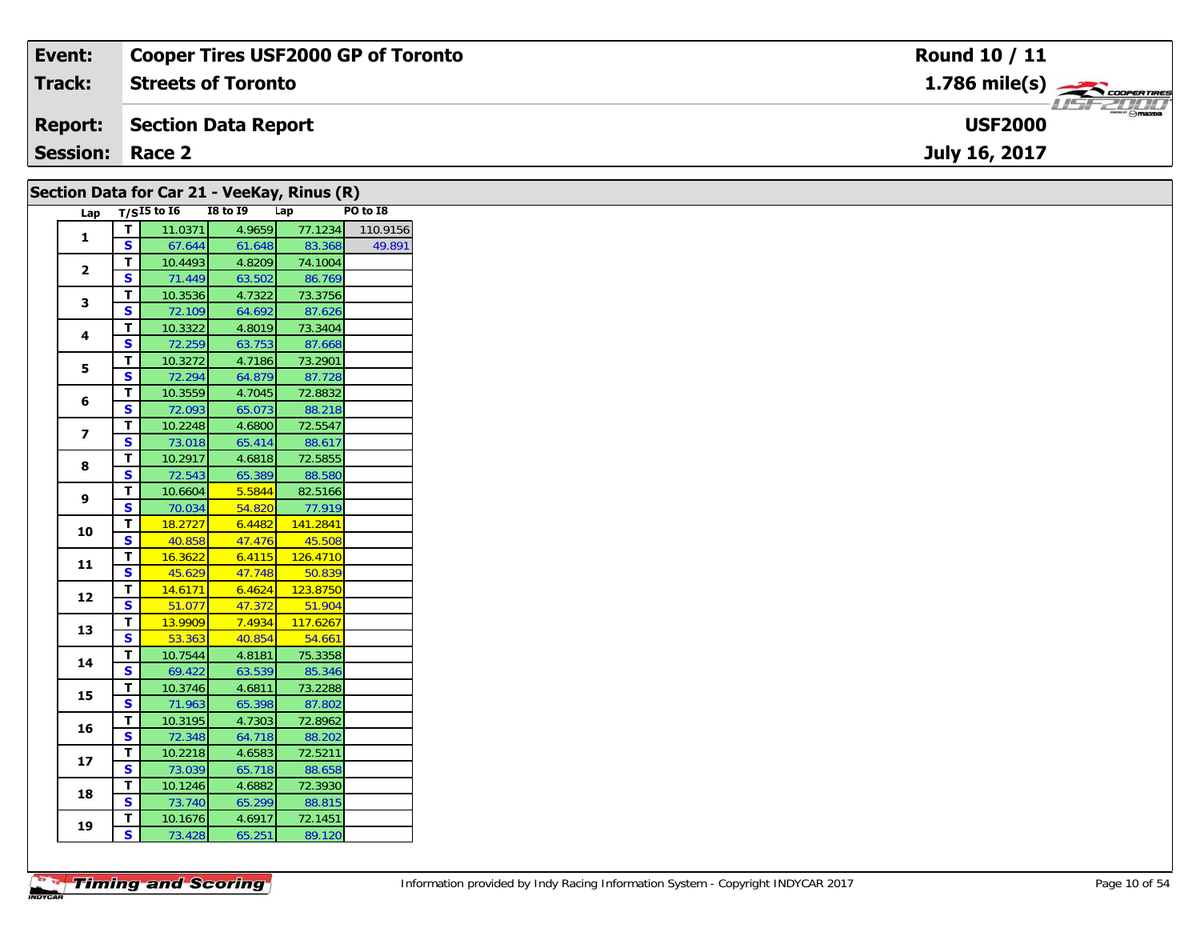| Event:                 | <b>Cooper Tires USF2000 GP of Toronto</b> | Round 10 / 11                   |
|------------------------|-------------------------------------------|---------------------------------|
| Track:                 | <b>Streets of Toronto</b>                 | $1.786$ mile(s) $\rightarrow$   |
| <b>Report:</b>         | Section Data Report                       | <b>Smazpa</b><br><b>USF2000</b> |
| <b>Session: Race 2</b> |                                           | July 16, 2017                   |
|                        |                                           |                                 |

|                         |                         |                     |                  | Section Data for Car 21 - VeeKay, Rinus (R) |          |
|-------------------------|-------------------------|---------------------|------------------|---------------------------------------------|----------|
|                         |                         | Lap $T/SI5$ to $I6$ | <b>I8 to 19</b>  | Lap                                         | PO to I8 |
| $\mathbf{1}$            | $\mathbf{T}$            | 11.0371             | 4.9659           | 77.1234                                     | 110.9156 |
|                         | $\mathbf{s}$            | 67.644              | 61.648           | 83.368                                      | 49.891   |
| $\overline{2}$          | T.                      | 10.4493             | 4.8209           | 74.1004                                     |          |
|                         | S                       | 71.449              | 63.502           | 86.769                                      |          |
| 3                       | T                       | 10.3536             | 4.7322           | 73.3756                                     |          |
|                         | S                       | 72.109              | 64.692           | 87.626                                      |          |
| 4                       | T.                      | 10.3322             | 4.8019           | 73.3404                                     |          |
|                         | S                       | 72.259              | 63.753           | 87.668                                      |          |
| 5                       | T.                      | 10.3272             | 4.7186           | 73.2901                                     |          |
|                         | S                       | 72.294              | 64.879           | 87.728                                      |          |
| 6                       | T                       | 10.3559             | 4.7045           | 72.8832                                     |          |
|                         | S                       | 72.093              | 65.073           | 88.218                                      |          |
| $\overline{\mathbf{z}}$ | T.                      | 10.2248             | 4.6800           | 72.5547                                     |          |
|                         | S                       | 73.018              | 65.414           | 88.617                                      |          |
| 8                       | T.                      | 10.2917             | 4.6818           | 72.5855                                     |          |
|                         | S                       | 72.543              | 65.389<br>5.5844 | 88.580<br>82.5166                           |          |
| 9                       | T.<br>S                 | 10.6604<br>70.034   | 54.820           | 77.919                                      |          |
|                         | T                       | 18.2727             | 6.4482           | 141.2841                                    |          |
| 10                      | $\overline{\mathbf{s}}$ | 40.858              | 47.476           | 45.508                                      |          |
|                         | T                       | 16.3622             | 6.4115           | 126.4710                                    |          |
| 11                      | S                       | 45.629              | 47.748           | 50.839                                      |          |
|                         | T.                      | 14.6171             | 6.4624           | 123.8750                                    |          |
| 12                      | $\overline{\mathbf{s}}$ | 51.077              | 47.372           | 51.904                                      |          |
|                         | T                       | 13.9909             | 7.4934           | 117.6267                                    |          |
| 13                      | $\mathbf{s}$            | 53.363              | 40.854           | 54.661                                      |          |
|                         | T.                      | 10.7544             | 4.8181           | 75.3358                                     |          |
| 14                      | S                       | 69.422              | 63.539           | 85.346                                      |          |
|                         | T.                      | 10.3746             | 4.6811           | 73.2288                                     |          |
| 15                      | S                       | 71.963              | 65.398           | 87.802                                      |          |
|                         | T.                      | 10.3195             | 4.7303           | 72.8962                                     |          |
| 16                      | S                       | 72.348              | 64.718           | 88.202                                      |          |
|                         | T                       | 10.2218             | 4.6583           | 72.5211                                     |          |
| 17                      | S                       | 73.039              | 65.718           | 88.658                                      |          |
|                         | T                       | 10.1246             | 4.6882           | 72.3930                                     |          |
| 18                      | $\mathbf{s}$            | 73.740              | 65.299           | 88.815                                      |          |
|                         | T.                      | 10.1676             | 4.6917           | 72.1451                                     |          |
| 19                      | $\mathbf{s}$            | 73.428              | 65.251           | 89.120                                      |          |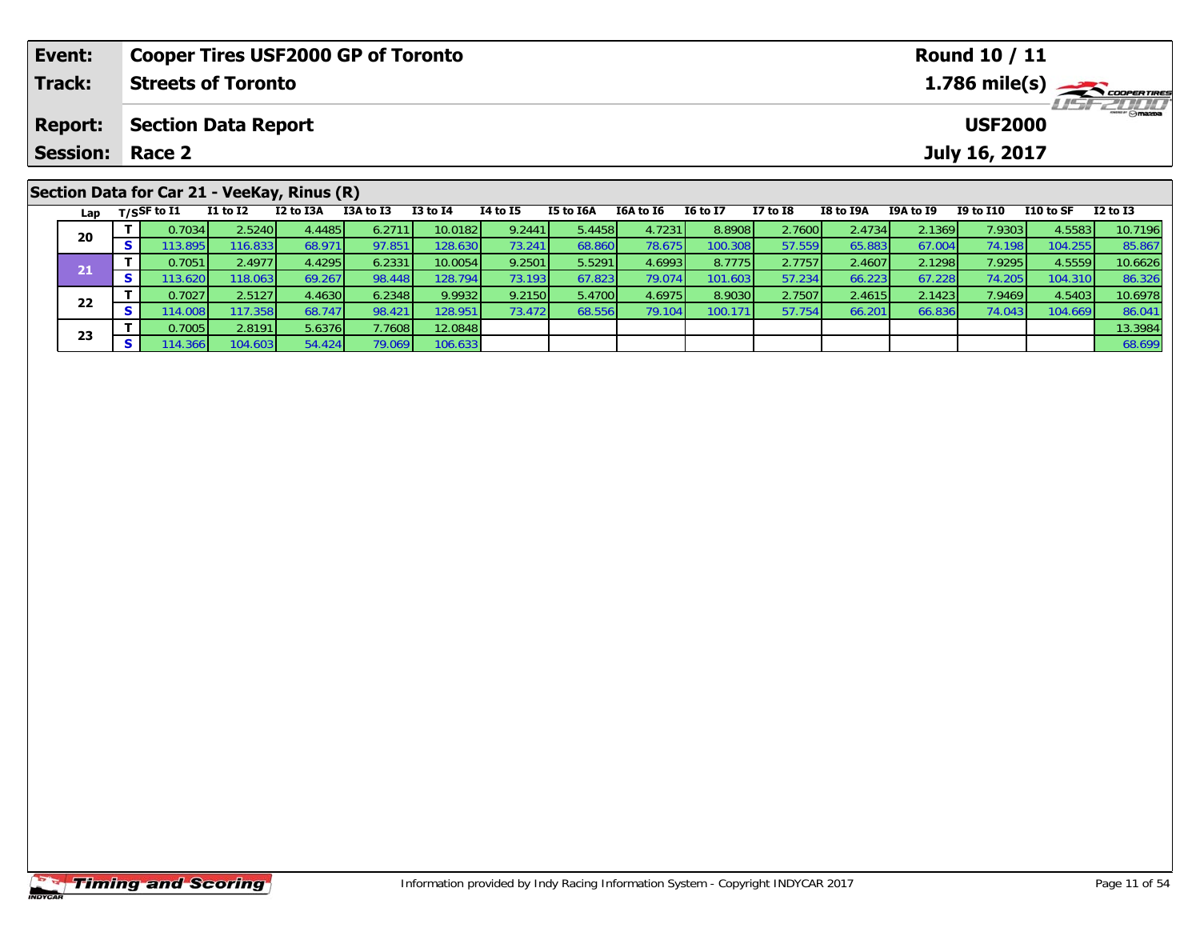| Event:                                      |                    | <b>Cooper Tires USF2000 GP of Toronto</b> |           |           |              |                 |           |           | <b>Round 10 / 11</b> |                 |           |           |               |           |                                           |  |
|---------------------------------------------|--------------------|-------------------------------------------|-----------|-----------|--------------|-----------------|-----------|-----------|----------------------|-----------------|-----------|-----------|---------------|-----------|-------------------------------------------|--|
| Track:                                      |                    | <b>Streets of Toronto</b>                 |           |           |              |                 |           |           |                      |                 |           |           |               |           | $1.786$ mile(s) $\rightarrow$ coorentines |  |
| <b>Report:</b>                              |                    | <b>Section Data Report</b>                |           |           |              |                 |           |           |                      |                 |           |           |               |           |                                           |  |
| <b>Session: Race 2</b>                      |                    |                                           |           |           |              |                 |           |           |                      |                 |           |           | July 16, 2017 |           |                                           |  |
| Section Data for Car 21 - VeeKay, Rinus (R) |                    |                                           |           |           |              |                 |           |           |                      |                 |           |           |               |           |                                           |  |
|                                             |                    |                                           |           |           |              |                 |           |           |                      |                 |           |           |               |           |                                           |  |
|                                             | Lap $T/S$ SF to I1 | I1 to I2                                  | I2 to I3A | I3A to I3 | $I3$ to $I4$ | <b>I4 to I5</b> | I5 to I6A | I6A to I6 | <b>I6 to I7</b>      | <b>I7 to I8</b> | I8 to I9A | I9A to I9 | I9 to I10     | I10 to SF | <b>I2 to I3</b>                           |  |

0 T 0.7034 2.5240 4.4485 6.2711 10.0182 9.2441 5.4458 4.7231 8.8908 2.7600 2.4734 2.1369 7.9303 4.5583 10.7196<br>S 113.895 116.833 68.971 97.851 128.630 73.241 68.860 78.675 100.308 57.559 65.883 67.004 74.198 104.255 85.867

**<sup>T</sup>** 0.7051 2.4977 4.4295 6.2331 10.0054 9.2501 5.5291 4.6993 8.7775 2.7757 2.4607 2.1298 7.9295 4.5559 10.6626 **<sup>S</sup>** 113.620 118.063 69.267 98.448 128.794 73.193 67.823 79.074 101.603 57.234 66.223 67.228 74.205 104.310 86.326

2 T 0.7027 2.5127 4.4630 6.2348 9.9932 9.2150 5.4700 4.6975 8.9030 2.7507 2.4615 2.1423 7.9469 4.5403 10.6978<br>2 S 114.008 117.358 68.747 98.421 128.951 73.472 68.556 79.104 100.171 57.754 66.201 66.836 74.043 104.669 86.04

**T** 0.7005 2.8191 5.6376 7.7608 12.0848 13.0848 13.3984 13.3984 13.3984 13.3984 13.3984 13.3984 13.3984 13.3984<br>**S** 114.366 104.603 54.424 79.069 106.633 13.39 13.39 13.39 13.39 13.39 13.39 13.39 13.39 13.39 13.39 13.39 13

**20**

**21**

**22**

**23**

86.326<br>10.6978

86.041<br>13.3984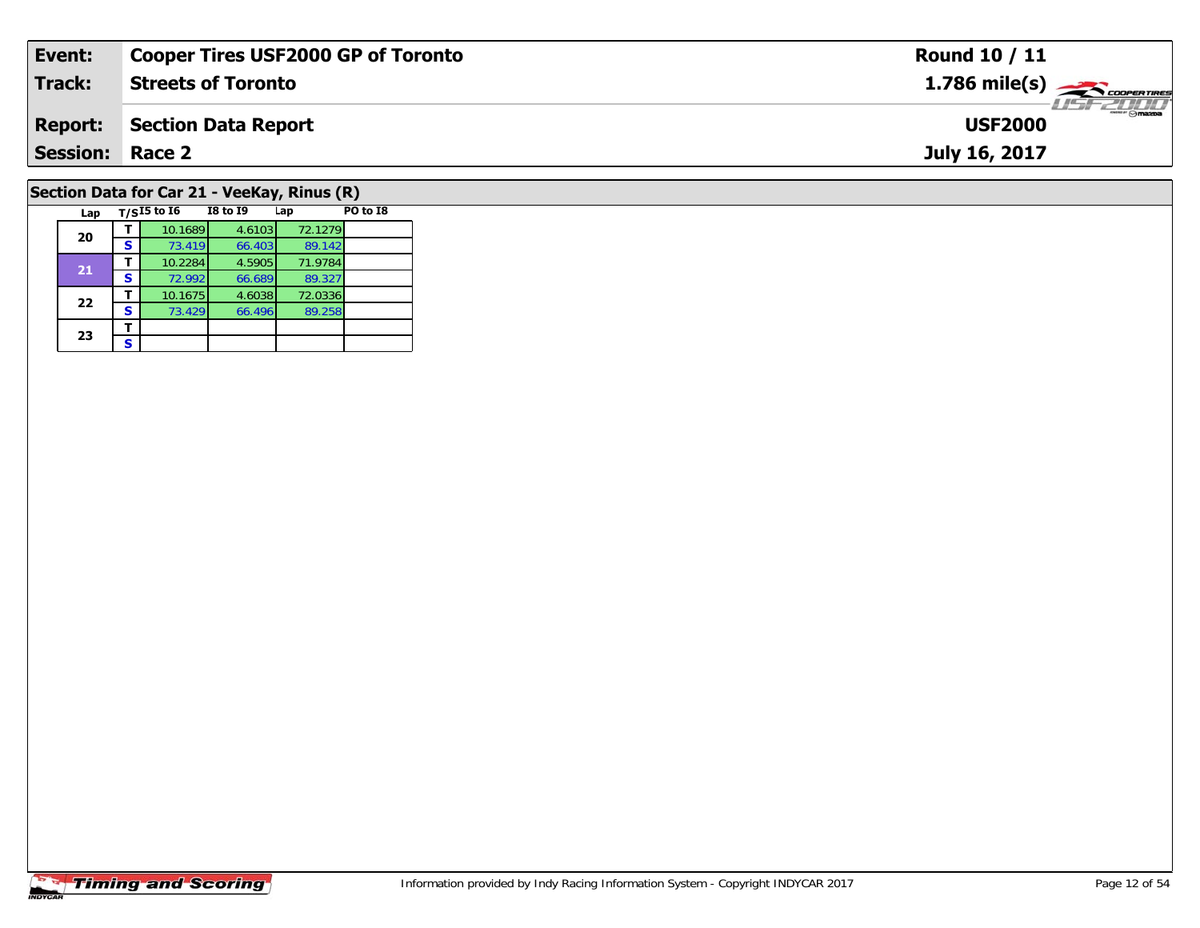| Event:                 | <b>Cooper Tires USF2000 GP of Toronto</b>             | <b>Round 10 / 11</b>                                     |
|------------------------|-------------------------------------------------------|----------------------------------------------------------|
| <b>Track:</b>          | <b>Streets of Toronto</b>                             | $1.786$ mile(s) $\overbrace{\hspace{2.5cm}}$ coorenances |
| <b>Report:</b>         | <b>Section Data Report</b>                            | $-100$<br><b>USF2000</b>                                 |
| <b>Session: Race 2</b> |                                                       | July 16, 2017                                            |
|                        | Section Data for Car 21 - VeeKay, Rinus (R)           |                                                          |
| Lap                    | $T/SI5$ to $I6$<br>PO to I8<br><b>I8 to I9</b><br>Lap |                                                          |

### **Timing and Scoring**

**20**

**21**

**22**

23  $\frac{1}{s}$  $\mathbf{s}$ 

**<sup>T</sup>** 10.1689 4.6103 72.1279 **<sup>S</sup>** 73.419 66.403 89.142

**<sup>T</sup>** 10.2284 4.5905 71.9784 **<sup>S</sup>** 72.992 66.689 89.327

**<sup>T</sup>** 10.1675 4.6038 72.0336 **<sup>S</sup>** 73.429 66.496 89.258

89.142<br>71.9784

89.327<br>72.0336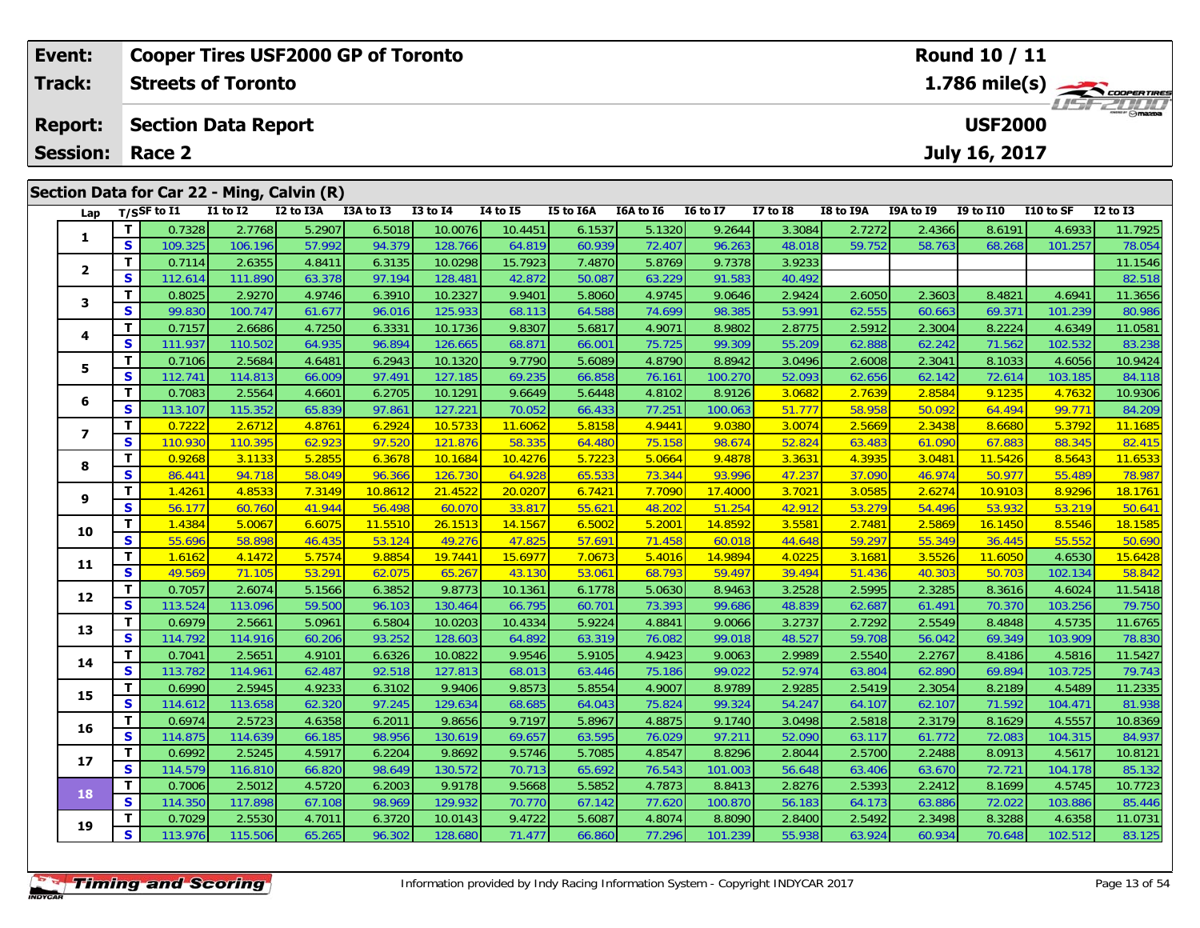| Event:<br><b>Track:</b> |          |                                        | <b>Cooper Tires USF2000 GP of Toronto</b><br><b>Streets of Toronto</b> |           |           |                   |                 |           |           |                 |                 |                                    |           | <b>Round 10 / 11</b> |           | $1.786$ mile(s) $\frac{1.786}{\sqrt{2.00096} \times 10^{10}}$ |  |  |
|-------------------------|----------|----------------------------------------|------------------------------------------------------------------------|-----------|-----------|-------------------|-----------------|-----------|-----------|-----------------|-----------------|------------------------------------|-----------|----------------------|-----------|---------------------------------------------------------------|--|--|
| <b>Report:</b>          |          |                                        | <b>Section Data Report</b>                                             |           |           |                   |                 |           |           |                 |                 | <b>THE PLATE</b><br><b>USF2000</b> |           |                      |           |                                                               |  |  |
| <b>Session:</b>         |          | Race 2                                 |                                                                        |           |           |                   |                 |           |           | July 16, 2017   |                 |                                    |           |                      |           |                                                               |  |  |
| Lap                     |          | $T/S$ SF to I1                         | Section Data for Car 22 - Ming, Calvin (R)<br>$I1$ to $I2$             | I2 to I3A | I3A to I3 | <b>I3 to I4</b>   | <b>I4 to I5</b> | I5 to I6A | I6A to I6 | <b>16 to 17</b> | <b>I7 to I8</b> | I8 to I9A                          | I9A to I9 | <b>I9 to I10</b>     | I10 to SF | $I2$ to $I3$                                                  |  |  |
|                         |          | 0.7328                                 | 2.7768                                                                 | 5.2907    | 6.5018    | 10.0076           | 10.4451         | 6.1537    | 5.1320    | 9.2644          | 3.3084          | 2.7272                             | 2.4366    | 8.6191               | 4.6933    | 11.7925                                                       |  |  |
|                         | S        | 109.325                                | 106.196                                                                | 57.992    | 94.379    | 128.766           | 64.819          | 60.939    | 72.407    | 96.263          | 48.018          | 59.752                             | 58.763    | 68.268               | 101.257   | 78.054                                                        |  |  |
| $\overline{\mathbf{2}}$ |          | 0.7114                                 | 2.6355                                                                 | 4.8411    | 6.3135    | 10.0298           | 15.7923         | 7.4870    | 5.8769    | 9.7378          | 3.9233          |                                    |           |                      |           | 11.1546                                                       |  |  |
|                         | S        | 112.614                                | 111.890                                                                | 63.378    | 97.194    | 128.481           | 42.872          | 50.087    | 63.229    | 91.583          | 40.492          |                                    |           |                      |           | 82.518                                                        |  |  |
| 3                       |          | 0.8025                                 | 2.9270                                                                 | 4.9746    | 6.3910    | 10.2327           | 9.9401          | 5.8060    | 4.9745    | 9.0646          | 2.9424          | 2.6050                             | 2.3603    | 8.4821               | 4.6941    | 11.3656                                                       |  |  |
|                         | S.       | 99.830                                 | 100.747                                                                | 61.677    | 96.016    | 125.933           | 68.113          | 64.588    | 74.699    | 98.385          | 53.991          | 62.555                             | 60.663    | 69.371               | 101.239   | 80.986                                                        |  |  |
| 4                       |          | 0.7157                                 | 2.6686                                                                 | 4.7250    | 6.3331    | 10.1736           | 9.8307          | 5.6817    | 4.9071    | 8.9802          | 2.8775          | 2.5912                             | 2.3004    | 8.2224               | 4.6349    | 11.0581                                                       |  |  |
|                         | <b>S</b> | 111.937                                | 110.502                                                                | 64.935    | 96.894    | 126.665           | 68.871          | 66.001    | 75.725    | 99.309          | 55.209          | 62.888                             | 62.242    | 71.562               | 102.532   | 83.238                                                        |  |  |
| 5                       |          | 0.7106                                 | 2.5684                                                                 | 4.6481    |           | 6.2943<br>10.1320 | 9.7790          | 5.6089    | 4.8790    | 8.8942          | 3.0496          | 2.6008                             | 2.3041    | 8.1033               | 4.6056    | 10.9424                                                       |  |  |
|                         | S        | 112.741<br>114.813<br>66.009<br>97.491 |                                                                        | 127.185   | 69.235    | 66.858            | 76.161          | 100.270   | 52.093    | 62.656          | 62.142          | 72.614                             | 103.185   | 84.118               |           |                                                               |  |  |

**<sup>T</sup>** 0.7083 2.5564 4.6601 6.2705 10.1291 9.6649 5.6448 4.8102 8.9126 3.0682 2.7639 2.8584 9.1235 4.7632 10.9306 **<sup>S</sup>** 113.107 115.352 65.839 97.861 127.221 70.052 66.433 77.251 100.063 51.777 58.958 50.092 64.494 99.771 84.209

7 | **T |** 0.7222 | 2.6712 | 4.8761 | 6.2924 | 10.5733 | 11.6062 | 5.8158 | 4.9441 | 9.0380 | 3.0074 | 2.5669 | 2.3438 | 8.6680 | 5.3792 | 11.1685<br>7 | S | 110.930 | 110.395 | 62.923 | 97.520 | 121.876 | 58.335 | 64.480 | 75

8 | **T** | 0.9268 | 3.1133 | 5.2855 | 6.3678 | 10.1684 | 10.4276 | 5.7223 | 5.0664 | 9.4878 | 3.3631 | 4.3935 | 3.0481 | 11.5426 | 8.5643 | 11.6533<br>| S | 86.441 | 94.718 | 58.049 | 96.366 | 126.730 | 64.928 | 65.533 | 73.34

<mark>16.1761 11.4261 12.6274 12.4261 12.48533 7.3149 10.8612 21.4522 20.0207 6.7421 7.7090 17.4000 3.7021 3.0585 2.6274 10.9103 8.9296 18.1761 19.9103 9 5 5 6.177 60.760 18.1761 12.6474 56.4<br>S 5 56.177 60.760 41.944 56.498 60</mark>

0 | **T** | 1.4384 | 5.0067 | 6.6075 | 11.5510 | 26.1513 | 14.1567 | 6.5002 | 5.2001 | 14.8592 | 3.5581 | 2.7481 | 2.5869 | 16.1450 | 8.5546 | 18.1585 |<br>| S | 55.696 | 58.898 | 46.435 | 53.124 | 49.276 | 47.825 | 57.691 | 71

1 | T | 1.6162 | 4.1472 | 5.7574 | 9.8854 | 19.7441 | 15.6977 | 7.0673 | 5.4016 | 14.9894 | 4.0225 | 3.1681 | 3.5526 | 11.6050 | 4.6530 | 15.6428<br>1 | S | 49.569 | 71.105 | 53.291 | 62.075 | 65.267 | 43.130 | 53.061 | 68.79

2 T 0.7057 2.6074 5.1566 6.3852 9.8773 10.1361 6.1778 5.0630 8.9463 3.2528 2.5995 2.3285 8.3616 4.6024 11.5418<br>2 S 113.524 113.096 59.500 96.103 130.464 66.795 60.701 73.393 99.686 48.839 62.687 61.491 70.370 103.256 79.75

3 T 0.6979 2.5661 5.0961 6.5804 10.0203 10.4334 5.9224 4.8841 9.0066 3.2737 2.7292 2.5549 8.4848 4.5735 11.6765<br>S 114.792 114.916 60.206 93.252 128.603 64.892 63.319 76.082 99.018 48.527 59.708 56.042 69.349 103.909 78.830

4 T 0.7041 2.5651 4.9101 6.6326 10.0822 9.9546 5.9105 4.9423 9.0063 2.9989 2.5540 2.2767 8.4186 4.5816 11.5427<br>S 113.782 114.961 62.487 92.518 127.813 68.013 63.446 75.186 99.022 52.974 63.804 62.890 69.894 103.725 79.743

5 T 0.6990 2.5945 4.9233 6.3102 9.9406 9.8573 5.8554 4.9007 8.9789 2.9285 2.5419 2.3054 8.2189 4.5489 11.2335<br>5 S 114.612 113.658 62.320 97.245 129.634 68.685 64.043 75.824 99.324 54.247 64.107 62.107 71.592 104.471 81.938

6 T 0.6974 2.5723 4.6358 6.2011 9.8656 9.7197 5.8967 4.8875 9.1740 3.0498 2.5818 2.3179 8.1629 4.5557 10.8369<br>5 S 114.875 114.639 66.185 98.956 130.619 69.657 63.595 76.029 97.211 52.090 63.117 61.772 72.083 104.315 84.937

7 T 0.6992 2.5245 4.5917 6.2204 9.8692 9.5746 5.7085 4.8547 8.8296 2.8044 2.5700 2.2488 8.0913 4.5617 10.8121<br>7 S 114.579 116.810 66.820 98.649 130.572 70.713 65.692 76.543 101.003 56.648 63.406 63.670 72.721 104.178 85.13

8 T 0.7006 2.5012 4.5720 6.2003 9.9178 9.5668 5.5852 4.7873 8.8413 2.8276 2.5393 2.2412 8.1699 4.5745 10.7723<br>8 S 114.350 117.898 67.108 98.969 129.932 70.770 67.142 77.620 100.870 56.183 64.173 63.886 72.022 103.886 85.44

**<sup>T</sup>** 0.7029 2.5530 4.7011 6.3720 10.0143 9.4722 5.6087 4.8074 8.8090 2.8400 2.5492 2.3498 8.3288 4.6358 11.0731 **<sup>S</sup>** 113.976 115.506 65.265 96.302 128.680 71.477 66.860 77.296 101.239 55.938 63.924 60.934 70.648 102.512 83.125

**6**

**7**

**8**

**9**

**10**

**11**

**12**

**13**

**14**

**15**

**16**

**17**

**18**

**19**

82.415

50.641

79.750

78.830

79.743

85.132

85.446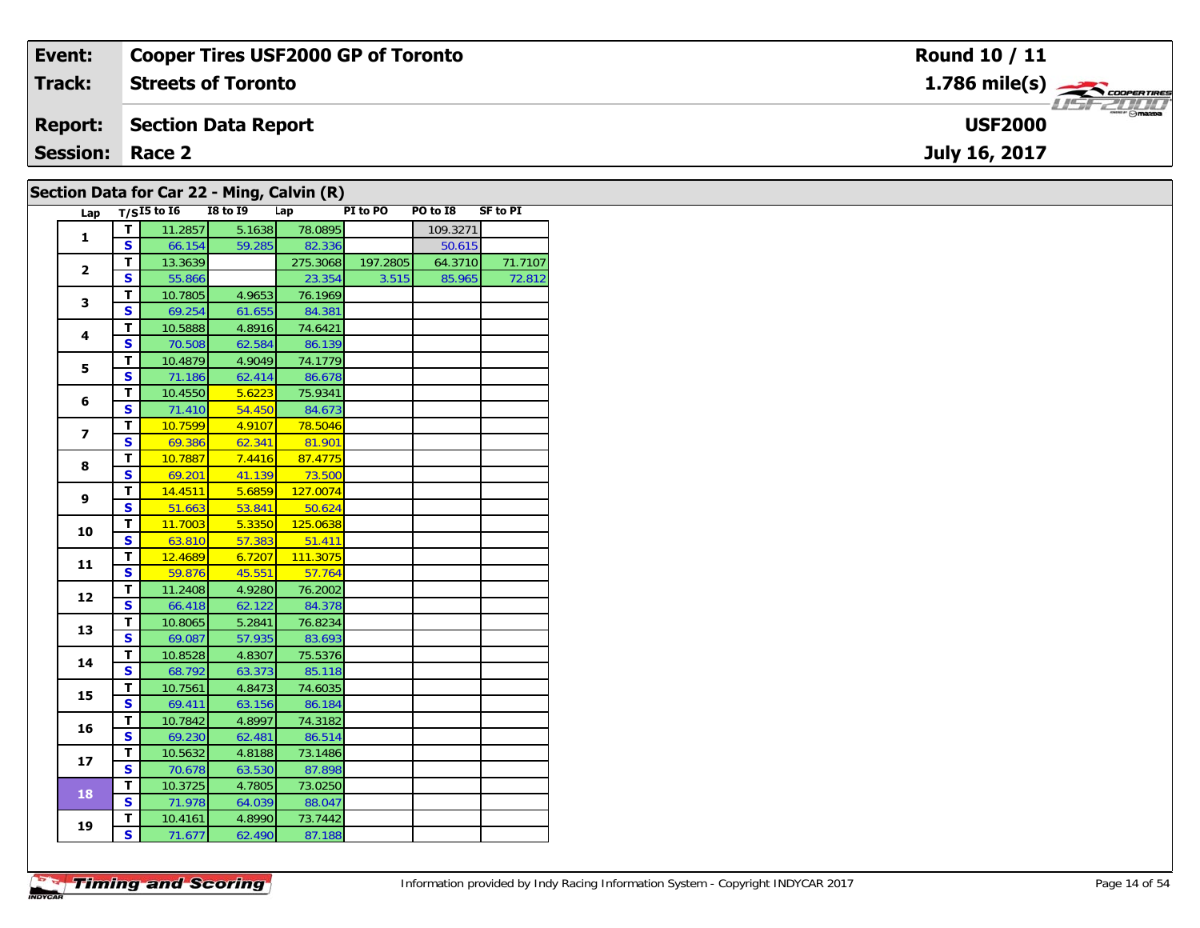| Event:          | <b>Cooper Tires USF2000 GP of Toronto</b>  | Round 10 / 11                              |
|-----------------|--------------------------------------------|--------------------------------------------|
| Track:          | <b>Streets of Toronto</b>                  | $1.786$ mile(s) $\frac{1}{2}$ coorer these |
| <b>Report:</b>  | <b>Section Data Report</b>                 | <b>USF2000</b>                             |
| <b>Session:</b> | Race 2                                     | July 16, 2017                              |
|                 | Section Data for Car 22 - Ming, Calvin (R) |                                            |

| Lap                     |                         | $T/SI5$ to $I6$ | <b>I8 to 19</b> | Lap      | PI to PO | PO to I8 | <b>SF to PI</b> |
|-------------------------|-------------------------|-----------------|-----------------|----------|----------|----------|-----------------|
| 1                       | T                       | 11.2857         | 5.1638          | 78.0895  |          | 109.3271 |                 |
|                         | $\mathbf{s}$            | 66.154          | 59.285          | 82.336   |          | 50.615   |                 |
|                         | т                       | 13.3639         |                 | 275.3068 | 197.2805 | 64.3710  | 71.7107         |
| $\mathbf{2}$            | $\overline{\mathbf{s}}$ | 55.866          |                 | 23.354   | 3.515    | 85.965   | 72.812          |
| 3                       | т                       | 10.7805         | 4.9653          | 76.1969  |          |          |                 |
|                         | $\overline{\mathbf{s}}$ | 69.254          | 61.655          | 84.381   |          |          |                 |
| 4                       | T                       | 10.5888         | 4.8916          | 74.6421  |          |          |                 |
|                         | $\overline{\mathbf{s}}$ | 70.508          | 62.584          | 86.139   |          |          |                 |
| 5                       | T                       | 10.4879         | 4.9049          | 74.1779  |          |          |                 |
|                         | S                       | 71.186          | 62.414          | 86.678   |          |          |                 |
| 6                       | T                       | 10.4550         | 5.6223          | 75.9341  |          |          |                 |
|                         | $\mathbf{s}$            | 71.410          | 54.450          | 84.673   |          |          |                 |
| $\overline{\mathbf{z}}$ | т                       | 10.7599         | 4.9107          | 78.5046  |          |          |                 |
|                         | $\overline{\mathbf{s}}$ | 69.386          | 62.341          | 81.901   |          |          |                 |
| 8                       | $\overline{\mathsf{r}}$ | 10.7887         | 7.4416          | 87.4775  |          |          |                 |
|                         | $\overline{\mathbf{s}}$ | 69.201          | 41.139          | 73.500   |          |          |                 |
| 9                       | T                       | 14.4511         | 5.6859          | 127.0074 |          |          |                 |
|                         | $\mathbf{s}$            | 51.663          | 53.841          | 50.624   |          |          |                 |
| 10                      | T                       | 11.7003         | 5.3350          | 125.0638 |          |          |                 |
|                         | $\overline{\mathbf{s}}$ | 63.810          | 57.383          | 51.411   |          |          |                 |
| 11                      | т                       | 12.4689         | 6.7207          | 111.3075 |          |          |                 |
|                         | S                       | 59.876          | 45.551          | 57.764   |          |          |                 |
| 12                      | т                       | 11.2408         | 4.9280          | 76.2002  |          |          |                 |
|                         | $\overline{\mathbf{s}}$ | 66.418          | 62.122          | 84.378   |          |          |                 |
| 13                      | $\overline{\mathsf{T}}$ | 10.8065         | 5.2841          | 76.8234  |          |          |                 |
|                         | $\overline{\mathbf{s}}$ | 69.087          | 57.935          | 83.693   |          |          |                 |
| 14                      | T                       | 10.8528         | 4.8307          | 75.5376  |          |          |                 |
|                         | $\overline{\mathbf{s}}$ | 68.792          | 63.373          | 85.118   |          |          |                 |
| 15                      | T                       | 10.7561         | 4.8473          | 74.6035  |          |          |                 |
|                         | $\overline{\mathbf{s}}$ | 69.411          | 63.156          | 86.184   |          |          |                 |
| 16                      | T                       | 10.7842         | 4.8997          | 74.3182  |          |          |                 |
|                         | S                       | 69.230          | 62.481          | 86.514   |          |          |                 |
| 17                      | T                       | 10.5632         | 4.8188          | 73.1486  |          |          |                 |
|                         | $\overline{\mathbf{s}}$ | 70.678          | 63.530          | 87.898   |          |          |                 |
| 18                      | т                       | 10.3725         | 4.7805          | 73.0250  |          |          |                 |
|                         | $\overline{\mathbf{s}}$ | 71.978          | 64.039          | 88.047   |          |          |                 |
| 19                      | т                       | 10.4161         | 4.8990          | 73.7442  |          |          |                 |
|                         | $\overline{\mathbf{s}}$ | 71.677          | 62.490          | 87.188   |          |          |                 |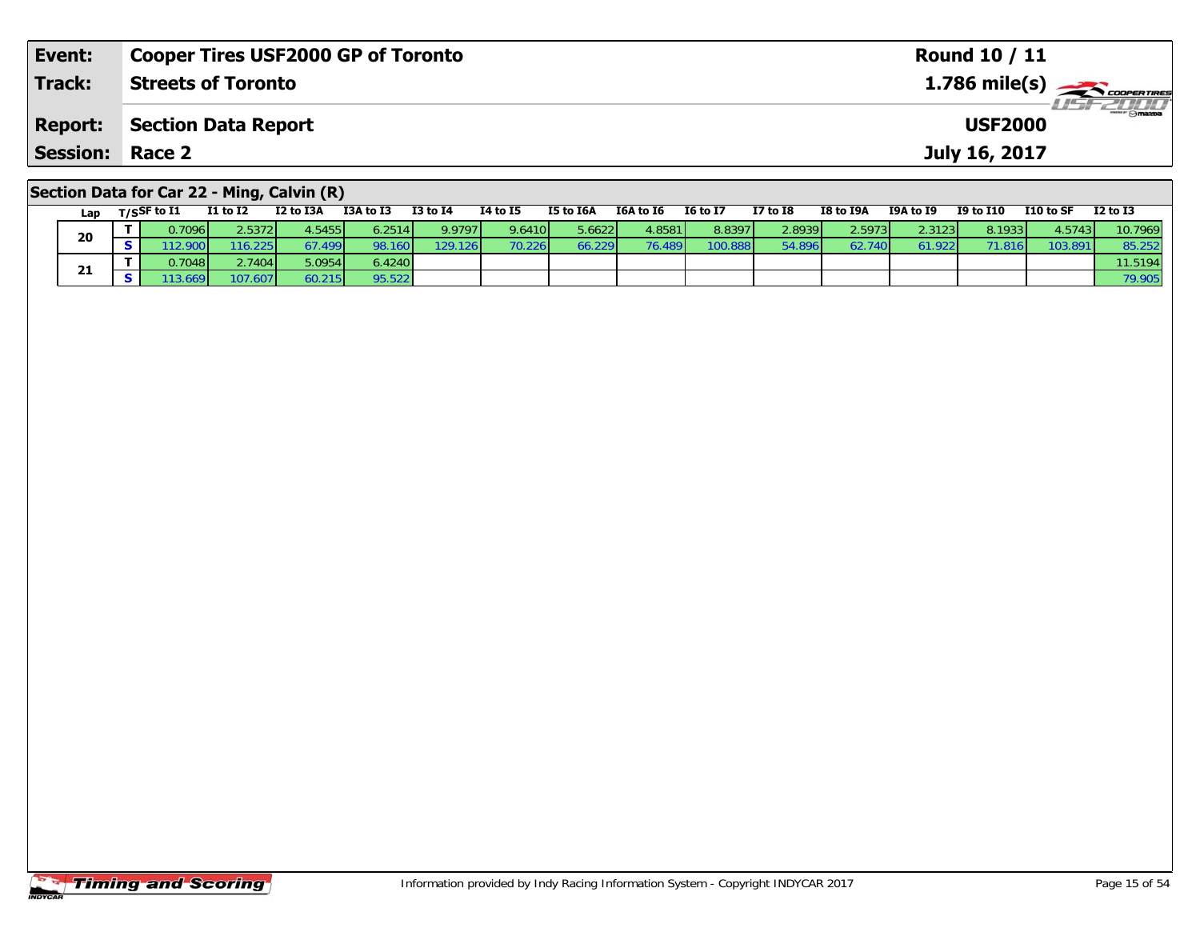| Event:          | <b>Cooper Tires USF2000 GP of Toronto</b>                                                                                                                                                           |                 |                 |           |           |                 |            |           |            | <b>Round 10 / 11</b>                                  |                  |                  |
|-----------------|-----------------------------------------------------------------------------------------------------------------------------------------------------------------------------------------------------|-----------------|-----------------|-----------|-----------|-----------------|------------|-----------|------------|-------------------------------------------------------|------------------|------------------|
| Track:          | <b>Streets of Toronto</b>                                                                                                                                                                           |                 |                 |           |           |                 |            |           |            | $1.786$ mile(s) $\overbrace{\hspace{2cm}}$ convenimes |                  |                  |
| <b>Report:</b>  | <b>Section Data Report</b>                                                                                                                                                                          |                 |                 |           |           |                 |            |           |            | <b>USF2000</b>                                        |                  | <b>LISF 2000</b> |
| Session: Race 2 |                                                                                                                                                                                                     |                 |                 |           |           |                 |            |           |            | July 16, 2017                                         |                  |                  |
|                 | Section Data for Car 22 - Ming, Calvin (R)<br>$T1 + 5T2$ $T2 + 5T2A$ $T3A + 5T2$<br>$\mathbf{r} = \mathbf{r}$ $\mathbf{r} = \mathbf{r} \cdot \mathbf{r}$ $\mathbf{r} = \mathbf{r} \cdot \mathbf{r}$ | <b>TO +0 TA</b> | <b>TA LA TE</b> | TE +6 TEA | TEA to TE | <b>IG to IT</b> | $T7 + 5T9$ | TO LA TOA | TOA + ~ TO | 10 to 110                                             | <b>110 to CE</b> | <b>TO LA TO</b>  |

| Lap | T/SSF to I1 | I1 to I2 | I2 to I3A | I3A to I3 | I3 to I4 | 14 to 15 | I5 to I6A       | I6A to I6 | <b>I6 to I7</b> | I7 to $I8$ | I8 to I9A | I9A to I9              | <b>I9 to I10</b> | I10 to SF | <b>I2 to I3</b> |
|-----|-------------|----------|-----------|-----------|----------|----------|-----------------|-----------|-----------------|------------|-----------|------------------------|------------------|-----------|-----------------|
| 20  | 0.7096      | 2.5372   | 4.5455    | 6.2514    | 9.9797   | 9.6410   | 5.6622          | 4.8581    | 8.8397          | 2.8939     | 2.5973    | 2.3123                 | 8.1933           | 4.5743    | 10.7969         |
|     | 12.90       | 16.225   | 67.499    | 98.160    | 129.126  | 70.226   | 66.229 <b>l</b> | 76.489    | 100.888         | 54.896     | 62.740    | $1.922$ $\blacksquare$ |                  | 103.891   | 85.252          |
| 21  | 0.7048      | .7404    | 5.0954    | 6.4240    |          |          |                 |           |                 |            |           |                        |                  |           | 11.5194         |
|     | 13.669      | 197.607  | 60.215    | 95.522    |          |          |                 |           |                 |            |           |                        |                  |           | 79.905          |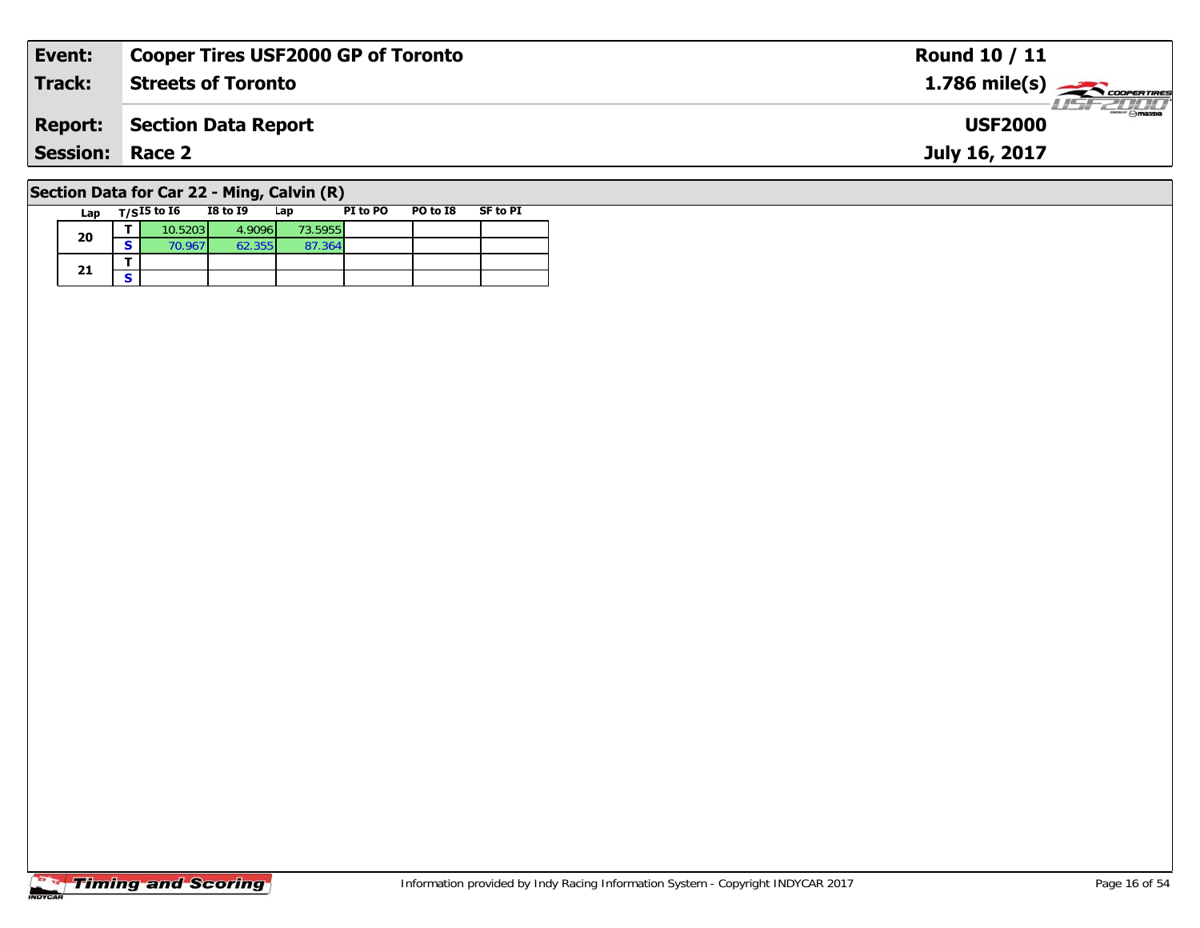| Event:                 | <b>Cooper Tires USF2000 GP of Toronto</b>  | <b>Round 10 / 11</b> |
|------------------------|--------------------------------------------|----------------------|
| Track:                 | <b>Streets of Toronto</b>                  |                      |
| <b>Report:</b>         | Section Data Report                        | <b>USF2000</b>       |
| <b>Session: Race 2</b> |                                            | July 16, 2017        |
|                        | Section Data for Car 22 - Ming, Calvin (R) |                      |

| Lap | $T/SI5$ to $I6$ | <b>I8 to I9</b> | Lap     | PI to PO | PO to I8 | <b>SF to PI</b> |  |
|-----|-----------------|-----------------|---------|----------|----------|-----------------|--|
| 20  | 10.5203         | 4.9096          | 73.5955 |          |          |                 |  |
|     | 70.967          | 62.355'         | 87.364  |          |          |                 |  |
|     |                 |                 |         |          |          |                 |  |
| 21  |                 |                 |         |          |          |                 |  |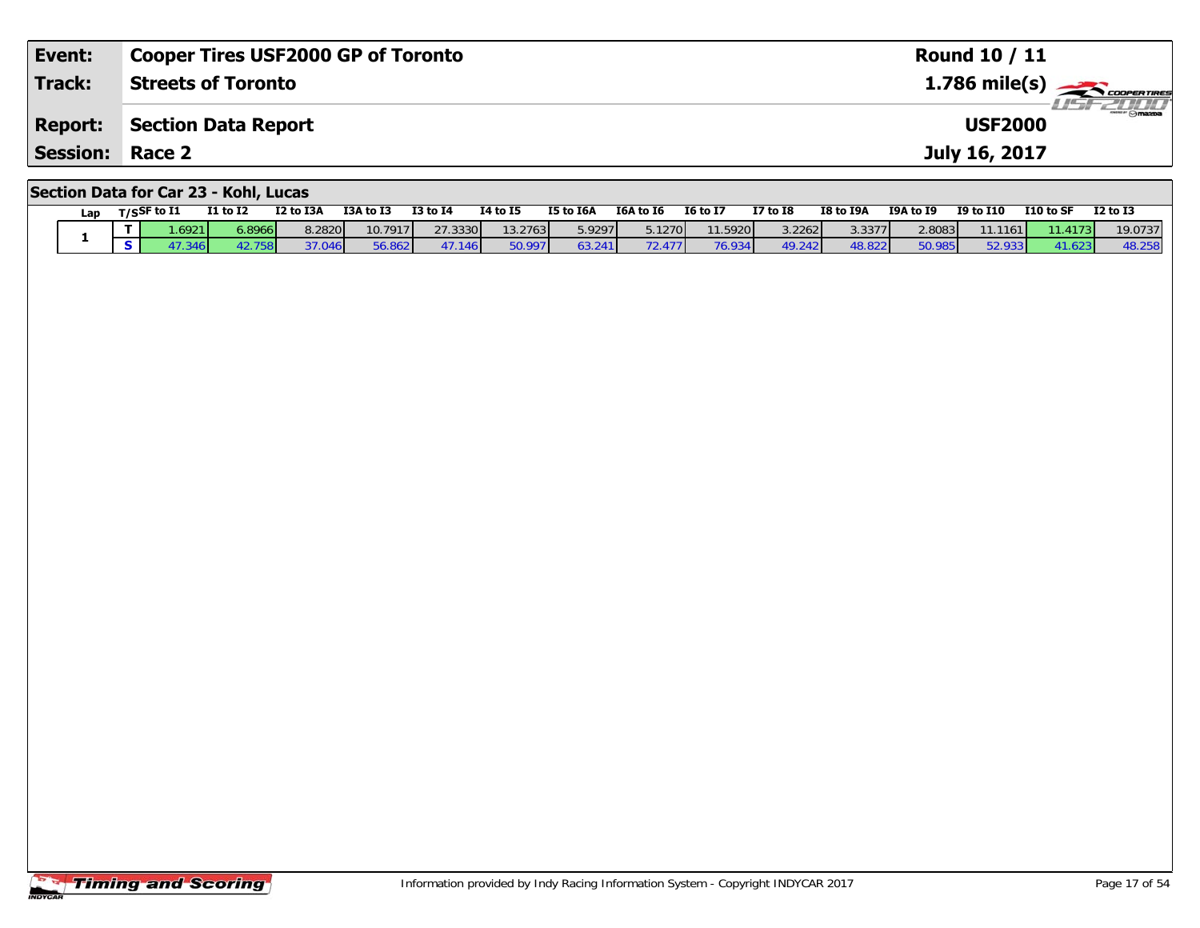| Event:                 | <b>Cooper Tires USF2000 GP of Toronto</b> | <b>Round 10 / 11</b>                                  |
|------------------------|-------------------------------------------|-------------------------------------------------------|
| Track:                 | <b>Streets of Toronto</b>                 | $1.786$ mile(s) $\overbrace{\hspace{2cm}}$ coorganges |
| <b>Report:</b>         | Section Data Report                       | <b>LIST 2000</b><br><b>USF2000</b>                    |
| <b>Session: Race 2</b> |                                           | July 16, 2017                                         |
|                        | Section Data for Car 23 - Kohl, Lucas     |                                                       |

| Lap | $T/S$ SF to I1 | I1 to I2 | I2 to I3A | <b>I3A to I3</b> | <b>I3 to 14</b> | 14 to 15 | I5 to I6A | I6A to I6 | <b>16 to 17</b> | $I7$ to $I8$ | I8 to I9A | <b>I9A to I9</b> | <b>I9 to I10</b> | I10 to SF | <b>I2 to I3</b> |
|-----|----------------|----------|-----------|------------------|-----------------|----------|-----------|-----------|-----------------|--------------|-----------|------------------|------------------|-----------|-----------------|
|     | .69211         | 6.8966   | 8.2820    | 10.7917          | 27.3330         | 13.2763  | 5.9297    | 5.1270    | 11.5920         | 3.2262       | 3.3377    | 2.8083           | 11.1161          | 11.4173   | 19.0737         |
|     | 3461           | 27581    | 37.046    | 56.862           | 47.146          | 50.997   | 63.241    | 72.477    | 76.934          | 49.242       | 48.822    | 50.985           | 52.933           |           | 48.258          |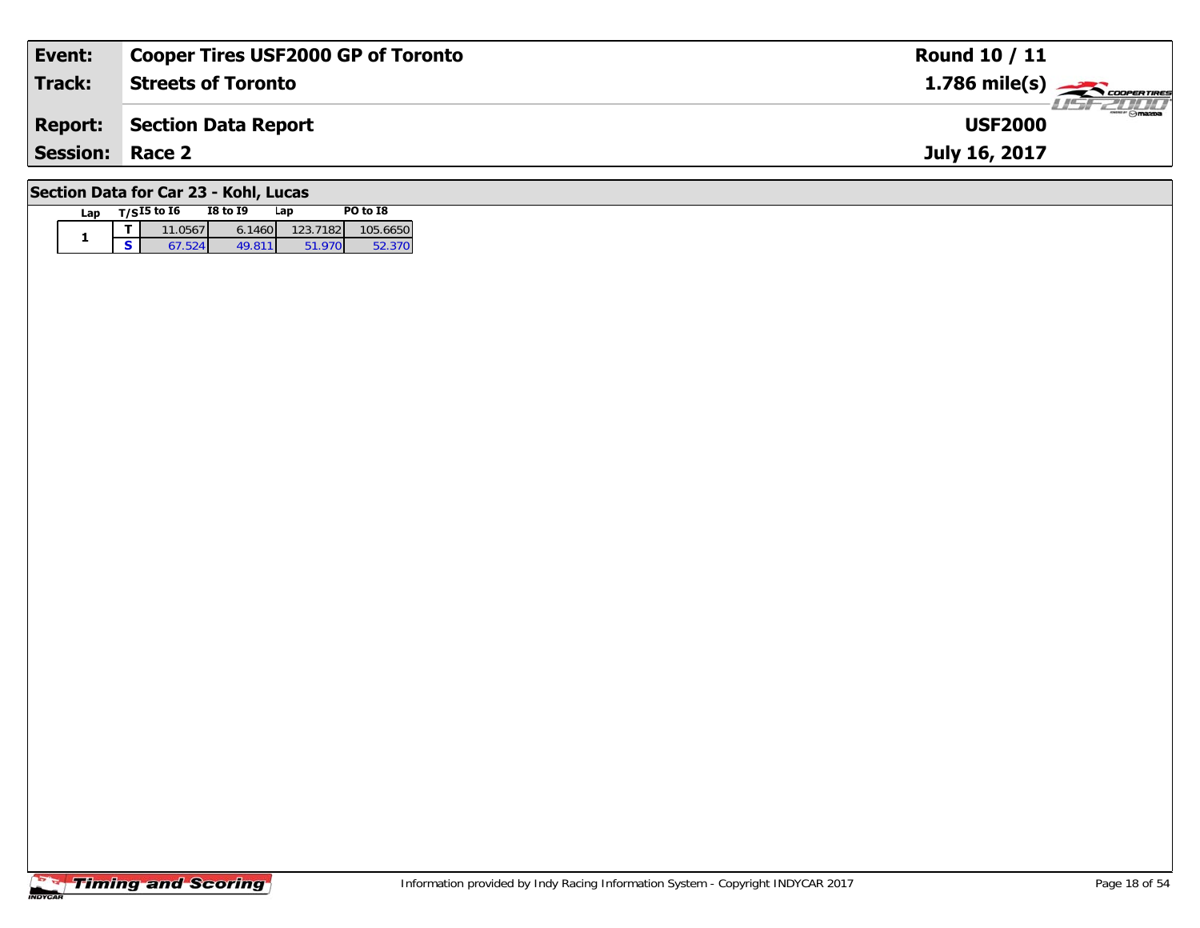| Event:                 | <b>Cooper Tires USF2000 GP of Toronto</b> | <b>Round 10 / 11</b>                                                                                                                                                                                                                                                                                                                                                                                                                                                                              |
|------------------------|-------------------------------------------|---------------------------------------------------------------------------------------------------------------------------------------------------------------------------------------------------------------------------------------------------------------------------------------------------------------------------------------------------------------------------------------------------------------------------------------------------------------------------------------------------|
| Track:                 | <b>Streets of Toronto</b>                 | $1.786$ mile(s) $\rightarrow$ COOPERTIRES                                                                                                                                                                                                                                                                                                                                                                                                                                                         |
| <b>Report:</b>         | Section Data Report                       | $\overline{\phantom{a}}$ $\overline{\phantom{a}}$ $\overline{\phantom{a}}$ $\overline{\phantom{a}}$ $\overline{\phantom{a}}$ $\overline{\phantom{a}}$ $\overline{\phantom{a}}$ $\overline{\phantom{a}}$ $\overline{\phantom{a}}$ $\overline{\phantom{a}}$ $\overline{\phantom{a}}$ $\overline{\phantom{a}}$ $\overline{\phantom{a}}$ $\overline{\phantom{a}}$ $\overline{\phantom{a}}$ $\overline{\phantom{a}}$ $\overline{\phantom{a}}$ $\overline{\phantom{a}}$ $\overline{\$<br><b>USF2000</b> |
| <b>Session: Race 2</b> |                                           | July 16, 2017                                                                                                                                                                                                                                                                                                                                                                                                                                                                                     |
|                        |                                           |                                                                                                                                                                                                                                                                                                                                                                                                                                                                                                   |

# **Section Data for Car 23 - Kohl, Lucas**

| Lap | $T/SI5$ to $I6$ | <b>I8 to I9</b> | Lap      | PO to I8 |
|-----|-----------------|-----------------|----------|----------|
|     | 11.0567         | 6.1460          | 123.7182 | 105.6650 |
|     |                 | 49 811          | 51 970   |          |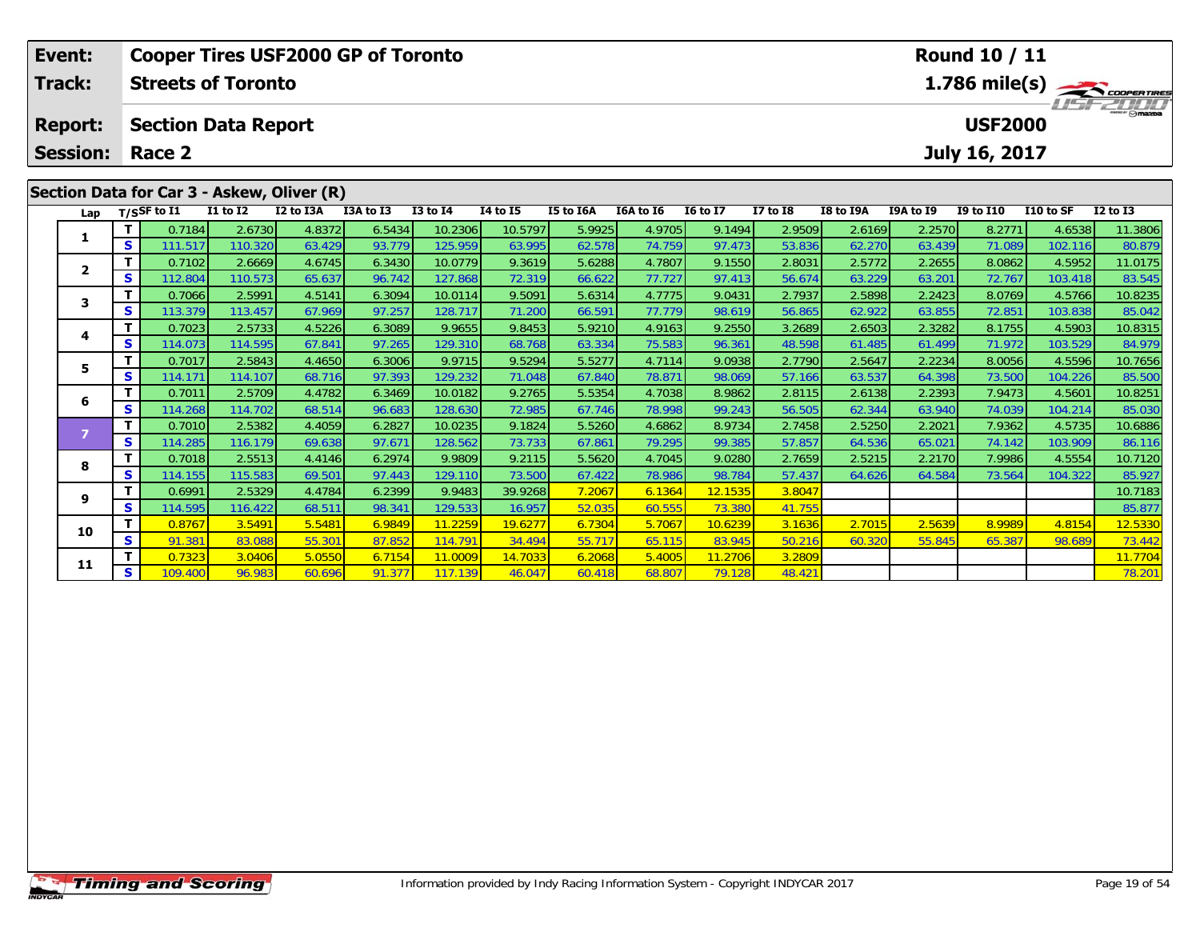| Event:          |    |                  | <b>Cooper Tires USF2000 GP of Toronto</b>  |           |           |              |                 |           |           |                 |                 |           |           | <b>Round 10 / 11</b> |           |                  |
|-----------------|----|------------------|--------------------------------------------|-----------|-----------|--------------|-----------------|-----------|-----------|-----------------|-----------------|-----------|-----------|----------------------|-----------|------------------|
| <b>Track:</b>   |    |                  | <b>Streets of Toronto</b>                  |           |           |              |                 |           |           |                 |                 |           |           |                      |           | 1.786 mile(s)    |
| <b>Report:</b>  |    |                  | <b>Section Data Report</b>                 |           |           |              |                 |           |           |                 |                 |           |           | <b>USF2000</b>       |           | <b>LIST 2000</b> |
| <b>Session:</b> |    | Race 2           |                                            |           |           |              |                 |           |           |                 |                 |           |           | July 16, 2017        |           |                  |
|                 |    |                  | Section Data for Car 3 - Askew, Oliver (R) |           |           |              |                 |           |           |                 |                 |           |           |                      |           |                  |
| Lap             |    | $T/S$ SF to $I1$ | $I1$ to $I2$                               | I2 to I3A | I3A to I3 | $I3$ to $I4$ | <b>I4 to I5</b> | I5 to I6A | I6A to I6 | <b>16 to 17</b> | <b>I7 to I8</b> | I8 to I9A | I9A to I9 | <b>I9 to I10</b>     | I10 to SF | $I2$ to $I3$     |
|                 |    | 0.7184           | 2.6730                                     | 4.8372    | 6.5434    | 10.2306      | 10.5797         | 5.9925    | 4.9705    | 9.1494          | 2.9509          | 2.6169    | 2.2570    | 8.2771               | 4.6538    | 11.3806          |
|                 | S  | 111.517          | 110.320                                    | 63.429    | 93.779    | 125.959      | 63.995          | 62.578    | 74.759    | 97.473          | 53.836          | 62.270    | 63.439    | 71.089               | 102.116   | 80.879           |
| $\mathbf{2}$    |    | 0.7102           | 2.6669                                     | 4.6745    | 6.3430    | 10.0779      | 9.3619          | 5.6288    | 4.7807    | 9.1550          | 2.8031          | 2.5772    | 2.2655    | 8.0862               | 4.5952    | 11.0175          |
|                 | S  | 112.804          | 110.573                                    | 65.637    | 96.742    | 127.868      | 72.319          | 66.622    | 77.727    | 97.413          | 56.674          | 63.229    | 63.201    | 72.767               | 103.418   | 83.545           |
|                 |    | 0.7066           | 2.5991                                     | 4.5141    | 6.3094    | 10.0114      | 9.5091          | 5.6314    | 4.7775    | 9.0431          | 2.7937          | 2.5898    | 2.2423    | 8.0769               | 4.5766    | 10.8235          |
|                 | S. | 113.379          | 113.457                                    | 67.969    | 97.257    | 128.717      | 71.200          | 66.591    | 77.779    | 98.619          | 56.865          | 62.922    | 63.855    | 72.851               | 103.838   | 85.042           |
| 4               |    | 0.7023           | 2.5733                                     | 4.5226    | 6.3089    | 9.9655       | 9.8453          | 5.9210    | 4.9163    | 9.2550          | 3.2689          | 2.6503    | 2.3282    | 8.1755               | 4.5903    | 10.8315          |
|                 | s  | 114.073          | 114.595                                    | 67.841    | 97.265    | 129.310      | 68.768          | 63.334    | 75.583    | 96.361          | 48.598          | 61.485    | 61.499    | 71.972               | 103.529   | 84.979           |
| 5               |    | 0.7017           | 2.5843                                     | 4.4650    | 6.3006    | 9.9715       | 9.5294          | 5.5277    | 4.7114    | 9.0938          | 2.7790          | 2.5647    | 2.2234    | 8.0056               | 4.5596    | 10.7656          |
|                 | S. | 114.171          | 114.107                                    | 68.716    | 97.393    | 129.232      | 71.048          | 67.840    | 78.871    | 98.069          | 57.166          | 63.537    | 64.398    | 73.500               | 104.226   | 85.500           |

6 T 0.7011 2.5709 4.4782 6.3469 10.0182 9.2765 5.5354 4.7038 8.9862 2.8115 2.6138 2.2393 7.9473 4.5601 10.8251<br>5 S 114.268 114.702 68.514 96.683 128.630 72.985 67.746 78.998 99.243 56.505 62.344 63.940 74.039 104.214 85.03

**<sup>T</sup>** 0.7010 2.5382 4.4059 6.2827 10.0235 9.1824 5.5260 4.6862 8.9734 2.7458 2.5250 2.2021 7.9362 4.5735 10.6886 **<sup>S</sup>** 114.285 116.179 69.638 97.671 128.562 73.733 67.861 79.295 99.385 57.857 64.536 65.021 74.142 103.909 86.116

8 T 0.7018 2.5513 4.4146 6.2974 9.9809 9.2115 5.5620 4.7045 9.0280 2.7659 2.5215 2.2170 7.9986 4.5554 10.7120<br>8 S 114.155 115.583 69.501 97.443 129.110 73.500 67.422 78.986 98.784 57.437 64.626 64.584 73.564 104.322 85.927

**<sup>T</sup>** 0.6991 2.5329 4.4784 6.2399 9.9483 39.9268 7.2067 6.1364 12.1535 3.8047 10.7183 **<sup>S</sup>** 114.595 116.422 68.511 98.341 129.533 16.957 52.035 60.555 73.380 41.755 85.877

0 | **T** | 0.8767 |3.5491 | 5.5481 | 6.9849 | 11.2259 | 19.6277 | 6.7304 | 5.7067 | 10.6239 | 3.1636 | 2.7015 | 2.5639 | 8.9989 | 4.8154 | 12.5330<br>| S | 91.381 | 83.088 | 55.301 | 87.852 | 114.791 | 34.494 | 55.717 | 65.115

**<sup>T</sup>** 0.7323 3.0406 5.0550 6.7154 11.0009 14.7033 6.2068 5.4005 11.2706 3.2809 11.7704 **<sup>S</sup>** 109.400 96.983 60.696 91.377 117.139 46.047 60.418 68.807 79.128 48.421 78.201

**6**

**8**

**9**

**10**

**11**

86.116

85.927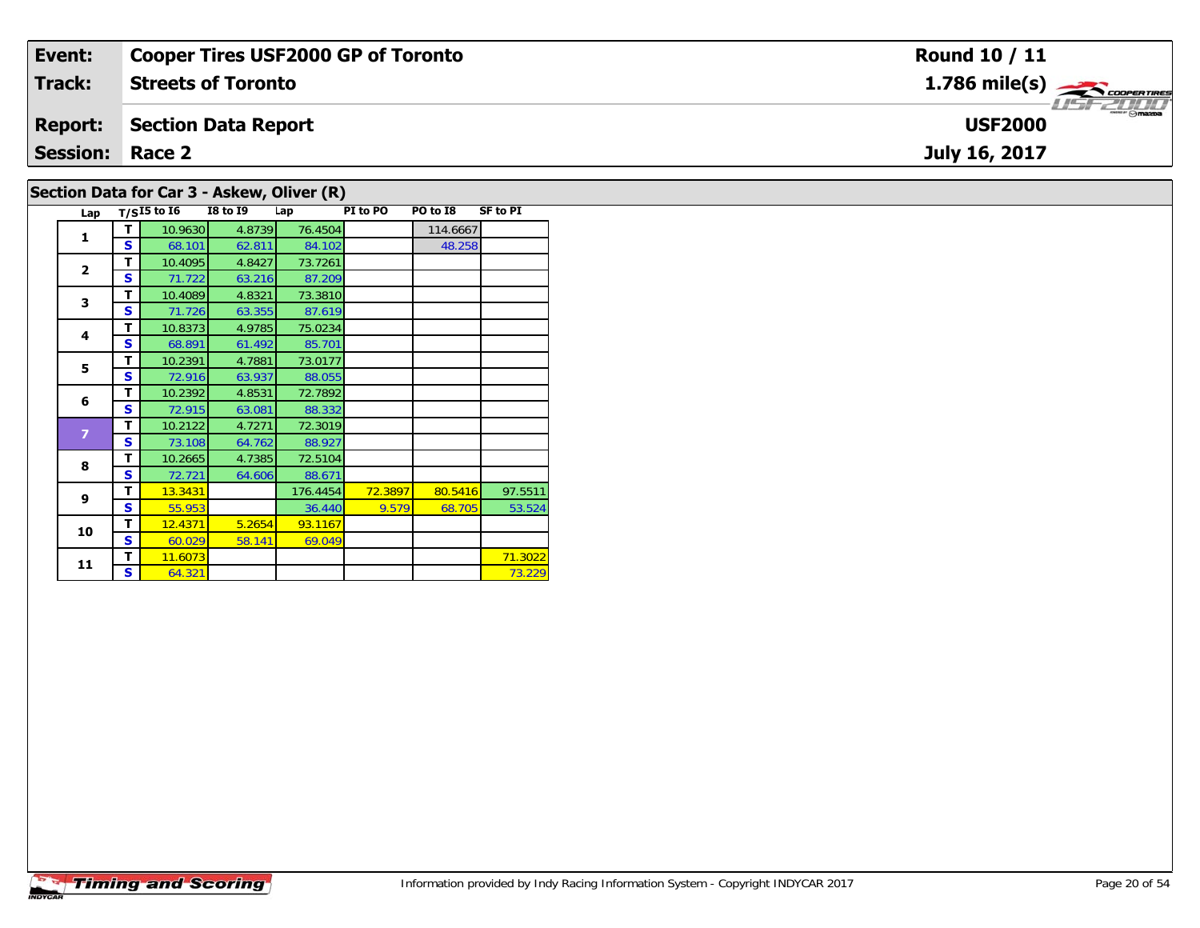| Event:                 | <b>Cooper Tires USF2000 GP of Toronto</b>  | <b>Round 10 / 11</b>                      |
|------------------------|--------------------------------------------|-------------------------------------------|
| <b>Track:</b>          | <b>Streets of Toronto</b>                  | $1.786$ mile(s) $\rightarrow$ Coorentines |
| <b>Report:</b>         | Section Data Report                        | $\Theta$ mazba<br><b>USF2000</b>          |
| <b>Session: Race 2</b> |                                            | July 16, 2017                             |
|                        | Section Data for Car 3 - Askew, Oliver (R) |                                           |

#### **Lap T/SI5 to I6 I8 to I9 Lap PI to PO PO to I8 SF to PI 1T** 10.9630 4.8739 76.4504 114.6667<br>**S** 68.101 62.811 84.102 48.258 48.258 **2 <sup>T</sup>** 10.4095 4.8427 73.7261 **<sup>S</sup>** 71.722 63.216 87.20987.209 **3 <sup>T</sup>** 10.4089 4.8321 73.3810 **<sup>S</sup>** 71.726 63.355 87.61987.619<br>75.0234 **4 <sup>T</sup>** 10.8373 4.9785 75.0234 **<sup>S</sup>** 68.891 61.492 85.70185.701 **5 <sup>T</sup>** 10.2391 4.7881 73.0177 **<sup>S</sup>** 72.916 63.937 88.055**6 <sup>T</sup>** 10.2392 4.8531 72.7892 **<sup>S</sup>** 72.915 63.081 88.33288.332<br>72.3019 **T** 10.2122 4.7271 72.3019<br>**S** 73.108 64.762 88.927 88.927<br>72.5104 **8 <sup>T</sup>** 10.2665 4.7385 72.5104 **<sup>S</sup>** 72.721 64.606 88.67188.671 **9 <sup>T</sup>** 13.3431 176.4454 72.3897 80.5416 97.5511 **<sup>S</sup>** 55.953 36.440 9.579 68.705 53.52453.524 **10d T** 12.4371 5.2654 93.1167<br>**S** 60.029 58.141 69.049 69.049 **11T** 11.6073 **S** 64.321 **P P** 71.3022 **P** 73.229 73.229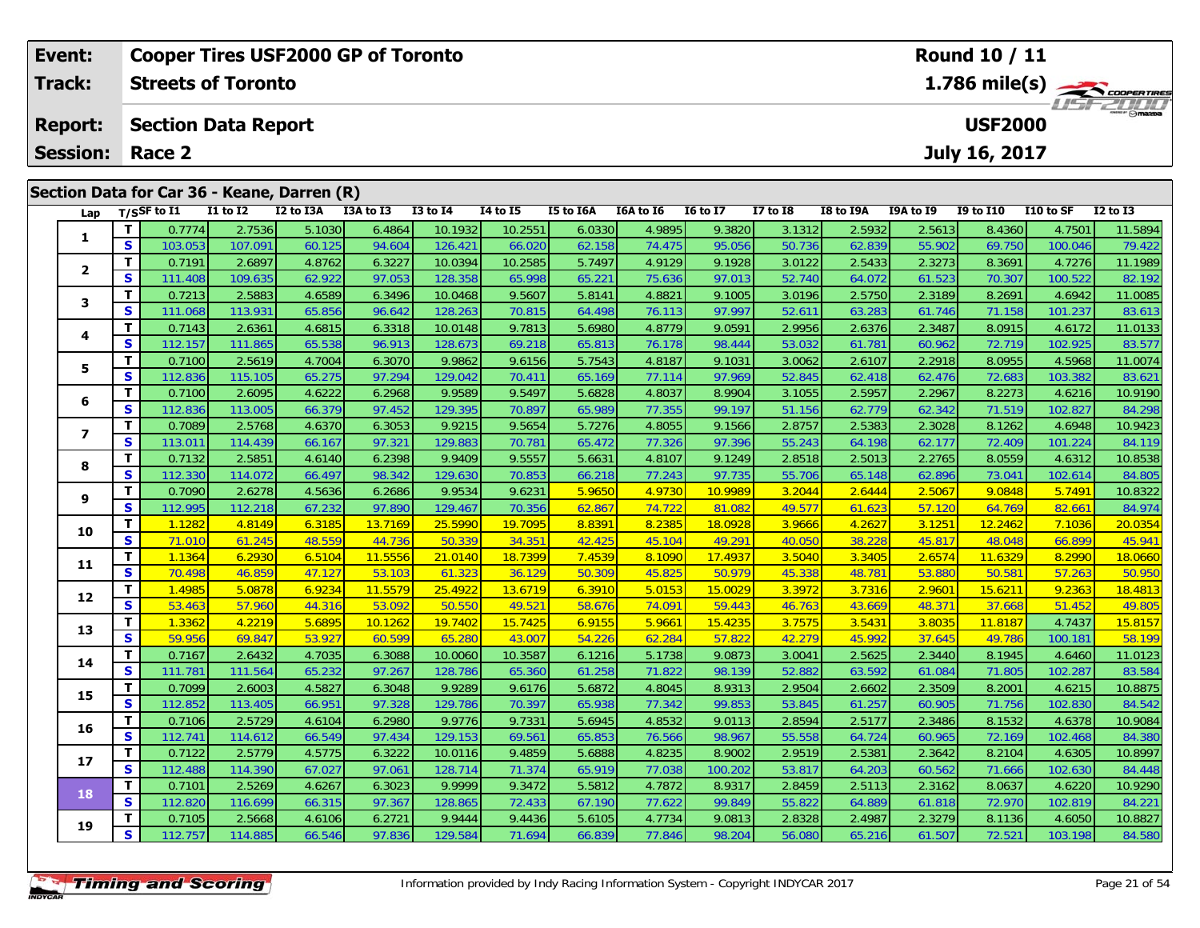| Event:                  |          |                   | <b>Cooper Tires USF2000 GP of Toronto</b>   |           |           |              |          |           |           |                 |              |           |           | <b>Round 10 / 11</b> |           |               |
|-------------------------|----------|-------------------|---------------------------------------------|-----------|-----------|--------------|----------|-----------|-----------|-----------------|--------------|-----------|-----------|----------------------|-----------|---------------|
| <b>Track:</b>           |          |                   | <b>Streets of Toronto</b>                   |           |           |              |          |           |           |                 |              |           |           |                      |           | 1.786 mile(s) |
| <b>Report:</b>          |          |                   | <b>Section Data Report</b>                  |           |           |              |          |           |           |                 |              |           |           | <b>USF2000</b>       |           |               |
| <b>Session:</b>         |          | Race 2            |                                             |           |           |              |          |           |           |                 |              |           |           | July 16, 2017        |           |               |
|                         |          |                   |                                             |           |           |              |          |           |           |                 |              |           |           |                      |           |               |
|                         |          |                   | Section Data for Car 36 - Keane, Darren (R) |           |           |              |          |           |           |                 |              |           |           |                      |           |               |
|                         |          | Lap $T/SSF$ to I1 | <b>I1 to I2</b>                             | I2 to I3A | I3A to I3 | $I3$ to $I4$ | 14 to 15 | I5 to I6A | I6A to I6 | <b>16 to 17</b> | $I7$ to $I8$ | I8 to I9A | I9A to I9 | <b>I9 to I10</b>     | I10 to SF | $I2$ to $I3$  |
| 1                       |          | 0.7774            | 2.7536                                      | 5.1030    | 6.4864    | 10.1932      | 10.2551  | 6.0330    | 4.9895    | 9.3820          | 3.1312       | 2.5932    | 2.5613    | 8.4360               | 4.7501    | 11.5894       |
|                         | <b>S</b> | 103.053           | 107.091                                     | 60.125    | 94.604    | 126.421      | 66.020   | 62.158    | 74.475    | 95.056          | 50.736       | 62.839    | 55.902    | 69.750               | 100.046   | 79.422        |
| $\overline{\mathbf{2}}$ |          | 0.7191            | 2.6897                                      | 4.8762    | 6.3227    | 10.0394      | 10.2585  | 5.7497    | 4.9129    | 9.1928          | 3.0122       | 2.5433    | 2.3273    | 8.3691               | 4.7276    | 11.1989       |
|                         | <b>S</b> | 111.408           | 109.635                                     | 62.922    | 97.053    | 128.358      | 65.998   | 65.221    | 75.636    | 97.013          | 52.740       | 64.072    | 61.523    | 70.307               | 100.522   | 82.192        |
|                         |          | 0.7213            | 2.5883                                      | 4.6589    | 6.3496    | 10.0468      | 9.5607   | 5.8141    | 4.8821    | 9.1005          | 3.0196       | 2.5750    | 2.3189    | 8.2691               | 4.6942    | 11.0085       |

| 1                       | л.                      | <u>0.7774</u>     | 2.1330            | OCUT.C           | 0.4004           | 10.1932           | 10.2551          | 0.U33U           | 4.9890           | 9.38ZU           | 3. I 3 I Z       | 2.0932           | 2.0013           | 0.430U           | 4.7301            | 11.0694           |
|-------------------------|-------------------------|-------------------|-------------------|------------------|------------------|-------------------|------------------|------------------|------------------|------------------|------------------|------------------|------------------|------------------|-------------------|-------------------|
|                         | $\mathbf{s}$            | 103.053           | 107.091           | 60.125           | 94.604           | 126.421           | 66.020           | 62.158           | 74.475           | 95.056           | 50.736           | 62.839           | 55.902           | 69.750           | 100.046           | 79.422            |
|                         | $\mathbf{T}$            | 0.7191            | 2.6897            | 4.8762           | 6.3227           | 10.0394           | 10.2585          | 5.7497           | 4.9129           | 9.1928           | 3.0122           | 2.5433           | 2.3273           | 8.3691           | 4.7276            | 11.1989           |
| $\mathbf{2}$            | $\mathbf{s}$            | 111.408           | 109.635           | 62.922           | 97.053           | 128.358           | 65.998           | 65.221           | 75.636           | 97.013           | 52.740           | 64.072           | 61.523           | 70.307           | 100.522           | 82.192            |
| 3                       | $\mathbf{T}$            | 0.7213            | 2.5883            | 4.6589           | 6.3496           | 10.0468           | 9.5607           | 5.8141           | 4.8821           | 9.1005           | 3.0196           | 2.5750           | 2.3189           | 8.2691           | 4.6942            | 11.0085           |
|                         | S                       | 111.068           | 113.931           | 65.856           | 96.642           | 128.263           | 70.815           | 64.498           | 76.113           | 97.997           | 52.611           | 63.283           | 61.746           | 71.158           | 101.237           | 83.613            |
| 4                       | $\mathbf{T}$            | 0.7143            | 2.6361            | 4.6815           | 6.3318           | 10.0148           | 9.7813           | 5.6980           | 4.8779           | 9.0591           | 2.9956           | 2.6376           | 2.3487           | 8.0915           | 4.6172            | 11.0133           |
|                         | S                       | 112.157           | 111.865           | 65.538           | 96.913           | 128.673           | 69.218           | 65.813           | 76.178           | 98.444           | 53.032           | 61.781           | 60.962           | 72.719           | 102.925           | 83.577            |
| 5                       | $\mathbf{T}$            | 0.7100            | 2.5619            | 4.7004           | 6.3070           | 9.9862            | 9.6156           | 5.7543           | 4.8187           | 9.1031           | 3.0062           | 2.6107           | 2.2918           | 8.0955           | 4.5968            | 11.0074           |
|                         | S                       | 112.836           | 115.105           | 65.275           | 97.294           | 129.042           | 70.411           | 65.169           | 77.114           | 97.969           | 52.845           | 62.418           | 62.476           | 72.683           | 103.382           | 83.621            |
| 6                       | T                       | 0.7100            | 2.6095            | 4.6222           | 6.2968           | 9.9589            | 9.5497           | 5.6828           | 4.8037           | 8.9904           | 3.1055           | 2.5957           | 2.2967           | 8.2273           | 4.6216            | 10.9190           |
|                         | S                       | 112.836           | 113.005           | 66.379           | 97.452           | 129.395           | 70.897           | 65.989           | 77.355           | 99.197           | 51.156           | 62.779           | 62.342           | 71.519           | 102.827           | 84.298            |
| $\overline{\mathbf{z}}$ | T.                      | 0.7089            | 2.5768            | 4.6370           | 6.3053           | 9.9215            | 9.5654           | 5.7276           | 4.8055           | 9.1566           | 2.8757           | 2.5383           | 2.3028           | 8.1262           | 4.6948            | 10.9423           |
|                         | S                       | 113.011           | 114.439           | 66.167           | 97.321           | 129.883           | 70.781           | 65.472           | 77.326           | 97.396           | 55.243           | 64.198           | 62.177           | 72.409           | 101.224           | 84.119            |
| 8                       | T.                      | 0.7132            | 2.5851            | 4.6140           | 6.2398           | 9.9409            | 9.5557           | 5.663'           | 4.8107           | 9.1249           | 2.8518           | 2.5013           | 2.2765           | 8.0559           | 4.6312            | 10.8538           |
|                         | $\overline{\mathbf{s}}$ | 112.330           | 114.072           | 66.497           | 98.342           | 129.630           | 70.853           | 66.218           | 77.243           | 97.735           | 55.706           | 65.148           | 62.896           | 73.041           | 102.614           | 84.805            |
| 9                       | T.                      | 0.7090            | 2.6278            | 4.5636           | 6.2686           | 9.9534            | 9.6231           | 5.9650           | 4.9730           | 10.9989          | 3.2044           | 2.6444           | 2.5067           | 9.0848           | 5.7491            | 10.8322           |
|                         | S                       | 112.995           | 112.218           | 67.232           | 97.890           | 129.467           | 70.356           | 62.867           | 74.722           | 81.082           | 49.577           | 61.623           | 57.120           | 64.769           | 82.661            | 84.974            |
| 10                      | T                       | 1.1282            | 4.8149            | 6.3185           | 13.7169          | 25.5990           | 19.7095          | 8.8391           | 8.2385           | 18.0928          | 3.9666           | 4.2627           | 3.1251           | 12.2462          | 7.1036            | 20.0354           |
|                         | $\overline{\mathbf{s}}$ | 71.010            | 61.245            | 48.559           | 44.736           | 50.339            | 34.351           | 42.425           | 45.104           | 49.291           | 40.050           | 38.228           | 45.817           | 48.048           | 66.899            | 45.941            |
| 11                      | $\overline{\mathbf{T}}$ | 1.1364            | 6.2930            | 6.5104           | 11.5556          | 21.0140           | 18.7399          | 7.4539           | 8.1090           | 17.4937          | 3.5040           | 3.3405           | 2.6574           | 11.6329          | 8.2990            | 18.0660           |
|                         | $\overline{\mathbf{s}}$ | 70.498            | 46.859            | 47.127           | 53.103           | 61.323            | 36.129           | 50.309           | 45.825           | 50.979           | 45.338           | 48.781           | 53.880           | 50.581           | 57.263            | 50.950            |
| 12                      | $\overline{\mathsf{T}}$ | 1.4985            | 5.0878            | 6.9234           | 11.5579          | 25.4922           | 13.6719          | 6.3910           | 5.0153           | 15.0029          | 3.3972           | 3.7316           | 2.9601           | 15.6211          | 9.2363            | 18.4813           |
|                         | $\mathbf{s}$            | 53.463            | 57.960            | 44.316           | 53.092           | 50.550            | 49.521           | 58.676           | 74.091           | 59.443           | 46.763           | 43.669           | 48.371           | 37.668           | 51.452            | 49.805            |
| 13                      | $\mathbf{T}$            | 1.3362            | 4.2219            | 5.6895           | 10.1262          | 19.7402           | 15.7425          | 6.9155           | 5.9661           | 15.4235          | 3.7575           | 3.5431           | 3.8035           | 11.8187          | 4.7437            | 15.8157           |
|                         | S                       | 59.956            | 69.847            | 53.927           | 60.599           | 65.280            | 43.007           | 54.226           | 62.284           | 57.822           | 42.279           | 45.992           | 37.645           | 49.786           | 100.181           | 58.199            |
| 14                      | $\overline{\mathsf{T}}$ | 0.7167            | 2.6432            | 4.7035           | 6.3088           | 10.0060           | 10.3587          | 6.1216           | 5.1738           | 9.0873           | 3.0041           | 2.5625           | 2.3440           | 8.1945           | 4.6460            | 11.0123           |
|                         | S                       | 111.781           | 111.564           | 65.232           | 97.267           | 128.786           | 65.360           | 61.258           | 71.822           | 98.139           | 52.882           | 63.592           | 61.084           | 71.805           | 102.287           | 83.584            |
| 15                      | T.                      | 0.7099            | 2.6003            | 4.5827           | 6.3048           | 9.9289            | 9.6176           | 5.6872           | 4.8045           | 8.9313           | 2.9504           | 2.6602           | 2.3509           | 8.2001           | 4.6215            | 10.8875           |
|                         | S<br>T.                 | 112.852           | 113.405           | 66.951           | 97.328           | 129.786           | 70.397           | 65.938           | 77.342           | 99.853           | 53.845           | 61.257           | 60.905           | 71.756           | 102.830           | 84.542            |
| 16                      | $\mathbf{s}$            | 0.7106<br>112.741 | 2.5729<br>114.612 | 4.6104<br>66.549 | 6.2980<br>97.434 | 9.9776<br>129.153 | 9.7331<br>69.561 | 5.6945<br>65.853 | 4.8532<br>76.566 | 9.0113<br>98.967 | 2.8594<br>55.558 | 2.5177<br>64.724 | 2.3486<br>60.965 | 8.1532<br>72.169 | 4.6378<br>102.468 | 10.9084<br>84.380 |
|                         | $\mathbf{T}$            | 0.7122            | 2.5779            | 4.5775           | 6.3222           | 10.0116           | 9.4859           | 5.6888           | 4.8235           | 8.9002           | 2.9519           | 2.5381           | 2.3642           | 8.2104           | 4.6305            | 10.8997           |
| 17                      | S                       | 112.488           | 114.390           | 67.027           | 97.061           | 128.714           | 71.374           | 65.919           | 77.038           | 100.202          | 53.817           | 64.203           | 60.562           | 71.666           | 102.630           | 84.448            |
|                         | $\mathbf{T}$            | 0.7101            | 2.5269            | 4.6267           | 6.3023           | 9.9999            | 9.3472           | 5.5812           | 4.7872           | 8.9317           | 2.8459           | 2.5113           | 2.3162           | 8.0637           | 4.6220            | 10.9290           |
| 18                      | $\mathbf{s}$            | 112.820           | 116.699           | 66.315           | 97.367           | 128.865           | 72.433           | 67.190           | 77.622           | 99.849           | 55.822           | 64.889           | 61.818           | 72.970           | 102.819           | 84.221            |
|                         | $\mathbf{T}$            | 0.7105            | 2.5668            | 4.6106           | 6.2721           | 9.9444            | 9.4436           | 5.6105           | 4.7734           | 9.0813           | 2.8328           | 2.4987           | 2.3279           | 8.1136           | 4.6050            | 10.8827           |
| 19                      | S.                      | 112.757           | 114.885           | 66.546           | 97.836           | 129.584           | 71.694           | 66.839           | 77.846           | 98.204           | 56.080           | 65.216           | 61.507           | 72.521           | 103.198           | 84.580            |
|                         |                         |                   |                   |                  |                  |                   |                  |                  |                  |                  |                  |                  |                  |                  |                   |                   |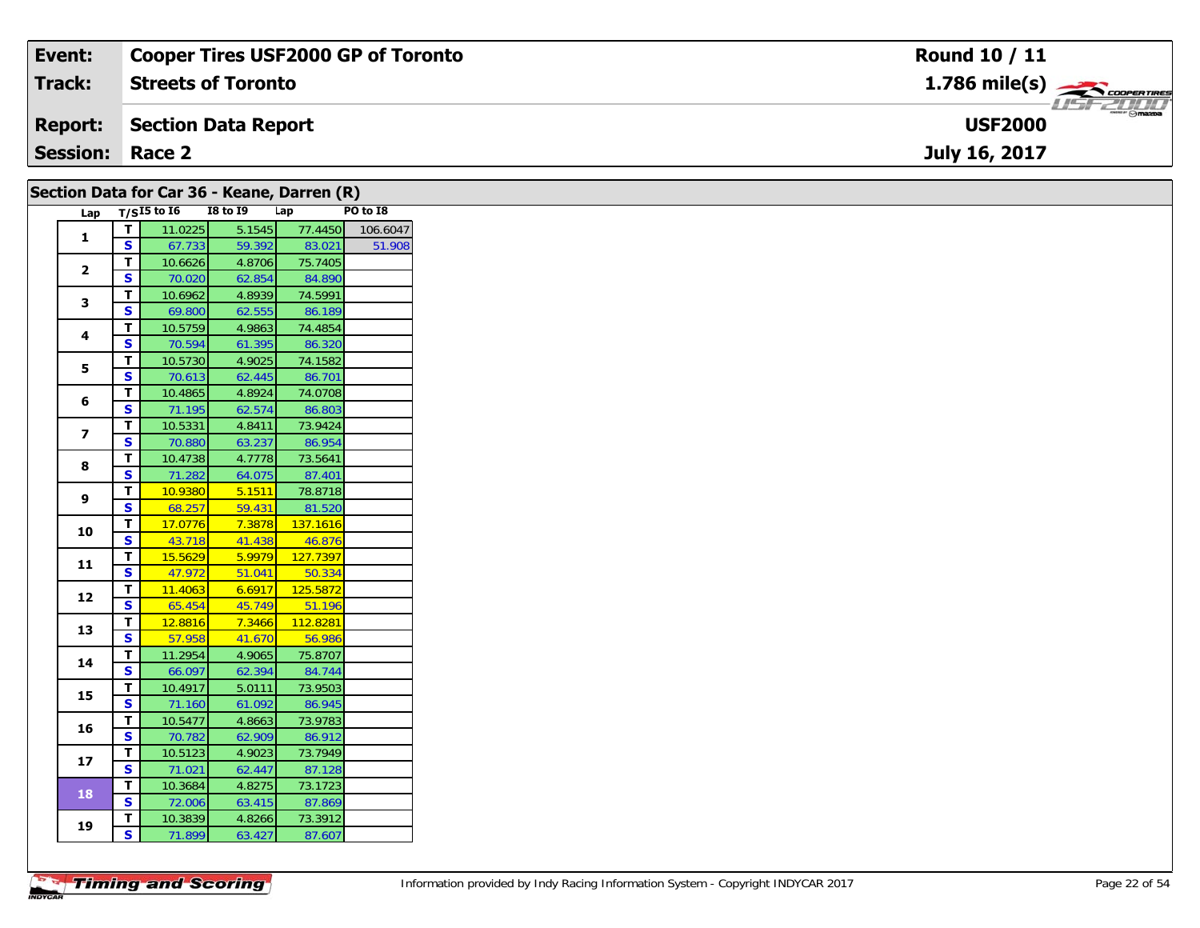| Event:                 | <b>Cooper Tires USF2000 GP of Toronto</b> | <b>Round 10 / 11</b>          |
|------------------------|-------------------------------------------|-------------------------------|
| <b>Track:</b>          | <b>Streets of Toronto</b>                 | $1.786$ mile(s) $\frac{1}{2}$ |
| <b>Report:</b>         | Section Data Report                       | <b>USF2000</b>                |
| <b>Session: Race 2</b> |                                           | July 16, 2017                 |
|                        |                                           |                               |

| $\mathbf{1}$<br>$\mathbf{2}$<br>3<br>4<br>5<br>6<br>$\overline{\mathbf{z}}$ | $\mathbf T$<br>$\mathbf{s}$<br>T.<br>S<br>T.<br>$\mathbf{s}$<br>T.<br><b>S</b><br>T.<br>S<br>T. | Lap $T/SI5$ to 16<br>11.0225<br>67.733<br>10.6626<br>70.020<br>10.6962<br>69.800<br>10.5759<br>70.594<br>10.5730<br>70.613 | <b>I8 to 19</b><br>5.1545<br>59.392<br>4.8706<br>62.854<br>4.8939<br>62.555<br>4.9863<br>61.395 | Lap<br>77.4450<br>83.021<br>75.7405<br>84.890<br>74.5991<br>86.189<br>74.4854<br>86.320 | PO to I8 |
|-----------------------------------------------------------------------------|-------------------------------------------------------------------------------------------------|----------------------------------------------------------------------------------------------------------------------------|-------------------------------------------------------------------------------------------------|-----------------------------------------------------------------------------------------|----------|
|                                                                             |                                                                                                 |                                                                                                                            |                                                                                                 |                                                                                         | 106.6047 |
|                                                                             |                                                                                                 |                                                                                                                            |                                                                                                 |                                                                                         | 51.908   |
|                                                                             |                                                                                                 |                                                                                                                            |                                                                                                 |                                                                                         |          |
|                                                                             |                                                                                                 |                                                                                                                            |                                                                                                 |                                                                                         |          |
|                                                                             |                                                                                                 |                                                                                                                            |                                                                                                 |                                                                                         |          |
|                                                                             |                                                                                                 |                                                                                                                            |                                                                                                 |                                                                                         |          |
|                                                                             |                                                                                                 |                                                                                                                            |                                                                                                 |                                                                                         |          |
|                                                                             |                                                                                                 |                                                                                                                            |                                                                                                 |                                                                                         |          |
|                                                                             |                                                                                                 |                                                                                                                            |                                                                                                 |                                                                                         |          |
|                                                                             |                                                                                                 |                                                                                                                            | 4.9025                                                                                          | 74.1582                                                                                 |          |
|                                                                             |                                                                                                 |                                                                                                                            | 62.445                                                                                          | 86.701                                                                                  |          |
|                                                                             |                                                                                                 | 10.4865                                                                                                                    | 4.8924                                                                                          | 74.0708                                                                                 |          |
|                                                                             | S                                                                                               | 71.195                                                                                                                     | 62.574                                                                                          | 86.803                                                                                  |          |
|                                                                             | T                                                                                               | 10.5331                                                                                                                    | 4.8411                                                                                          | 73.9424                                                                                 |          |
|                                                                             | S                                                                                               | 70.880                                                                                                                     | 63.237                                                                                          | 86.954                                                                                  |          |
| 8                                                                           | Т                                                                                               | 10.4738                                                                                                                    | 4.7778                                                                                          | 73.5641                                                                                 |          |
|                                                                             | S                                                                                               | 71.282                                                                                                                     | 64.075                                                                                          | 87.401                                                                                  |          |
| 9                                                                           | T                                                                                               | 10.9380                                                                                                                    | 5.1511                                                                                          | 78.8718                                                                                 |          |
|                                                                             | S                                                                                               | 68.257                                                                                                                     | 59.431                                                                                          | 81.520                                                                                  |          |
| 10                                                                          | T<br>$\overline{\mathbf{s}}$                                                                    | 17.0776<br>43.718                                                                                                          | 7.3878<br>41.438                                                                                | 137.1616<br>46.876                                                                      |          |
|                                                                             | T                                                                                               | 15.5629                                                                                                                    | 5.9979                                                                                          | 127.7397                                                                                |          |
| 11                                                                          | S                                                                                               | 47.972                                                                                                                     | 51.041                                                                                          | 50.334                                                                                  |          |
|                                                                             | T                                                                                               | 11.4063                                                                                                                    | 6.6917                                                                                          | 125.5872                                                                                |          |
| 12                                                                          | S                                                                                               | 65.454                                                                                                                     | 45.749                                                                                          | 51.196                                                                                  |          |
|                                                                             | T.                                                                                              | 12.8816                                                                                                                    | 7.3466                                                                                          | 112.8281                                                                                |          |
| 13                                                                          | S                                                                                               | 57.958                                                                                                                     | 41.670                                                                                          | 56.986                                                                                  |          |
|                                                                             | T.                                                                                              | 11.2954                                                                                                                    | 4.9065                                                                                          | 75.8707                                                                                 |          |
| 14                                                                          | S                                                                                               | 66.097                                                                                                                     | 62.394                                                                                          | 84.744                                                                                  |          |
|                                                                             | Т                                                                                               | 10.4917                                                                                                                    | 5.0111                                                                                          | 73.9503                                                                                 |          |
| 15                                                                          | $\overline{\mathbf{s}}$                                                                         | 71.160                                                                                                                     | 61.092                                                                                          | 86.945                                                                                  |          |
|                                                                             | T                                                                                               | 10.5477                                                                                                                    | 4.8663                                                                                          | 73.9783                                                                                 |          |
| 16                                                                          | S                                                                                               | 70.782                                                                                                                     | 62.909                                                                                          | 86.912                                                                                  |          |
|                                                                             | T.                                                                                              | 10.5123                                                                                                                    | 4.9023                                                                                          | 73.7949                                                                                 |          |
| 17                                                                          | S                                                                                               | 71.021                                                                                                                     | 62.447                                                                                          | 87.128                                                                                  |          |
|                                                                             | T.                                                                                              | 10.3684                                                                                                                    | 4.8275                                                                                          | 73.1723                                                                                 |          |
| <b>18</b>                                                                   | S                                                                                               | 72.006                                                                                                                     | 63.415                                                                                          | 87.869                                                                                  |          |
|                                                                             | T.                                                                                              | 10.3839                                                                                                                    | 4.8266                                                                                          | 73.3912                                                                                 |          |
| 19                                                                          |                                                                                                 |                                                                                                                            |                                                                                                 |                                                                                         |          |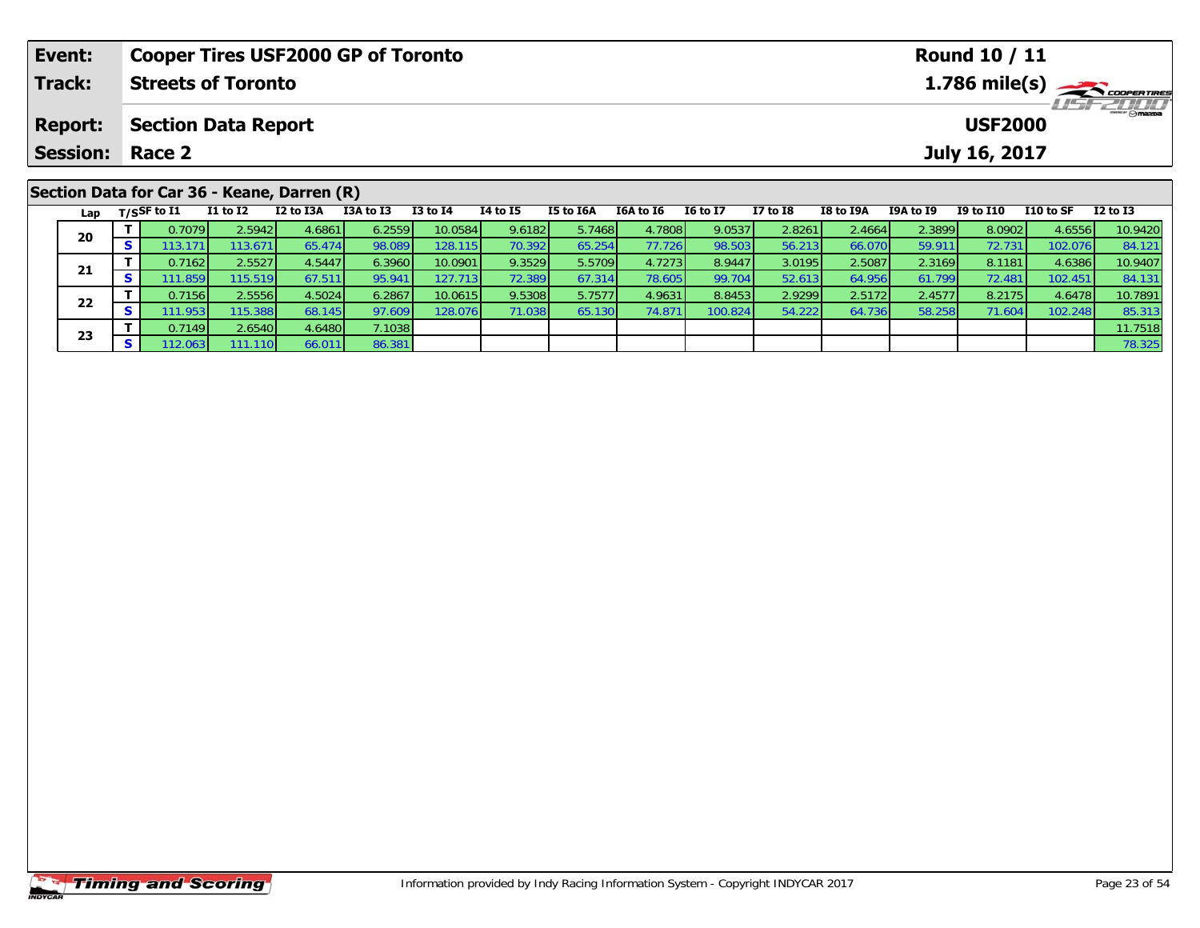| Event:                                      |                            | <b>Cooper Tires USF2000 GP of Toronto</b> |           |           |                                                               |          |           |                  |                 |                 |           |                | <b>Round 10 / 11</b> |           |                 |  |  |
|---------------------------------------------|----------------------------|-------------------------------------------|-----------|-----------|---------------------------------------------------------------|----------|-----------|------------------|-----------------|-----------------|-----------|----------------|----------------------|-----------|-----------------|--|--|
| Track:                                      |                            | <b>Streets of Toronto</b>                 |           |           | $1.786$ mile(s) $\rightarrow$ coorentment<br><b>LISFELINI</b> |          |           |                  |                 |                 |           |                |                      |           |                 |  |  |
| <b>Report:</b>                              | <b>Section Data Report</b> |                                           |           |           |                                                               |          |           |                  |                 |                 |           | <b>USF2000</b> |                      |           |                 |  |  |
| <b>Session: Race 2</b>                      |                            |                                           |           |           |                                                               |          |           |                  |                 |                 |           |                | July 16, 2017        |           |                 |  |  |
|                                             |                            |                                           |           |           |                                                               |          |           |                  |                 |                 |           |                |                      |           |                 |  |  |
| Section Data for Car 36 - Keane, Darren (R) |                            |                                           |           |           |                                                               |          |           |                  |                 |                 |           |                |                      |           |                 |  |  |
| Lap                                         | $_{\rm T/SS}$ F to I1      | I1 to I2                                  | I2 to I3A | I3A to I3 | $I3$ to $I4$                                                  | 14 to 15 | I5 to I6A | <b>I6A to I6</b> | <b>16 to 17</b> | <b>I7 to I8</b> | I8 to I9A | I9A to I9      | <b>I9 to I10</b>     | I10 to SF | <b>I2 to I3</b> |  |  |

0 | **T** | 0.7079| 2.5942| 4.6861| 6.2559| 10.0584| 9.6182| 5.7468| 4.7808| 9.0537| 2.8261| 2.4664| 2.3899| 8.0902| 4.6556| 10.9420<br>| S | 113.171| 113.671| 65.474| 98.089| 128.115| 70.392| 65.254| 77.726| 98.503| 56.213| 66

1 T 0.7162 2.5527 4.5447 6.3960 10.0901 9.3529 5.5709 4.7273 8.9447 3.0195 2.5087 2.3169 8.1181 4.6386 10.9407<br>S 111.859 115.519 67.511 95.941 127.713 72.389 67.314 78.605 99.704 52.613 64.956 61.799 72.481 102.451 84.131

2 T 0.7156 2.5556 4.5024 6.2867 10.0615 9.5308 5.7577 4.9631 8.8453 2.9299 2.5172 2.4577 8.2175 4.6478 10.7891<br>2 S 111.953 115.388 68.145 97.609 128.076 71.038 65.130 74.871 100.824 54.222 64.736 58.258 71.604 102.248 85.3

**<sup>T</sup>** 0.7149 2.6540 4.6480 7.1038 11.7518 **<sup>S</sup>** 112.063 111.110 66.011 86.381 78.325

**20**

**21**

**22**

**23**

84.131<br>10.7891

85.313<br>11.7518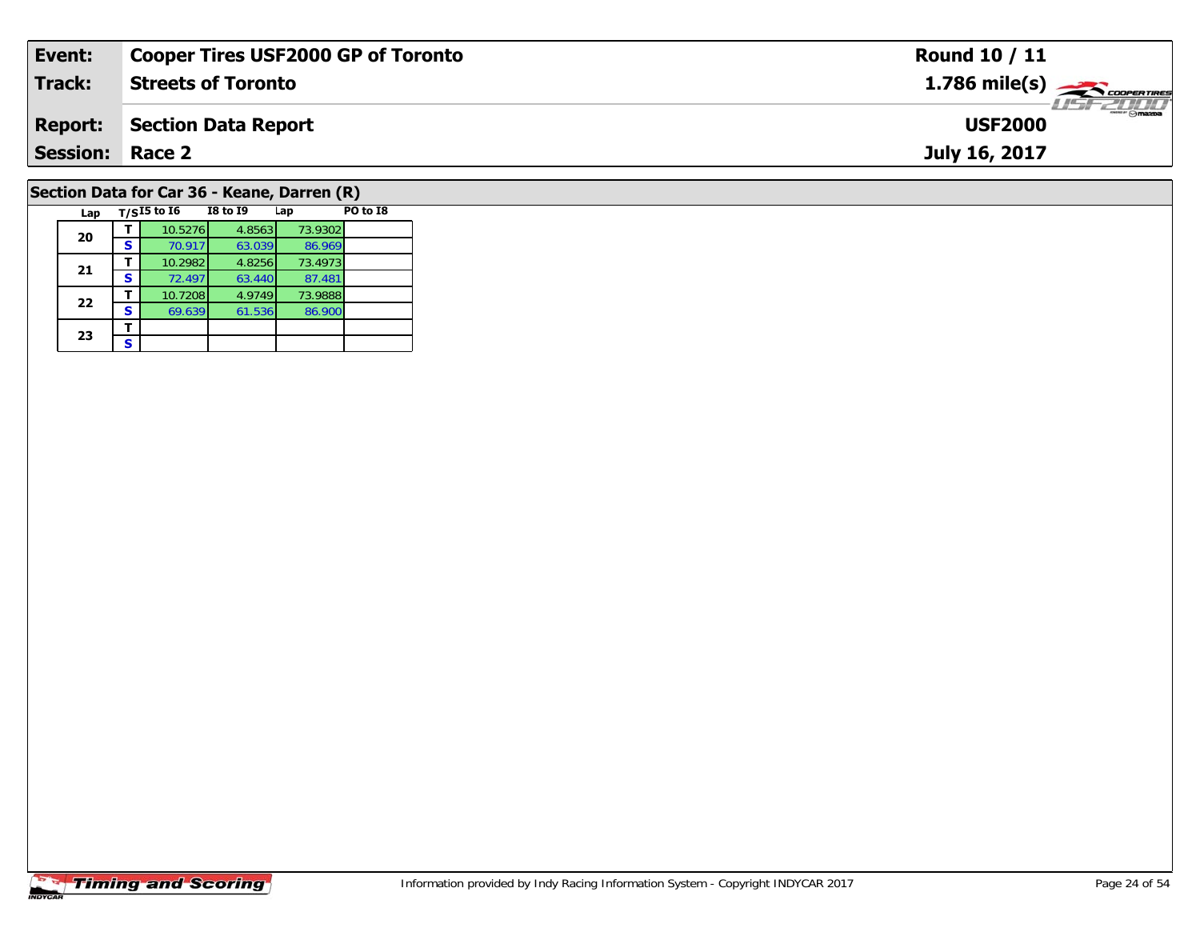| Event:                 | <b>Cooper Tires USF2000 GP of Toronto</b>         | <b>Round 10 / 11</b>                                      |  |  |  |  |  |  |
|------------------------|---------------------------------------------------|-----------------------------------------------------------|--|--|--|--|--|--|
| <b>Track:</b>          | <b>Streets of Toronto</b>                         | $1.786$ mile(s) $\overbrace{\hspace{2.5cm}}$ coorer TIRES |  |  |  |  |  |  |
| <b>Report:</b>         | <b>Section Data Report</b>                        | <b>USF2000</b>                                            |  |  |  |  |  |  |
| <b>Session: Race 2</b> |                                                   | July 16, 2017                                             |  |  |  |  |  |  |
|                        | Section Data for Car 36 - Keane, Darren (R)       |                                                           |  |  |  |  |  |  |
| Lap                    | T/SI5 to I6<br>PO to I8<br><b>I8 to I9</b><br>Lap |                                                           |  |  |  |  |  |  |

## **Timing and Scoring**

**20**

**21**

**22**

**23**3 <u>F</u>

**<sup>T</sup>** 10.5276 4.8563 73.9302 **<sup>S</sup>** 70.917 63.039 86.969

**T** 10.2982 4.8256 73.4973<br>**S** 72.497 63.440 87.481

**<sup>T</sup>** 10.7208 4.9749 73.9888 **<sup>S</sup>** 69.639 61.536 86.900

86.969<br>73.4973

87.481<br>73.9888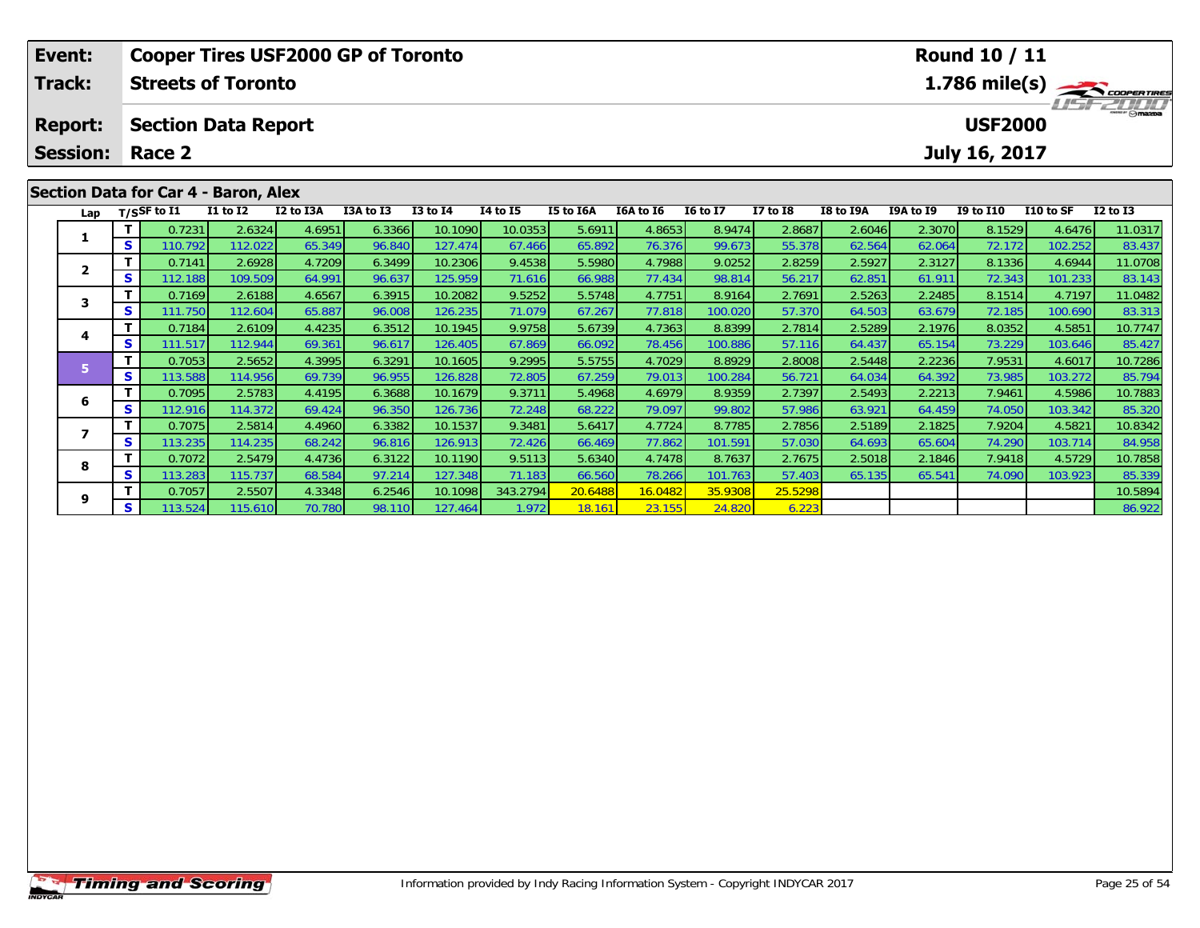|              | Event:<br><b>Cooper Tires USF2000 GP of Toronto</b> |          |                           |                                      |           |           |              |                 |           |                  |                 | <b>Round 10 / 11</b> |           |                                                             |                  |           |              |  |
|--------------|-----------------------------------------------------|----------|---------------------------|--------------------------------------|-----------|-----------|--------------|-----------------|-----------|------------------|-----------------|----------------------|-----------|-------------------------------------------------------------|------------------|-----------|--------------|--|
|              | <b>Track:</b>                                       |          | <b>Streets of Toronto</b> |                                      |           |           |              |                 |           |                  |                 |                      |           | $1.786$ mile(s) $\rightarrow$ COOPERTIRES<br><b>USFZUJU</b> |                  |           |              |  |
|              | <b>Report:</b>                                      |          |                           | <b>Section Data Report</b>           |           |           |              |                 |           |                  |                 |                      |           |                                                             | <b>USF2000</b>   |           |              |  |
|              | <b>Session:</b>                                     |          | Race 2                    |                                      |           |           |              |                 |           |                  |                 |                      |           |                                                             | July 16, 2017    |           |              |  |
|              |                                                     |          |                           | Section Data for Car 4 - Baron, Alex |           |           |              |                 |           |                  |                 |                      |           |                                                             |                  |           |              |  |
|              |                                                     |          | Lap $T/SSF$ to I1         | <b>I1 to I2</b>                      | I2 to I3A | I3A to I3 | $I3$ to $I4$ | <b>I4 to I5</b> | I5 to I6A | <b>I6A to I6</b> | <b>16 to 17</b> | <b>I7 to I8</b>      | I8 to I9A | <b>I9A to I9</b>                                            | <b>I9 to I10</b> | I10 to SF | $I2$ to $I3$ |  |
|              |                                                     |          | 0.7231                    | 2.6324                               | 4.6951    | 6.3366    | 10.1090      | 10.0353         | 5.6911    | 4.8653           | 8.9474          | 2.8687               | 2.6046    | 2.3070                                                      | 8.1529           | 4.6476    | 11.0317      |  |
|              |                                                     | <b>S</b> | 110.792                   | 112.022                              | 65.349    | 96.840    | 127.474      | 67.466          | 65.892    | 76.376           | 99.673          | 55.378               | 62.564    | 62.064                                                      | 72.172           | 102.252   | 83.437       |  |
|              |                                                     |          | 0.7141                    | 2.6928                               | 4.7209    | 6.3499    | 10.2306      | 9.4538          | 5.5980    | 4.7988           | 9.0252          | 2.8259               | 2.5927    | 2.3127                                                      | 8.1336           | 4.6944    | 11.0708      |  |
| $\mathbf{2}$ |                                                     | s        | 112.188                   | 109.509                              | 64.991    | 96.637    | 125.959      | 71.616          | 66.988    | 77.434           | 98.814          | 56.217               | 62.851    | 61.911                                                      | 72.343           | 101.233   | 83.143       |  |

3 T 0.7169 2.6188 4.6567 6.3915 10.2082 9.5252 5.5748 4.7751 8.9164 2.7691 2.5263 2.2485 8.1514 4.7197 11.0482<br>S S 111.750 112.604 65.887 96.008 126.235 71.079 67.267 77.818 100.020 57.370 64.503 63.679 72.185 100.690 83.3

4 T 0.7184 2.6109 4.4235 6.3512 10.1945 9.9758 5.6739 4.7363 8.8399 2.7814 2.5289 2.1976 8.0352 4.5851 10.7747<br>S 111.517 112.944 69.361 96.617 126.405 67.869 66.092 78.456 100.886 57.116 64.437 65.154 73.229 103.646 85.427

5 T 0.7053 2.5652 4.3995 6.3291 10.1605 9.2995 5.5755 4.7029 8.8929 2.8008 2.5448 2.2236 7.9531 4.6017 10.7286<br>5 S 113.588 114.956 69.739 96.955 126.828 72.805 67.259 79.013 100.284 56.721 64.034 64.392 73.985 103.272 85.7

6 T 0.7095 2.5783 4.4195 6.3688 10.1679 9.3711 5.4968 4.6979 8.9359 2.7397 2.5493 2.2213 7.9461 4.5986 10.7883<br>5 S 112.916 114.372 69.424 96.350 126.736 72.248 68.222 79.097 99.802 57.986 63.921 64.459 74.050 103.342 85.32

7 | **T** | 0.7075| 2.5814| 4.4960| 6.3382| 10.1537| 9.3481| 5.6417| 4.7724| 8.7785| 2.7856| 2.5189| 2.1825| 7.9204| 4.5821| 10.8342<br>- S | 113.235| 114.235| 68.242| 96.816| 126.913| 72.426| 66.469| 77.862| 101.591| 57.030| 6

8 T 0.7072 2.5479 4.4736 6.3122 10.1190 9.5113 5.6340 4.7478 8.7637 2.7675 2.5018 2.1846 7.9418 4.5729 10.7858<br>8 S 113.283 115.737 68.584 97.214 127.348 71.183 66.560 78.266 101.763 57.403 65.135 65.541 74.090 103.923 85.3

**<sup>T</sup>** 0.7057 2.5507 4.3348 6.2546 10.1098 343.2794 20.6488 16.0482 35.9308 25.5298 10.5894 **<sup>S</sup>** 113.524 115.610 70.780 98.110 127.464 1.972 18.161 23.155 24.820 6.223 86.922

**3**

**4**

**5**

**6**

**7**

**8**

**9**

85.42

84.958

85.339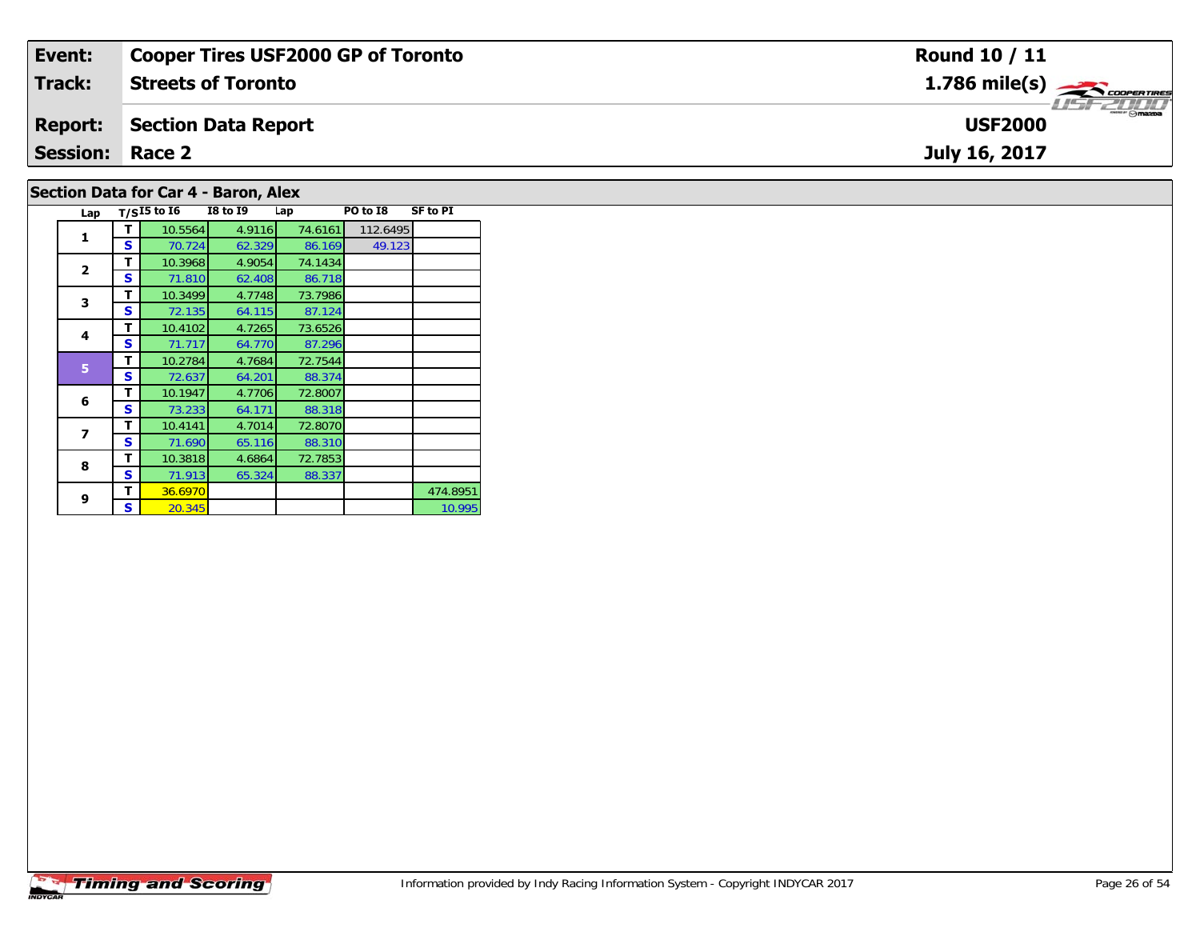| Event:                 | <b>Cooper Tires USF2000 GP of Toronto</b> | Round 10 / 11  |  |  |  |  |  |  |  |  |
|------------------------|-------------------------------------------|----------------|--|--|--|--|--|--|--|--|
| Track:                 | <b>Streets of Toronto</b>                 |                |  |  |  |  |  |  |  |  |
| <b>Report:</b>         | Section Data Report                       | <b>USF2000</b> |  |  |  |  |  |  |  |  |
| <b>Session: Race 2</b> |                                           | July 16, 2017  |  |  |  |  |  |  |  |  |
|                        | Section Data for Car 4 - Baron, Alex      |                |  |  |  |  |  |  |  |  |

| Lap          |   | $T/SI5$ to $I6$ | I8 to 19 | Lap     | PO to I8 | SF to PI |
|--------------|---|-----------------|----------|---------|----------|----------|
|              | т | 10.5564         | 4.9116   | 74.6161 | 112.6495 |          |
| 1            | s | 70.724          | 62.329   | 86.169  | 49.123   |          |
|              | т | 10.3968         | 4.9054   | 74.1434 |          |          |
| $\mathbf{2}$ | s | 71.810          | 62.408   | 86.718  |          |          |
| 3            | т | 10.3499         | 4.7748   | 73.7986 |          |          |
|              | s | 72.135          | 64.115   | 87.124  |          |          |
| 4            | т | 10.4102         | 4.7265   | 73.6526 |          |          |
|              | s | 71.717          | 64.770   | 87.296  |          |          |
| 5            | т | 10.2784         | 4.7684   | 72.7544 |          |          |
|              | S | 72.637          | 64.201   | 88.374  |          |          |
| 6            | т | 10.1947         | 4.7706   | 72.8007 |          |          |
|              | S | 73.233          | 64.171   | 88.318  |          |          |
| 7            | т | 10.4141         | 4.7014   | 72.8070 |          |          |
|              | S | 71.690          | 65.116   | 88.310  |          |          |
| 8            | т | 10.3818         | 4.6864   | 72.7853 |          |          |
|              | S | 71.913          | 65.324   | 88.337  |          |          |
| 9            | т | 36.6970         |          |         |          | 474.8951 |
|              | S | 20.345          |          |         |          | 10.995   |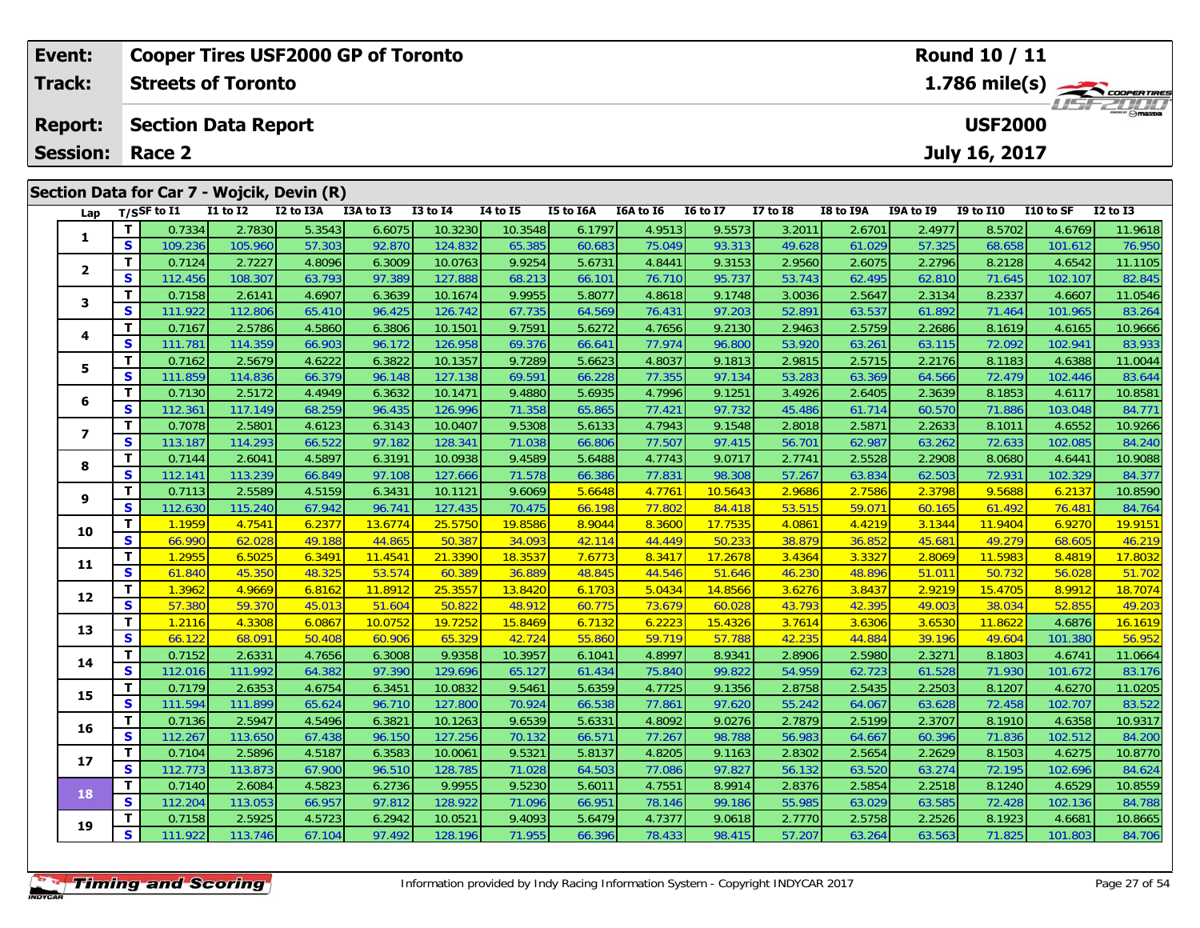| Event:                  |                            |                           |              | <b>Cooper Tires USF2000 GP of Toronto</b>  |           |                 |                 |           |           |                 |          |                         |                                          | Round 10 / 11    |           |              |  |  |
|-------------------------|----------------------------|---------------------------|--------------|--------------------------------------------|-----------|-----------------|-----------------|-----------|-----------|-----------------|----------|-------------------------|------------------------------------------|------------------|-----------|--------------|--|--|
| <b>Track:</b>           |                            | <b>Streets of Toronto</b> |              |                                            |           |                 |                 |           |           |                 |          | $1.786 \text{ mile(s)}$ |                                          |                  |           |              |  |  |
| <b>Report:</b>          | <b>Section Data Report</b> |                           |              |                                            |           |                 |                 |           |           |                 |          |                         | <i><b>ISFED IN</b></i><br><b>USF2000</b> |                  |           |              |  |  |
| <b>Session:</b>         |                            | Race 2                    |              |                                            |           |                 |                 |           |           |                 |          |                         |                                          | July 16, 2017    |           |              |  |  |
|                         |                            |                           |              | Section Data for Car 7 - Wojcik, Devin (R) |           |                 |                 |           |           |                 |          |                         |                                          |                  |           |              |  |  |
|                         |                            | Lap $T/SSF$ to I1         | $I1$ to $I2$ | I2 to I3A                                  | I3A to I3 | <b>I3 to I4</b> | <b>I4 to I5</b> | I5 to I6A | I6A to I6 | <b>16 to 17</b> | I7 to I8 | I8 to I9A               | I9A to I9                                | <b>I9 to I10</b> | I10 to SF | $I2$ to $I3$ |  |  |
|                         |                            | 0.7334                    | 2.7830       | 5.3543                                     | 6.6075    | 10.3230         | 10.3548         | 6.1797    | 4.9513    | 9.5573          | 3.2011   | 2.6701                  | 2.4977                                   | 8.5702           | 4.6769    | 11.9618      |  |  |
|                         | <b>S</b>                   | 109.236                   | 105.960      | 57.303                                     | 92.870    | 124.832         | 65.385          | 60.683    | 75.049    | 93.313          | 49.628   | 61.029                  | 57.325                                   | 68.658           | 101.612   | 76.950       |  |  |
| $\overline{\mathbf{2}}$ |                            | 0.7124                    | 2.7227       | 4.8096                                     | 6.3009    | 10.0763         | 9.9254          | 5.6731    | 4.8441    | 9.3153          | 2.9560   | 2.6075                  | 2.2796                                   | 8.2128           | 4.6542    | 11.1105      |  |  |
|                         | <b>S</b>                   | 112.456                   | 108.307      | 63.793                                     | 97.389    | 127.888         | 68.213          | 66.101    | 76.710    | 95.737          | 53.743   | 62.495                  | 62.810                                   | 71.645           | 102.107   | 82.845       |  |  |
| 3                       |                            | 0.7158                    | 2.6141       | 4.6907                                     | 6.3639    | 10.1674         | 9.9955          | 5.8077    | 4.8618    | 9.1748          | 3.0036   | 2.5647                  | 2.3134                                   | 8.2337           | 4.6607    | 11.0546      |  |  |
|                         | S.                         | 111.922                   | 112.806      | 65.410                                     | 96.425    | 126.742         | 67.735          | 64.569    | 76.431    | 97.203          | 52.891   | 63.537                  | 61.892                                   | 71.464           | 101.965   | 83.264       |  |  |
| 4                       |                            | 0.7167                    | 2.5786       | 4.5860                                     | 6.3806    | 10.1501         | 9.7591          | 5.6272    | 4.7656    | 9.2130          | 2.9463   | 2.5759                  | 2.2686                                   | 8.1619           | 4.6165    | 10.9666      |  |  |
|                         | <b>S</b>                   | 111.781                   | 114.359      | 66.903                                     | 96.172    | 126.958         | 69.376          | 66.641    | 77.974    | 96.800          | 53.920   | 63.261                  | 63.115                                   | 72.092           | 102.941   | 83.933       |  |  |

5 T 0.7162 2.5679 4.6222 6.3822 10.1357 9.7289 5.6623 4.8037 9.1813 2.9815 2.5715 2.2176 8.1183 4.6388 11.0044<br>5 S 111.859 114.836 66.379 96.148 127.138 69.591 66.228 77.355 97.134 53.283 63.369 64.566 72.479 102.446 83.64

6 T 0.7130 2.5172 4.4949 6.3632 10.1471 9.4880 5.6935 4.7996 9.1251 3.4926 2.6405 2.3639 8.1853 4.6117 10.8581<br>5 S 112.361 117.149 68.259 96.435 126.996 71.358 65.865 77.421 97.732 45.486 61.714 60.570 71.886 103.048 84.77

7 | T | 0.7078| 2.5801| 4.6123| 6.3143| 10.0407| 9.5308| 5.6133| 4.7943| 9.1548| 2.8018| 2.5871| 2.2633| 8.1011| 4.6552| 10.9266<br>7 | S | 113.187| 114.293| 66.522| 97.182| 128.341| 71.038| 66.806| 77.507| 97.415| 56.701| 62

8 T 0.7144 2.6041 4.5897 6.3191 10.0938 9.4589 5.6488 4.7743 9.0717 2.7741 2.5528 2.2908 8.0680 4.6441 10.9088<br>S S 112.141 113.239 66.849 97.108 127.666 71.578 66.386 77.831 98.308 57.267 63.834 62.503 72.931 102.329 84.37

<mark>11</mark> 0.7113| 2.5589| 4.5159| 6.3431| 10.1121| 9.6069| 5.6648| 4.7761| 10.5643| 2.9686| 2.7586| 2.3798| 9.5688| 6.2137| 10.8590<br>| S 112.630| 115.240| 67.942| 96.741| 127.435| 70.475| 66.198| 77.802| 84.418| 53.515| 59.071|

0 | **T** | 1.1959 | 4.7541 | 6.2377 | 13.6774 | 25.5750 | 19.8586 | 8.9044 | 8.3600 | 17.7535 | 4.0861 | 4.4219 | 3.1344 | 11.9404 | 6.9270 | 19.9151<br>| S | 66.990 | 62.028 | 49.188 | 44.865 | 50.387 | 34.093 | 42.114 | 44.4

1 | T | 1.2955 6.5025 6.3491 11.4541 21.3390 18.3537 7.6773 8.3417 17.2678 3.4364 3.3327 2.8069 11.5983 8.4819 17.8032<br>1 | S | 61.840 45.350 48.325 53.574 60.389 36.889 48.845 44.546 51.646 46.230 48.896 51.011 50.732 56.0

2 T 1.3962 4.9669 6.8162 11.8912 25.3557 13.8420 6.1703 5.0434 14.8566 3.6276 3.8437 2.9219 15.4705 8.9912 18.7074<br>2 S 57.380 59.370 45.013 51.604 50.822 48.912 60.775 73.679 60.028 43.793 42.395 49.003 38.034 52.855 49.20

**<sup>T</sup>** 1.2116 4.3308 6.0867 10.0752 19.7252 15.8469 6.7132 6.2223 15.4326 3.7614 3.6306 3.6530 11.8622 4.6876 16.1619 **<sup>S</sup>** 66.122 68.091 50.408 60.906 65.329 42.724 55.860 59.719 57.788 42.235 44.884 39.196 49.604 101.380 56.952

4 T 0.7152 2.6331 4.7656 6.3008 9.9358 10.3957 6.1041 4.8997 8.9341 2.8906 2.5980 2.3271 8.1803 4.6741 11.0664<br>S 112.016 111.992 64.382 97.390 129.696 65.127 61.434 75.840 99.822 54.959 62.723 61.528 71.930 101.672 83.176

5 T 0.7179 2.6353 4.6754 6.3451 10.0832 9.5461 5.6359 4.7725 9.1356 2.8758 2.5435 2.2503 8.1207 4.6270 11.0205<br>5 S 111.594 111.899 65.624 96.710 127.800 70.924 66.538 77.861 97.620 55.242 64.067 63.628 72.458 102.707 83.52

**<sup>T</sup>** 0.7136 2.5947 4.5496 6.3821 10.1263 9.6539 5.6331 4.8092 9.0276 2.7879 2.5199 2.3707 8.1910 4.6358 10.9317 **<sup>S</sup>** 112.267 113.650 67.438 96.150 127.256 70.132 66.571 77.267 98.788 56.983 64.667 60.396 71.836 102.512 84.200

7 T 0.7104 2.5896 4.5187 6.3583 10.0061 9.5321 5.8137 4.8205 9.1163 2.8302 2.5654 2.2629 8.1503 4.6275 10.8770<br>7 S 112.773 113.873 67.900 96.510 128.785 71.028 64.503 77.086 97.827 56.132 63.520 63.274 72.195 102.696 84.62

8 T 0.7140 2.6084 4.5823 6.2736 9.9955 9.5230 5.6011 4.7551 8.9914 2.8376 2.5854 2.2518 8.1240 4.6529 10.8559<br>8 S 112.204 113.053 66.957 97.812 128.922 71.096 66.951 78.146 99.186 55.985 63.029 63.585 72.428 102.136 84.788

**<sup>T</sup>** 0.7158 2.5925 4.5723 6.2942 10.0521 9.4093 5.6479 4.7377 9.0618 2.7770 2.5758 2.2526 8.1923 4.6681 10.8665 **<sup>S</sup>** 111.922 113.746 67.104 97.492 128.196 71.955 66.396 78.433 98.415 57.207 63.264 63.563 71.825 101.803 84.706

| <b>Timing and Scoring</b> |  |
|---------------------------|--|

**5**

**6**

**7**

**8**

**9**

**10**

**11**

**12**

**13**

**14**

**15**

**16**

**17**

**18**

**19**

84.240

84.764

56.952

83.176

84.624

84.78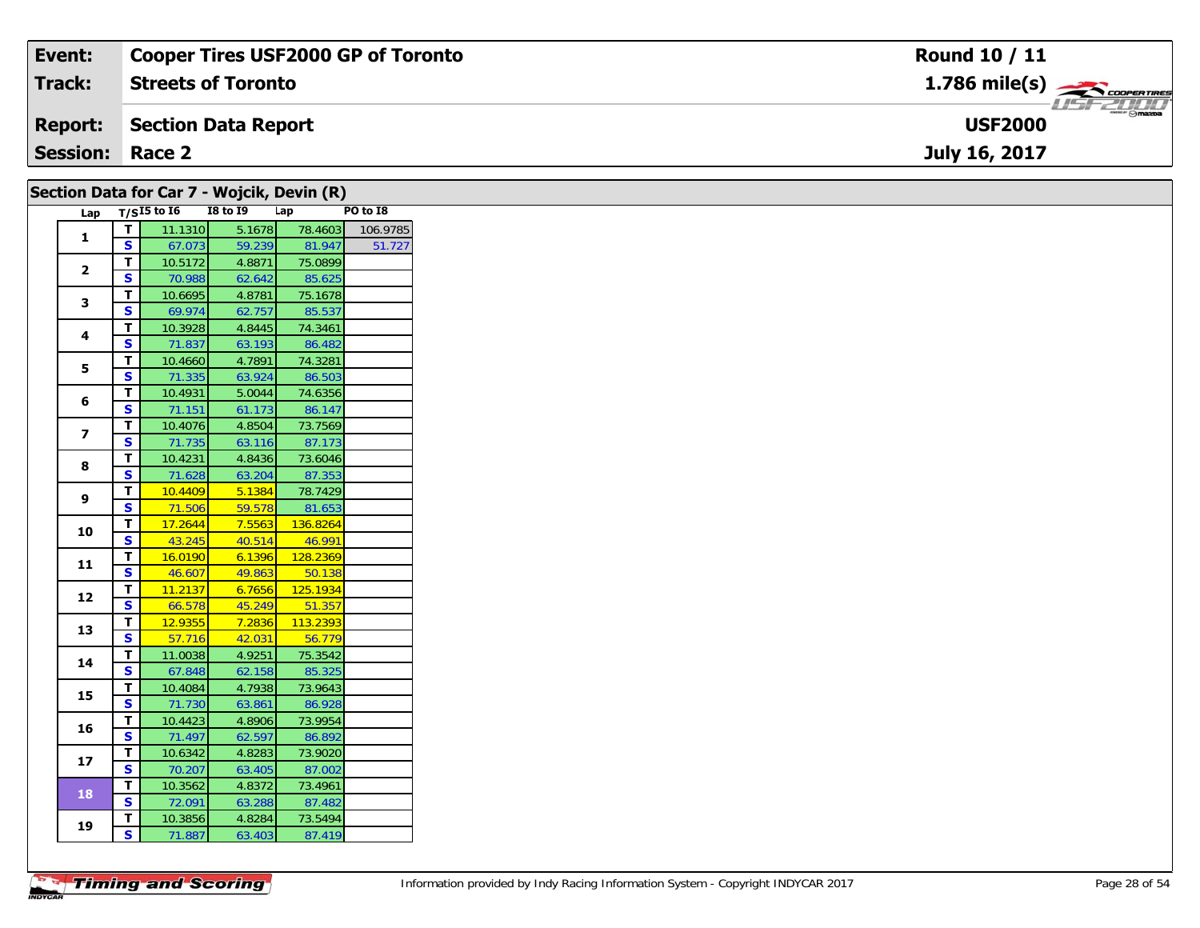| Event:                 | <b>Cooper Tires USF2000 GP of Toronto</b>      | Round 10 / 11                                             |
|------------------------|------------------------------------------------|-----------------------------------------------------------|
| <b>Track:</b>          | <b>Streets of Toronto</b>                      | $1.786$ mile(s) $\overbrace{\hspace{2.5cm}}$ coorer TIRES |
| <b>Report:</b>         | Section Data Report                            | $\overline{\phantom{a}}$ $\odot$ mazoa<br><b>USF2000</b>  |
| <b>Session: Race 2</b> |                                                | July 16, 2017                                             |
|                        | Section Data for Car $7$ - Woicik, Devin $(R)$ |                                                           |

|                         |                         | $\sim$                       |                  |                   |          |
|-------------------------|-------------------------|------------------------------|------------------|-------------------|----------|
|                         |                         | Lap $\overline{T/S15}$ to 16 | <b>I8 to 19</b>  | Lap               | PO to I8 |
|                         | T                       | 11.1310                      | 5.1678           | 78.4603           | 106.9785 |
| 1                       | S                       | 67.073                       | 59.239           | 81.947            | 51.727   |
|                         | $\mathbf T$             | 10.5172                      | 4.8871           | 75.0899           |          |
| $\mathbf{2}$            | $\mathbf{s}$            | 70.988                       | 62.642           | 85.625            |          |
|                         | T                       | 10.6695                      | 4.8781           | 75.1678           |          |
| 3                       | <b>S</b>                | 69.974                       | 62.757           | 85.537            |          |
|                         |                         |                              | 4.8445           |                   |          |
| 4                       | т                       | 10.3928                      |                  | 74.3461           |          |
|                         | S                       | 71.837                       | 63.193           | 86.482            |          |
| 5                       | т                       | 10.4660                      | 4.7891           | 74.3281           |          |
|                         | $\overline{\mathbf{s}}$ | 71.335                       | 63.924           | 86.503            |          |
| 6                       | T                       | 10.4931                      | 5.0044           | 74.6356           |          |
|                         | <b>S</b>                | 71.151                       | 61.173           | 86.147            |          |
|                         | T.                      | 10.4076                      | 4.8504           | 73.7569           |          |
| $\overline{\mathbf{z}}$ | S                       | 71.735                       | 63.116           | 87.173            |          |
|                         | Т                       | 10.4231                      | 4.8436           | 73.6046           |          |
| 8                       | S                       | 71.628                       | 63.204           | 87.353            |          |
|                         | T.                      | 10.4409                      | 5.1384           | 78.7429           |          |
| 9                       | S                       | 71.506                       | 59.578           | 81.653            |          |
|                         | $\mathbf T$             | 17.2644                      | 7.5563           | 136.8264          |          |
| 10                      | S                       | 43.245                       | 40.514           | 46.991            |          |
|                         |                         |                              |                  | 128.2369          |          |
| 11                      | T.                      | 16.0190                      | 6.1396           |                   |          |
|                         | S                       | 46.607                       | 49.863           | 50.138            |          |
| 12                      | Т                       | 11.2137                      | 6.7656           | 125.1934          |          |
|                         | S                       | 66.578                       | 45.249           | 51.357            |          |
| 13                      | T                       | 12.9355                      | 7.2836           | 113.2393          |          |
|                         | S                       | 57.716                       | 42.031           | 56.779            |          |
|                         | T                       | 11.0038                      | 4.9251           | 75.3542           |          |
| 14                      | S                       | 67.848                       | 62.158           | 85.325            |          |
|                         | T.                      | 10.4084                      | 4.7938           | 73.9643           |          |
| 15                      | S                       | 71.730                       | 63.861           | 86.928            |          |
|                         | т                       | 10.4423                      | 4.8906           | 73.9954           |          |
| 16                      | S                       | 71.497                       | 62.597           | 86.892            |          |
|                         |                         |                              |                  |                   |          |
|                         |                         |                              |                  |                   |          |
| 17                      | T                       | 10.6342                      | 4.8283           | 73.9020           |          |
|                         | S                       | 70.207                       | 63.405           | 87.002            |          |
| 18                      | $\mathbf T$             | 10.3562                      | 4.8372           | 73.4961           |          |
|                         | $\mathbf{s}$            | 72.091                       | 63.288           | 87.482            |          |
| 19                      | T.<br>S                 | 10.3856<br>71.887            | 4.8284<br>63.403 | 73.5494<br>87.419 |          |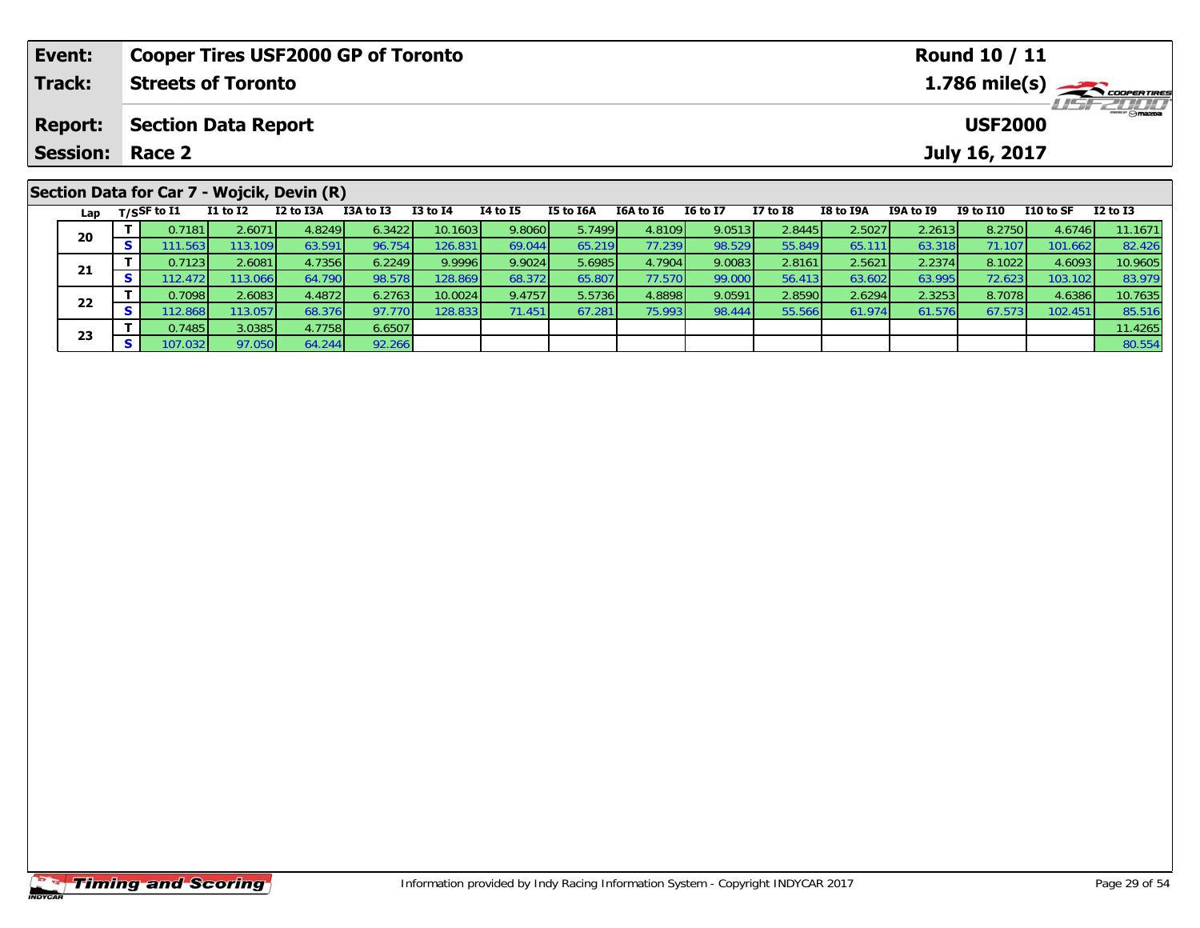| Event:          |    |                                | <b>Cooper Tires USF2000 GP of Toronto</b>  |           |           |              |          |           |                  |                 |              |                                            |           | <b>Round 10 / 11</b> |           |              |  |
|-----------------|----|--------------------------------|--------------------------------------------|-----------|-----------|--------------|----------|-----------|------------------|-----------------|--------------|--------------------------------------------|-----------|----------------------|-----------|--------------|--|
| Track:          |    |                                | <b>Streets of Toronto</b>                  |           |           |              |          |           |                  |                 |              | $1.786$ mile(s) $\rightarrow$ Coopen Times |           |                      |           |              |  |
| <b>Report:</b>  |    | <b>Section Data Report</b>     |                                            |           |           |              |          |           |                  |                 |              | <i><b>LISF 2000</b></i><br><b>USF2000</b>  |           |                      |           |              |  |
| <b>Session:</b> |    | Race 2                         |                                            |           |           |              |          |           |                  |                 |              |                                            |           | July 16, 2017        |           |              |  |
|                 |    |                                | Section Data for Car 7 - Wojcik, Devin (R) |           |           |              |          |           |                  |                 |              |                                            |           |                      |           |              |  |
|                 |    | Lap $T/SSF$ to $\overline{11}$ | $I1$ to $I2$                               | I2 to I3A | I3A to I3 | $I3$ to $I4$ | 14 to 15 | I5 to I6A | <b>I6A to I6</b> | <b>16 to 17</b> | $I7$ to $I8$ | <b>I8 to I9A</b>                           | I9A to I9 | <b>I9 to I10</b>     | I10 to SF | $I2$ to $I3$ |  |
| 20              |    | 0.7181                         | 2.6071                                     | 4.8249    | 6.3422    | 10.1603      | 9.8060   | 5.7499    | 4.8109           | 9.0513          | 2.8445       | 2.5027                                     | 2.2613    | 8.2750               | 4.6746    | 11.1671      |  |
|                 | S. | 111.563                        | 113.109                                    | 63.591    | 96.754    | 126.831      | 69.044   | 65.219    | 77.239           | 98.529          | 55.849       | 65.111                                     | 63.318    | 71.107               | 101.662   | 82.426       |  |

1 T 0.7123 2.6081 4.7356 6.2249 9.9996 9.9024 5.6985 4.7904 9.0083 2.8161 2.5621 2.2374 8.1022 4.6093 10.9605<br>S 112.472 113.066 64.790 98.578 128.869 68.372 65.807 77.570 99.000 56.413 63.602 63.995 72.623 103.102 83.979

2 T 0.7098 2.6083 4.4872 6.2763 10.0024 9.4757 5.5736 4.8898 9.0591 2.8590 2.6294 2.3253 8.7078 4.6386 10.7635<br>2 S 112.868 113.057 68.376 97.770 128.833 71.451 67.281 75.993 98.444 55.566 61.974 61.576 67.573 102.451 85.51

**<sup>T</sup>** 0.7485 3.0385 4.7758 6.6507 11.4265 **<sup>S</sup>** 107.032 97.050 64.244 92.266 80.554

**21**

**22**

**23**

83.979

85.516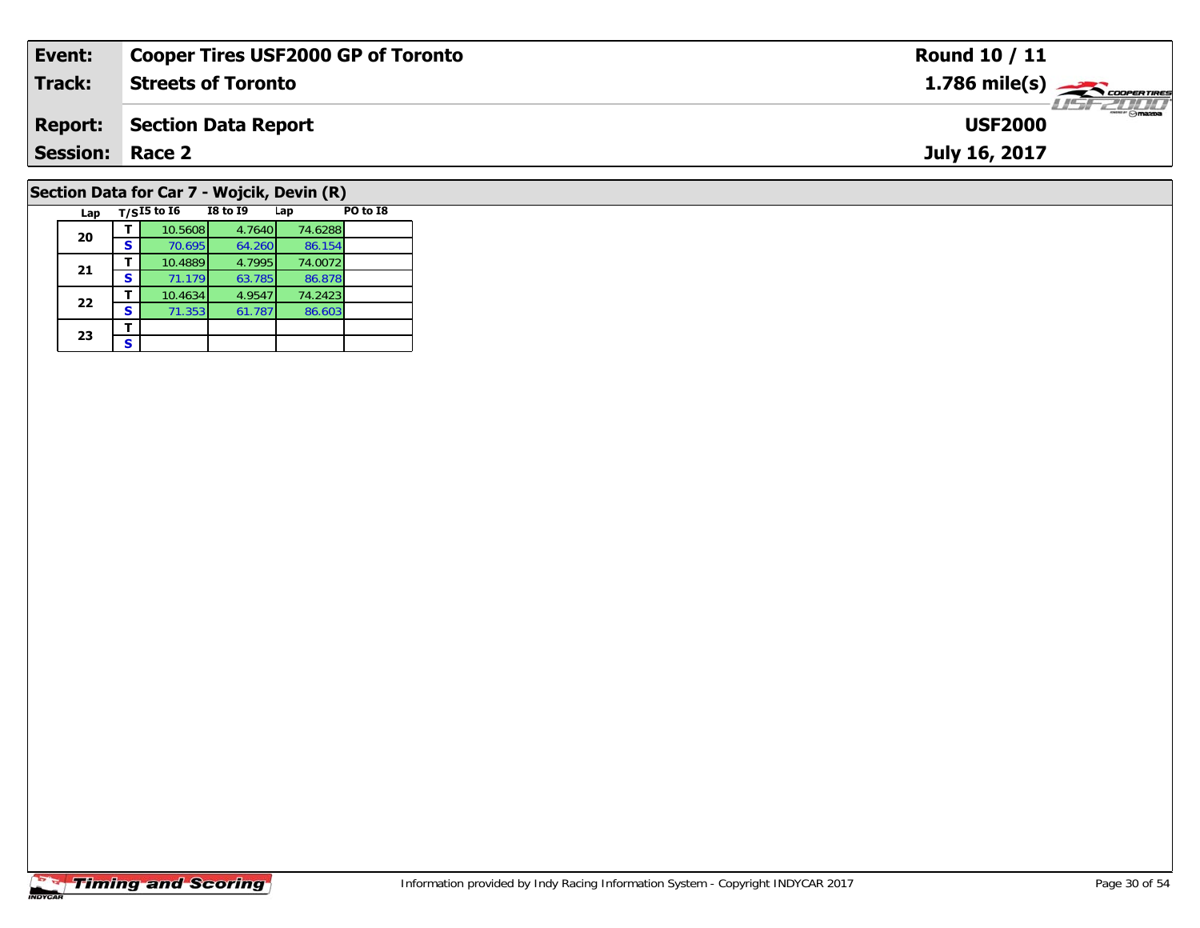| Event:                 | <b>Cooper Tires USF2000 GP of Toronto</b>  | <b>Round 10 / 11</b>                       |
|------------------------|--------------------------------------------|--------------------------------------------|
| Track:                 | <b>Streets of Toronto</b>                  | $1.786$ mile(s) $\frac{1}{2}$ code ratings |
| <b>Report:</b>         | Section Data Report                        | $\frac{1}{2}$ omazoa<br><b>USF2000</b>     |
| <b>Session: Race 2</b> |                                            | July 16, 2017                              |
|                        | Section Data for Car 7 - Wojcik, Devin (R) |                                            |

| Lap |   | $T/SI5$ to I6 | I8 to 19 | Lap     | PO to I8 |
|-----|---|---------------|----------|---------|----------|
| 20  |   | 10.5608       | 4.7640   | 74.6288 |          |
|     | s | 70.695        | 64.260   | 86.154  |          |
| 21  |   | 10.4889       | 4.7995   | 74.0072 |          |
|     | s | 71.179        | 63.785   | 86.878  |          |
| 22  |   | 10.4634       | 4.9547   | 74.2423 |          |
|     | s | 71.353        | 61.787   | 86.603  |          |
| 23  |   |               |          |         |          |
|     | s |               |          |         |          |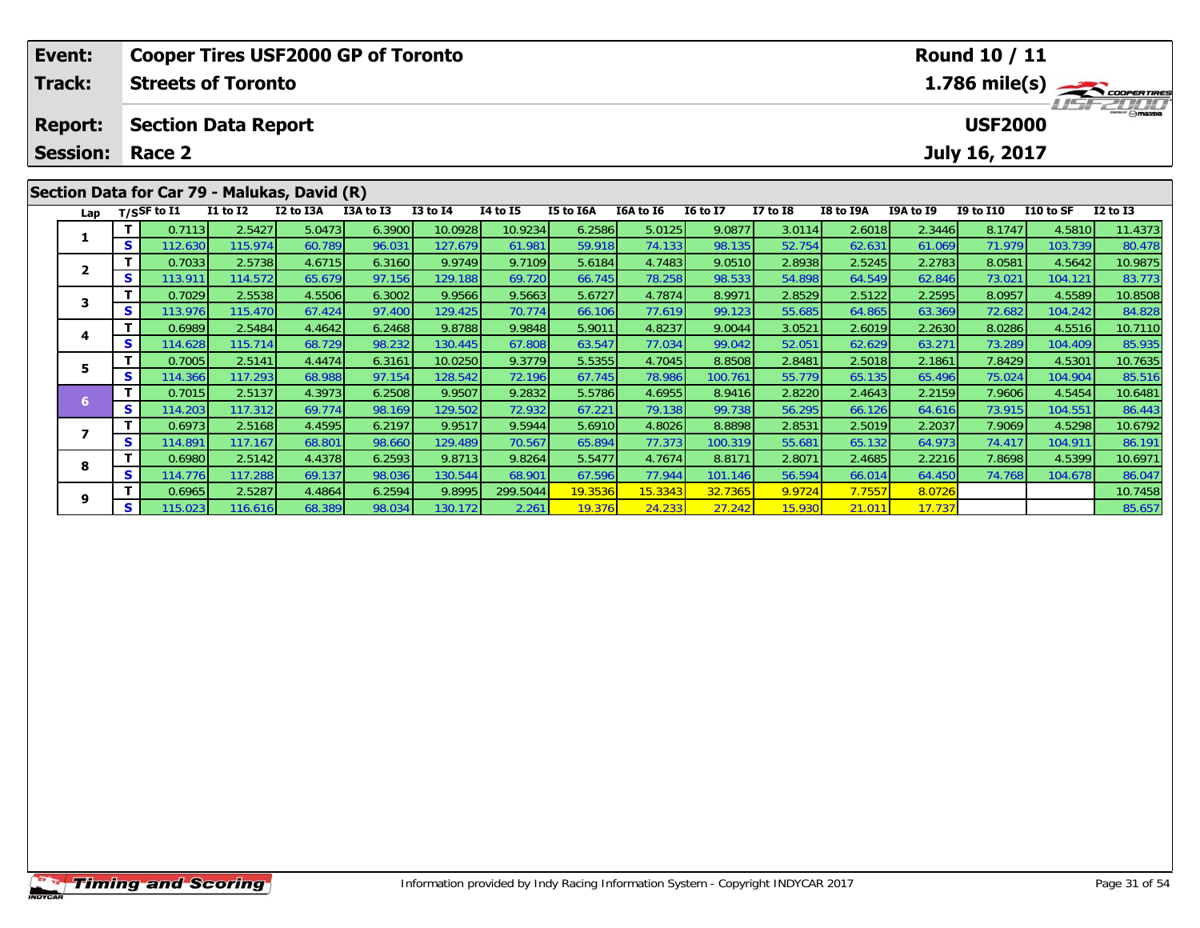| Event:                            |    |                                      |                  | <b>Cooper Tires USF2000 GP of Toronto</b>                 |           |              |                 |                  |           |                 |                 |           |           | Round 10 / 11                   |           |               |
|-----------------------------------|----|--------------------------------------|------------------|-----------------------------------------------------------|-----------|--------------|-----------------|------------------|-----------|-----------------|-----------------|-----------|-----------|---------------------------------|-----------|---------------|
| <b>Track:</b>                     |    | <b>Streets of Toronto</b>            |                  |                                                           |           |              |                 |                  |           |                 |                 |           |           |                                 |           | 1.786 mile(s) |
| <b>Report:</b><br><b>Session:</b> |    | <b>Section Data Report</b><br>Race 2 |                  |                                                           |           |              |                 |                  |           |                 |                 |           |           | <b>USF2000</b><br>July 16, 2017 |           | $T = 2T/T$    |
| Lap                               |    | T/SSF to I1                          | <b>I1 to I2</b>  | Section Data for Car 79 - Malukas, David (R)<br>I2 to I3A | I3A to I3 | $I3$ to $I4$ | <b>I4 to I5</b> | <b>I5 to I6A</b> | I6A to I6 | <b>16 to 17</b> | <b>I7 to I8</b> | I8 to I9A | I9A to I9 | <b>I9 to I10</b>                | I10 to SF | $I2$ to $I3$  |
|                                   |    | 0.7113                               | 2.5427           | 5.0473                                                    | 6.3900    | 10.0928      | 10.9234         | 6.2586           | 5.0125    | 9.0877          | 3.0114          | 2.6018    | 2.3446    | 8.1747                          | 4.5810    | 11.4373       |
|                                   | s  | 112.630                              | 115.974          | 60.789                                                    | 96.031    | 127.679      | 61.981          | 59.918           | 74.133    | 98.135          | 52.754          | 62.631    | 61.069    | 71.979                          | 103.739   | 80.478        |
|                                   |    | 0.7033                               | 2.5738           | 4.6715                                                    | 6.3160    | 9.9749       | 9.7109          | 5.6184           | 4.7483    | 9.0510          | 2.8938          | 2.5245    | 2.2783    | 8.0581                          | 4.5642    | 10.9875       |
|                                   | s  | 113.911                              | 114.572          | 65.679                                                    | 97.156    | 129.188      | 69.720          | 66.745           | 78.258    | 98.533          | 54.898          | 64.549    | 62.846    | 73.021                          | 104.121   | 83.773        |
|                                   |    | 0.7029                               | 2.5538           | 4.5506                                                    | 6.3002    | 9.9566       | 9.5663          | 5.6727           | 4.7874    | 8.9971          | 2.8529          | 2.5122    | 2.2595    | 8.0957                          | 4.5589    | 10.8508       |
|                                   | s  | 113.976                              | 115.470          | 67.424                                                    | 97.400    | 129.425      | 70.774          | 66.106           | 77.619    | 99.123          | 55.685          | 64.865    | 63.369    | 72.682                          | 104.242   | 84.828        |
|                                   |    | 0.6989                               | 2.5484           | 4.4642                                                    | 6.2468    | 9.8788       | 9.9848          | 5.9011           | 4.8237    | 9.0044          | 3.0521          | 2.6019    | 2.2630    | 8.0286                          | 4.5516    | 10.7110       |
|                                   | S. | 114.628                              | 115.714 <b>1</b> | 68.729                                                    | 98.232    | 130.4451     | 67.808          | 63.547           | 77.034    | 99.042          | 52.051          | 62.629    | 63.271    | 73.289                          | 104.409   | 85.935        |

**<sup>T</sup>** 0.7005 2.5141 4.4474 6.3161 10.0250 9.3779 5.5355 4.7045 8.8508 2.8481 2.5018 2.1861 7.8429 4.5301 10.7635 **<sup>S</sup>** 114.366 117.293 68.988 97.154 128.542 72.196 67.745 78.986 100.761 55.779 65.135 65.496 75.024 104.904 85.516

6 T 0.7015 2.5137 4.3973 6.2508 9.9507 9.2832 5.5786 4.6955 8.9416 2.8220 2.4643 2.2159 7.9606 4.5454 10.6481<br>5 S 114.203 117.312 69.774 98.169 129.502 72.932 67.221 79.138 99.738 56.295 66.126 64.616 73.915 104.551 86.443

7 | **T** | 0.6973 | 2.5168 | 4.4595 | 6.2197 | 9.9517 | 9.5944 | 5.6910 | 4.8026 | 8.8898 | 2.8531 | 2.5019 | 2.2037 | 7.9069 | 4.5298 | 10.6792<br>7 | S | 114.891 | 117.167 | 68.801 | 98.660 | 129.489 | 70.567 | 65.894 | 77.3

8 T 0.6980 2.5142 4.4378 6.2593 9.8713 9.8264 5.5477 4.7674 8.8171 2.8071 2.4685 2.2216 7.8698 4.5399 10.6971<br>8 S 114.776 117.288 69.137 98.036 130.544 68.901 67.596 77.944 101.146 56.594 66.014 64.450 74.768 104.678 86.04

**<sup>T</sup>** 0.6965 2.5287 4.4864 6.2594 9.8995 299.5044 19.3536 15.3343 32.7365 9.9724 7.7557 8.0726 10.7458 **<sup>S</sup>** 115.023 116.616 68.389 98.034 130.172 2.261 19.376 24.233 27.242 15.930 21.011 17.737 85.657

**5**

**7**

**8**

**9**

86.191

86.047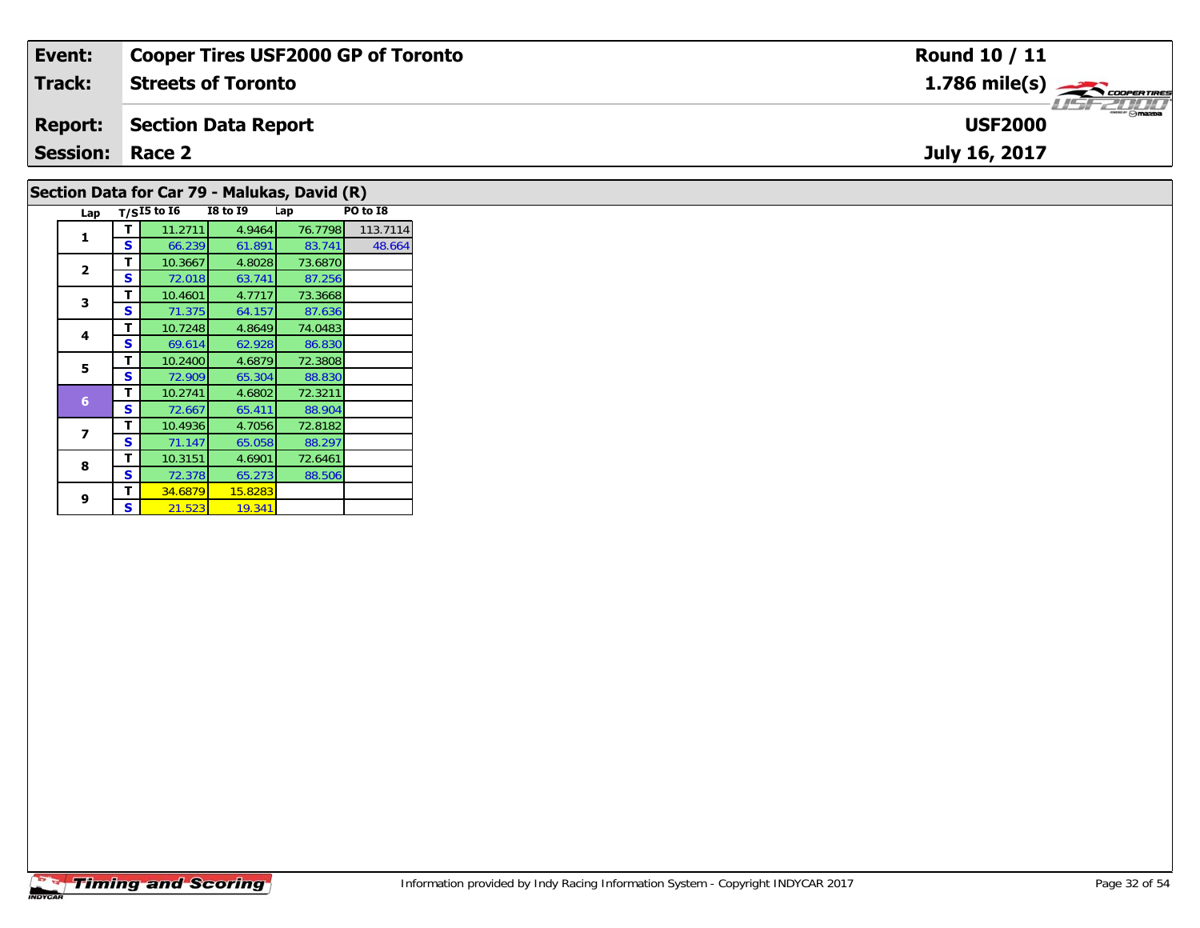| Event:                 | <b>Cooper Tires USF2000 GP of Toronto</b>    | <b>Round 10 / 11</b>                                      |
|------------------------|----------------------------------------------|-----------------------------------------------------------|
| Track:                 | <b>Streets of Toronto</b>                    | $1.786$ mile(s) $\overbrace{\hspace{2.5cm}}$ coorer TIRES |
| <b>Report:</b>         | Section Data Report                          | <b>USF2000</b>                                            |
| <b>Session: Race 2</b> |                                              | July 16, 2017                                             |
|                        | Section Data for Car 79 - Malukas, David (R) |                                                           |

| 3 | т | 10.4601 | 4.7717  | 73.3668 |  |
|---|---|---------|---------|---------|--|
|   | S | 71.375  | 64.157  | 87.636  |  |
|   | т | 10.7248 | 4.8649  | 74.0483 |  |
| 4 | S | 69.614  | 62.928  | 86.830  |  |
| 5 | т | 10.2400 | 4.6879  | 72.3808 |  |
|   | S | 72.909  | 65.304  | 88.830  |  |
|   | т | 10.2741 | 4.6802  | 72.3211 |  |
| 6 | S | 72.667  | 65.411  | 88.904  |  |
|   | т | 10.4936 | 4.7056  | 72.8182 |  |
|   | S | 71.147  | 65.058  | 88.297  |  |
| 8 | т | 10.3151 | 4.6901  | 72.6461 |  |
|   | S | 72.378  | 65.273  | 88.506  |  |
| 9 | т | 34.6879 | 15.8283 |         |  |
|   | S | 21.523  | 19.341  |         |  |
|   |   |         |         |         |  |

**T** 10.3667 4.8028 73.6870<br>**S** 72.018 63.741 87.256

**Lap T/SI5 to I6 I8 to I9 Lap PO to I8** 

**<sup>T</sup>** 11.2711 4.9464 76.7798 113.7114 **<sup>S</sup>** 66.239 61.891 83.741 48.664

87.256

48.664

**1**

**2**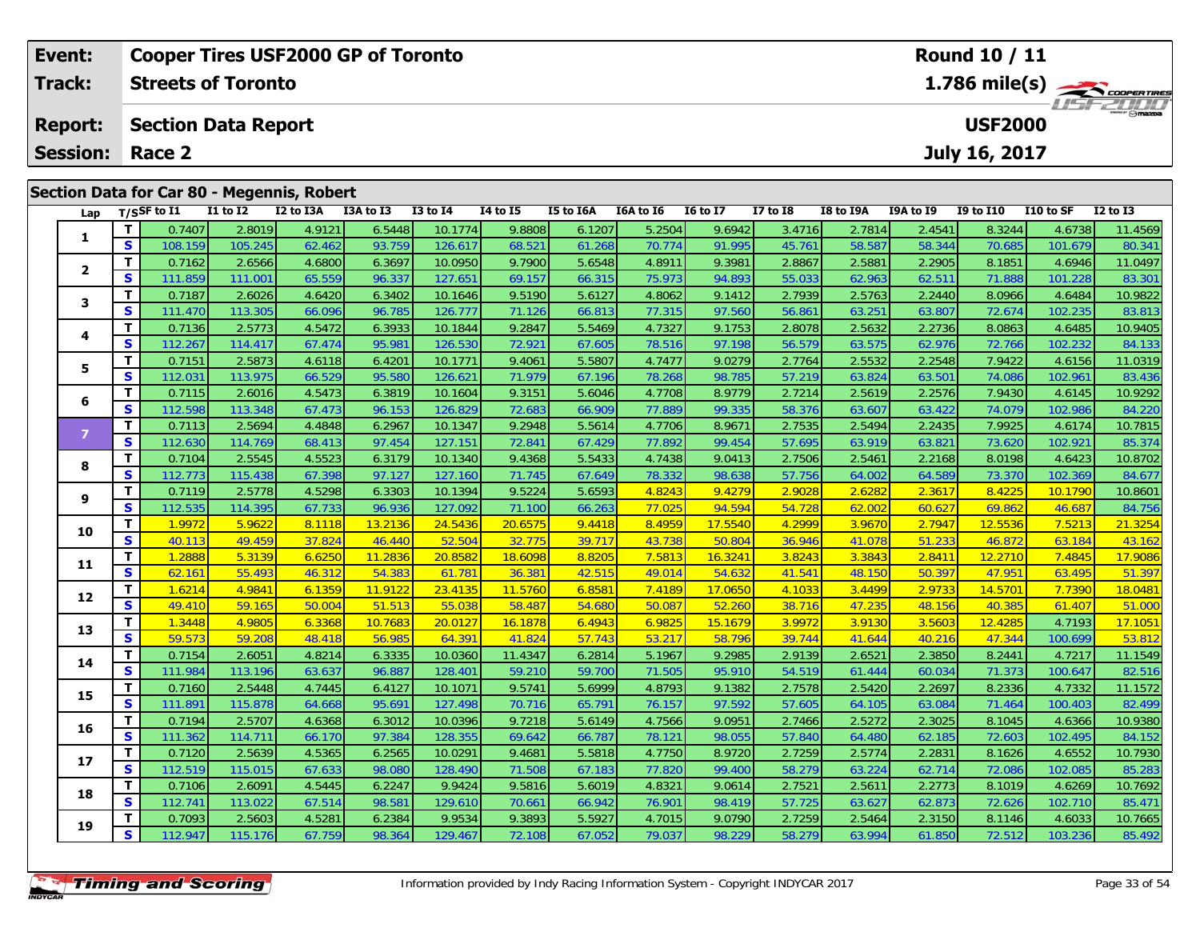| Event:          |    |                       | <b>Cooper Tires USF2000 GP of Toronto</b>  |           |           |              |          |           |           |                 |              |           |           | Round 10 / 11  |            |                                                          |
|-----------------|----|-----------------------|--------------------------------------------|-----------|-----------|--------------|----------|-----------|-----------|-----------------|--------------|-----------|-----------|----------------|------------|----------------------------------------------------------|
| <b>Track:</b>   |    |                       | <b>Streets of Toronto</b>                  |           |           |              |          |           |           |                 |              |           |           |                |            | $1.786$ mile(s) $\rightarrow$ COOPERTIRES<br>LISFE DI LI |
| <b>Report:</b>  |    |                       | <b>Section Data Report</b>                 |           |           |              |          |           |           |                 |              |           |           | <b>USF2000</b> |            |                                                          |
| <b>Session:</b> |    | Race 2                |                                            |           |           |              |          |           |           |                 |              |           |           | July 16, 2017  |            |                                                          |
|                 |    |                       | Section Data for Car 80 - Megennis, Robert |           |           |              |          |           |           |                 |              |           |           |                |            |                                                          |
| Lap             |    | $_{\rm T/SS}$ F to I1 | <b>I1 to I2</b>                            | I2 to I3A | I3A to I3 | $I3$ to $I4$ | 14 to 15 | I5 to I6A | I6A to I6 | <b>16 to 17</b> | $I7$ to $I8$ | I8 to I9A | I9A to I9 | I9 to I10      | I 10 to SF | I2 to I3                                                 |
|                 |    | 0.7407                | 2.8019                                     | 4.9121    | 6.5448    | 10.1774      | 9.8808   | 6.1207    | 5.2504    | 9.6942          | 3.4716       | 2.7814    | 2.4541    | 8.3244         | 4.6738     | 11.4569                                                  |
|                 | S. | 108.159               | 105.245                                    | 62.462    | 93.759    | 126.617      | 68.521   | 61.268    | 70.774    | 91.995          | 45.761       | 58.587    | 58.344    | 70.685         | 101.679    | 80.341                                                   |

| 1              | T.           | 0.7407  | 2.8019  | 4.9121 | 6.5448  | 10.1774 | 9.8808  | 6.1207 | 5.2504 | 9.6942  | 3.4716 | 2.7814          | 2.4541 | 8.3244  | 4.6738  | 11.4569 |
|----------------|--------------|---------|---------|--------|---------|---------|---------|--------|--------|---------|--------|-----------------|--------|---------|---------|---------|
|                | S            | 108.159 | 105.245 | 62.462 | 93.759  | 126.617 | 68.521  | 61.268 | 70.774 | 91.995  | 45.761 | 58.587          | 58.344 | 70.685  | 101.679 | 80.341  |
| $\overline{2}$ | $\mathbf T$  | 0.7162  | 2.6566  | 4.6800 | 6.3697  | 10.0950 | 9.7900  | 5.6548 | 4.8911 | 9.3981  | 2.8867 | 2.588'          | 2.2905 | 8.1851  | 4.6946  | 11.0497 |
|                | S            | 111.859 | 111.001 | 65.559 | 96.337  | 127.651 | 69.157  | 66.315 | 75.973 | 94.893  | 55.033 | 62.963          | 62.511 | 71.888  | 101.228 | 83.301  |
| з              | $\mathbf T$  | 0.7187  | 2.6026  | 4.6420 | 6.3402  | 10.1646 | 9.5190  | 5.6127 | 4.8062 | 9.1412  | 2.7939 | 2.5763          | 2.2440 | 8.0966  | 4.6484  | 10.9822 |
|                | S            | 111.470 | 113.305 | 66.096 | 96.785  | 126.777 | 71.126  | 66.813 | 77.315 | 97.560  | 56.861 | $63.25^{\circ}$ | 63.807 | 72.674  | 102.235 | 83.813  |
| 4              | Т            | 0.7136  | 2.5773  | 4.5472 | 6.3933  | 10.1844 | 9.2847  | 5.5469 | 4.7327 | 9.1753  | 2.8078 | 2.5632          | 2.2736 | 8.0863  | 4.6485  | 10.9405 |
|                | S            | 112.267 | 114.417 | 67.474 | 95.98   | 126.530 | 72.921  | 67.605 | 78.516 | 97.198  | 56.579 | 63.575          | 62.976 | 72.766  | 102.232 | 84.133  |
| 5              | $\mathbf T$  | 0.7151  | 2.5873  | 4.6118 | 6.420   | 10.1771 | 9.4061  | 5.5807 | 4.7477 | 9.0279  | 2.7764 | 2.5532          | 2.2548 | 7.9422  | 4.6156  | 11.0319 |
|                | S            | 112.031 | 113.975 | 66.529 | 95.580  | 126.621 | 71.979  | 67.196 | 78.268 | 98.785  | 57.219 | 63.824          | 63.501 | 74.086  | 102.961 | 83.436  |
| 6              | $\mathbf{T}$ | 0.7115  | 2.6016  | 4.5473 | 6.3819  | 10.1604 | 9.3151  | 5.6046 | 4.7708 | 8.9779  | 2.7214 | 2.5619          | 2.2576 | 7.9430  | 4.6145  | 10.9292 |
|                | S            | 112.598 | 113.348 | 67.473 | 96.153  | 126.829 | 72.683  | 66.909 | 77.889 | 99.335  | 58.376 | 63.607          | 63.422 | 74.079  | 102.986 | 84.220  |
| 7              | $\mathbf{T}$ | 0.7113  | 2.5694  | 4.4848 | 6.2967  | 10.1347 | 9.2948  | 5.5614 | 4.7706 | 8.9671  | 2.7535 | 2.5494          | 2.2435 | 7.9925  | 4.6174  | 10.7815 |
|                | S            | 112.630 | 114.769 | 68.413 | 97.454  | 127.151 | 72.841  | 67.429 | 77.892 | 99.454  | 57.695 | 63.919          | 63.821 | 73.620  | 102.921 | 85.374  |
| 8              | $\mathbf T$  | 0.7104  | 2.5545  | 4.5523 | 6.3179  | 10.1340 | 9.4368  | 5.5433 | 4.7438 | 9.0413  | 2.7506 | 2.5461          | 2.2168 | 8.0198  | 4.6423  | 10.8702 |
|                | S            | 112.773 | 115.438 | 67.398 | 97.127  | 127.160 | 71.745  | 67.649 | 78.332 | 98.638  | 57.756 | 64.002          | 64.589 | 73.370  | 102.369 | 84.677  |
| 9              | T            | 0.7119  | 2.5778  | 4.5298 | 6.3303  | 10.1394 | 9.5224  | 5.6593 | 4.8243 | 9.4279  | 2.9028 | 2.6282          | 2.3617 | 8.4225  | 10.1790 | 10.8601 |
|                | $\mathbf{s}$ | 112.535 | 114.395 | 67.733 | 96.936  | 127.092 | 71.100  | 66.263 | 77.025 | 94.594  | 54.728 | 62.002          | 60.627 | 69.862  | 46.687  | 84.756  |
| 10             | T            | 1.9972  | 5.9622  | 8.1118 | 13.2136 | 24.5436 | 20.6575 | 9.4418 | 8.4959 | 17.5540 | 4.2999 | 3.9670          | 2.7947 | 12.5536 | 7.5213  | 21.3254 |
|                | S            | 40.113  | 49.459  | 37.824 | 46.440  | 52.504  | 32.775  | 39.717 | 43.738 | 50.804  | 36.946 | 41.078          | 51.233 | 46.872  | 63.184  | 43.162  |
| 11             | T            | 1.2888  | 5.3139  | 6.6250 | 11.2836 | 20.8582 | 18.6098 | 8.8205 | 7.5813 | 16.3241 | 3.8243 | 3.3843          | 2.8411 | 12.2710 | 7.4845  | 17.9086 |
|                | S            | 62.161  | 55.493  | 46.312 | 54.383  | 61.781  | 36.381  | 42.515 | 49.014 | 54.632  | 41.541 | 48.150          | 50.397 | 47.951  | 63.495  | 51.397  |
| 12             | T            | 1.6214  | 4.9841  | 6.1359 | 11.9122 | 23.4135 | 11.5760 | 6.8581 | 7.4189 | 17.0650 | 4.1033 | 3.4499          | 2.9733 | 14.5701 | 7.7390  | 18.0481 |
|                | $\mathbf{s}$ | 49.410  | 59.165  | 50.004 | 51.513  | 55.038  | 58.487  | 54.680 | 50.087 | 52.260  | 38.716 | 47.235          | 48.156 | 40.385  | 61.407  | 51.000  |
| 13             | T            | 1.3448  | 4.9805  | 6.3368 | 10.7683 | 20.0127 | 16.1878 | 6.4943 | 6.9825 | 15.1679 | 3.9972 | 3.9130          | 3.5603 | 12.4285 | 4.7193  | 17.1051 |
|                | S            | 59.573  | 59.208  | 48.418 | 56.985  | 64.391  | 41.824  | 57.743 | 53.217 | 58.796  | 39.744 | 41.644          | 40.216 | 47.344  | 100.699 | 53.812  |
| 14             | T            | 0.7154  | 2.6051  | 4.8214 | 6.3335  | 10.0360 | 11.4347 | 6.2814 | 5.1967 | 9.2985  | 2.9139 | 2.652'          | 2.3850 | 8.2441  | 4.7217  | 11.1549 |
|                | S            | 111.984 | 113.196 | 63.637 | 96.887  | 128.401 | 59.210  | 59.700 | 71.505 | 95.910  | 54.519 | 61.444          | 60.034 | 71.373  | 100.647 | 82.516  |
| 15             | T            | 0.7160  | 2.5448  | 4.7445 | 6.4127  | 10.1071 | 9.5741  | 5.6999 | 4.8793 | 9.1382  | 2.7578 | 2.5420          | 2.2697 | 8.2336  | 4.7332  | 11.1572 |
|                | $\mathbf{s}$ | 111.891 | 115.878 | 64.668 | 95.69   | 127.498 | 70.716  | 65.791 | 76.157 | 97.592  | 57.605 | 64.105          | 63.084 | 71.464  | 100.403 | 82.499  |
| 16             | T            | 0.7194  | 2.5707  | 4.6368 | 6.3012  | 10.0396 | 9.7218  | 5.6149 | 4.7566 | 9.0951  | 2.7466 | 2.5272          | 2.3025 | 8.1045  | 4.6366  | 10.9380 |
|                | $\mathbf{s}$ | 111.362 | 114.711 | 66.170 | 97.384  | 128.355 | 69.642  | 66.787 | 78.121 | 98.055  | 57.840 | 64.480          | 62.185 | 72.603  | 102.495 | 84.152  |
| 17             | $\mathbf T$  | 0.7120  | 2.5639  | 4.5365 | 6.2565  | 10.0291 | 9.4681  | 5.5818 | 4.7750 | 8.9720  | 2.7259 | 2.5774          | 2.2831 | 8.1626  | 4.6552  | 10.7930 |
|                | $\mathbf{s}$ | 112.519 | 115.015 | 67.633 | 98.080  | 128.490 | 71.508  | 67.183 | 77.820 | 99.400  | 58.279 | 63.224          | 62.714 | 72.086  | 102.085 | 85.283  |
| 18             | T            | 0.7106  | 2.6091  | 4.5445 | 6.2247  | 9.9424  | 9.5816  | 5.6019 | 4.8321 | 9.0614  | 2.7521 | 2.5611          | 2.2773 | 8.1019  | 4.6269  | 10.7692 |
|                | S            | 112.741 | 113.022 | 67.514 | 98.581  | 129.610 | 70.661  | 66.942 | 76.901 | 98.419  | 57.725 | 63.627          | 62.873 | 72.626  | 102.710 | 85.471  |
| 19             | Т            | 0.7093  | 2.5603  | 4.5281 | 6.2384  | 9.9534  | 9.3893  | 5.5927 | 4.7015 | 9.0790  | 2.7259 | 2.5464          | 2.3150 | 8.1146  | 4.6033  | 10.7665 |
|                | S            | 112.947 | 115.176 | 67.759 | 98.364  | 129.467 | 72.108  | 67.052 | 79.037 | 98.229  | 58.279 | 63.994          | 61.850 | 72.512  | 103.236 | 85.492  |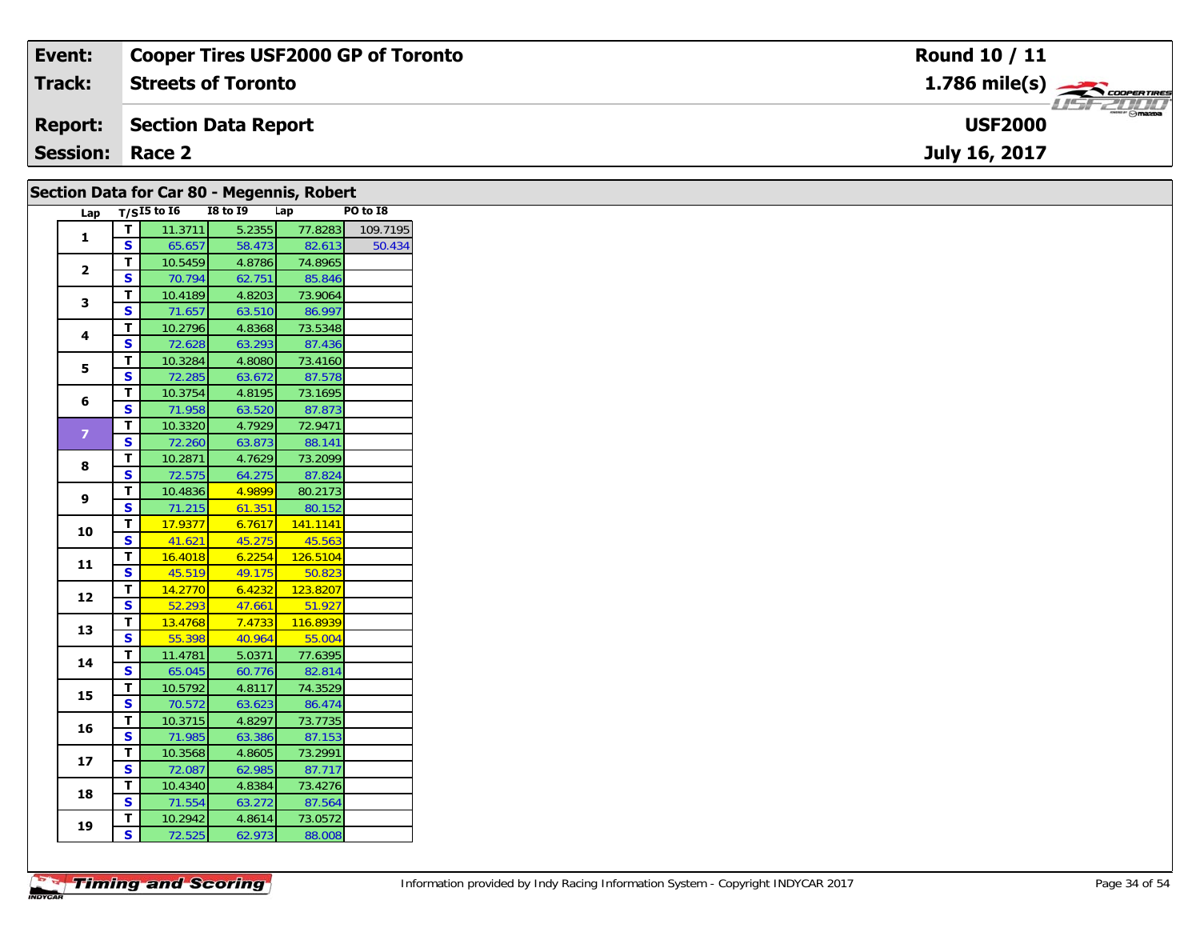| Event:                 | <b>Cooper Tires USF2000 GP of Toronto</b> | <b>Round 10 / 11</b>                      |
|------------------------|-------------------------------------------|-------------------------------------------|
| Track:                 | <b>Streets of Toronto</b>                 | $1.786$ mile(s) $\rightarrow$ COOPERTIRES |
| <b>Report:</b>         | Section Data Report                       | <b>USF2000</b>                            |
| <b>Session: Race 2</b> |                                           | July 16, 2017                             |
|                        |                                           |                                           |

|                | Section Data for Car 80 - Megennis, Robert |                     |                 |          |          |  |
|----------------|--------------------------------------------|---------------------|-----------------|----------|----------|--|
|                |                                            | Lap $T/SI5$ to $I6$ | <b>I8 to I9</b> | Lap      | PO to I8 |  |
| 1              | T                                          | 11.3711             | 5.2355          | 77.8283  | 109.7195 |  |
|                | $\overline{\mathbf{s}}$                    | 65.657              | 58.473          | 82.613   | 50.434   |  |
| $\mathbf{2}$   | T                                          | 10.5459             | 4.8786          | 74.8965  |          |  |
|                | $\mathbf{s}$                               | 70.794              | 62.751          | 85.846   |          |  |
| 3              | T.                                         | 10.4189             | 4.8203          | 73.9064  |          |  |
|                | S                                          | 71.657              | 63.510          | 86.997   |          |  |
| 4              | T.                                         | 10.2796             | 4.8368          | 73.5348  |          |  |
|                | $\overline{\mathbf{s}}$                    | 72.628              | 63.293          | 87.436   |          |  |
| 5              | T                                          | 10.3284             | 4.8080          | 73.4160  |          |  |
|                | S                                          | 72.285              | 63.672          | 87.578   |          |  |
| 6              | T                                          | 10.3754             | 4.8195          | 73.1695  |          |  |
|                | S                                          | 71.958              | 63.520          | 87.873   |          |  |
| $\overline{7}$ | T.                                         | 10.3320             | 4.7929          | 72.9471  |          |  |
|                | S                                          | 72.260              | 63.873          | 88.141   |          |  |
| 8              | T                                          | 10.2871             | 4.7629          | 73.2099  |          |  |
|                | S                                          | 72.575              | 64.275          | 87.824   |          |  |
| 9              | T                                          | 10.4836             | 4.9899          | 80.2173  |          |  |
|                | S.                                         | 71.215              | 61.351          | 80.152   |          |  |
| 10             | T                                          | 17.9377             | 6.7617          | 141.1141 |          |  |
|                | $\mathbf{s}$                               | 41.621              | 45.275          | 45.563   |          |  |
| 11             | T.                                         | 16.4018             | 6.2254          | 126.5104 |          |  |
|                | $\overline{\mathbf{s}}$                    | 45.519              | 49.175          | 50.823   |          |  |
| 12             | T.                                         | 14.2770             | 6.4232          | 123.8207 |          |  |
|                | $\overline{\mathbf{s}}$                    | 52.293              | 47.661          | 51.927   |          |  |
| 13             | T                                          | 13.4768             | 7.4733          | 116.8939 |          |  |
|                | $\mathbf{s}$                               | 55.398              | 40.964          | 55.004   |          |  |
| 14             | T                                          | 11.4781             | 5.0371          | 77.6395  |          |  |
|                | $\overline{\mathbf{s}}$                    | 65.045              | 60.776          | 82.814   |          |  |
| 15             | T.                                         | 10.5792             | 4.8117          | 74.3529  |          |  |
|                | S                                          | 70.572              | 63.623          | 86.474   |          |  |
| 16             | T                                          | 10.3715             | 4.8297          | 73.7735  |          |  |
|                | S                                          | 71.985              | 63.386          | 87.153   |          |  |
| 17             | T.                                         | 10.3568             | 4.8605          | 73.2991  |          |  |
|                | $\mathbf{s}$                               | 72.087              | 62.985          | 87.717   |          |  |
| 18             | T.                                         | 10.4340             | 4.8384          | 73.4276  |          |  |
|                | $\mathbf{s}$                               | 71.554              | 63.272          | 87.564   |          |  |
| 19             | T.                                         | 10.2942             | 4.8614          | 73.0572  |          |  |
|                | S.                                         | 72.525              | 62.973          | 88.008   |          |  |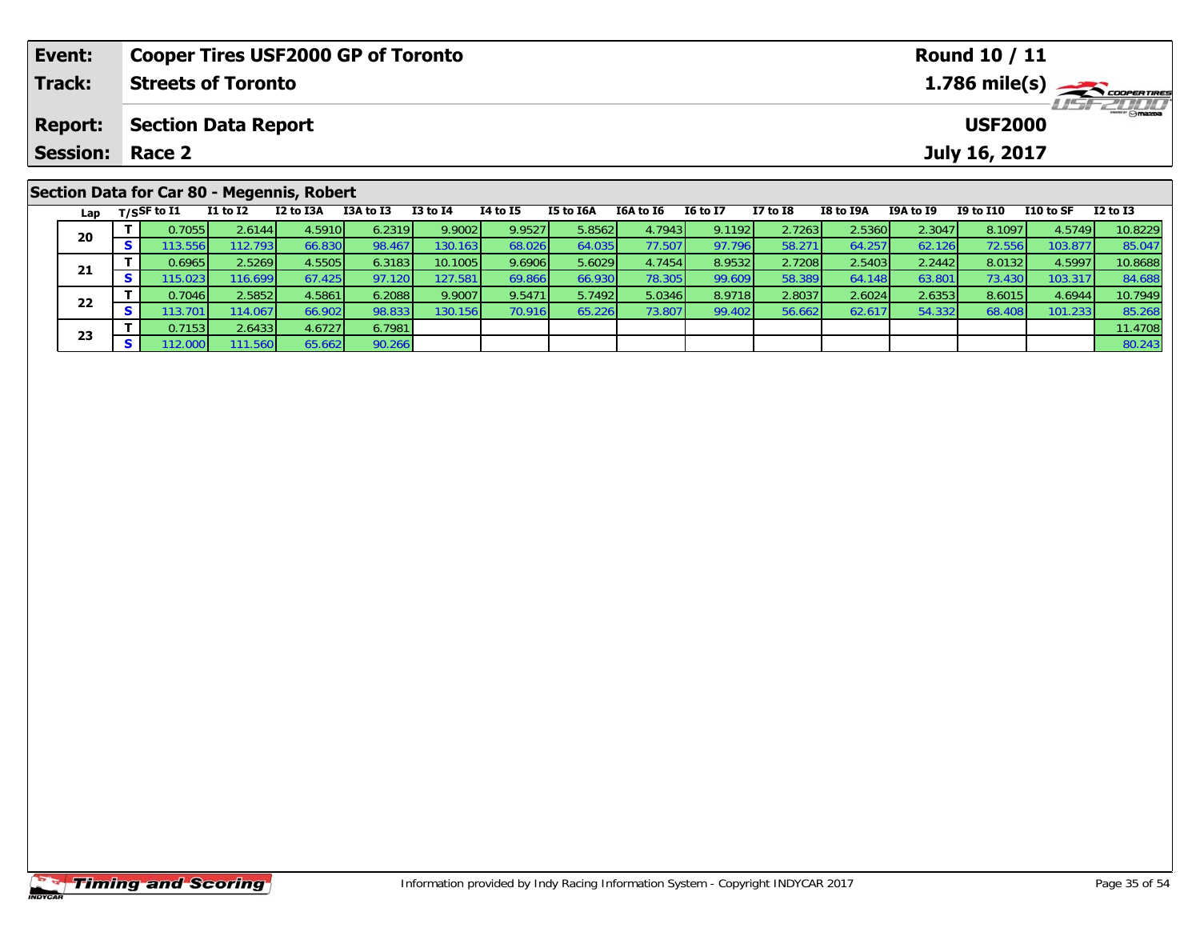| Event:         |          |                        |                            | <b>Cooper Tires USF2000 GP of Toronto</b>  |           |              |                 |           |           |                 |              |           |           | <b>Round 10 / 11</b> |           |                                           |
|----------------|----------|------------------------|----------------------------|--------------------------------------------|-----------|--------------|-----------------|-----------|-----------|-----------------|--------------|-----------|-----------|----------------------|-----------|-------------------------------------------|
| Track:         |          |                        | <b>Streets of Toronto</b>  |                                            |           |              |                 |           |           |                 |              |           |           |                      |           | $1.786$ mile(s) $\rightarrow$ COOPERTIRES |
| <b>Report:</b> |          |                        | <b>Section Data Report</b> |                                            |           |              |                 |           |           |                 |              |           |           | <b>USF2000</b>       |           | <b>LISF 2000</b>                          |
|                |          | <b>Session: Race 2</b> |                            |                                            |           |              |                 |           |           |                 |              |           |           | July 16, 2017        |           |                                           |
|                |          |                        |                            | Section Data for Car 80 - Megennis, Robert |           |              |                 |           |           |                 |              |           |           |                      |           |                                           |
|                |          | Lap $T/S$ SF to I1     | $I1$ to $I2$               | I2 to I3A                                  | I3A to I3 | $I3$ to $I4$ | <b>I4 to I5</b> | I5 to I6A | I6A to I6 | <b>16 to 17</b> | $I7$ to $I8$ | I8 to I9A | I9A to I9 | <b>I9 to I10</b>     | I10 to SF | $I2$ to $I3$                              |
| 20             |          | 0.7055                 | 2.6144                     | 4.5910                                     | 6.2319    | 9.9002       | 9.9527          | 5.8562    | 4.7943    | 9.11921         | 2.7263       | 2.5360    | 2.3047    | 8.1097               | 4.5749    | 10.8229                                   |
|                | <b>S</b> | 113.556                | 112.7931                   | 66.830                                     | 98.467    | 130.163      | 68.026          | 64.035    | 77.507    | 97.796          | 58.271       | 64.257    | 62.126    | 72.556               | 103.877   | 85.047                                    |

1 T 0.6965 2.5269 4.5505 6.3183 10.1005 9.6906 5.6029 4.7454 8.9532 2.7208 2.5403 2.2442 8.0132 4.5997 10.8688<br>S 115.023 116.699 67.425 97.120 127.581 69.866 66.930 78.305 99.609 58.389 64.148 63.801 73.430 103.317 84.688

2 T 0.7046 2.5852 4.5861 6.2088 9.9007 9.5471 5.7492 5.0346 8.9718 2.8037 2.6024 2.6353 8.6015 4.6944 10.7949<br>2 S 113.701 114.067 66.902 98.833 130.156 70.916 65.226 73.807 99.402 56.662 62.617 54.332 68.408 101.233 85.268

**T** 0.7153 2.6433 4.6727 6.7981 11.4708 12.000 111.560 65.662 90.266 80.243 **S** 112.000 111.560 65.662 90.266 80.243

**21**

**22**

**23**

84.688<br>10.7949

85.268<br>11.4708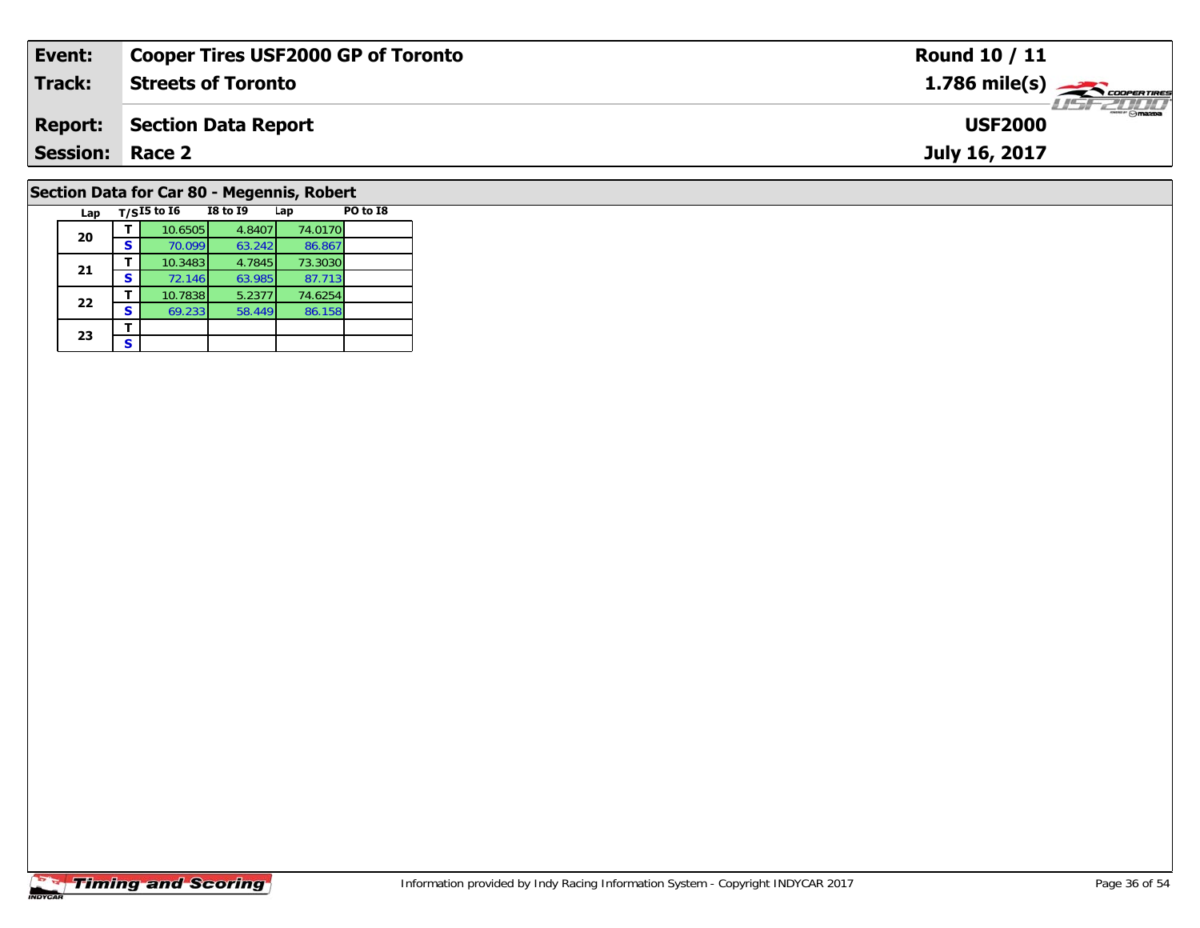| Event:                 | <b>Cooper Tires USF2000 GP of Toronto</b>             | Round 10 / 11                      |
|------------------------|-------------------------------------------------------|------------------------------------|
| Track:                 | <b>Streets of Toronto</b>                             |                                    |
| <b>Report:</b>         | <b>Section Data Report</b>                            | <b>LISF 2000</b><br><b>USF2000</b> |
| <b>Session: Race 2</b> |                                                       | July 16, 2017                      |
|                        | Section Data for Car 80 - Megennis, Robert            |                                    |
| Lap                    | PO to I8<br>$T/SI5$ to $I6$<br><b>I8 to I9</b><br>Lap |                                    |

### **Timing and Scoring**

**20**

**21**

**22**

**23**3 <u>F</u>

**<sup>T</sup>** 10.6505 4.8407 74.0170 **<sup>S</sup>** 70.099 63.242 86.867

**<sup>T</sup>** 10.3483 4.7845 73.3030 **<sup>S</sup>** 72.146 63.985 87.713

**<sup>T</sup>** 10.7838 5.2377 74.6254 **<sup>S</sup>** 69.233 58.449 86.158

86.867<br>73.3030

 $\frac{87.713}{74.6254}$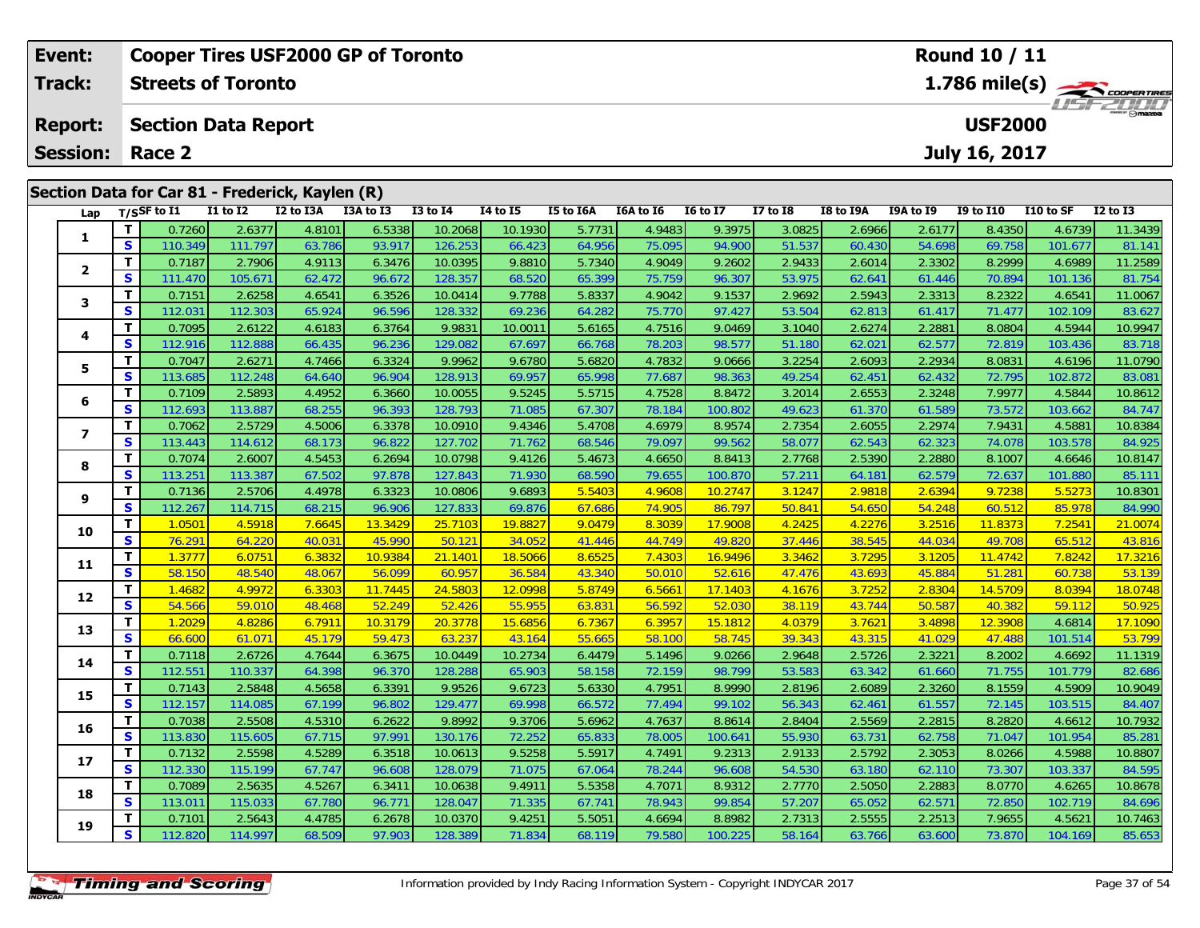| Event:          |                   |                   |                            | <b>Cooper Tires USF2000 GP of Toronto</b>       |                  |                    |                  |                  |                  |                  |                  |                  |                  | Round 10 / 11    |                   |                                                                                                                                                                                                                                                                                                                                                                                                                    |
|-----------------|-------------------|-------------------|----------------------------|-------------------------------------------------|------------------|--------------------|------------------|------------------|------------------|------------------|------------------|------------------|------------------|------------------|-------------------|--------------------------------------------------------------------------------------------------------------------------------------------------------------------------------------------------------------------------------------------------------------------------------------------------------------------------------------------------------------------------------------------------------------------|
| <b>Track:</b>   |                   |                   | <b>Streets of Toronto</b>  |                                                 |                  |                    |                  |                  |                  |                  |                  |                  |                  |                  |                   | 1.786 mile(s) $\frac{1}{\sqrt{1-\frac{1}{2}}}\frac{1}{\sqrt{1-\frac{1}{2}}}\frac{1}{\sqrt{1-\frac{1}{2}}}\frac{1}{\sqrt{1-\frac{1}{2}}}\frac{1}{\sqrt{1-\frac{1}{2}}}\frac{1}{\sqrt{1-\frac{1}{2}}}\frac{1}{\sqrt{1-\frac{1}{2}}}\frac{1}{\sqrt{1-\frac{1}{2}}}\frac{1}{\sqrt{1-\frac{1}{2}}}\frac{1}{\sqrt{1-\frac{1}{2}}}\frac{1}{\sqrt{1-\frac{1}{2}}}\frac{1}{\sqrt{1-\frac{1}{2}}}\frac{1}{\sqrt{1-\frac{1}{$ |
| <b>Report:</b>  |                   |                   | <b>Section Data Report</b> |                                                 |                  |                    |                  |                  |                  |                  |                  |                  |                  | <b>USF2000</b>   |                   |                                                                                                                                                                                                                                                                                                                                                                                                                    |
| <b>Session:</b> |                   | Race 2            |                            |                                                 |                  |                    |                  |                  |                  |                  |                  |                  |                  | July 16, 2017    |                   |                                                                                                                                                                                                                                                                                                                                                                                                                    |
|                 |                   |                   |                            | Section Data for Car 81 - Frederick, Kaylen (R) |                  |                    |                  |                  |                  |                  |                  |                  |                  |                  |                   |                                                                                                                                                                                                                                                                                                                                                                                                                    |
| Lap             |                   | $T/S$ SF to $I1$  | <b>I1 to I2</b>            | I2 to I3A                                       | I3A to I3        | <b>I3 to I4</b>    | 14 to 15         | I5 to I6A        | I6A to I6        | <b>I6 to I7</b>  | <b>I7 to I8</b>  | <b>I8 to I9A</b> | <b>I9A to I9</b> | <b>I9 to I10</b> | I10 to SF         | $I2$ to $I3$                                                                                                                                                                                                                                                                                                                                                                                                       |
| 1               | T.                | 0.7260            | 2.6377                     | 4.8101                                          | 6.5338           | 10.2068            | 10.1930          | 5.7731           | 4.9483           | 9.3975           | 3.0825           | 2.6966           | 2.6177           | 8.4350           | 4.6739            | 11.3439                                                                                                                                                                                                                                                                                                                                                                                                            |
|                 | $\mathbf{s}$      | 110.349           | 111.797                    | 63.786                                          | 93.917           | 126.253            | 66.423           | 64.956           | 75.095           | 94.900           | 51.537           | 60.430           | 54.698           | 69.758           | 101.677           | 81.14                                                                                                                                                                                                                                                                                                                                                                                                              |
| $\overline{2}$  | $\mathbf{T}$<br>S | 0.7187            | 2.7906                     | 4.9113                                          | 6.3476           | 10.0395            | 9.8810           | 5.7340           | 4.9049           | 9.2602           | 2.9433           | 2.6014           | 2.3302           | 8.2999           | 4.6989            | 11.2589                                                                                                                                                                                                                                                                                                                                                                                                            |
|                 | $\mathbf{T}$      | 111.470<br>0.7151 | 105.671<br>2.6258          | 62.472<br>4.6541                                | 96.672<br>6.3526 | 128.357<br>10.0414 | 68.520<br>9.7788 | 65.399<br>5.8337 | 75.759<br>4.9042 | 96.307<br>9.1537 | 53.975<br>2.9692 | 62.641<br>2.5943 | 61.446<br>2.3313 | 70.894<br>8.2322 | 101.136<br>4.6541 | 81.754<br>11.0067                                                                                                                                                                                                                                                                                                                                                                                                  |
| 3               | S                 | 112.031           | 112.303                    | 65.924                                          | 96.596           | 128.332            | 69.236           | 64.282           | 75.770           | 97.427           | 53.504           | 62.813           | 61.417           | 71.477           | 102.109           | 83.627                                                                                                                                                                                                                                                                                                                                                                                                             |
|                 | $\mathbf{T}$      | 0.7095            | 2.6122                     | 4.6183                                          | 6.3764           | 9.9831             | 10.0011          | 5.6165           | 4.7516           | 9.0469           | 3.1040           | 2.6274           | 2.2881           | 8.0804           | 4.5944            | 10.9947                                                                                                                                                                                                                                                                                                                                                                                                            |
| 4               | S                 | 112.916           | 112.888                    | 66.435                                          | 96.236           | 129.082            | 67.697           | 66.768           | 78.203           | 98.577           | 51.180           | 62.021           | 62.577           | 72.819           | 103.436           | 83.718                                                                                                                                                                                                                                                                                                                                                                                                             |
|                 | $\mathbf{T}$      | 0.7047            | 2.6271                     | 4.7466                                          | 6.3324           | 9.9962             | 9.6780           | 5.6820           | 4.7832           | 9.0666           | 3.2254           | 2.6093           | 2.2934           | 8.0831           | 4.6196            | 11.0790                                                                                                                                                                                                                                                                                                                                                                                                            |
| 5               | $\mathbf{s}$      | 113.685           | 112.248                    | 64.640                                          | 96.904           | 128.913            | 69.957           | 65.998           | 77.687           | 98.363           | 49.254           | 62.451           | 62.432           | 72.795           | 102.872           | 83.081                                                                                                                                                                                                                                                                                                                                                                                                             |
|                 | $\mathbf T$       | 0.7109            | 2.5893                     | 4.4952                                          | 6.3660           | 10.0055            | 9.5245           | 5.5715           | 4.7528           | 8.8472           | 3.2014           | 2.6553           | 2.3248           | 7.9977           | 4.5844            | 10.8612                                                                                                                                                                                                                                                                                                                                                                                                            |
| 6               | S                 | 112.693           | 113.887                    | 68.255                                          | 96.393           | 128.793            | 71.085           | 67.307           | 78.184           | 100.802          | 49.623           | 61.370           | 61.589           | 73.572           | 103.662           | 84.747                                                                                                                                                                                                                                                                                                                                                                                                             |
|                 | т                 | 0.7062            | 2.5729                     | 4.5006                                          | 6.3378           | 10.0910            | 9.4346           | 5.4708           | 4.6979           | 8.9574           | 2.7354           | 2.6055           | 2.2974           | 7.9431           | 4.5881            | 10.8384                                                                                                                                                                                                                                                                                                                                                                                                            |
| 7               | S                 | 113.443           | 114.612                    | 68.173                                          | 96.822           | 127.702            | 71.762           | 68.546           | 79.097           | 99.562           | 58.077           | 62.543           | 62.323           | 74.078           | 103.578           | 84.925                                                                                                                                                                                                                                                                                                                                                                                                             |
| 8               | T                 | 0.7074            | 2.6007                     | 4.5453                                          | 6.2694           | 10.0798            | 9.4126           | 5.4673           | 4.6650           | 8.8413           | 2.7768           | 2.5390           | 2.2880           | 8.1007           | 4.6646            | 10.8147                                                                                                                                                                                                                                                                                                                                                                                                            |
|                 | $\mathbf{s}$      | 113.251           | 113.387                    | 67.502                                          | 97.878           | 127.843            | 71.930           | 68.590           | 79.655           | 100.870          | 57.211           | 64.181           | 62.579           | 72.637           | 101.880           | 85.111                                                                                                                                                                                                                                                                                                                                                                                                             |
| 9               | $\mathbf{T}$      | 0.7136            | 2.5706                     | 4.4978                                          | 6.3323           | 10.0806            | 9.6893           | 5.5403           | 4.9608           | 10.2747          | 3.1247           | 2.9818           | 2.6394           | 9.7238           | 5.5273            | 10.8301                                                                                                                                                                                                                                                                                                                                                                                                            |
|                 | S                 | 112.267           | 114.715                    | 68.215                                          | 96.906           | 127.833            | 69.876           | 67.686           | 74.905           | 86.797           | 50.841           | 54.650           | 54.248           | 60.512           | 85.978            | 84.990                                                                                                                                                                                                                                                                                                                                                                                                             |
| 10              | т                 | 1.0501            | 4.5918                     | 7.6645                                          | 13.3429          | 25.7103            | 19.8827          | 9.0479           | 8.3039           | 17.9008          | 4.2425           | 4.2276           | 3.2516           | 11.8373          | 7.2541            | 21.0074                                                                                                                                                                                                                                                                                                                                                                                                            |
|                 | s                 | 76.291            | 64.220                     | 40.031                                          | 45.990           | 50.121             | 34.052           | 41.446           | 44.749           | 49.820           | 37.446           | 38.545           | 44.034           | 49.708           | 65.512            | 43.816                                                                                                                                                                                                                                                                                                                                                                                                             |

**11**

**12**

**13**

**14**

**15**

**16**

**17**

**18**

**19**

1 | T | 1.3777 |6.0751 |6.3832 | 10.9384 | 21.1401 | 18.5066 | 8.6525 | 7.4303 | 16.9496 | 3.3462 | 3.7295 | 3.1205 | 11.4742 | 7.8242 | 17.3216<br>1 | S | 58.150 | 48.540 | 48.067 | 56.099 | 60.957 | 36.584 | 43.340 | 50.010

2 T 1.4682 4.9972 6.3303 11.7445 24.5803 12.0998 5.8749 6.5661 17.1403 4.1676 3.7252 2.8304 14.5709 8.0394 18.0748<br>2 S 54.566 59.010 48.468 52.249 52.426 55.955 63.831 56.592 52.030 38.119 43.744 50.587 40.382 59.112 50.92

3 T 1.2029 4.8286 6.7911 10.3179 20.3778 15.6856 6.7367 6.3957 15.1812 4.0379 3.7621 3.4898 12.3908 4.6814 17.1090<br>S 66.600 61.071 45.179 59.473 63.237 43.164 55.665 58.100 58.745 39.343 43.315 41.029 47.488 101.514 53.799

4 T 0.7118 2.6726 4.7644 6.3675 10.0449 10.2734 6.4479 5.1496 9.0266 2.9648 2.5726 2.3221 8.2002 4.6692 11.1319<br>S 112.551 110.337 64.398 96.370 128.288 65.903 58.158 72.159 98.799 53.583 63.342 61.660 71.755 101.779 82.686

5 T 0.7143 2.5848 4.5658 6.3391 9.9526 9.6723 5.6330 4.7951 8.9990 2.8196 2.6089 2.3260 8.1559 4.5909 10.9049<br>5 S 112.157 114.085 67.199 96.802 129.477 69.998 66.572 77.494 99.102 56.343 62.461 61.557 72.145 103.515 84.407

6 T 0.7038 2.5508 4.5310 6.2622 9.8992 9.3706 5.6962 4.7637 8.8614 2.8404 2.5569 2.2815 8.2820 4.6612 10.7932<br>5 S 113.830 115.605 67.715 97.991 130.176 72.252 65.833 78.005 100.641 55.930 63.731 62.758 71.047 101.954 85.28

7 T 0.7132 2.5598 4.5289 6.3518 10.0613 9.5258 5.5917 4.7491 9.2313 2.9133 2.5792 2.3053 8.0266 4.5988 10.8807<br>7 S 112.330 115.199 67.747 96.608 128.079 71.075 67.064 78.244 96.608 54.530 63.180 62.110 73.307 103.337 84.59

8 T 0.7089 2.5635 4.5267 6.3411 10.0638 9.4911 5.5358 4.7071 8.9312 2.7770 2.5050 2.2883 8.0770 4.6265 10.8678<br>S 113.011 115.033 67.780 96.771 128.047 71.335 67.741 78.943 99.854 57.207 65.052 62.571 72.850 102.719 84.696

**<sup>T</sup>** 0.7101 2.5643 4.4785 6.2678 10.0370 9.4251 5.5051 4.6694 8.8982 2.7313 2.5555 2.2513 7.9655 4.5621 10.7463 **<sup>S</sup>** 112.820 114.997 68.509 97.903 128.389 71.834 68.119 79.580 100.225 58.164 63.766 63.600 73.870 104.169 85.653

53.139

53.799

82.686

84.595

84.696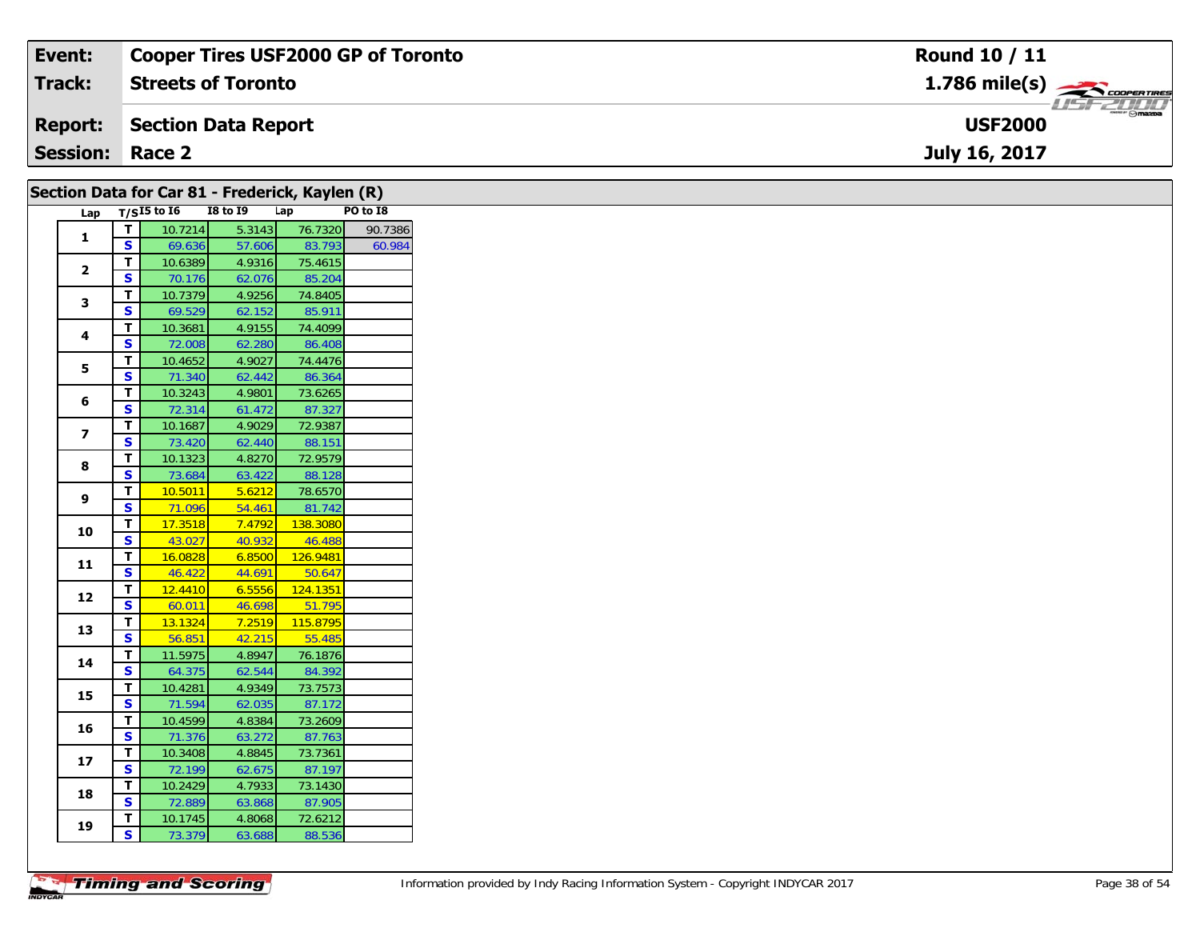| Event:                 | <b>Cooper Tires USF2000 GP of Toronto</b> | <b>Round 10 / 11</b>                                     |
|------------------------|-------------------------------------------|----------------------------------------------------------|
| <b>Track:</b>          | <b>Streets of Toronto</b>                 | $1.786$ mile(s) $\rightarrow$                            |
| <b>Report:</b>         | Section Data Report                       | $\overline{\phantom{a}}$ $\odot$ mazpa<br><b>USF2000</b> |
| <b>Session: Race 2</b> |                                           | July 16, 2017                                            |
|                        |                                           |                                                          |

| 1<br>$\mathbf{2}$       | $\mathbf{I}$<br>$\overline{\mathbf{s}}$ | Lap $T/SI5$ to 16<br>10.7214 | <b>I8 to I9</b><br>5.3143 | Lap<br>76.7320    | PO to I8<br>90.7386 |
|-------------------------|-----------------------------------------|------------------------------|---------------------------|-------------------|---------------------|
|                         |                                         |                              |                           |                   |                     |
|                         |                                         |                              |                           |                   |                     |
|                         |                                         | 69.636                       | 57.606                    | 83.793            | 60.984              |
|                         | T                                       | 10.6389                      | 4.9316                    | 75.4615           |                     |
|                         | <b>S</b>                                | 70.176                       | 62.076                    | 85.204            |                     |
| 3                       | T                                       | 10.7379                      | 4.9256                    | 74.8405           |                     |
|                         | $\mathbf{s}$                            | 69.529                       | 62.152                    | 85.911            |                     |
| 4                       | $\mathbf{T}$                            | 10.3681                      | 4.9155                    | 74.4099           |                     |
|                         | $\mathbf{s}$                            | 72.008                       | 62.280                    | 86.408            |                     |
| 5                       | $\overline{\mathsf{r}}$                 | 10.4652                      | 4.9027                    | 74.4476           |                     |
|                         | $\mathbf{s}$                            | 71.340                       | 62.442                    | 86.364            |                     |
| 6                       | $\mathbf T$                             | 10.3243                      | 4.9801                    | 73.6265           |                     |
|                         | $\overline{\mathbf{s}}$                 | 72.314                       | 61.472                    | 87.327            |                     |
| $\overline{\mathbf{z}}$ | $\overline{\mathsf{r}}$                 | 10.1687                      | 4.9029                    | 72.9387           |                     |
|                         | S                                       | 73.420                       | 62.440                    | 88.151            |                     |
| 8                       | $\mathbf T$                             | 10.1323                      | 4.8270                    | 72.9579           |                     |
|                         | $\overline{\mathbf{s}}$                 | 73.684                       | 63.422                    | 88.128            |                     |
| 9                       | $\mathbf{T}$                            | 10.5011                      | 5.6212                    | 78.6570           |                     |
|                         | $\overline{\mathbf{s}}$                 | 71.096                       | 54.461                    | 81.742            |                     |
| 10                      | T                                       | 17.3518                      | 7.4792                    | 138.3080          |                     |
|                         | $\overline{\mathbf{s}}$                 | 43.027                       | 40.932                    | 46.488            |                     |
| 11                      | $\overline{\mathbf{T}}$                 | 16.0828                      | 6.8500                    | 126.9481          |                     |
|                         | $\overline{\mathbf{s}}$                 | 46.422                       | 44.691                    | 50.647            |                     |
| 12                      | $\overline{\mathsf{r}}$                 | 12.4410                      | 6.5556                    | 124.1351          |                     |
|                         | $\overline{\mathbf{s}}$                 | 60.011                       | 46.698                    | 51.795            |                     |
| 13                      | $\overline{\mathsf{T}}$                 | 13.1324                      | 7.2519                    | 115.8795          |                     |
|                         | $\overline{\mathbf{s}}$                 | 56.851                       | 42.215                    | 55.485            |                     |
| 14                      | $\overline{t}$                          | 11.5975                      | 4.8947                    | 76.1876           |                     |
|                         | $\overline{\mathbf{s}}$                 | 64.375                       | 62.544                    | 84.392            |                     |
| 15                      | $\mathbf{T}$                            | 10.4281                      | 4.9349                    | 73.7573           |                     |
|                         | $\overline{\mathbf{s}}$                 | 71.594                       | 62.035                    | 87.172            |                     |
| 16                      | T                                       | 10.4599                      | 4.8384                    | 73.2609           |                     |
|                         | <b>S</b>                                | 71.376                       | 63.272                    | 87.763            |                     |
| 17                      | $\mathbf{T}$                            | 10.3408                      | 4.8845                    | 73.7361           |                     |
|                         | $\overline{\mathbf{s}}$                 | 72.199                       | 62.675                    | 87.197            |                     |
| 18                      | T                                       | 10.2429                      | 4.7933                    | 73.1430           |                     |
|                         | <b>S</b>                                | 72.889                       | 63.868                    | 87.905            |                     |
|                         |                                         |                              |                           |                   |                     |
| 19                      | $\mathbf T$<br>$\mathbf{s}$             | 10.1745<br>73.379            | 4.8068<br>63.688          | 72.6212<br>88.536 |                     |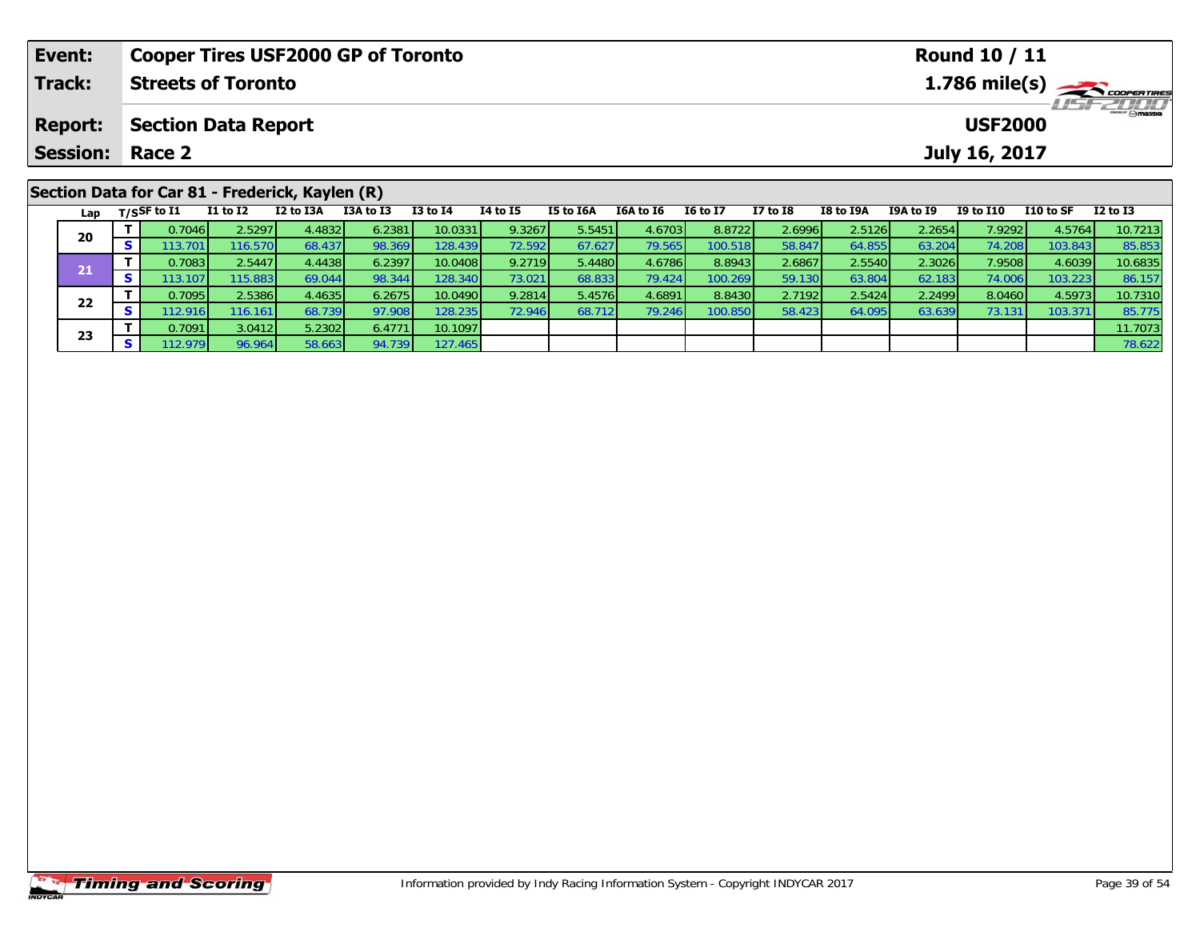| Event:         |          |                        |                            | <b>Cooper Tires USF2000 GP of Toronto</b>       |           |              |                 |           |           |                 |              |           |           | <b>Round 10 / 11</b> |           |                                           |
|----------------|----------|------------------------|----------------------------|-------------------------------------------------|-----------|--------------|-----------------|-----------|-----------|-----------------|--------------|-----------|-----------|----------------------|-----------|-------------------------------------------|
| Track:         |          |                        | <b>Streets of Toronto</b>  |                                                 |           |              |                 |           |           |                 |              |           |           |                      |           | $1.786$ mile(s) $\rightarrow$ COOPERTIRES |
| <b>Report:</b> |          |                        | <b>Section Data Report</b> |                                                 |           |              |                 |           |           |                 |              |           |           | <b>USF2000</b>       |           | <b>LISFZULU</b>                           |
|                |          | <b>Session: Race 2</b> |                            |                                                 |           |              |                 |           |           |                 |              |           |           | July 16, 2017        |           |                                           |
|                |          |                        |                            | Section Data for Car 81 - Frederick, Kaylen (R) |           |              |                 |           |           |                 |              |           |           |                      |           |                                           |
|                |          | Lap $T/S$ SF to I1     | $I1$ to $I2$               | I2 to I3A                                       | I3A to I3 | $I3$ to $I4$ | <b>I4 to I5</b> | I5 to I6A | I6A to I6 | <b>16 to 17</b> | $I7$ to $I8$ | I8 to I9A | I9A to I9 | <b>I9 to I10</b>     | I10 to SF | $I2$ to $I3$                              |
|                |          | 0.7046                 | 2.52971                    | 4.4832                                          | 6.2381    | 10.0331      | 9.3267          | 5.5451    | 4.6703    | 8.8722          | 2.6996       | 2.5126    | 2.2654    | 7.9292               | 4.5764    | 10.7213                                   |
| 20             | <b>S</b> | 113.701                | 116.570                    | 68.437                                          | 98.369    | 128.439      | 72.592          | 67.627    | 79.565    | 100.518         | 58.847       | 64.855    | 63.204    | 74.208               | 103.843   | 85.853                                    |

1 T 0.7083 2.5447 4.4438 6.2397 10.0408 9.2719 5.4480 4.6786 8.8943 2.6867 2.5540 2.3026 7.9508 4.6039 10.6835<br>T S 113.107 115.883 69.044 98.344 128.340 73.021 68.833 79.424 100.269 59.130 63.804 62.183 74.006 103.223 86.1

2 T 0.7095 2.5386 4.4635 6.2675 10.0490 9.2814 5.4576 4.6891 8.8430 2.7192 2.5424 2.2499 8.0460 4.5973 10.7310<br>2 S 112.916 116.161 68.739 97.908 128.235 72.946 68.712 79.246 100.850 58.423 64.095 63.639 73.131 103.371 85.7

**<sup>T</sup>** 0.7091 3.0412 5.2302 6.4771 10.1097 11.7073 **<sup>S</sup>** 112.979 96.964 58.663 94.739 127.465 78.622

**21**

**22**

**23**

86.157<br>10.7310

85.775<br>11.7073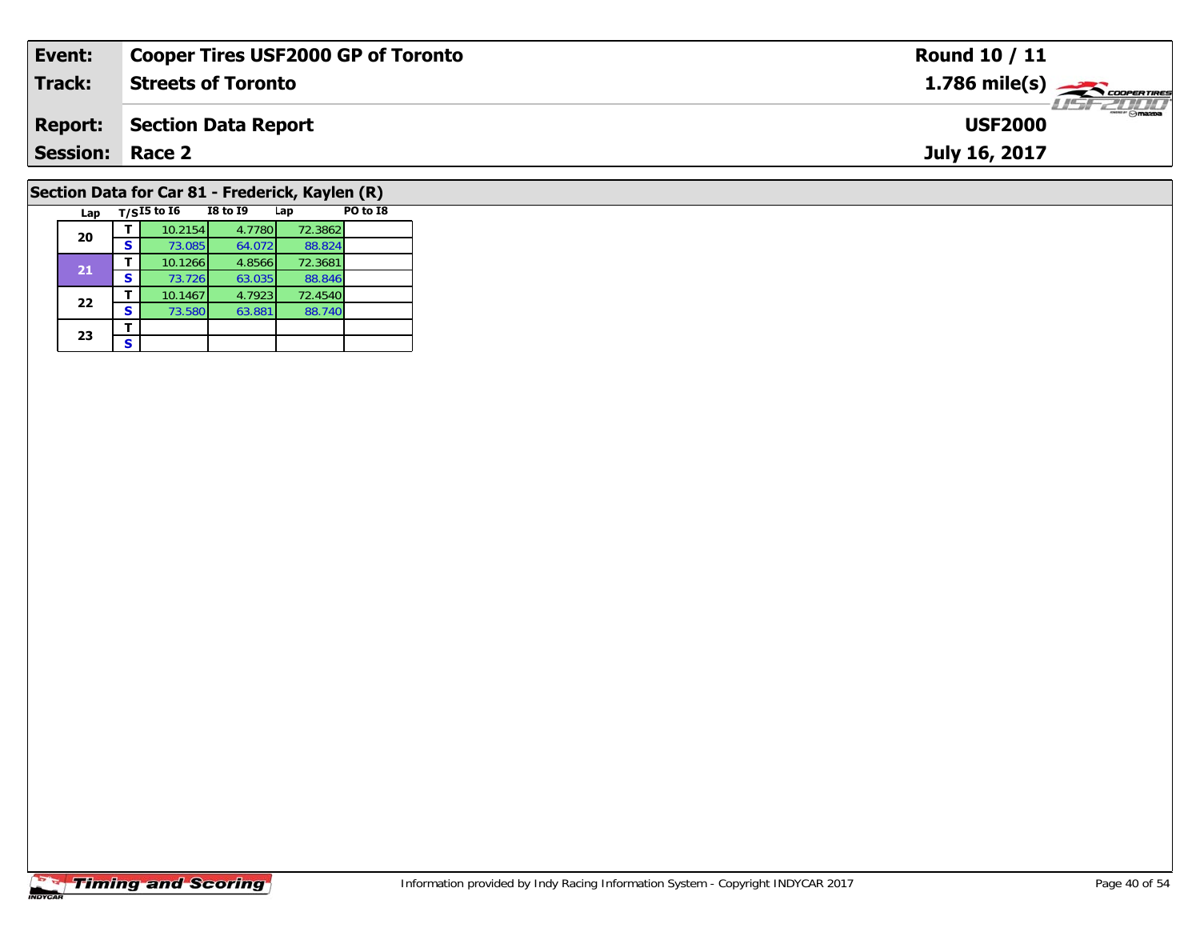| Event:          | <b>Cooper Tires USF2000 GP of Toronto</b>       | <b>Round 10 / 11</b>                                   |
|-----------------|-------------------------------------------------|--------------------------------------------------------|
| <b>Track:</b>   | <b>Streets of Toronto</b>                       | $1.786$ mile(s) $\overbrace{\hspace{2cm}}$ coderatines |
| <b>Report:</b>  | <b>Section Data Report</b>                      | $\frac{2}{\sqrt{2}}$ omazoa<br><b>USF2000</b>          |
| <b>Session:</b> | Race 2                                          | July 16, 2017                                          |
|                 |                                                 |                                                        |
|                 | Section Data for Car 81 - Frederick, Kaylen (R) |                                                        |
| Lap             | $T/SI5$ to $I6$<br>I8 to I9<br>PO to I8<br>Lap  |                                                        |

### **Timing and Scoring**

**20**

**21**

**22**

23  $\frac{1}{s}$  $\mathbf{s}$ 

**d T** 10.2154 4.7780 72.3862<br>**S** 73.085 64.072 88.824

**<sup>T</sup>** 10.1266 4.8566 72.3681 **<sup>S</sup>** 73.726 63.035 88.846

**T** 10.1467 4.7923 72.4540<br>**S** 73.580 63.881 88.740

88.824

88.846<br>72.4540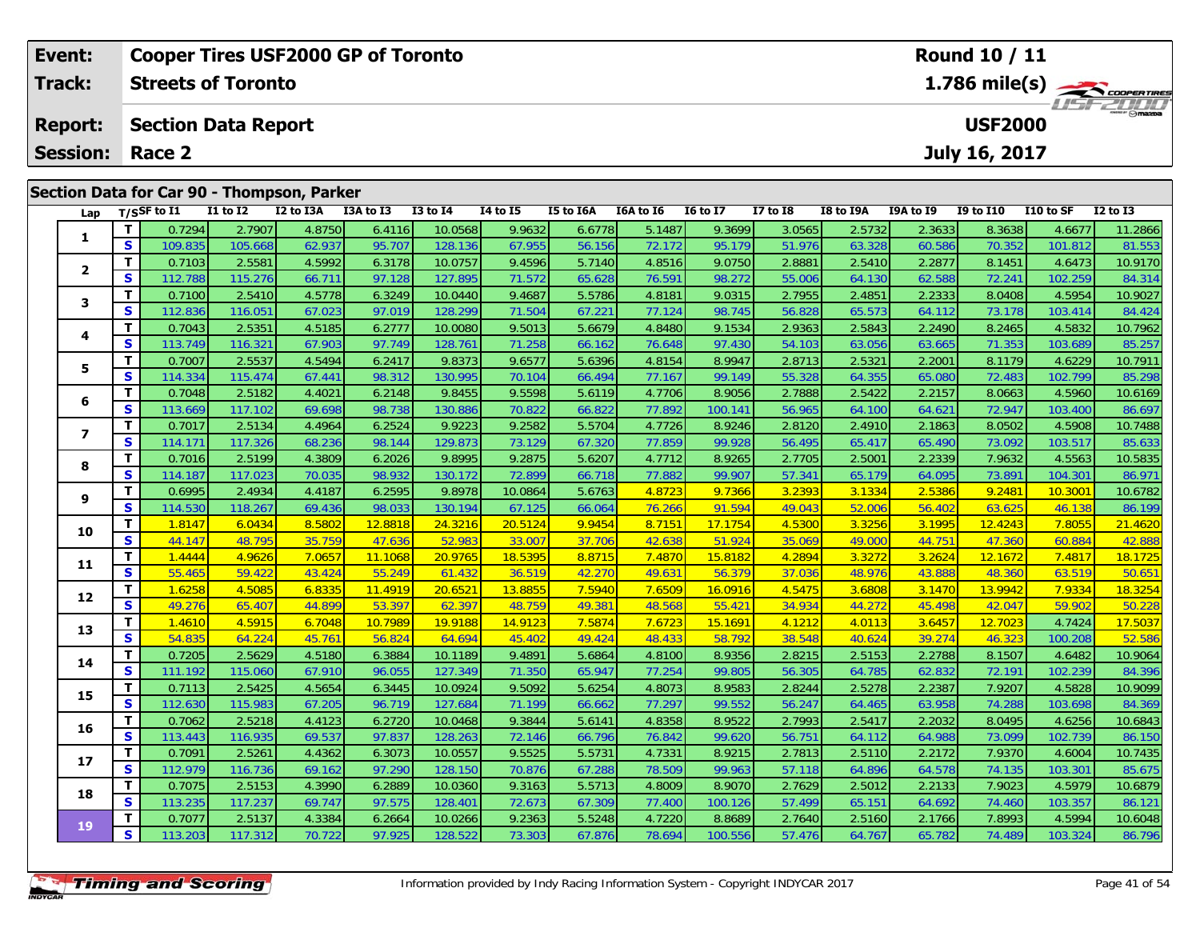| Event:          |                   |         |                            | <b>Cooper Tires USF2000 GP of Toronto</b>  |           |              |                 |           |                  |                 |              |           |                  | Round 10 / 11    |           |                                          |
|-----------------|-------------------|---------|----------------------------|--------------------------------------------|-----------|--------------|-----------------|-----------|------------------|-----------------|--------------|-----------|------------------|------------------|-----------|------------------------------------------|
| <b>Track:</b>   |                   |         | <b>Streets of Toronto</b>  |                                            |           |              |                 |           |                  |                 |              |           |                  |                  |           | $1.786$ mile(s) $\rightarrow$ coorganges |
| <b>Report:</b>  |                   |         | <b>Section Data Report</b> |                                            |           |              |                 |           |                  |                 |              |           |                  | <b>USF2000</b>   |           | <b>LISFZUDD</b>                          |
| <b>Session:</b> |                   | Race 2  |                            |                                            |           |              |                 |           |                  |                 |              |           |                  | July 16, 2017    |           |                                          |
|                 |                   |         |                            | Section Data for Car 90 - Thompson, Parker |           |              |                 |           |                  |                 |              |           |                  |                  |           |                                          |
|                 | Lap $T/SSF$ to I1 |         | <b>I1 to I2</b>            | I2 to I3A                                  | I3A to I3 | $I3$ to $I4$ | <b>I4 to I5</b> | I5 to I6A | <b>I6A to I6</b> | <b>I6 to I7</b> | $I7$ to $I8$ | I8 to I9A | <b>I9A to I9</b> | <b>I9 to I10</b> | I10 to SF | $I2$ to $I3$                             |
|                 |                   | 0.7294  | 2.7907                     | 4.8750                                     | 6.4116    | 10.0568      | 9.9632          | 6.6778    | 5.1487           | 9.3699          | 3.0565       | 2.5732    | 2.3633           | 8.3638           | 4.6677    | 11.2866                                  |
|                 | S.                | 109.835 | 105.668                    | 62.937                                     | 95.707    | 128.136      | 67.955          | 56.156    | 72.172           | 95.179          | 51.976       | 63.328    | 60.586           | 70.352           | 101.812   | 81.553                                   |

2 T 0.7103 2.5581 4.5992 6.3178 10.0757 9.4596 5.7140 4.8516 9.0750 2.8881 2.5410 2.2877 8.1451 4.6473 10.9170<br>2 S 112.788 115.276 66.711 97.128 127.895 71.572 65.628 76.591 98.272 55.006 64.130 62.588 72.241 102.259 84.31

3 T 0.7100 2.5410 4.5778 6.3249 10.0440 9.4687 5.5786 4.8181 9.0315 2.7955 2.4851 2.2333 8.0408 4.5954 10.9027<br>S S 112.836 116.051 67.023 97.019 128.299 71.504 67.221 77.124 98.745 56.828 65.573 64.112 73.178 103.414 84.42

4 T 0.7043 2.5351 4.5185 6.2777 10.0080 9.5013 5.6679 4.8480 9.1534 2.9363 2.5843 2.2490 8.2465 4.5832 10.7962<br>S 113.749 116.321 67.903 97.749 128.761 71.258 66.162 76.648 97.430 54.103 63.056 63.665 71.353 103.689 85.257

5 T 0.7007 2.5537 4.5494 6.2417 9.8373 9.6577 5.6396 4.8154 8.9947 2.8713 2.5321 2.2001 8.1179 4.6229 10.7911<br>5 S 114.334 115.474 67.441 98.312 130.995 70.104 66.494 77.167 99.149 55.328 64.355 65.080 72.483 102.799 85.298

6 T 0.7048| 2.5182| 4.4021| 6.2148| 9.8455| 9.5598| 5.6119| 4.7706| 8.9056| 2.7888| 2.5422| 2.2157| 8.0663| 4.5960| 10.6169<br>| S 113.669 117.102| 69.698| 98.738| 130.886| 70.822| 66.822| 77.892| 100.141| 56.965| 64.100| 64.

7 T 0.7017| 2.5134| 4.4964| 6.2524| 9.9223| 9.2582| 5.5704| 4.7726| 8.9246| 2.8120| 2.4910| 2.1863| 8.0502| 4.5908| 10.7488<br>7 S 114.171 117.326 68.236 98.144 129.873 73.129 67.320 77.859 99.928 56.495 65.417 65.490 73.092

| 8  | т. | 0.7016  | 2.5199  | 4.3809 | 6.2026  | 9.8995  | 9.2875  | 5.6207 | 4.7712 | 8.9265  | 2.7705 | 2.5001 | 2.2339 | 7.96321 | 4.5563  | 10.5835 |
|----|----|---------|---------|--------|---------|---------|---------|--------|--------|---------|--------|--------|--------|---------|---------|---------|
|    | S. | 114.187 | 117.023 | 70.035 | 98.932  | 130.172 | 72.899  | 66.718 | 77.882 | 99.907  | 57.341 | 65.179 | 64.095 | 73.891  | 104.301 | 86.971  |
| 9  | Τ. | 0.6995  | 2.4934  | 4.4187 | 6.2595  | 9.8978  | 10.0864 | 5.6763 | 4.8723 | 9.7366  | 3.2393 | 3.1334 | 2.5386 | 9.2481  | 10.3001 | 10.6782 |
|    | S. | 114.530 | 118.267 | 69.436 | 98.033  | 130.194 | 67.125  | 66.064 | 76.266 | 91.594  | 49.043 | 52.006 | 56.402 | 63.625  | 46.138  | 86.199  |
| 10 | т  | 1.8147  | 6.0434  | 8.5802 | 12.8818 | 24.3216 | 20.5124 | 9.9454 | 8.7151 | 17.1754 | 4.5300 | 3.3256 | 3.1995 | 12.4243 | 7.8055  | 21.4620 |
|    | S  | 44.147  | 48.795  | 35.759 | 47.636  | 52.983  | 33.007  | 37.706 | 42.638 | 51.924  | 35.069 | 49.000 | 44.751 | 47.360  | 60.884  | 42.888  |
| 11 | т  | 1.4444  | 4.9626  | 7.0657 | 11.1068 | 20.9765 | 18.5395 | 8.8715 | 7.4870 | 15.8182 | 4.2894 | 3.3272 | 3.2624 | 12.1672 | 7.4817  | 18.1725 |
|    | S  | 55.465  | 59.422  | 43.424 | 55.249  | 61.432  | 36.519  | 42.270 | 49.631 | 56.379  | 37.036 | 48.976 | 43.888 | 48.360  | 63.519  | 50.651  |
| 12 | T. | 1.6258  | 4.5085  | 6.8335 | 11.4919 | 20.6521 | 13.8855 | 7.5940 | 7.6509 | 16.0916 | 4.5475 | 3.6808 | 3.1470 | 13.9942 | 7.9334  | 18.3254 |
|    | S. | 49.276  | 65.407  | 44.899 | 53.397  | 62.397  | 48.759  | 49.381 | 48.568 | 55.421  | 34.934 | 44.272 | 45.498 | 42.047  | 59.902  | 50.228  |
| 13 | T. | 1.4610  | 4.5915  | 6.7048 | 10.7989 | 19.9188 | 14.9123 | 7.5874 | 7.6723 | 15.1691 | 4.1212 | 4.0113 | 3.6457 | 12.7023 | 4.7424  | 17.5037 |
|    | S. | 54.835  | 64.224  | 45.761 | 56.824  | 64.694  | 45.402  | 49.424 | 48.433 | 58.792  | 38.548 | 40.624 | 39.274 | 46.323  | 100.208 | 52.586  |
| 14 | T. | 0.7205  | 2.5629  | 4.5180 | 6.3884  | 10.1189 | 9.4891  | 5.6864 | 4.8100 | 8.9356  | 2.8215 | 2.5153 | 2.2788 | 8.1507  | 4.6482  | 10.9064 |
|    | S. | 111.192 | 115.060 | 67.910 | 96.055  | 127.349 | 71.350  | 65.947 | 77.254 | 99.805  | 56.305 | 64.785 | 62.832 | 72.191  | 102.239 | 84.396  |
| 15 | т  | 0.7113  | 2.5425  | 4.5654 | 6.3445  | 10.0924 | 9.5092  | 5.6254 | 4.8073 | 8.9583  | 2.8244 | 2.5278 | 2.2387 | 7.9207  | 4.5828  | 10.9099 |
|    | S. | 112.630 | 115.983 | 67.205 | 96.719  | 127.684 | 71.199  | 66.662 | 77.297 | 99.552  | 56.247 | 64.465 | 63.958 | 74.288  | 103.698 | 84.369  |
| 16 | Τ. | 0.7062  | 2.5218  | 4.4123 | 6.2720  | 10.0468 | 9.3844  | 5.6141 | 4.8358 | 8.9522  | 2.7993 | 2.5417 | 2.2032 | 8.0495  | 4.6256  | 10.6843 |
|    | S. | 113.443 | 116.935 | 69.537 | 97.837  | 128.263 | 72.146  | 66.796 | 76.842 | 99.620  | 56.751 | 64.112 | 64.988 | 73.099  | 102.739 | 86.150  |
| 17 | Τ. | 0.7091  | 2.5261  | 4.4362 | 6.3073  | 10.0557 | 9.5525  | 5.5731 | 4.7331 | 8.9215  | 2.7813 | 2.5110 | 2.2172 | 7.9370  | 4.6004  | 10.7435 |
|    | S. | 112.979 | 116.736 | 69.162 | 97.290  | 128.150 | 70.876  | 67.288 | 78.509 | 99.963  | 57.118 | 64.896 | 64.578 | 74.135  | 103.301 | 85.675  |
| 18 | Τ. | 0.7075  | 2.5153  | 4.3990 | 6.2889  | 10.0360 | 9.3163  | 5.5713 | 4.8009 | 8.9070  | 2.7629 | 2.5012 | 2.2133 | 7.9023  | 4.5979  | 10.6879 |
|    | S. | 113.235 | 117.237 | 69.747 | 97.575  | 128.401 | 72.673  | 67.309 | 77.400 | 100.126 | 57.499 | 65.151 | 64.692 | 74.460  | 103.357 | 86.121  |
| 19 |    | 0.7077  | 2.5137  | 4.3384 | 6.2664  | 10.0266 | 9.2363  | 5.5248 | 4.7220 | 8.8689  | 2.7640 | 2.5160 | 2.1766 | 7.8993  | 4.5994  | 10.6048 |
|    | S. | 113.203 | 117.312 | 70.722 | 97.925  | 128.522 | 73.303  | 67.876 | 78.694 | 100.556 | 57.476 | 64.767 | 65.782 | 74.489  | 103.324 | 86.796  |
|    |    |         |         |        |         |         |         |        |        |         |        |        |        |         |         |         |
|    |    |         |         |        |         |         |         |        |        |         |        |        |        |         |         |         |
|    |    | $-$     |         |        |         |         |         |        |        |         |        |        |        |         |         |         |

**2**

**3**

**4**

**5**

**6**

**7**

85.25

85.298

85.633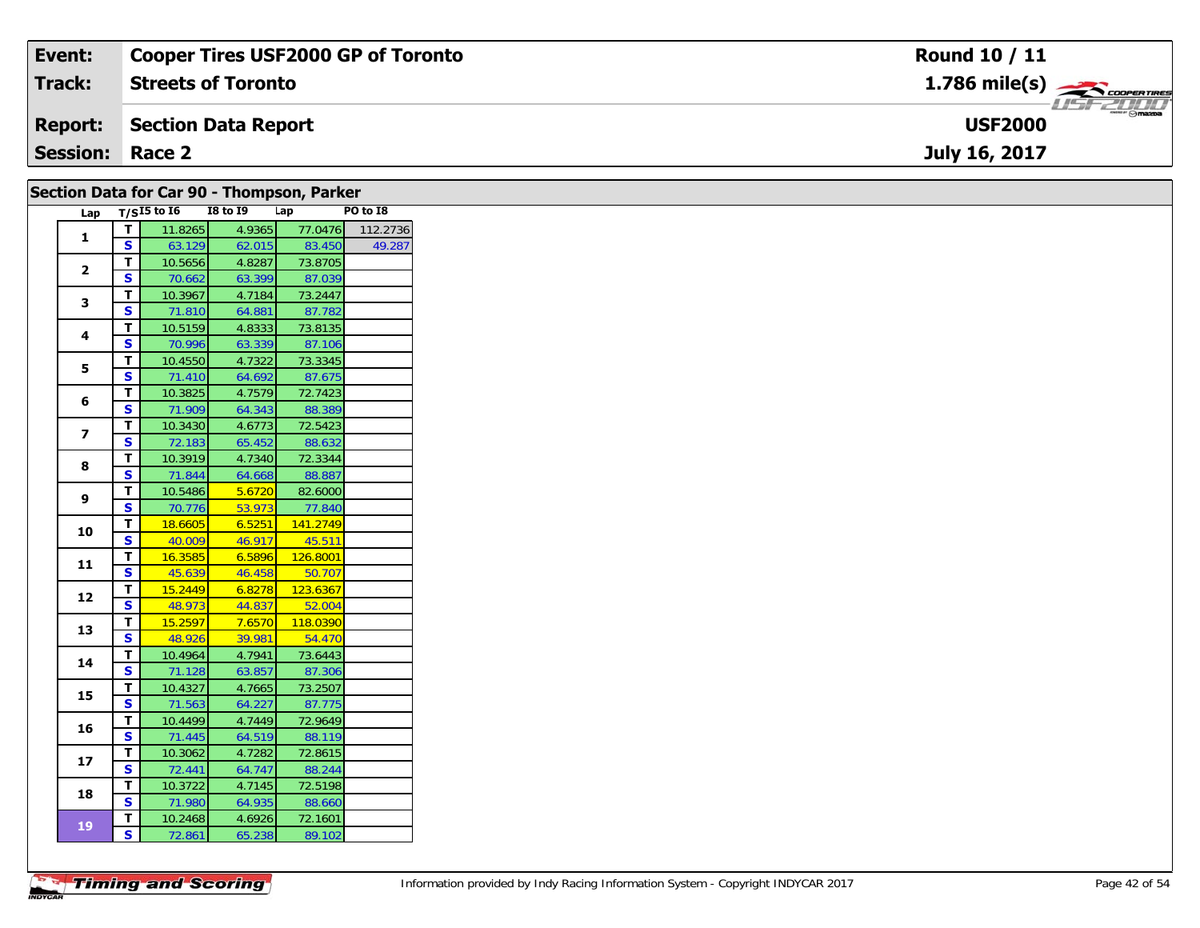|                        |                     | $1.786$ mile(s) $\rightarrow$ COOPERTIRES<br>$ \odot$ mazoa |
|------------------------|---------------------|-------------------------------------------------------------|
| <b>Report:</b>         | Section Data Report | <b>USF2000</b>                                              |
| <b>Session: Race 2</b> |                     | July 16, 2017                                               |

|                |                         |                   |                 | Section Data for Car 90 - Thompson, Parker |                  |
|----------------|-------------------------|-------------------|-----------------|--------------------------------------------|------------------|
|                |                         | Lap $T/SI5$ to 16 | <b>I8 to 19</b> | Lap                                        | PO to I8         |
| 1              | $\mathbf T$             | 11.8265           | 4.9365          |                                            | 77.0476 112.2736 |
|                | S                       | 63.129            | 62.015          | 83.450                                     | 49.287           |
| $\mathbf{2}$   | T                       | 10.5656           | 4.8287          | 73.8705                                    |                  |
|                | S                       | 70.662            | 63.399          | 87.039                                     |                  |
| 3              | T.                      | 10.3967           | 4.7184          | 73.2447                                    |                  |
|                | <b>S</b>                | 71.810            | 64.881          | 87.782                                     |                  |
| 4              | T.                      | 10.5159           | 4.8333          | 73.8135                                    |                  |
|                | S                       | 70.996            | 63.339          | 87.106                                     |                  |
| 5              | T.                      | 10.4550           | 4.7322          | 73.3345                                    |                  |
|                | <b>S</b>                | 71.410            | 64.692          | 87.675                                     |                  |
| 6              | T.                      | 10.3825           | 4.7579          | 72.7423                                    |                  |
|                | S                       | 71.909            | 64.343          | 88.389                                     |                  |
| $\overline{ }$ | $\mathbf T$             | 10.3430           | 4.6773          | 72.5423                                    |                  |
|                | S.                      | 72.183            | 65.452          | 88.632                                     |                  |
| 8              | T.                      | 10.3919           | 4.7340          | 72.3344                                    |                  |
|                | S                       | 71.844            | 64.668          | 88.887                                     |                  |
| 9              | T                       | 10.5486           | 5.6720          | 82.6000                                    |                  |
|                | S                       | 70.776            | 53.973          | 77.840                                     |                  |
| 10             | T                       | 18.6605           | 6.5251          | 141.2749                                   |                  |
|                | $\overline{\mathbf{s}}$ | 40.009            | 46.917          | 45.511                                     |                  |
| 11             | T.                      | 16.3585           | 6.5896          | 126.8001                                   |                  |
|                | S                       | 45.639            | 46.458          | 50.707                                     |                  |
| 12             | T                       | 15.2449           | 6.8278          | 123.6367                                   |                  |
|                | $\overline{\mathbf{s}}$ | 48.973            | 44.837          | 52.004                                     |                  |
| 13             | $\mathbf T$             | 15.2597           | 7.6570          | 118.0390                                   |                  |
|                | S                       | 48.926            | 39.981          | 54.470                                     |                  |
| 14             | T                       | 10.4964           | 4.7941          | 73.6443                                    |                  |
|                | S                       | 71.128            | 63.857          | 87.306                                     |                  |
| 15             | T.                      | 10.4327           | 4.7665          | 73.2507                                    |                  |
|                | S.                      | 71.563            | 64.227          | 87.775                                     |                  |
| 16             | т                       | 10.4499           | 4.7449          | 72.9649                                    |                  |
|                | S                       | 71.445            | 64.519          | 88.119                                     |                  |
| 17             | T                       | 10.3062           | 4.7282          | 72.8615                                    |                  |
|                | <b>S</b>                | 72.441            | 64.747          | 88.244                                     |                  |
| 18             | T                       | 10.3722           | 4.7145          | 72.5198                                    |                  |
|                | <b>S</b>                | 71.980            | 64.935          | 88.660                                     |                  |
| 19             | T.                      | 10.2468           | 4.6926          | 72.1601                                    |                  |
|                | $\mathbf{s}$            | 72.861            | 65.238          | 89.102                                     |                  |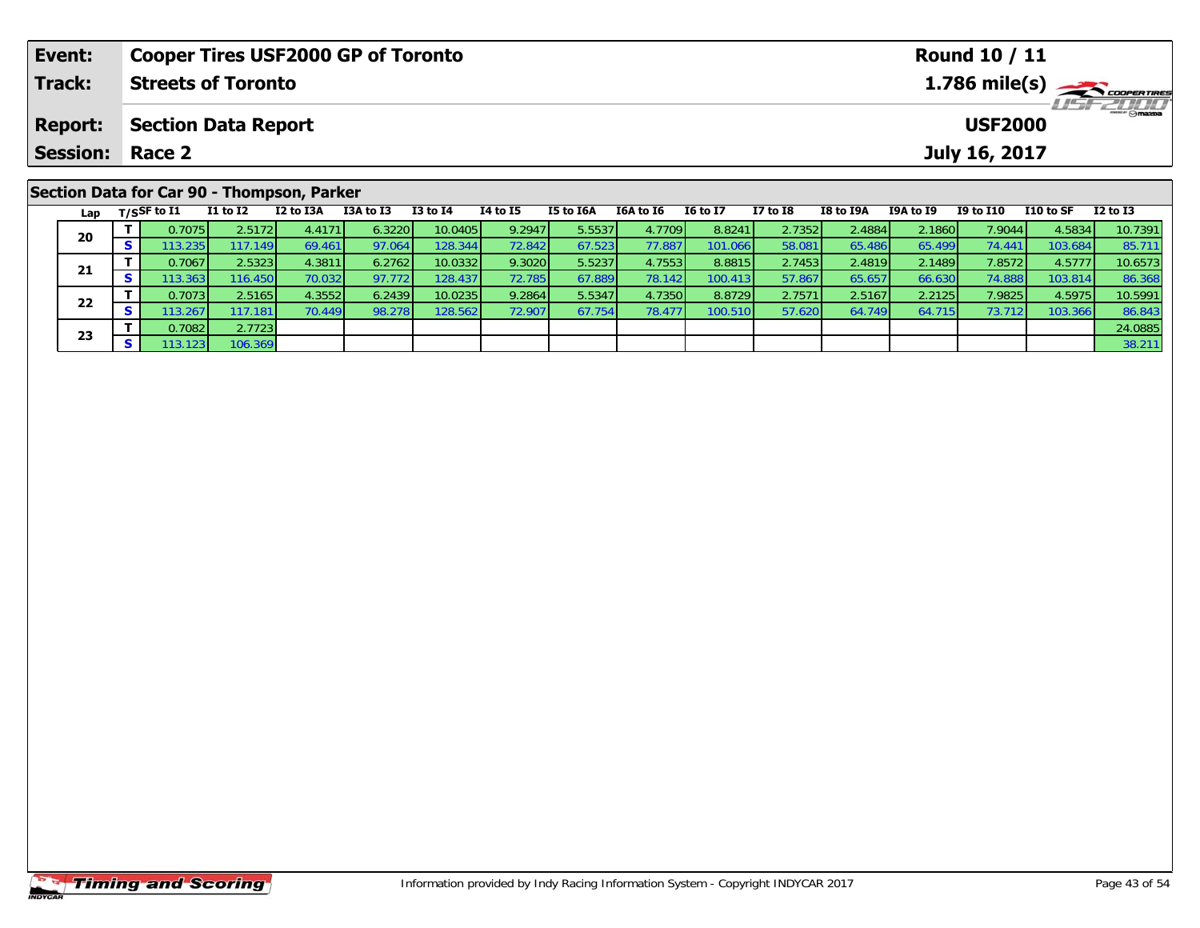| Event:         |          |                        |                            | <b>Cooper Tires USF2000 GP of Toronto</b>  |           |              |                 |                  |           |                 |                 |           |                  | Round 10 / 11   |           |               |
|----------------|----------|------------------------|----------------------------|--------------------------------------------|-----------|--------------|-----------------|------------------|-----------|-----------------|-----------------|-----------|------------------|-----------------|-----------|---------------|
| Track:         |          |                        | <b>Streets of Toronto</b>  |                                            |           |              |                 |                  |           |                 |                 |           |                  |                 |           | 1.786 mile(s) |
| <b>Report:</b> |          |                        | <b>Section Data Report</b> |                                            |           |              |                 |                  |           |                 |                 |           |                  | <b>USF2000</b>  |           |               |
|                |          | <b>Session: Race 2</b> |                            |                                            |           |              |                 |                  |           |                 |                 |           |                  | July 16, 2017   |           |               |
|                |          |                        |                            | Section Data for Car 90 - Thompson, Parker |           |              |                 |                  |           |                 |                 |           |                  |                 |           |               |
|                |          | Lap $T/SSF$ to I1      | $I1$ to $I2$               | I2 to I3A                                  | I3A to I3 | $I3$ to $I4$ | <b>I4 to I5</b> | <b>I5 to I6A</b> | I6A to I6 | <b>16 to 17</b> | <b>I7 to I8</b> | I8 to I9A | <b>I9A to I9</b> | I9 to I10       | I10 to SF | $I2$ to $I3$  |
| 20             |          | 0.7075                 | 2.5172                     | 4.4171                                     | 6.3220    | 10.0405      | 9.2947          | 5.5537           | 4.7709    | 8.8241          | 2.7352          | 2.4884    | 2.1860           | 7.9044          | 4.5834    | 10.7391       |
|                | <b>S</b> | 113.2351               | 117.149                    | 69.461                                     | 97.064    | 128.344      | 72.842          | 67.523           | 77.887    | 101.066         | 58.081          | 65.486    | 65.499           | 74.441 <b>1</b> | 103.684   | 85.711        |

1 T 0.7067 2.5323 4.3811 6.2762 10.0332 9.3020 5.5237 4.7553 8.8815 2.7453 2.4819 2.1489 7.8572 4.5777 10.6573<br>S 113.363 116.450 70.032 97.772 128.437 72.785 67.889 78.142 100.413 57.867 65.657 66.630 74.888 103.814 86.368

2 T 0.7073 2.5165 4.3552 6.2439 10.0235 9.2864 5.5347 4.7350 8.8729 2.7571 2.5167 2.2125 7.9825 4.5975 10.5991<br>2 S 113.267 117.181 70.449 98.278 128.562 72.907 67.754 78.477 100.510 57.620 64.749 64.715 73.712 103.366 86.8

**T** 0.7082 2.7723 24.0885 2.7123 24.0885 3 3 3 3 3 4 3 4.0885 3 3 4.211 38.211

|                       | <b>Timing and Scoring</b> |
|-----------------------|---------------------------|
| <i><b>INDYCAR</b></i> |                           |

**21**

**22**

**23**

86.368<br>10.5991

86.843<br>24.0885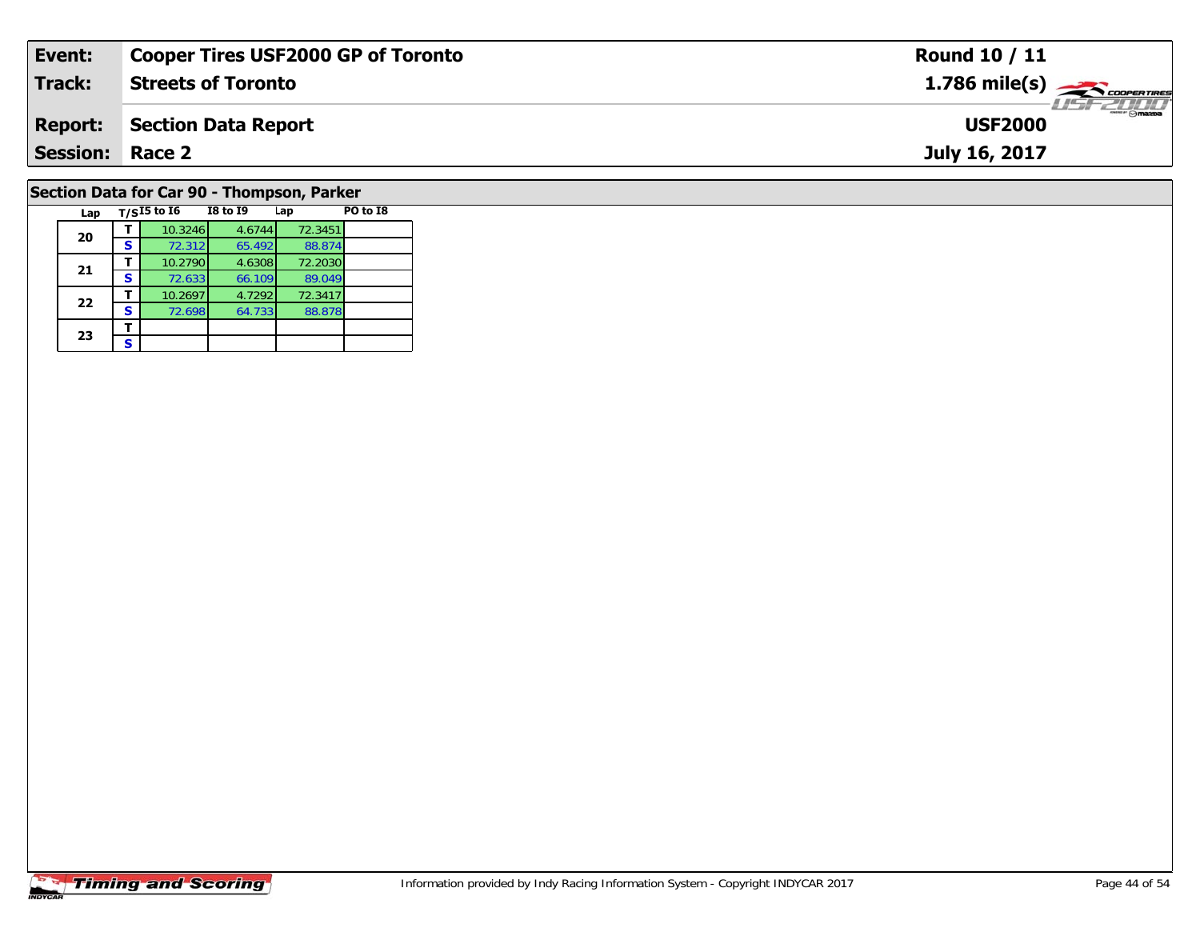| Event:                 | <b>Cooper Tires USF2000 GP of Toronto</b>             | <b>Round 10 / 11</b>                      |
|------------------------|-------------------------------------------------------|-------------------------------------------|
| <b>Track:</b>          | <b>Streets of Toronto</b>                             | $1.786$ mile(s) $\rightarrow$ COOPERTIRES |
| <b>Report:</b>         | <b>Section Data Report</b>                            | <b>USF2000</b>                            |
| <b>Session: Race 2</b> |                                                       | July 16, 2017                             |
|                        | Section Data for Car 90 - Thompson, Parker            |                                           |
| Lap                    | $T/SI5$ to $I6$<br><b>I8 to I9</b><br>PO to I8<br>Lap |                                           |

### **Timing and Scoring**

**20**

**21**

**22**

**23**3 <u>F</u>

**<sup>T</sup>** 10.3246 4.6744 72.3451 **<sup>S</sup>** 72.312 65.492 88.874

**T** 10.2790 4.6308 72.2030<br>**S** 72.633 66.109 89.049

**<sup>T</sup>** 10.2697 4.7292 72.3417 **<sup>S</sup>** 72.698 64.733 88.878

88.874<br>72.2030

89.049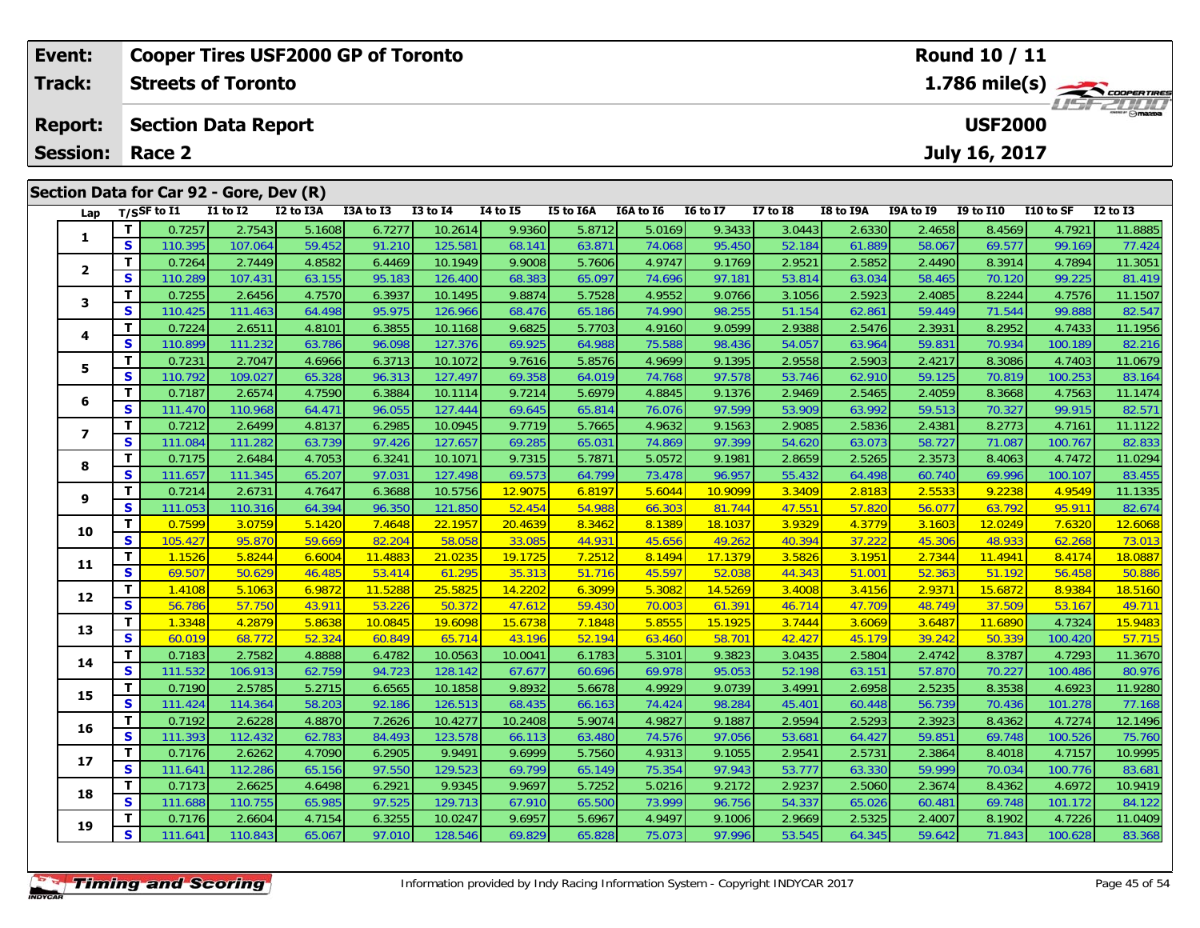| <b>Event:</b>   |                               | <b>Cooper Tires USF2000 GP of Toronto</b> |                   |                  |                  |                    |                   |                  |                  |                   |                  |                  |                  | Round 10 / 11     |                  |                   |
|-----------------|-------------------------------|-------------------------------------------|-------------------|------------------|------------------|--------------------|-------------------|------------------|------------------|-------------------|------------------|------------------|------------------|-------------------|------------------|-------------------|
| <b>Track:</b>   |                               | <b>Streets of Toronto</b>                 |                   |                  |                  |                    |                   |                  |                  |                   |                  |                  |                  |                   |                  | 1.786 mile(s)     |
|                 |                               |                                           |                   |                  |                  |                    |                   |                  |                  |                   |                  |                  |                  |                   |                  |                   |
| <b>Report:</b>  |                               | <b>Section Data Report</b>                |                   |                  |                  |                    |                   |                  |                  |                   |                  |                  |                  | <b>USF2000</b>    |                  |                   |
| <b>Session:</b> |                               | Race 2                                    |                   |                  |                  |                    |                   |                  |                  |                   |                  |                  |                  | July 16, 2017     |                  |                   |
|                 |                               |                                           |                   |                  |                  |                    |                   |                  |                  |                   |                  |                  |                  |                   |                  |                   |
|                 |                               | Section Data for Car 92 - Gore, Dev (R)   |                   |                  |                  |                    |                   |                  |                  |                   |                  |                  |                  |                   |                  |                   |
| Lap             |                               | $T/S$ SF to $I1$                          | $I1$ to $I2$      | I2 to I3A        | I3A to I3        | <b>I3 to I4</b>    | <b>I4 to I5</b>   | I5 to I6A        | I6A to I6        | <b>16 to 17</b>   | <b>I7 to I8</b>  | <b>I8 to I9A</b> | I9A to I9        | <b>I9 to I10</b>  | I10 to SF        | <b>I2 to I3</b>   |
| 1               | T                             | 0.7257                                    | 2.7543            | 5.1608           | 6.7277           | 10.2614            | 9.9360            | 5.8712           | 5.0169           | 9.3433            | 3.0443           | 2.6330           | 2.4658           | 8.4569            | 4.7921           | 11.8885           |
|                 | $\overline{\mathbf{s}}$       | 110.395                                   | 107.064           | 59.452           | 91.210           | 125.581            | 68.141            | 63.87            | 74.068           | 95.450            | 52.184           | 61.889           | 58.067           | 69.577            | 99.169           | 77.424            |
| $\mathbf{2}$    | T.                            | 0.7264                                    | 2.7449            | 4.8582           | 6.4469           | 10.1949            | 9.9008            | 5.7606           | 4.9747           | 9.1769            | 2.9521           | 2.5852           | 2.4490           | 8.3914            | 4.7894           | 11.3051           |
|                 | $\mathbf{s}$<br>T.            | 110.289<br>0.7255                         | 107.431<br>2.6456 | 63.155<br>4.7570 | 95.183<br>6.3937 | 126.400<br>10.1495 | 68.383<br>9.8874  | 65.097<br>5.7528 | 74.696<br>4.9552 | 97.18'<br>9.0766  | 53.814<br>3.1056 | 63.034<br>2.5923 | 58.465<br>2.4085 | 70.120<br>8.2244  | 99.225<br>4.7576 | 81.419<br>11.1507 |
| 3               | S                             | 110.425                                   | 111.463           | 64.498           | 95.975           | 126.966            | 68.476            | 65.186           | 74.990           | 98.255            | 51.154           | 62.861           | 59.449           | 71.544            | 99.888           | 82.547            |
|                 | T                             | 0.7224                                    | 2.6511            | 4.8101           | 6.3855           | 10.1168            | 9.6825            | 5.7703           | 4.9160           | 9.0599            | 2.9388           | 2.5476           | 2.3931           | 8.2952            | 4.7433           | 11.1956           |
| 4               | $\mathbf{s}$                  | 110.899                                   | 111.232           | 63.786           | 96.098           | 127.376            | 69.925            | 64.988           | 75.588           | 98.436            | 54.057           | 63.964           | 59.831           | 70.934            | 100.189          | 82.216            |
|                 | T                             | 0.7231                                    | 2.7047            | 4.6966           | 6.3713           | 10.1072            | 9.7616            | 5.8576           | 4.9699           | 9.1395            | 2.9558           | 2.5903           | 2.4217           | 8.3086            | 4.7403           | 11.0679           |
| 5               | $\mathbf{s}$                  | 110.792                                   | 109.027           | 65.328           | 96.313           | 127.497            | 69.358            | 64.019           | 74.768           | 97.578            | 53.746           | 62.910           | 59.125           | 70.819            | 100.253          | 83.164            |
|                 | T                             | 0.7187                                    | 2.6574            | 4.7590           | 6.3884           | 10.1114            | 9.7214            | 5.6979           | 4.8845           | 9.1376            | 2.9469           | 2.5465           | 2.4059           | 8.3668            | 4.7563           | 11.1474           |
| 6               | S                             | 111.470                                   | 110.968           | 64.471           | 96.055           | 127.444            | 69.645            | 65.814           | 76.076           | 97.599            | 53.909           | 63.992           | 59.513           | 70.327            | 99.915           | 82.571            |
| $\overline{ }$  | T                             | 0.7212                                    | 2.6499            | 4.8137           | 6.2985           | 10.0945            | 9.7719            | 5.7665           | 4.9632           | 9.1563            | 2.9085           | 2.5836           | 2.4381           | 8.2773            | 4.7161           | 11.1122           |
|                 | $\mathbf{s}$                  | 111.084                                   | 111.282           | 63.739           | 97.426           | 127.657            | 69.285            | 65.031           | 74.869           | 97.399            | 54.620           | 63.073           | 58.727           | 71.087            | 100.767          | 82.833            |
| 8               | T                             | 0.7175                                    | 2.6484            | 4.7053           | 6.3241           | 10.1071            | 9.7315            | 5.7871           | 5.0572           | 9.1981            | 2.8659           | 2.5265           | 2.3573           | 8.4063            | 4.7472           | 11.0294           |
|                 | $\mathbf{s}$                  | 111.657                                   | 111.345           | 65.207           | 97.031           | 127.498            | 69.573            | 64.799           | 73.478           | 96.957            | 55.432           | 64.498           | 60.740           | 69.996            | 100.107          | 83.455            |
| 9               | T                             | 0.7214                                    | 2.6731            | 4.7647           | 6.3688           | 10.5756            | 12.9075           | 6.8197           | 5.6044           | 10.9099           | 3.3409           | 2.8183           | 2.5533           | 9.2238            | 4.9549           | 11.1335           |
|                 | $\overline{\mathbf{s}}$<br>T. | 111.053<br>0.7599                         | 110.316<br>3.0759 | 64.394<br>5.1420 | 96.350<br>7.4648 | 121.850<br>22.1957 | 52.454<br>20.4639 | 54.988<br>8.3462 | 66.303<br>8.1389 | 81.744<br>18.1037 | 47.55<br>3.9329  | 57.820           | 56.077<br>3.1603 | 63.792<br>12.0249 | 95.911<br>7.6320 | 82.674<br>12.6068 |
| 10              | $\mathbf{s}$                  | 105.427                                   | 95.870            | 59.669           | 82.204           | 58.058             | 33.085            | 44.931           | 45.656           | 49.262            | 40.394           | 4.3779<br>37.222 | 45.306           | 48.933            | 62.268           | 73.013            |
|                 | T.                            | 1.1526                                    | 5.8244            | 6.6004           | 11.4883          | 21.0235            | 19.1725           | 7.2512           | 8.1494           | 17.1379           | 3.5826           | 3.1951           | 2.7344           | 11.4941           | 8.4174           | 18.0887           |
| 11              | S                             | 69.507                                    | 50.629            | 46.485           | 53.414           | 61.295             | 35.313            | 51.716           | 45.597           | 52.038            | 44.343           | $51.00^{\circ}$  | 52.363           | 51.192            | 56.458           | 50.886            |
|                 | T                             | 1.4108                                    | 5.1063            | 6.9872           | 11.5288          | 25.5825            | 14.2202           | 6.3099           | 5.3082           | 14.5269           | 3.4008           | 3.4156           | 2.9371           | 15.6872           | 8.9384           | 18.5160           |
| 12              | $\mathbf{s}$                  | 56.786                                    | 57.750            | 43.91'           | 53.226           | 50.372             | 47.612            | 59.430           | 70.003           | 61.39'            | 46.714           | 47.709           | 48.749           | 37.509            | 53.167           | 49.711            |
| 13              | T                             | 1.3348                                    | 4.2879            | 5.8638           | 10.0845          | 19.6098            | 15.6738           | 7.1848           | 5.8555           | 15.1925           | 3.7444           | 3.6069           | 3.6487           | 11.6890           | 4.7324           | 15.9483           |
|                 | S                             | 60.019                                    | 68.772            | 52.324           | 60.849           | 65.714             | 43.196            | 52.194           | 63.460           | $58.70^{\circ}$   | 42.427           | 45.179           | 39.242           | 50.339            | 100.420          | 57.715            |
| 14              | T.                            | 0.7183                                    | 2.7582            | 4.8888           | 6.4782           | 10.0563            | 10.0041           | 6.1783           | 5.3101           | 9.3823            | 3.0435           | 2.5804           | 2.4742           | 8.3787            | 4.7293           | 11.3670           |
|                 | S                             | 111.532                                   | 106.913           | 62.759           | 94.723           | 128.142            | 67.677            | 60.696           | 69.978           | 95.053            | 52.198           | 63.151           | 57.870           | 70.227            | 100.486          | 80.976            |
| 15              | Т                             | 0.7190                                    | 2.5785            | 5.2715           | 6.6565           | 10.1858            | 9.8932            | 5.6678           | 4.9929           | 9.0739            | 3.4991           | 2.6958           | 2.5235           | 8.3538            | 4.6923           | 11.9280           |
|                 | S                             | 111.424                                   | 114.364           | 58.203           | 92.186           | 126.513            | 68.435            | 66.163           | 74.424           | 98.284            | 45.401           | 60.448           | 56.739           | 70.436            | 101.278          | 77.168            |

**16**

**17**

**18**

**19**

6 T 0.7192 2.6228 4.8870 7.2626 10.4277 10.2408 5.9074 4.9827 9.1887 2.9594 2.5293 2.3923 8.4362 4.7274 12.1496<br>5.9 S 111.393 112.432 62.783 84.493 123.578 66.113 63.480 74.576 97.056 53.681 64.427 59.851 69.748 100.526 75

7 T 0.7176 2.6262 4.7090 6.2905 9.9491 9.6999 5.7560 4.9313 9.1055 2.9541 2.5731 2.3864 8.4018 4.7157 10.9995<br>7 S 111.641 112.286 65.156 97.550 129.523 69.799 65.149 75.354 97.943 53.777 63.330 59.999 70.034 100.776 83.681

8 T 0.7173 2.6625 4.6498 6.2921 9.9345 9.9697 5.7252 5.0216 9.2172 2.9237 2.5060 2.3674 8.4362 4.6972 10.9419<br>S 111.688 110.755 65.985 97.525 129.713 67.910 65.500 73.999 96.756 54.337 65.026 60.481 69.748 101.172 84.122

**<sup>T</sup>** 0.7176 2.6604 4.7154 6.3255 10.0247 9.6957 5.6967 4.9497 9.1006 2.9669 2.5325 2.4007 8.1902 4.7226 11.0409 **<sup>S</sup>** 111.641 110.843 65.067 97.010 128.546 69.829 65.828 75.073 97.996 53.545 64.345 59.642 71.843 100.628 83.368

75.760

83.681<br>10.9419

84.122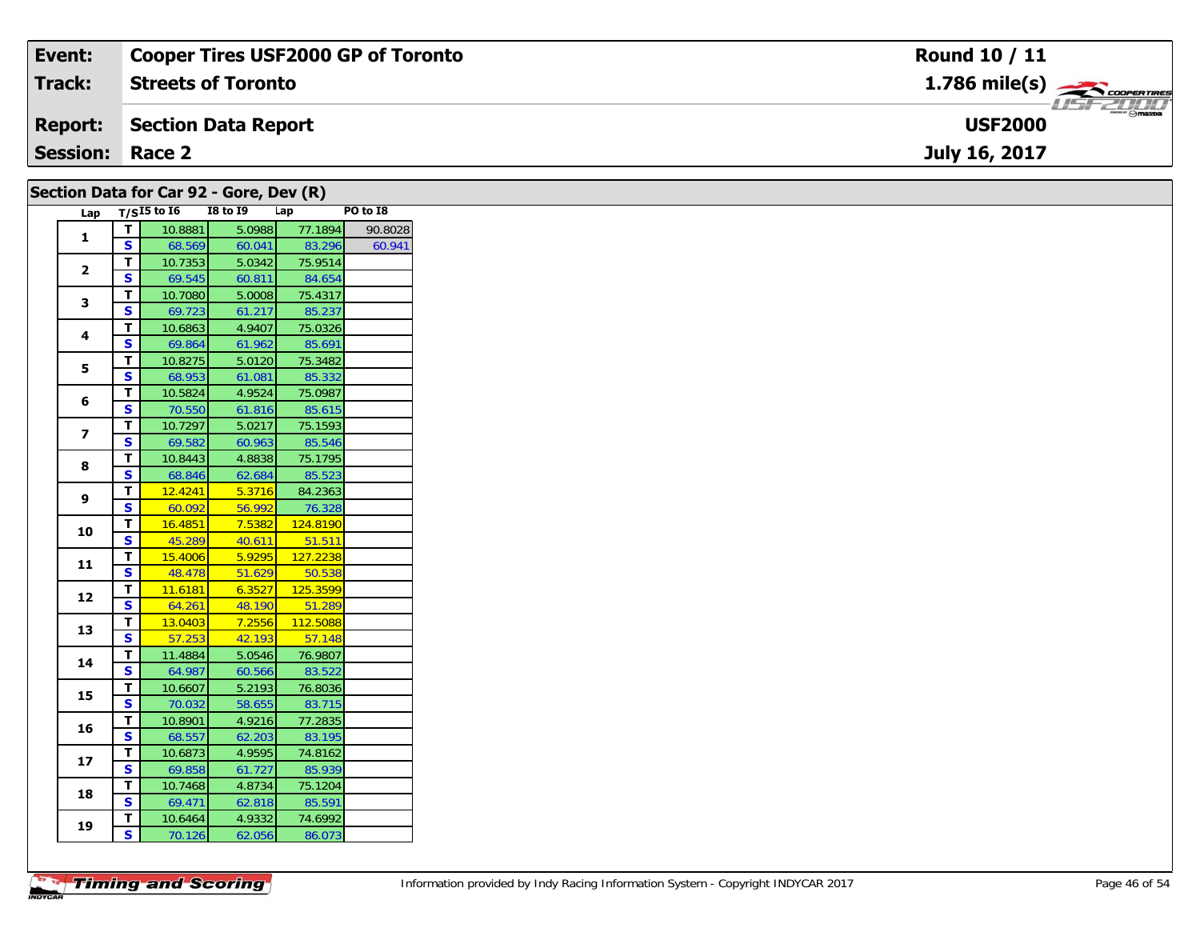| Event:                 | <b>Cooper Tires USF2000 GP of Toronto</b> | Round 10 / 11                                             |
|------------------------|-------------------------------------------|-----------------------------------------------------------|
| Track:                 | <b>Streets of Toronto</b>                 | $1.786$ mile(s) $\overbrace{\hspace{2.5cm}}$ coorer TIRES |
|                        | <b>Report: Section Data Report</b>        | $\frac{1}{\Theta}$ mazpa<br><b>USF2000</b>                |
| <b>Session: Race 2</b> |                                           | July 16, 2017                                             |
|                        | Section Data for Car 92 - Gore, Dev $(R)$ |                                                           |

| Lap            |                         | Section bata for car $32 - 001$ eyes (K)<br>T/S $I5$ to $I6$ | <b>I8 to I9</b> |        | Lap      | PO to I8 |
|----------------|-------------------------|--------------------------------------------------------------|-----------------|--------|----------|----------|
|                | $\mathbf{T}$            | 10.8881                                                      |                 | 5.0988 | 77.1894  | 90.8028  |
| 1              | $\overline{\mathbf{s}}$ | 68.569                                                       |                 | 60.041 | 83.296   | 60.941   |
|                | $\mathbf{T}$            | 10.7353                                                      |                 | 5.0342 | 75.9514  |          |
| $\overline{2}$ | S                       | 69.545                                                       |                 | 60.811 | 84.654   |          |
|                | $\overline{\mathsf{T}}$ | 10.7080                                                      |                 | 5.0008 | 75.4317  |          |
| 3              | $\overline{\mathbf{s}}$ | 69.723                                                       |                 | 61.217 | 85.237   |          |
| 4              | $\mathbf{T}$            | 10.6863                                                      |                 | 4.9407 | 75.0326  |          |
|                | S                       | 69.864                                                       |                 | 61.962 | 85.691   |          |
| 5              | $\overline{\mathbf{r}}$ | 10.8275                                                      |                 | 5.0120 | 75.3482  |          |
|                | $\overline{\mathbf{s}}$ | 68.953                                                       |                 | 61.081 | 85.332   |          |
| 6              | $\mathbf T$             | 10.5824                                                      |                 | 4.9524 | 75.0987  |          |
|                | S                       | 70.550                                                       |                 | 61.816 | 85.615   |          |
| 7              | $\overline{\mathsf{r}}$ | 10.7297                                                      |                 | 5.0217 | 75.1593  |          |
|                | $\overline{\mathbf{s}}$ | 69.582                                                       |                 | 60.963 | 85.546   |          |
| 8              | $\mathbf{T}$            | 10.8443                                                      |                 | 4.8838 | 75.1795  |          |
|                | S                       | 68.846                                                       |                 | 62.684 | 85.523   |          |
| 9              | $\overline{\mathsf{T}}$ | 12.4241                                                      |                 | 5.3716 | 84.2363  |          |
|                | S                       | 60.092                                                       |                 | 56.992 | 76.328   |          |
| 10             | $\mathbf{T}$            | 16.4851                                                      |                 | 7.5382 | 124.8190 |          |
|                | $\overline{\mathbf{s}}$ | 45.289                                                       |                 | 40.611 | 51.511   |          |
| 11             | $\overline{\mathsf{r}}$ | 15.4006                                                      |                 | 5.9295 | 127.2238 |          |
|                | $\overline{\mathbf{s}}$ | 48.478                                                       |                 | 51.629 | 50.538   |          |
| 12             | $\overline{\mathbf{I}}$ | 11.6181                                                      |                 | 6.3527 | 125.3599 |          |
|                | $\overline{\mathbf{s}}$ | 64.261                                                       |                 | 48.190 | 51.289   |          |
| 13             | $\overline{\mathbf{T}}$ | 13.0403                                                      |                 | 7.2556 | 112.5088 |          |
|                | $\overline{\mathbf{s}}$ | 57.253                                                       |                 | 42.193 | 57.148   |          |
| 14             | $\mathbf{T}$            | 11.4884                                                      |                 | 5.0546 | 76.9807  |          |
|                | $\mathbf{s}$            | 64.987                                                       |                 | 60.566 | 83.522   |          |
| 15             | $\overline{\mathbf{r}}$ | 10.6607                                                      |                 | 5.2193 | 76.8036  |          |
|                | $\overline{\mathbf{s}}$ | 70.032                                                       |                 | 58.655 | 83.715   |          |
| 16             | $\mathbf{T}$            | 10.8901                                                      |                 | 4.9216 | 77.2835  |          |
|                | S                       | 68.557                                                       |                 | 62.203 | 83.195   |          |
| 17             | $\overline{\mathbf{I}}$ | 10.6873                                                      |                 | 4.9595 | 74.8162  |          |
|                | $\overline{\mathbf{s}}$ | 69.858                                                       |                 | 61.727 | 85.939   |          |
| 18             | $\mathbf{T}$            | 10.7468                                                      |                 | 4.8734 | 75.1204  |          |
|                | $\mathbf{s}$            | 69.471                                                       |                 | 62.818 | 85.591   |          |
| 19             | $\overline{\mathbf{r}}$ | 10.6464                                                      |                 | 4.9332 | 74.6992  |          |
|                | $\mathsf{s}$            | 70.126                                                       |                 | 62.056 | 86.073   |          |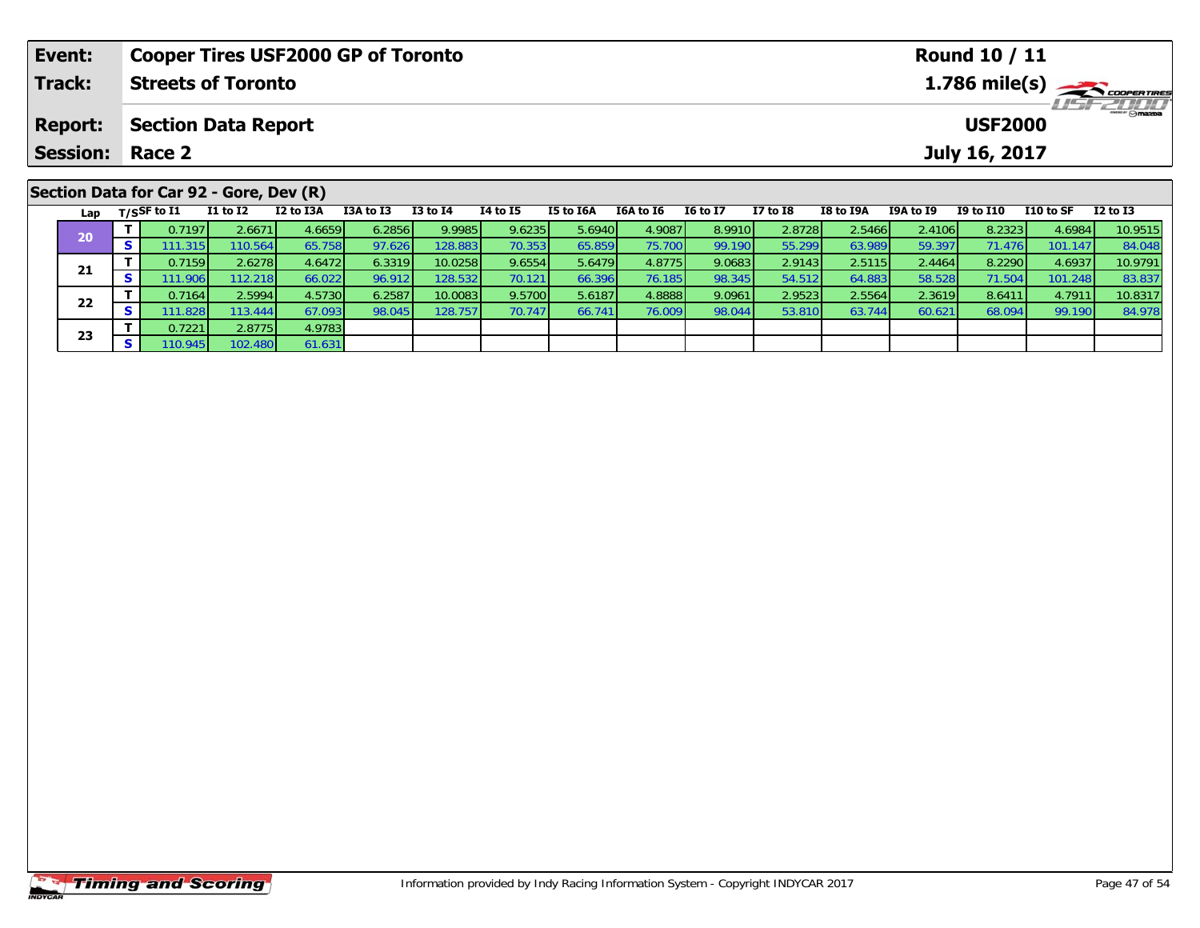|                | Event:<br><b>Cooper Tires USF2000 GP of Toronto</b> |          |                                         |          |           |           |                 |                 |           |           | <b>Round 10 / 11</b> |              |                         |           |                  |           |              |  |
|----------------|-----------------------------------------------------|----------|-----------------------------------------|----------|-----------|-----------|-----------------|-----------------|-----------|-----------|----------------------|--------------|-------------------------|-----------|------------------|-----------|--------------|--|
|                | Track:                                              |          | <b>Streets of Toronto</b>               |          |           |           |                 |                 |           |           |                      |              | $1.786 \text{ mile(s)}$ |           |                  |           |              |  |
| <b>Report:</b> |                                                     |          | <b>Section Data Report</b>              |          |           |           |                 |                 |           |           |                      |              |                         |           | <b>USF2000</b>   |           |              |  |
|                | <b>Session:</b>                                     |          | Race 2                                  |          |           |           |                 |                 |           |           |                      |              |                         |           | July 16, 2017    |           |              |  |
|                |                                                     |          | Section Data for Car 92 - Gore, Dev (R) |          |           |           |                 |                 |           |           |                      |              |                         |           |                  |           |              |  |
|                |                                                     |          | Lap $T/SSF$ to $\overline{11}$          | I1 to I2 | I2 to I3A | I3A to I3 | <b>I3 to I4</b> | <b>I4 to I5</b> | I5 to I6A | I6A to I6 | <b>16 to 17</b>      | $I7$ to $I8$ | <b>I8 to I9A</b>        | I9A to I9 | <b>I9 to I10</b> | I10 to SF | $I2$ to $I3$ |  |
|                | 20                                                  |          | 0.7197                                  | 2.6671   | 4.6659    | 6.2856    | 9.9985          | 9.6235          | 5.6940    | 4.9087    | 8.9910               | 2.8728       | 2.5466                  | 2.4106    | 8.2323           | 4.6984    | 10.9515      |  |
|                |                                                     | <b>S</b> | 111.315                                 | 110.564  | 65.758    | 97.626    | 128.883         | 70.353          | 65.859    | 75.700    | 99.190               | 55.299       | 63.989                  | 59.397    | 71.476           | 101.147   | 84.048       |  |
|                | $\sim$                                              |          | 0.7159                                  | 2.6278   | 4.6472    | 6.3319    | 10.0258         | 9.6554          | 5.6479    | 4.8775    | 9.0683               | 2.9143       | 2.5115                  | 2.4464    | 8.2290           | 4.6937    | 10.9791      |  |

**<sup>T</sup>** 0.7159 2.6278 4.6472 6.3319 10.0258 9.6554 5.6479 4.8775 9.0683 2.9143 2.5115 2.4464 8.2290 4.6937 10.9791 **<sup>S</sup>** 111.906 112.218 66.022 96.912 128.532 70.121 66.396 76.185 98.345 54.512 64.883 58.528 71.504 101.248 83.837

2 T 0.7164 2.5994 4.5730 6.2587 10.0083 9.5700 5.6187 4.8888 9.0961 2.9523 2.5564 2.3619 8.6411 4.7911 10.8317<br>2 S 111.828 113.444 67.093 98.045 128.757 70.747 66.741 76.009 98.044 53.810 63.744 60.621 68.094 99.190 84.978

**21**

**22**

**23**

**<sup>T</sup>** 0.7221 2.8775 4.9783 **<sup>S</sup>** 110.945 102.480 61.631

61.631

83.837<br>10.8317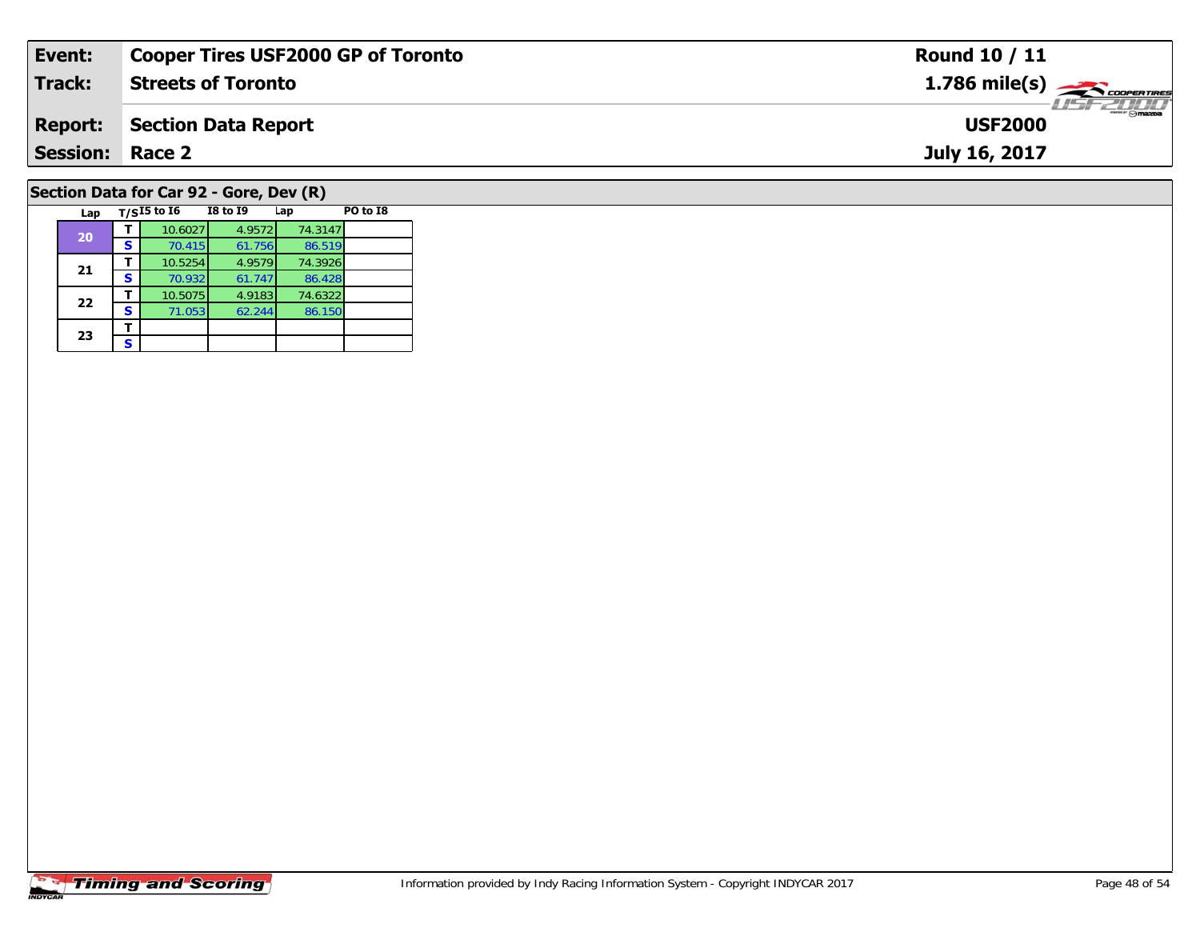| Event:                                  | <b>Cooper Tires USF2000 GP of Toronto</b> | Round 10 / 11                              |  |  |  |  |  |
|-----------------------------------------|-------------------------------------------|--------------------------------------------|--|--|--|--|--|
| Track:                                  | <b>Streets of Toronto</b>                 | $1.786$ mile(s) $\rightarrow$ Cooper Tires |  |  |  |  |  |
| <b>Report:</b>                          | Section Data Report                       | <b>USF2000</b>                             |  |  |  |  |  |
| <b>Session: Race 2</b>                  |                                           | July 16, 2017                              |  |  |  |  |  |
| Section Data for Car 92 - Gore, Dev (R) |                                           |                                            |  |  |  |  |  |

| Lap |   | $T/SI5$ to $I6$ | <b>I8 to 19</b> | Lap     | PO to I8 |
|-----|---|-----------------|-----------------|---------|----------|
| 20  |   | 10.6027         | 4.9572          | 74.3147 |          |
|     | s | 70.415          | 61.756          | 86.519  |          |
| 21  |   | 10.5254         | 4.9579          | 74.3926 |          |
|     | S | 70.932          | 61.747          | 86.428  |          |
| 22  |   | 10.5075         | 4.9183          | 74.6322 |          |
|     | S | 71.053          | 62.244          | 86.150  |          |
|     |   |                 |                 |         |          |
| 23  | S |                 |                 |         |          |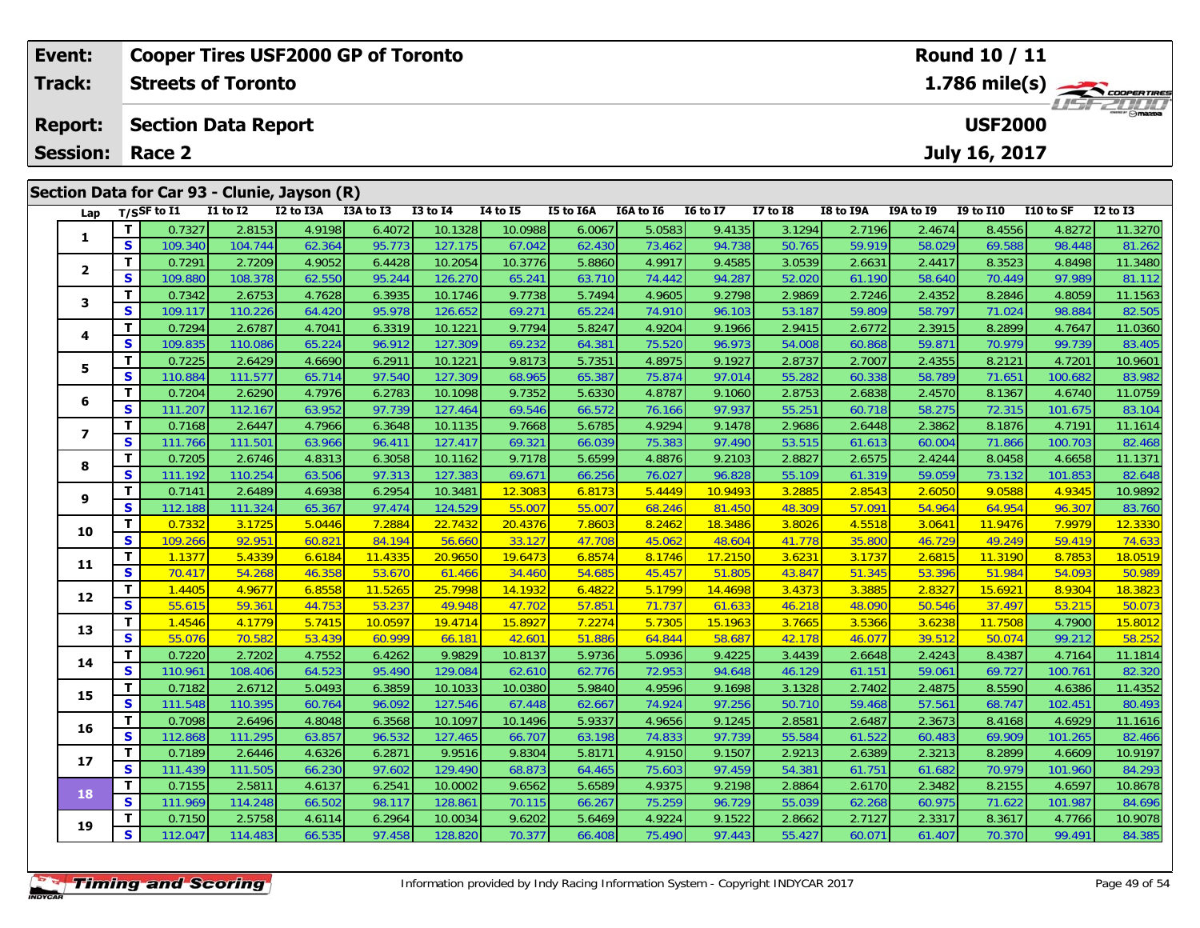|                           | <b>Cooper Tires USF2000 GP of Toronto</b><br>Event: |          |                            |              |                                              |           |              |                 |                                                              | Round 10 / 11 |                 |              |           |           |                  |           |              |
|---------------------------|-----------------------------------------------------|----------|----------------------------|--------------|----------------------------------------------|-----------|--------------|-----------------|--------------------------------------------------------------|---------------|-----------------|--------------|-----------|-----------|------------------|-----------|--------------|
|                           | <b>Track:</b>                                       |          | <b>Streets of Toronto</b>  |              |                                              |           |              |                 | $1.786$ mile(s) $\rightarrow$ Coorenances<br><b>LISFZORD</b> |               |                 |              |           |           |                  |           |              |
| <b>Report:</b>            |                                                     |          | <b>Section Data Report</b> |              |                                              |           |              |                 |                                                              |               |                 |              |           |           | <b>USF2000</b>   |           |              |
| <b>Session:</b><br>Race 2 |                                                     |          |                            |              |                                              |           |              |                 |                                                              |               |                 |              |           |           | July 16, 2017    |           |              |
|                           |                                                     |          |                            |              | Section Data for Car 93 - Clunie, Jayson (R) |           |              |                 |                                                              |               |                 |              |           |           |                  |           |              |
|                           |                                                     |          | Lap $T/S$ SF to I1         | $I1$ to $I2$ | I2 to I3A                                    | I3A to I3 | $I3$ to $I4$ | <b>I4 to I5</b> | I5 to I6A                                                    | I6A to I6     | <b>16 to 17</b> | $I7$ to $I8$ | I8 to I9A | I9A to I9 | <b>I9 to I10</b> | I10 to SF | $I2$ to $I3$ |
|                           |                                                     |          | 0.7327                     | 2.8153       | 4.9198                                       | 6.4072    | 10.1328      | 10.0988         | 6.0067                                                       | 5.0583        | 9.4135          | 3.1294       | 2.7196    | 2.4674    | 8.4556           | 4.8272    | 11.3270      |
|                           | 1                                                   | <b>S</b> | 109.340                    | 104.744      | 62.364                                       | 95.773    | 127.175      | 67.042          | 62.430                                                       | 73.462        | 94.738          | 50.765       | 59.919    | 58.029    | 69.588           | 98.448    | 81.262       |
|                           |                                                     |          | 0.7291                     | 2.7209       | 4.9052                                       | 6.4428    | 10.2054      | 10.3776         | 5.8860                                                       | 4.9917        | 9.4585          | 3.0539       | 2.6631    | 2.4417    | 8.3523           | 4.8498    | 11.3480      |
|                           |                                                     | S.       | 109.880                    | 108.378      | 62.550                                       | 95.244    | 126.270      | 65.241          | 63.710                                                       | 74.442        | 94.287          | 52.020       | 61.190    | 58.640    | 70.449           | 97.989    | 81.112       |

3 T 0.7342 2.6753 4.7628 6.3935 10.1746 9.7738 5.7494 4.9605 9.2798 2.9869 2.7246 2.4352 8.2846 4.8059 11.1563<br>S S 109.117 110.226 64.420 95.978 126.652 69.271 65.224 74.910 96.103 53.187 59.809 58.797 71.024 98.884 82.505

**<sup>T</sup>** 0.7294 2.6787 4.7041 6.3319 10.1221 9.7794 5.8247 4.9204 9.1966 2.9415 2.6772 2.3915 8.2899 4.7647 11.0360 **<sup>S</sup>** 109.835 110.086 65.224 96.912 127.309 69.232 64.381 75.520 96.973 54.008 60.868 59.871 70.979 99.739 83.405

5 1 0.7225 2.6429 4.6690 6.2911 10.1221 9.8173 5.7351 4.8975 9.1927 2.8737 2.7007 2.4355 8.2121 4.7201 10.9601<br>5 5 110.884 111.577 65.714 97.540 127.309 68.965 65.387 75.874 97.014 55.282 60.338 58.789 71.651 100.682 83.98

**<sup>T</sup>** 0.7204 2.6290 4.7976 6.2783 10.1098 9.7352 5.6330 4.8787 9.1060 2.8753 2.6838 2.4570 8.1367 4.6740 11.0759 **<sup>S</sup>** 111.207 112.167 63.952 97.739 127.464 69.546 66.572 76.166 97.937 55.251 60.718 58.275 72.315 101.675 83.104

7 | T | 0.7168| 2.6447| 4.7966| 6.3648| 10.1135| 9.7668| 5.6785| 4.9294| 9.1478| 2.9686| 2.6448| 2.3862| 8.1876| 4.7191| 11.1614<br>7 | S | 111.766 111.501| 63.966| 96.411| 127.417| 69.321| 66.039| 75.383| 97.490| 53.515| 61.

8 T 0.7205 2.6746 4.8313 6.3058 10.1162 9.7178 5.6599 4.8876 9.2103 2.8827 2.6575 2.4244 8.0458 4.6658 11.1371<br>8 S 111.192 110.254 63.506 97.313 127.383 69.671 66.256 76.027 96.828 55.109 61.319 59.059 73.132 101.853 82.64

<mark>11</mark> 0.7141 2.6489 4.6938 6.2954 10.3481 12.3083 6.8173 5.4449 10.9493 3.2885 2.8543 2.6050 9.0588 4.9345 10.9892<br>S 112.188 111.324 65.367 97.474 124.529 55.007 55.007 68.246 81.450 48.309 57.091 54.964 64.954 96.307 83.7

0 | **T** | 0.7332 | 3.1725 | 5.0446 | 7.2884 | 22.7432 | 20.4376 | 7.8603 | 8.2462 | 18.3486 | 3.8026 | 4.5518 | 3.0641 | 11.9476 | 7.9979 | 12.3330<br>| S | 109.266 | 92.951 | 60.821 | 84.194 | 56.660 | 33.127 | 47.708 | 45.0

1 | T | 1.1377 | 5.4339 | 6.6184 | 11.4335 | 20.9650 | 19.6473 | 6.8574 | 8.1746 | 17.2150 | 3.6231 | 3.1737 | 2.6815 | 11.3190 | 8.7853 | 18.0519<br>1 | S | 70.417 | 54.268 | 46.358 | 53.670 | 61.466 | 34.460 | 54.685 | 45.4

2 T 1.4405 4.9677 6.8558 11.5265 25.7998 14.1932 6.4822 5.1799 14.4698 3.4373 3.3885 2.8327 15.6921 8.9304 18.3823<br>2 S 55.615 59.361 44.753 53.237 49.948 47.702 57.851 71.737 61.633 46.218 48.090 50.546 37.497 53.215 50.07

3 T 1.4546 4.1779 5.7415 10.0597 19.4714 15.8927 7.2274 5.7305 15.1963 3.7665 3.5366 3.6238 11.7508 4.7900 15.8012<br>3 S 55.076 70.582 53.439 60.999 66.181 42.601 51.886 64.844 58.687 42.178 46.077 39.512 50.074 99.212 58.25

4 T 0.7220 2.7202 4.7552 6.4262 9.9829 10.8137 5.9736 5.0936 9.4225 3.4439 2.6648 2.4243 8.4387 4.7164 11.1814<br>S 110.961 108.406 64.523 95.490 129.084 62.610 62.776 72.953 94.648 46.129 61.151 59.061 69.727 100.761 82.320

5 T 0.7182 2.6712 5.0493 6.3859 10.1033 10.0380 5.9840 4.9596 9.1698 3.1328 2.7402 2.4875 8.5590 4.6386 11.4352<br>5 S 111.548 110.395 60.764 96.092 127.546 67.448 62.667 74.924 97.256 50.710 59.468 57.561 68.747 102.451 80.4

6 T 0.7098 2.6496 4.8048 6.3568 10.1097 10.1496 5.9337 4.9656 9.1245 2.8581 2.6487 2.3673 8.4168 4.6929 11.1616<br>5 S 112.868 111.295 63.857 96.532 127.465 66.707 63.198 74.833 97.739 55.584 61.522 60.483 69.909 101.265 82.4

7 T 0.7189 2.6446 4.6326 6.2871 9.9516 9.8304 5.8171 4.9150 9.1507 2.9213 2.6389 2.3213 8.2899 4.6609 10.9197<br>7 S 111.439 111.505 66.230 97.602 129.490 68.873 64.465 75.603 97.459 54.381 61.751 61.682 70.979 101.960 84.293

**<sup>T</sup>** 0.7155 2.5811 4.6137 6.2541 10.0002 9.6562 5.6589 4.9375 9.2198 2.8864 2.6170 2.3482 8.2155 4.6597 10.8678 **<sup>S</sup>** 111.969 114.248 66.502 98.117 128.861 70.115 66.267 75.259 96.729 55.039 62.268 60.975 71.622 101.987 84.696

10.9078 10.9078 10.9078 10.0034 10.0034 10.0034 10.0034 10.0034 10.0034 10.9078 10.9078 10.9078 10.9078 10.90<br>S 112.047 114.483 66.535 97.458 128.820 70.377 66.408 75.490 97.443 55.427 60.071 61.407 70.370 99.491 84.385

## **Timing and Scoring**

**3**

**4**

**5**

**6**

**7**

**8**

**9**

**10**

**11**

**12**

**13**

**14**

**15**

**16**

**17**

**18**

**19**

83.40

82.468

83.760

82.320

84.293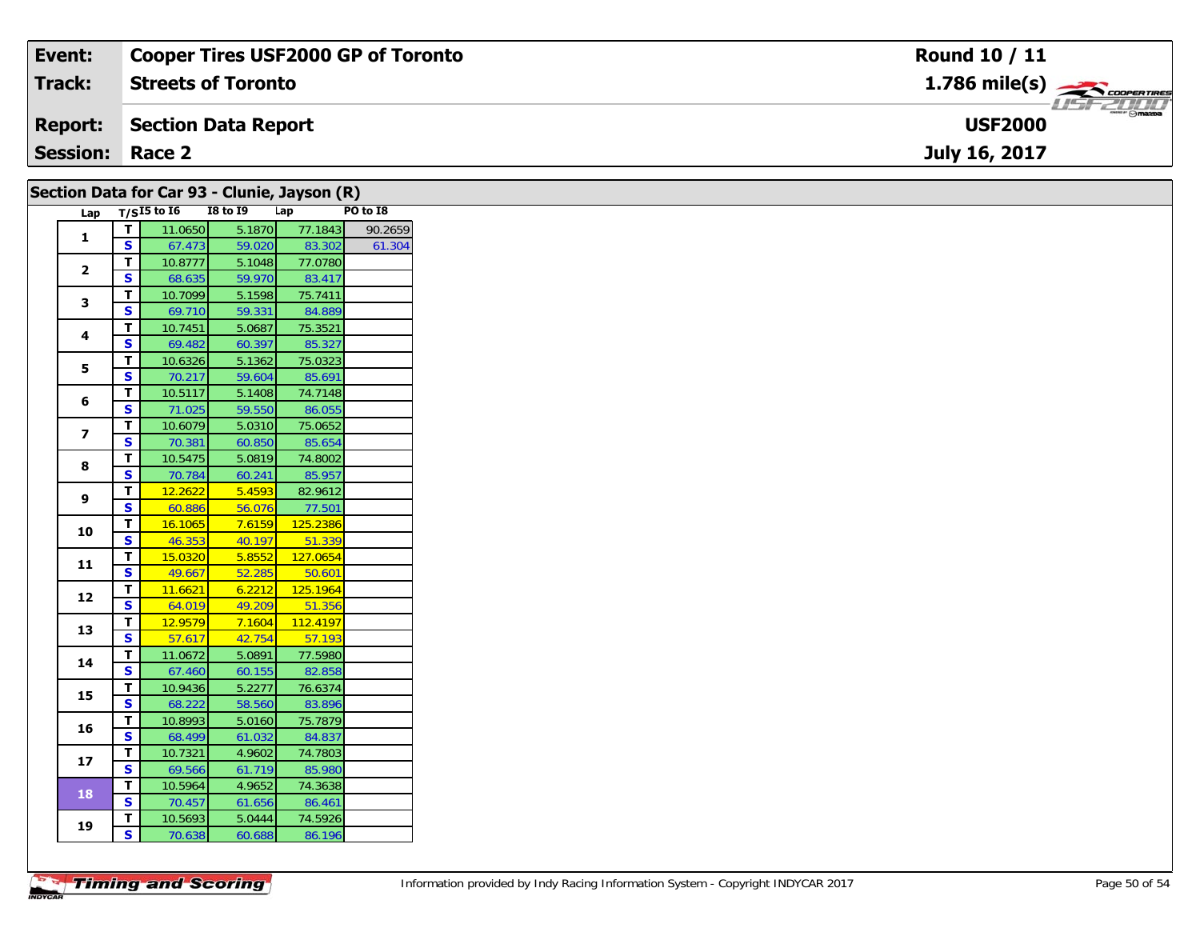| Event:                 | <b>Cooper Tires USF2000 GP of Toronto</b> | Round 10 / 11                             |
|------------------------|-------------------------------------------|-------------------------------------------|
| Track:                 | <b>Streets of Toronto</b>                 | $1.786$ mile(s) $\rightarrow$ COOPERTIRES |
| <b>Report:</b>         | Section Data Report                       | <b>USF2000</b>                            |
| <b>Session: Race 2</b> |                                           | July 16, 2017                             |
|                        |                                           |                                           |

|                         |                         |                     |                  | Section Data for Car 93 - Clunie, Jayson (R) |          |
|-------------------------|-------------------------|---------------------|------------------|----------------------------------------------|----------|
|                         |                         | Lap $T/SI5$ to $I6$ | $18$ to $19$     | Lap                                          | PO to I8 |
| $\mathbf{1}$            | $\mathsf T$             | 11.0650             | 5.1870           | 77.1843                                      | 90.2659  |
|                         | $\mathbf{s}$            | 67.473              | 59.020           | 83.302                                       | 61.304   |
| $\mathbf{2}$            | T.                      | 10.8777             | 5.1048           | 77.0780                                      |          |
|                         | <b>S</b>                | 68.635              | 59.970           | 83.417                                       |          |
| 3                       | $\mathbf T$             | 10.7099             | 5.1598           | 75.7411                                      |          |
|                         | $\mathbf{s}$            | 69.710              | 59.331           | 84.889                                       |          |
| 4                       | T.                      | 10.7451             | 5.0687           | 75.3521                                      |          |
|                         | S                       | 69.482              | 60.397           | 85.327                                       |          |
| 5                       | T.                      | 10.6326             | 5.1362           | 75.0323                                      |          |
|                         | $\overline{\mathbf{s}}$ | 70.217              | 59.604           | 85.691                                       |          |
| 6                       | T                       | 10.5117             | 5.1408           | 74.7148                                      |          |
|                         | S                       | 71.025              | 59.550           | 86.055                                       |          |
| $\overline{\mathbf{z}}$ | $\mathbf{T}$            | 10.6079             | 5.0310           | 75.0652                                      |          |
|                         | S                       | 70.381              | 60.850           | 85.654                                       |          |
| 8                       | $\mathbf{T}$            | 10.5475             | 5.0819           | 74.8002                                      |          |
|                         | S                       | 70.784              | 60.241           | 85.957                                       |          |
| 9                       | T.                      | 12.2622             | 5.4593           | 82.9612                                      |          |
|                         | S<br>$\mathbf T$        | 60.886              | 56.076           | 77.501<br>125.2386                           |          |
| 10                      | $\mathbf{s}$            | 16.1065<br>46.353   | 7.6159<br>40.197 | 51.339                                       |          |
|                         | T                       | 15.0320             | 5.8552           | 127.0654                                     |          |
| 11                      | S                       | 49.667              | 52.285           | 50.601                                       |          |
|                         | T                       | 11.6621             | 6.2212           | 125.1964                                     |          |
| 12                      | S                       | 64.019              | 49.209           | 51.356                                       |          |
|                         | $\mathbf T$             | 12.9579             | 7.1604           | 112.4197                                     |          |
| 13                      | $\mathbf{s}$            | 57.617              | 42.754           | 57.193                                       |          |
|                         | $\mathbf T$             | 11.0672             | 5.0891           | 77.5980                                      |          |
| 14                      | $\mathbf{s}$            | 67.460              | 60.155           | 82.858                                       |          |
|                         | T.                      | 10.9436             | 5.2277           | 76.6374                                      |          |
| 15                      | S                       | 68.222              | 58.560           | 83.896                                       |          |
|                         | T.                      | 10.8993             | 5.0160           | 75.7879                                      |          |
| 16                      | S                       | 68.499              | 61.032           | 84.837                                       |          |
|                         | $\mathbf T$             | 10.7321             | 4.9602           | 74.7803                                      |          |
| 17                      | S                       | 69.566              | 61.719           | 85.980                                       |          |
|                         | T                       | 10.5964             | 4.9652           | 74.3638                                      |          |
| 18                      | <b>S</b>                | 70.457              | 61.656           | 86.461                                       |          |
|                         | T.                      | 10.5693             | 5.0444           | 74.5926                                      |          |
| 19                      | $\mathbf{s}$            | 70.638              | 60.688           | 86.196                                       |          |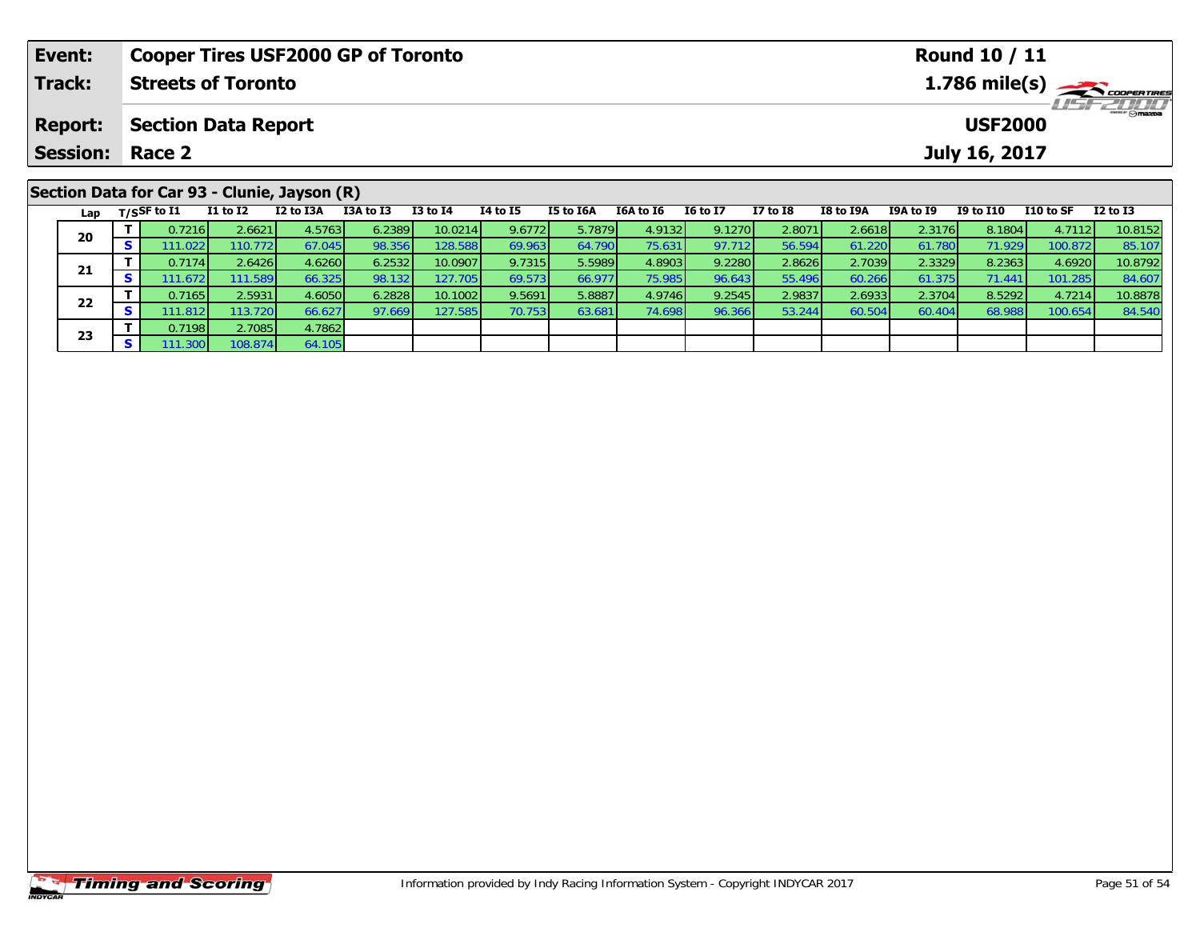| Event:                                       | <b>Cooper Tires USF2000 GP of Toronto</b>    |                           |           |           |              |          |                |           |                 |          |           |                                          | <b>Round 10 / 11</b> |           |                 |  |  |  |
|----------------------------------------------|----------------------------------------------|---------------------------|-----------|-----------|--------------|----------|----------------|-----------|-----------------|----------|-----------|------------------------------------------|----------------------|-----------|-----------------|--|--|--|
| Track:                                       |                                              | <b>Streets of Toronto</b> |           |           |              |          |                |           |                 |          |           | $1.786$ mile(s) $\rightarrow$ coorganges |                      |           |                 |  |  |  |
| <b>Report:</b><br><b>Section Data Report</b> |                                              |                           |           |           |              |          | <b>USF2000</b> |           |                 |          |           |                                          |                      |           |                 |  |  |  |
| <b>Session: Race 2</b>                       |                                              |                           |           |           |              |          |                |           |                 |          |           |                                          | July 16, 2017        |           |                 |  |  |  |
|                                              |                                              |                           |           |           |              |          |                |           |                 |          |           |                                          |                      |           |                 |  |  |  |
|                                              | Section Data for Car 93 - Clunie, Jayson (R) |                           |           |           |              |          |                |           |                 |          |           |                                          |                      |           |                 |  |  |  |
|                                              | Lap $T/S$ SF to I1                           | I1 to I2                  | I2 to I3A | I3A to I3 | $I3$ to $I4$ | 14 to 15 | I5 to I6A      | I6A to I6 | <b>I6 to I7</b> | I7 to I8 | I8 to I9A | I9A to I9                                | I9 to I10            | I10 to SF | <b>I2 to I3</b> |  |  |  |

0 T 0.7216 2.6621 4.5763 6.2389 10.0214 9.6772 5.7879 4.9132 9.1270 2.8071 2.6618 2.3176 8.1804 4.7112 10.8152<br>S 111.022 110.772 67.045 98.356 128.588 69.963 64.790 75.631 97.712 56.594 61.220 61.780 71.929 100.872 85.107

1 T 0.7174 2.6426 4.6260 6.2532 10.0907 9.7315 5.5989 4.8903 9.2280 2.8626 2.7039 2.3329 8.2363 4.6920 10.8792<br>S 111.672 111.589 66.325 98.132 127.705 69.573 66.977 75.985 96.643 55.496 60.266 61.375 71.441 101.285 84.607

2 T 0.7165 2.5931 4.6050 6.2828 10.1002 9.5691 5.8887 4.9746 9.2545 2.9837 2.6933 2.3704 8.5292 4.7214 10.8878<br>2 S 111.812 113.720 66.627 97.669 127.585 70.753 63.681 74.698 96.366 53.244 60.504 60.404 68.988 100.654 84.54

**20**

**21**

**22**

**23**

**T** 0.7198 2.7085 4.7862<br>**S** 111.300 108.874 64.105

64.105

84.607<br>10.8878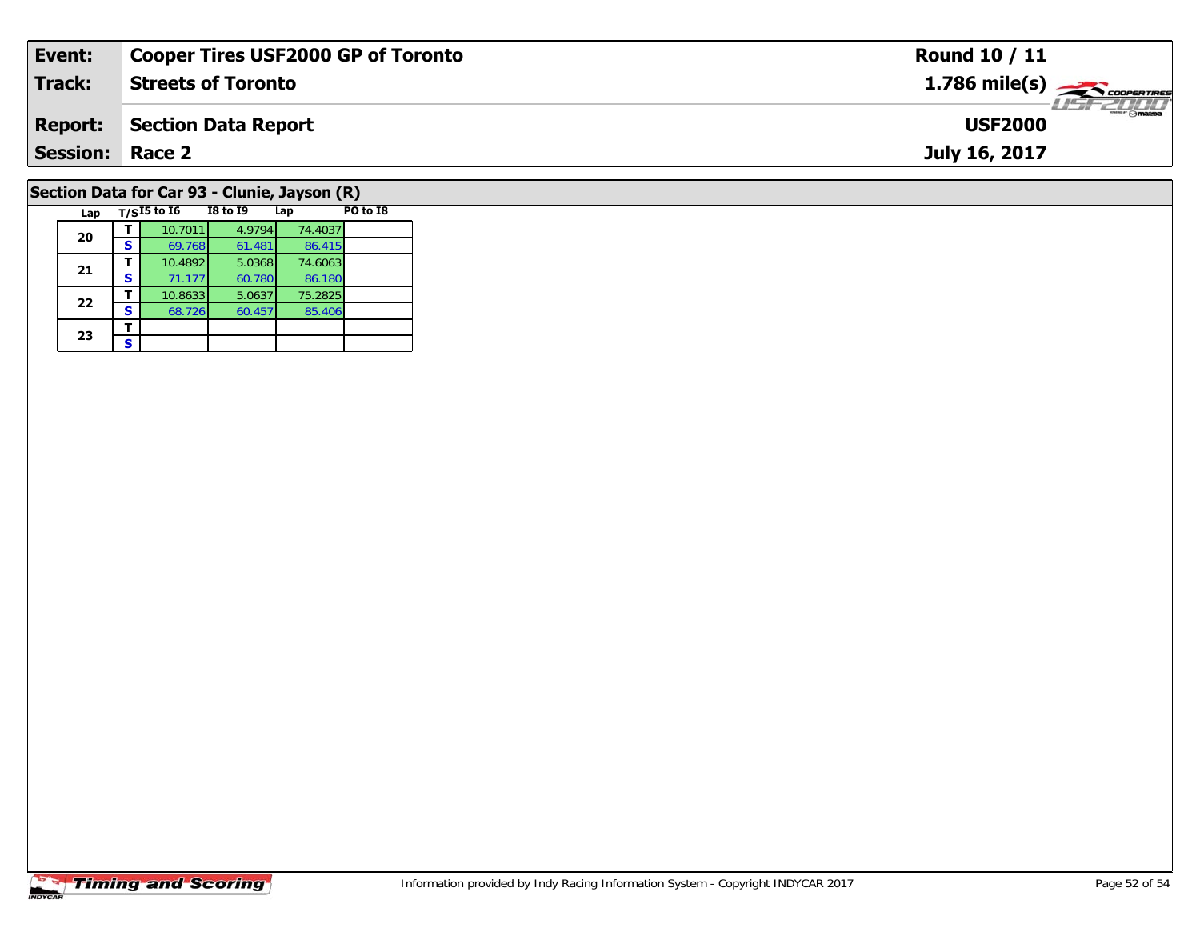| Event:                                       | <b>Cooper Tires USF2000 GP of Toronto</b> | <b>Round 10 / 11</b>                                     |  |  |  |  |  |
|----------------------------------------------|-------------------------------------------|----------------------------------------------------------|--|--|--|--|--|
| <b>Track:</b>                                | <b>Streets of Toronto</b>                 | $1.786$ mile(s) $\overbrace{\hspace{2.5cm}}$ coder Tires |  |  |  |  |  |
| <b>Report:</b>                               | Section Data Report                       | <b>LISF 2000</b><br><b>USF2000</b>                       |  |  |  |  |  |
| <b>Session: Race 2</b>                       |                                           | July 16, 2017                                            |  |  |  |  |  |
| Section Data for Car 93 - Clunie, Jayson (R) |                                           |                                                          |  |  |  |  |  |

### **Timing and Scoring**

**Lap T/SI5 to I6 I8 to I9 Lap PO to I8** 

**<sup>T</sup>** 10.7011 4.9794 74.4037 **<sup>S</sup>** 69.768 61.481 86.415

**T** 10.4892 5.0368 74.6063<br>**S** 71.177 60.780 86.180

**T** 10.8633 5.0637 75.2825<br>**S** 68.726 60.457 85.406

86.415<br>74.6063

86.180<br>75.2825

85.406

**20**

**21**

**22**

**23**3 <u>F</u>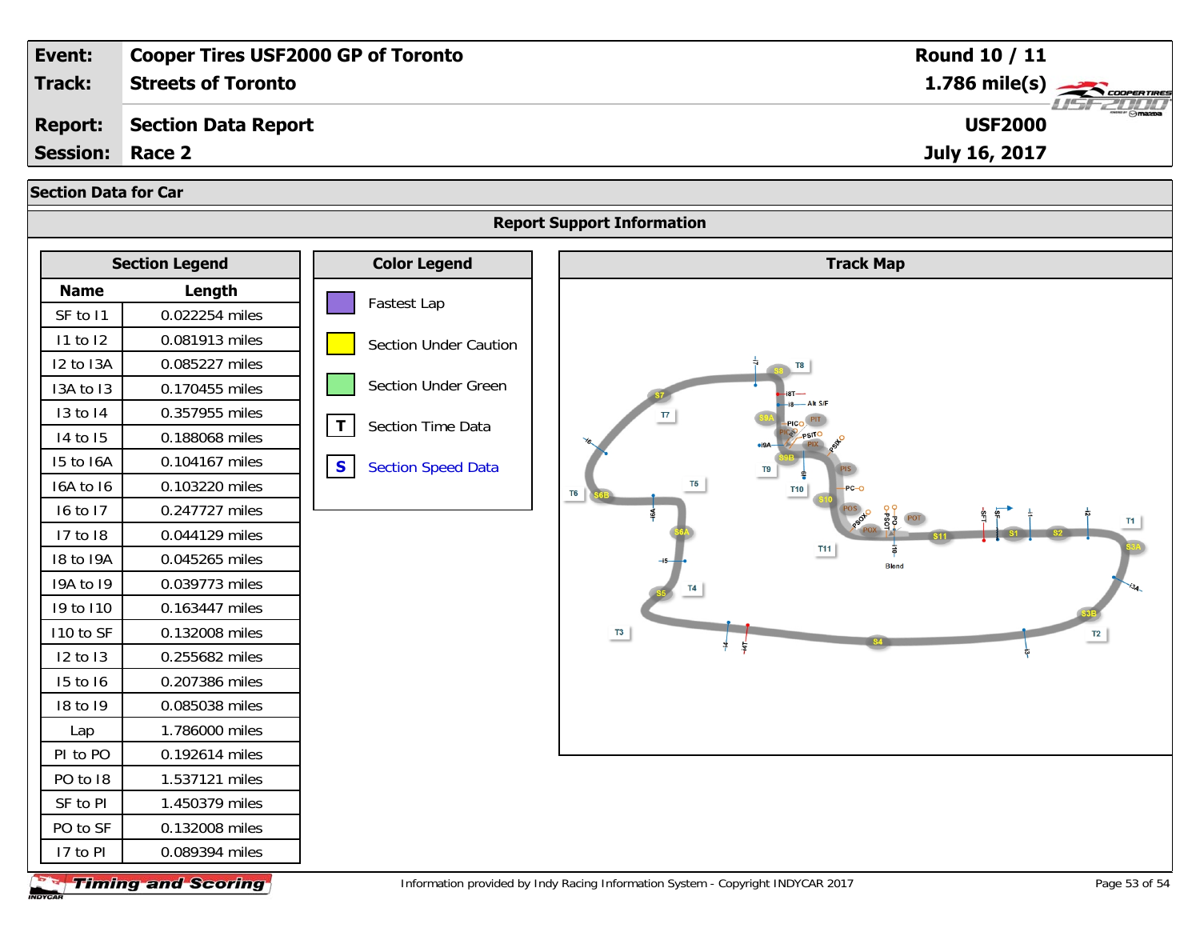| Event:                      |                                  | <b>Cooper Tires USF2000 GP of Toronto</b> | Round 10 / 11                                                        |
|-----------------------------|----------------------------------|-------------------------------------------|----------------------------------------------------------------------|
| Track:                      | <b>Streets of Toronto</b>        |                                           | 1.786 mile(s)                                                        |
| <b>Report:</b>              | <b>Section Data Report</b>       |                                           | <b>USF2000</b>                                                       |
| <b>Session:</b>             | Race 2                           |                                           | July 16, 2017                                                        |
| <b>Section Data for Car</b> |                                  |                                           |                                                                      |
|                             |                                  |                                           | <b>Report Support Information</b>                                    |
|                             |                                  |                                           |                                                                      |
| <b>Section Legend</b>       |                                  | <b>Color Legend</b>                       | <b>Track Map</b>                                                     |
| <b>Name</b>                 | Length                           | Fastest Lap                               |                                                                      |
| SF to 11                    | 0.022254 miles                   |                                           |                                                                      |
| 11 to 12<br>I2 to I3A       | 0.081913 miles<br>0.085227 miles | <b>Section Under Caution</b>              |                                                                      |
| I3A to I3                   | 0.170455 miles                   | Section Under Green                       |                                                                      |
| 13 to 14                    | 0.357955 miles                   |                                           |                                                                      |
| 14 to 15                    | 0.188068 miles                   | $\mathbf{T}$<br>Section Time Data         | $\mathsf{T}$                                                         |
| 15 to 16A                   | 0.104167 miles                   |                                           |                                                                      |
| 16A to 16                   | 0.103220 miles                   | $\mathbf{s}$<br><b>Section Speed Data</b> | Т5<br><b>T10</b>                                                     |
| 16 to 17                    | 0.247727 miles                   |                                           | T <sub>6</sub>                                                       |
| 17 to 18                    | 0.044129 miles                   |                                           |                                                                      |
| 18 to 19A                   | 0.045265 miles                   |                                           | <b>T11</b>                                                           |
| 19A to 19                   | 0.039773 miles                   |                                           |                                                                      |
| 19 to 110                   | 0.163447 miles                   |                                           |                                                                      |
| I10 to SF                   | 0.132008 miles                   |                                           | $\begin{array}{c c} \hline \textbf{73} & \\\hline \end{array}$<br>T2 |
| 12 to 13                    | 0.255682 miles                   |                                           |                                                                      |
| 15 to 16                    | 0.207386 miles                   |                                           |                                                                      |
| 18 to 19                    | 0.085038 miles                   |                                           |                                                                      |
| Lap                         | 1.786000 miles                   |                                           |                                                                      |
| PI to PO                    | 0.192614 miles                   |                                           |                                                                      |
| PO to 18                    | 1.537121 miles                   |                                           |                                                                      |
| SF to PI                    | 1.450379 miles                   |                                           |                                                                      |
| PO to SF                    | 0.132008 miles                   |                                           |                                                                      |
| 17 to PI                    | 0.089394 miles                   |                                           |                                                                      |

INDYCAR